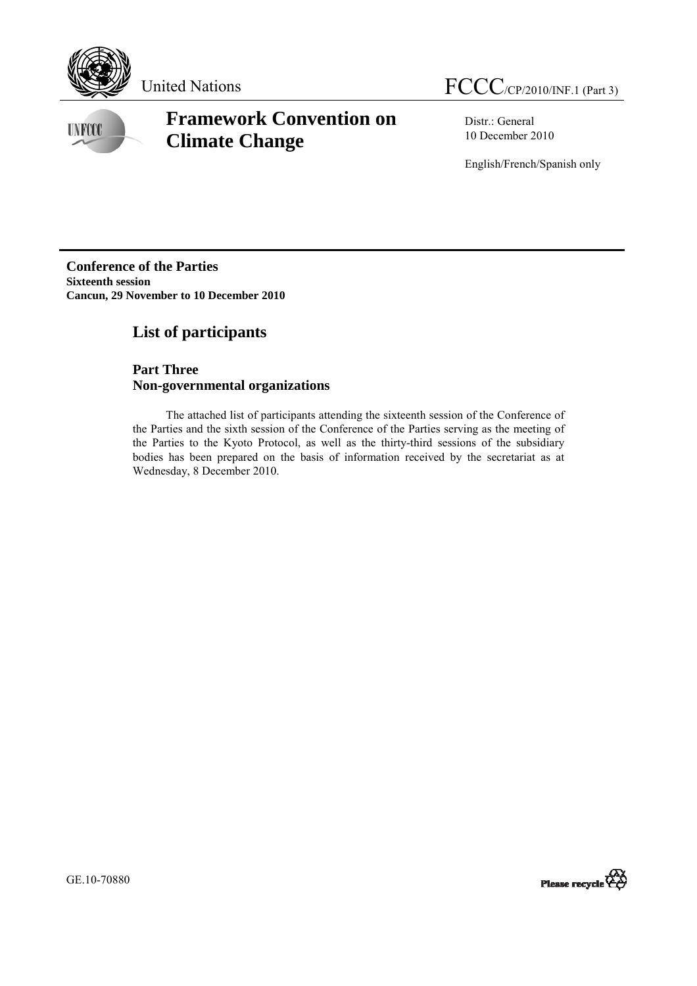

**UNFCCC** 

# **Framework Convention on Climate Change**

Distr.: General 10 December 2010

English/French/Spanish only

**Conference of the Parties Sixteenth session Cancun, 29 November to 10 December 2010** 

## **List of participants**

## **Part Three Non-governmental organizations**

 The attached list of participants attending the sixteenth session of the Conference of the Parties and the sixth session of the Conference of the Parties serving as the meeting of the Parties to the Kyoto Protocol, as well as the thirty-third sessions of the subsidiary bodies has been prepared on the basis of information received by the secretariat as at Wednesday, 8 December 2010.

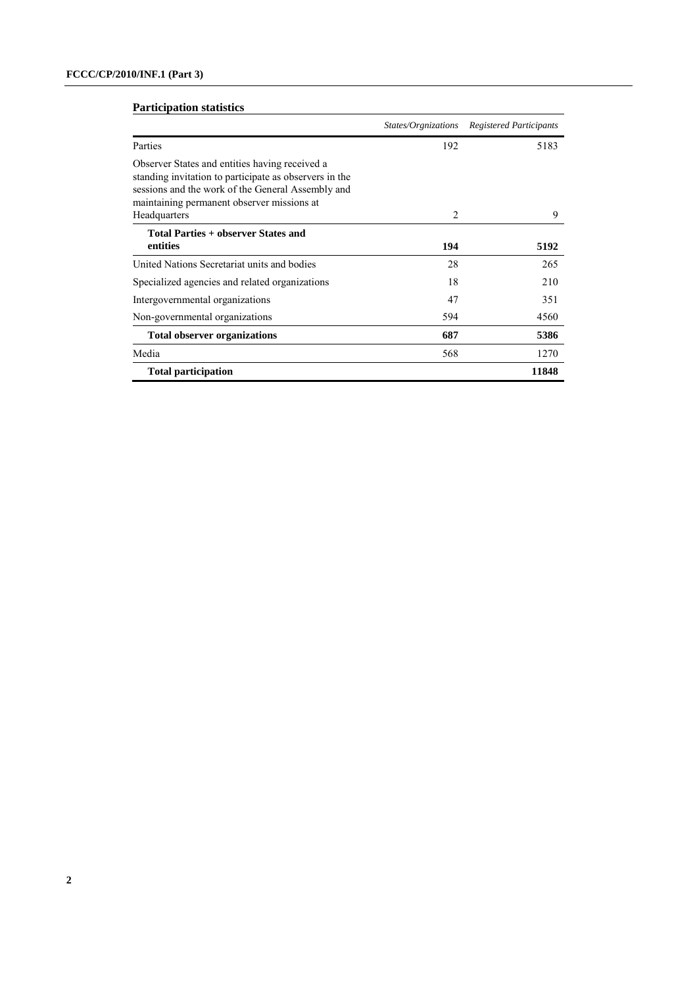### **Participation statistics**

|                                                                                                                                                                                                                             |                | States/Orgnizations Registered Participants |
|-----------------------------------------------------------------------------------------------------------------------------------------------------------------------------------------------------------------------------|----------------|---------------------------------------------|
| Parties                                                                                                                                                                                                                     | 192            | 5183                                        |
| Observer States and entities having received a<br>standing invitation to participate as observers in the<br>sessions and the work of the General Assembly and<br>maintaining permanent observer missions at<br>Headquarters | $\overline{c}$ | 9                                           |
| <b>Total Parties + observer States and</b><br>entities                                                                                                                                                                      | 194            | 5192                                        |
| United Nations Secretariat units and bodies                                                                                                                                                                                 | 28             | 265                                         |
| Specialized agencies and related organizations                                                                                                                                                                              | 18             | 210                                         |
| Intergovernmental organizations                                                                                                                                                                                             | 47             | 351                                         |
| Non-governmental organizations                                                                                                                                                                                              | 594            | 4560                                        |
| <b>Total observer organizations</b>                                                                                                                                                                                         | 687            | 5386                                        |
| Media                                                                                                                                                                                                                       | 568            | 1270                                        |
| <b>Total participation</b>                                                                                                                                                                                                  |                | 11848                                       |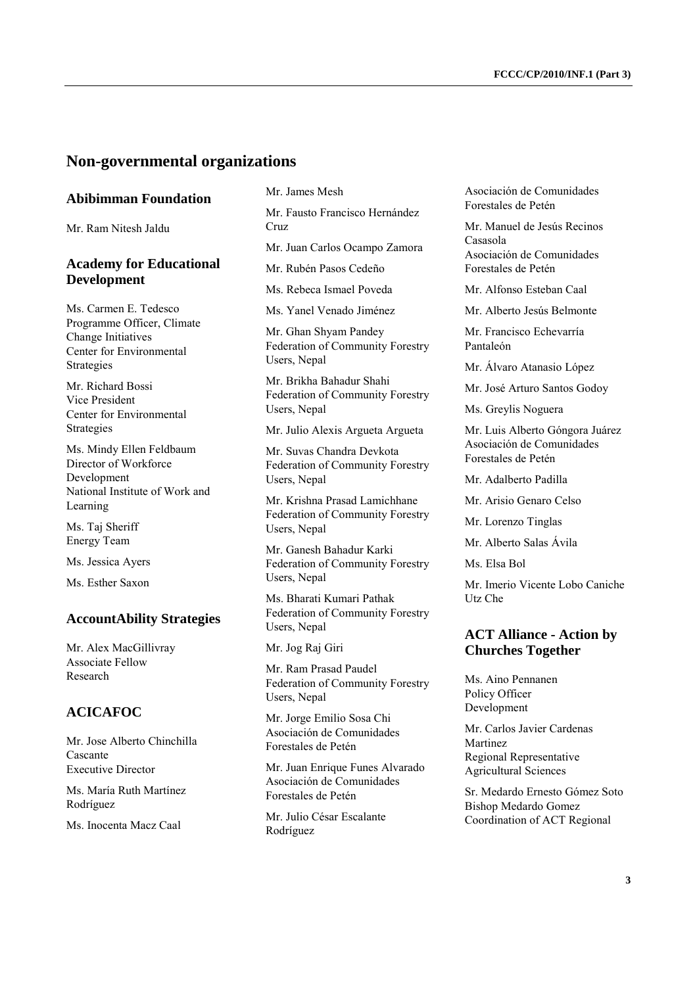## **Non-governmental organizations**

### **Abibimman Foundation**

Mr. Ram Nitesh Jaldu

### **Academy for Educational Development**

Ms. Carmen E. Tedesco Programme Officer, Climate Change Initiatives Center for Environmental Strategies

Mr. Richard Bossi Vice President Center for Environmental Strategies

Ms. Mindy Ellen Feldbaum Director of Workforce Development National Institute of Work and Learning

Ms. Taj Sheriff Energy Team

Ms. Jessica Ayers

Ms. Esther Saxon

#### **AccountAbility Strategies**

Mr. Alex MacGillivray Associate Fellow Research

### **ACICAFOC**

Mr. Jose Alberto Chinchilla Cascante Executive Director

Ms. María Ruth Martínez Rodríguez

Ms. Inocenta Macz Caal

Mr. James Mesh

Mr. Fausto Francisco Hernández Cruz

Mr. Juan Carlos Ocampo Zamora

Mr. Rubén Pasos Cedeño

Ms. Rebeca Ismael Poveda

Ms. Yanel Venado Jiménez

Mr. Ghan Shyam Pandey Federation of Community Forestry Users, Nepal

Mr. Brikha Bahadur Shahi Federation of Community Forestry Users, Nepal

#### Mr. Julio Alexis Argueta Argueta

Mr. Suvas Chandra Devkota Federation of Community Forestry Users, Nepal

Mr. Krishna Prasad Lamichhane Federation of Community Forestry Users, Nepal

Mr. Ganesh Bahadur Karki Federation of Community Forestry Users, Nepal

Ms. Bharati Kumari Pathak Federation of Community Forestry Users, Nepal

Mr. Jog Raj Giri

Mr. Ram Prasad Paudel Federation of Community Forestry Users, Nepal

Mr. Jorge Emilio Sosa Chi Asociación de Comunidades Forestales de Petén

Mr. Juan Enrique Funes Alvarado Asociación de Comunidades Forestales de Petén

Mr. Julio César Escalante Rodríguez

Asociación de Comunidades Forestales de Petén

Mr. Manuel de Jesús Recinos Casasola Asociación de Comunidades Forestales de Petén

Mr. Alfonso Esteban Caal

Mr. Alberto Jesús Belmonte

Mr. Francisco Echevarría Pantaleón

Mr. Álvaro Atanasio López

Mr. José Arturo Santos Godoy

Ms. Greylis Noguera

Mr. Luis Alberto Góngora Juárez Asociación de Comunidades Forestales de Petén

Mr. Adalberto Padilla

Mr. Arisio Genaro Celso

Mr. Lorenzo Tinglas

Mr. Alberto Salas Ávila

Ms. Elsa Bol

Mr. Imerio Vicente Lobo Caniche Utz Che

### **ACT Alliance - Action by Churches Together**

Ms. Aino Pennanen Policy Officer Development

Mr. Carlos Javier Cardenas Martinez Regional Representative Agricultural Sciences

Sr. Medardo Ernesto Gómez Soto Bishop Medardo Gomez Coordination of ACT Regional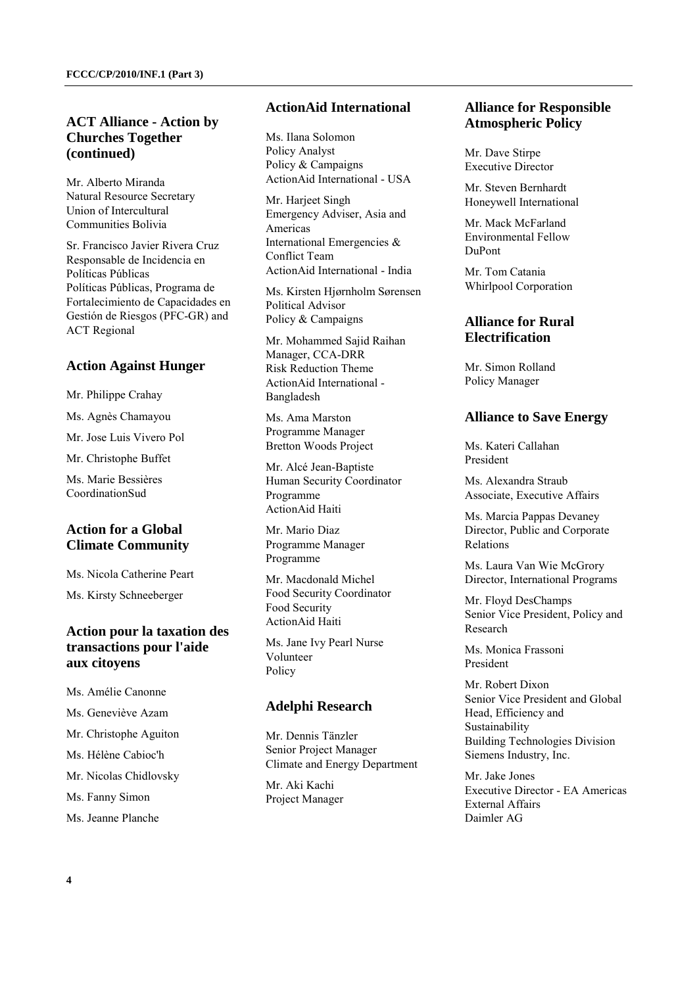### **ACT Alliance - Action by Churches Together (continued)**

Mr. Alberto Miranda Natural Resource Secretary Union of Intercultural Communities Bolivia

Sr. Francisco Javier Rivera Cruz Responsable de Incidencia en Políticas Públicas Políticas Públicas, Programa de Fortalecimiento de Capacidades en Gestión de Riesgos (PFC-GR) and ACT Regional

### **Action Against Hunger**

Mr. Philippe Crahay

Ms. Agnès Chamayou

Mr. Jose Luis Vivero Pol

Mr. Christophe Buffet

Ms. Marie Bessières CoordinationSud

### **Action for a Global Climate Community**

Ms. Nicola Catherine Peart

Ms. Kirsty Schneeberger

### **Action pour la taxation des transactions pour l'aide aux citoyens**

Ms. Amélie Canonne

Ms. Geneviève Azam

Mr. Christophe Aguiton

Ms. Hélène Cabioc'h

Mr. Nicolas Chidlovsky

Ms. Fanny Simon

Ms. Jeanne Planche

### **ActionAid International**

Ms. Ilana Solomon Policy Analyst Policy & Campaigns ActionAid International - USA

Mr. Harjeet Singh Emergency Adviser, Asia and Americas International Emergencies & Conflict Team ActionAid International - India

Ms. Kirsten Hjørnholm Sørensen Political Advisor Policy & Campaigns

Mr. Mohammed Sajid Raihan Manager, CCA-DRR Risk Reduction Theme ActionAid International - Bangladesh

Ms. Ama Marston Programme Manager Bretton Woods Project

Mr. Alcé Jean-Baptiste Human Security Coordinator Programme ActionAid Haiti

Mr. Mario Diaz Programme Manager Programme

Mr. Macdonald Michel Food Security Coordinator Food Security ActionAid Haiti

Ms. Jane Ivy Pearl Nurse Volunteer Policy

#### **Adelphi Research**

Mr. Dennis Tänzler Senior Project Manager Climate and Energy Department

Mr. Aki Kachi Project Manager

### **Alliance for Responsible Atmospheric Policy**

Mr. Dave Stirpe Executive Director

Mr. Steven Bernhardt Honeywell International

Mr. Mack McFarland Environmental Fellow DuPont

Mr. Tom Catania Whirlpool Corporation

### **Alliance for Rural Electrification**

Mr. Simon Rolland Policy Manager

#### **Alliance to Save Energy**

Ms. Kateri Callahan President

Ms. Alexandra Straub Associate, Executive Affairs

Ms. Marcia Pappas Devaney Director, Public and Corporate Relations

Ms. Laura Van Wie McGrory Director, International Programs

Mr. Floyd DesChamps Senior Vice President, Policy and Research

Ms. Monica Frassoni President

Mr. Robert Dixon Senior Vice President and Global Head, Efficiency and Sustainability Building Technologies Division Siemens Industry, Inc.

Mr. Jake Jones Executive Director - EA Americas External Affairs Daimler AG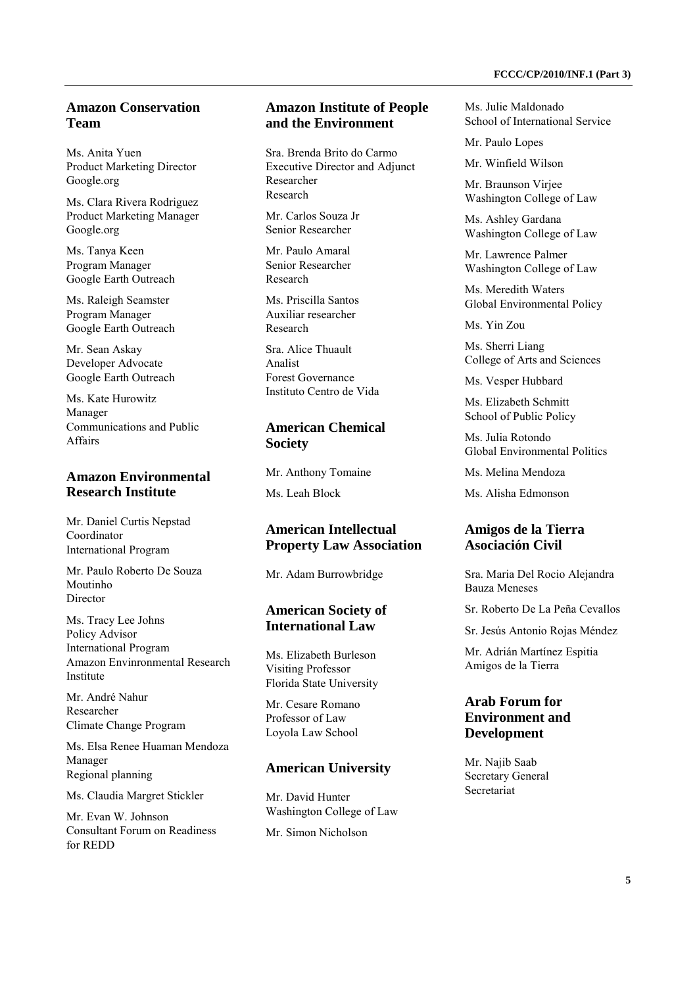## **Amazon Conservation Team**

Ms. Anita Yuen Product Marketing Director Google.org

Ms. Clara Rivera Rodriguez Product Marketing Manager Google.org

Ms. Tanya Keen Program Manager Google Earth Outreach

Ms. Raleigh Seamster Program Manager Google Earth Outreach

Mr. Sean Askay Developer Advocate Google Earth Outreach

Ms. Kate Hurowitz Manager Communications and Public Affairs

### **Amazon Environmental Research Institute**

Mr. Daniel Curtis Nepstad Coordinator International Program

Mr. Paulo Roberto De Souza Moutinho Director

Ms. Tracy Lee Johns Policy Advisor International Program Amazon Envinronmental Research Institute

Mr. André Nahur Researcher Climate Change Program

Ms. Elsa Renee Huaman Mendoza Manager Regional planning

Ms. Claudia Margret Stickler

Mr. Evan W. Johnson Consultant Forum on Readiness for REDD

### **Amazon Institute of People and the Environment**

Sra. Brenda Brito do Carmo Executive Director and Adjunct Researcher Research

Mr. Carlos Souza Jr Senior Researcher

Mr. Paulo Amaral Senior Researcher Research

Ms. Priscilla Santos Auxiliar researcher Research

Sra. Alice Thuault Analist Forest Governance Instituto Centro de Vida

## **American Chemical Society**

Mr. Anthony Tomaine

Ms. Leah Block

## **American Intellectual Property Law Association**

Mr. Adam Burrowbridge

### **American Society of International Law**

Ms. Elizabeth Burleson Visiting Professor Florida State University

Mr. Cesare Romano Professor of Law Loyola Law School

## **American University**

Mr. David Hunter Washington College of Law Mr. Simon Nicholson

Ms. Julie Maldonado School of International Service

Mr. Paulo Lopes

Mr. Winfield Wilson

Mr. Braunson Virjee Washington College of Law

Ms. Ashley Gardana Washington College of Law

Mr. Lawrence Palmer Washington College of Law

Ms. Meredith Waters Global Environmental Policy

Ms. Yin Zou

Ms. Sherri Liang College of Arts and Sciences

Ms. Vesper Hubbard

Ms. Elizabeth Schmitt School of Public Policy

Ms. Julia Rotondo Global Environmental Politics

Ms. Melina Mendoza

Ms. Alisha Edmonson

### **Amigos de la Tierra Asociación Civil**

Sra. Maria Del Rocio Alejandra Bauza Meneses

Sr. Roberto De La Peña Cevallos

Sr. Jesús Antonio Rojas Méndez

Mr. Adrián Martínez Espitia Amigos de la Tierra

### **Arab Forum for Environment and Development**

Mr. Najib Saab Secretary General Secretariat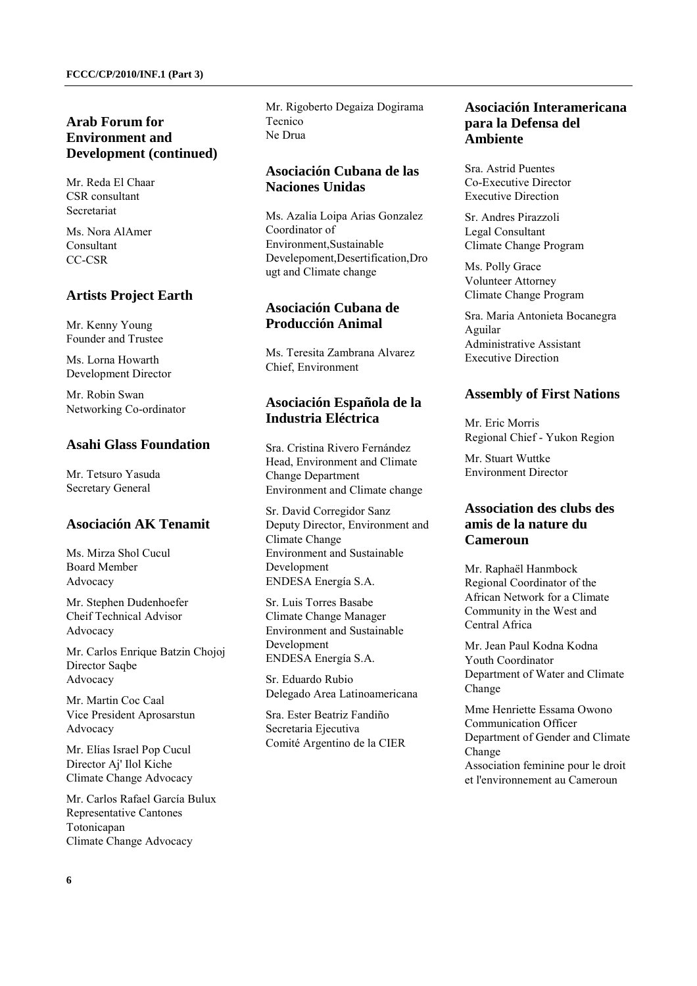## **Arab Forum for Environment and Development (continued)**

Mr. Reda El Chaar CSR consultant Secretariat

Ms. Nora AlAmer Consultant CC-CSR

### **Artists Project Earth**

Mr. Kenny Young Founder and Trustee

Ms. Lorna Howarth Development Director

Mr. Robin Swan Networking Co-ordinator

### **Asahi Glass Foundation**

Mr. Tetsuro Yasuda Secretary General

### **Asociación AK Tenamit**

Ms. Mirza Shol Cucul Board Member Advocacy

Mr. Stephen Dudenhoefer Cheif Technical Advisor Advocacy

Mr. Carlos Enrique Batzin Chojoj Director Saqbe Advocacy

Mr. Martin Coc Caal Vice President Aprosarstun Advocacy

Mr. Elías Israel Pop Cucul Director Aj' Ilol Kiche Climate Change Advocacy

Mr. Carlos Rafael García Bulux Representative Cantones Totonicapan Climate Change Advocacy

Mr. Rigoberto Degaiza Dogirama Tecnico Ne Drua

### **Asociación Cubana de las Naciones Unidas**

Ms. Azalia Loipa Arias Gonzalez Coordinator of Environment Sustainable Develepoment,Desertification,Dro ugt and Climate change

### **Asociación Cubana de Producción Animal**

Ms. Teresita Zambrana Alvarez Chief, Environment

## **Asociación Española de la Industria Eléctrica**

Sra. Cristina Rivero Fernández Head, Environment and Climate Change Department Environment and Climate change

Sr. David Corregidor Sanz Deputy Director, Environment and Climate Change Environment and Sustainable Development ENDESA Energía S.A.

Sr. Luis Torres Basabe Climate Change Manager Environment and Sustainable Development ENDESA Energía S.A.

Sr. Eduardo Rubio Delegado Area Latinoamericana

Sra. Ester Beatriz Fandiño Secretaria Ejecutiva Comité Argentino de la CIER

### **Asociación Interamericana para la Defensa del Ambiente**

Sra. Astrid Puentes Co-Executive Director Executive Direction

Sr. Andres Pirazzoli Legal Consultant Climate Change Program

Ms. Polly Grace Volunteer Attorney Climate Change Program

Sra. Maria Antonieta Bocanegra Aguilar Administrative Assistant Executive Direction

### **Assembly of First Nations**

Mr. Eric Morris Regional Chief - Yukon Region

Mr. Stuart Wuttke Environment Director

### **Association des clubs des amis de la nature du Cameroun**

Mr. Raphaël Hanmbock Regional Coordinator of the African Network for a Climate Community in the West and Central Africa

Mr. Jean Paul Kodna Kodna Youth Coordinator Department of Water and Climate Change

Mme Henriette Essama Owono Communication Officer Department of Gender and Climate Change Association feminine pour le droit et l'environnement au Cameroun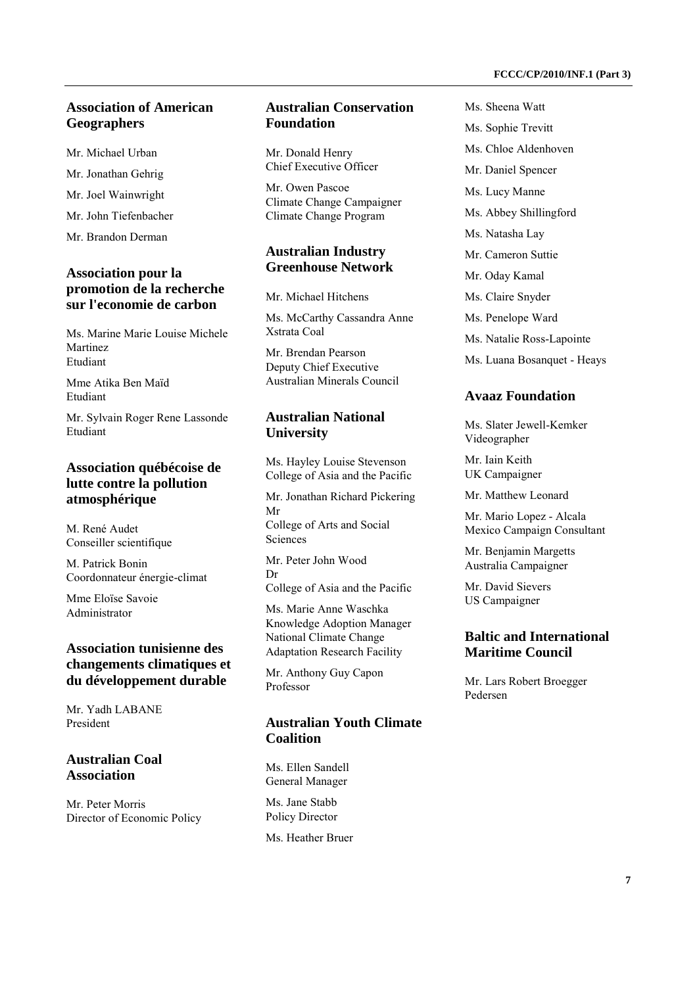## **Association of American Geographers**

Mr. Michael Urban

Mr. Jonathan Gehrig

Mr. Joel Wainwright

Mr. John Tiefenbacher

Mr. Brandon Derman

### **Association pour la promotion de la recherche sur l'economie de carbon**

Ms. Marine Marie Louise Michele Martinez Etudiant

Mme Atika Ben Maïd Etudiant

Mr. Sylvain Roger Rene Lassonde Etudiant

### **Association québécoise de lutte contre la pollution atmosphérique**

M. René Audet Conseiller scientifique

M. Patrick Bonin Coordonnateur énergie-climat

Mme Eloïse Savoie Administrator

### **Association tunisienne des changements climatiques et du développement durable**

Mr. Yadh LABANE President

### **Australian Coal Association**

Mr. Peter Morris Director of Economic Policy

### **Australian Conservation Foundation**

Mr. Donald Henry Chief Executive Officer

Mr. Owen Pascoe Climate Change Campaigner Climate Change Program

## **Australian Industry Greenhouse Network**

Mr. Michael Hitchens

Ms. McCarthy Cassandra Anne Xstrata Coal

Mr. Brendan Pearson Deputy Chief Executive Australian Minerals Council

### **Australian National University**

Ms. Hayley Louise Stevenson College of Asia and the Pacific

Mr. Jonathan Richard Pickering Mr College of Arts and Social Sciences

Mr. Peter John Wood Dr College of Asia and the Pacific

Ms. Marie Anne Waschka Knowledge Adoption Manager National Climate Change Adaptation Research Facility

Mr. Anthony Guy Capon Professor

## **Australian Youth Climate Coalition**

Ms. Ellen Sandell General Manager

Ms. Jane Stabb Policy Director Ms. Heather Bruer Ms. Sheena Watt Ms. Sophie Trevitt Ms. Chloe Aldenhoven Mr. Daniel Spencer Ms. Lucy Manne Ms. Abbey Shillingford Ms. Natasha Lay Mr. Cameron Suttie Mr. Oday Kamal Ms. Claire Snyder Ms. Penelope Ward Ms. Natalie Ross-Lapointe Ms. Luana Bosanquet - Heays

### **Avaaz Foundation**

Ms. Slater Jewell-Kemker Videographer

Mr. Iain Keith UK Campaigner

Mr. Matthew Leonard

Mr. Mario Lopez - Alcala Mexico Campaign Consultant

Mr. Benjamin Margetts Australia Campaigner

Mr. David Sievers US Campaigner

### **Baltic and International Maritime Council**

Mr. Lars Robert Broegger Pedersen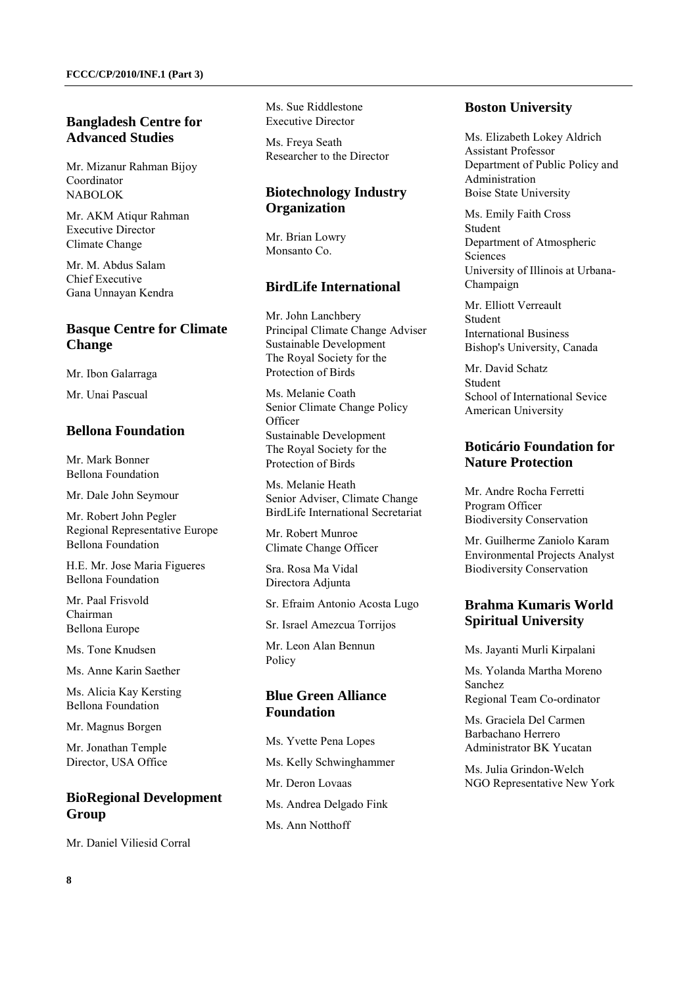### **Bangladesh Centre for Advanced Studies**

Mr. Mizanur Rahman Bijoy Coordinator NABOLOK

Mr. AKM Atiqur Rahman Executive Director Climate Change

Mr. M. Abdus Salam Chief Executive Gana Unnayan Kendra

## **Basque Centre for Climate Change**

Mr. Ibon Galarraga

Mr. Unai Pascual

### **Bellona Foundation**

Mr. Mark Bonner Bellona Foundation

Mr. Dale John Seymour

Mr. Robert John Pegler Regional Representative Europe Bellona Foundation

H.E. Mr. Jose Maria Figueres Bellona Foundation

Mr. Paal Frisvold Chairman Bellona Europe

Ms. Tone Knudsen

Ms. Anne Karin Saether

Ms. Alicia Kay Kersting Bellona Foundation

Mr. Magnus Borgen

Mr. Jonathan Temple Director, USA Office

## **BioRegional Development Group**

Mr. Daniel Viliesid Corral

Ms. Sue Riddlestone Executive Director

Ms. Freya Seath Researcher to the Director

## **Biotechnology Industry Organization**

Mr. Brian Lowry Monsanto Co.

### **BirdLife International**

Mr. John Lanchbery Principal Climate Change Adviser Sustainable Development The Royal Society for the Protection of Birds

Ms. Melanie Coath Senior Climate Change Policy **Officer** Sustainable Development The Royal Society for the Protection of Birds

Ms. Melanie Heath Senior Adviser, Climate Change BirdLife International Secretariat

Mr. Robert Munroe Climate Change Officer

Sra. Rosa Ma Vidal Directora Adjunta

Sr. Efraim Antonio Acosta Lugo

Sr. Israel Amezcua Torrijos

Mr. Leon Alan Bennun Policy

## **Blue Green Alliance Foundation**

Ms. Yvette Pena Lopes Ms. Kelly Schwinghammer Mr. Deron Lovaas Ms. Andrea Delgado Fink Ms. Ann Notthoff

### **Boston University**

Ms. Elizabeth Lokey Aldrich Assistant Professor Department of Public Policy and Administration Boise State University

Ms. Emily Faith Cross Student Department of Atmospheric **Sciences** University of Illinois at Urbana-Champaign

Mr. Elliott Verreault Student International Business Bishop's University, Canada

Mr. David Schatz Student School of International Sevice American University

## **Boticário Foundation for Nature Protection**

Mr. Andre Rocha Ferretti Program Officer Biodiversity Conservation

Mr. Guilherme Zaniolo Karam Environmental Projects Analyst Biodiversity Conservation

## **Brahma Kumaris World Spiritual University**

Ms. Jayanti Murli Kirpalani

Ms. Yolanda Martha Moreno Sanchez Regional Team Co-ordinator

Ms. Graciela Del Carmen Barbachano Herrero Administrator BK Yucatan

Ms. Julia Grindon-Welch NGO Representative New York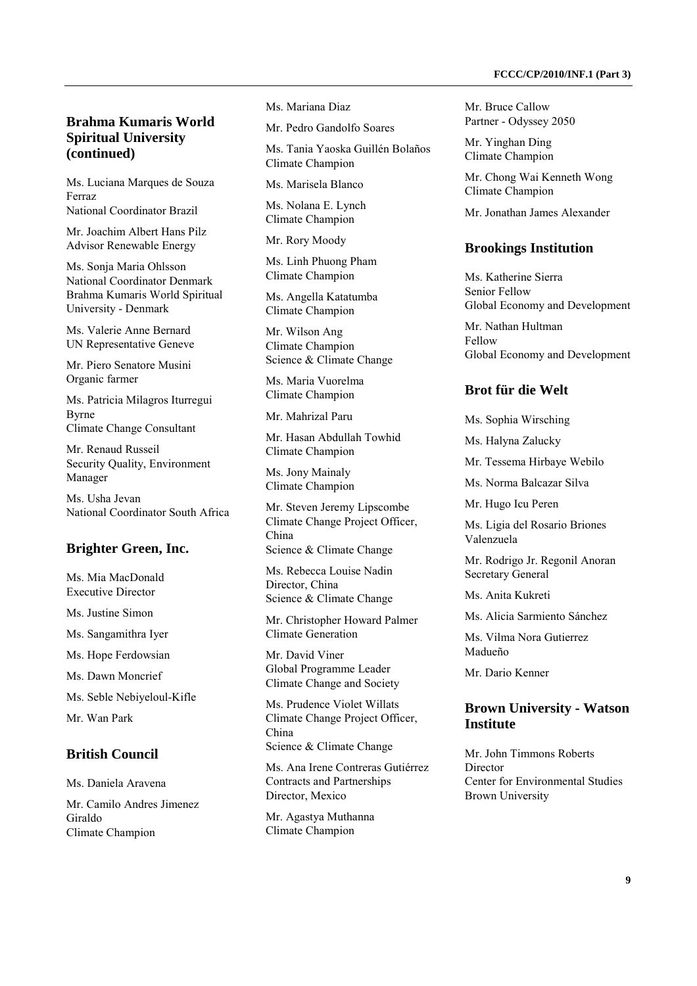### **Brahma Kumaris World Spiritual University (continued)**

Ms. Luciana Marques de Souza Ferraz National Coordinator Brazil

Mr. Joachim Albert Hans Pilz Advisor Renewable Energy

Ms. Sonja Maria Ohlsson National Coordinator Denmark Brahma Kumaris World Spiritual University - Denmark

Ms. Valerie Anne Bernard UN Representative Geneve

Mr. Piero Senatore Musini Organic farmer

Ms. Patricia Milagros Iturregui Byrne Climate Change Consultant

Mr. Renaud Russeil Security Quality, Environment Manager

Ms. Usha Jevan National Coordinator South Africa

#### **Brighter Green, Inc.**

Ms. Mia MacDonald Executive Director

Ms. Justine Simon

Ms. Sangamithra Iyer

Ms. Hope Ferdowsian

Ms. Dawn Moncrief

Ms. Seble Nebiyeloul-Kifle

Mr. Wan Park

### **British Council**

Ms. Daniela Aravena

Mr. Camilo Andres Jimenez Giraldo Climate Champion

Ms. Mariana Diaz

Mr. Pedro Gandolfo Soares

Ms. Tania Yaoska Guillén Bolaños Climate Champion

Ms. Marisela Blanco

Ms. Nolana E. Lynch Climate Champion

Mr. Rory Moody

Ms. Linh Phuong Pham Climate Champion

Ms. Angella Katatumba Climate Champion

Mr. Wilson Ang Climate Champion Science & Climate Change

Ms. Maria Vuorelma Climate Champion

Mr. Mahrizal Paru

Mr. Hasan Abdullah Towhid Climate Champion

Ms. Jony Mainaly Climate Champion

Mr. Steven Jeremy Lipscombe Climate Change Project Officer, China Science & Climate Change

Ms. Rebecca Louise Nadin Director, China Science & Climate Change

Mr. Christopher Howard Palmer Climate Generation

Mr. David Viner Global Programme Leader Climate Change and Society

Ms. Prudence Violet Willats Climate Change Project Officer, China Science & Climate Change

Ms. Ana Irene Contreras Gutiérrez Contracts and Partnerships Director, Mexico

Mr. Agastya Muthanna Climate Champion

Mr. Bruce Callow Partner - Odyssey 2050

Mr. Yinghan Ding Climate Champion

Mr. Chong Wai Kenneth Wong Climate Champion

Mr. Jonathan James Alexander

#### **Brookings Institution**

Ms. Katherine Sierra Senior Fellow Global Economy and Development

Mr. Nathan Hultman Fellow Global Economy and Development

#### **Brot für die Welt**

Ms. Sophia Wirsching

Ms. Halyna Zalucky

Mr. Tessema Hirbaye Webilo

Ms. Norma Balcazar Silva

Mr. Hugo Icu Peren

Ms. Ligia del Rosario Briones Valenzuela

Mr. Rodrigo Jr. Regonil Anoran Secretary General

Ms. Anita Kukreti

Ms. Alicia Sarmiento Sánchez

Ms. Vilma Nora Gutierrez Madueño

Mr. Dario Kenner

### **Brown University - Watson Institute**

Mr. John Timmons Roberts **Director** Center for Environmental Studies Brown University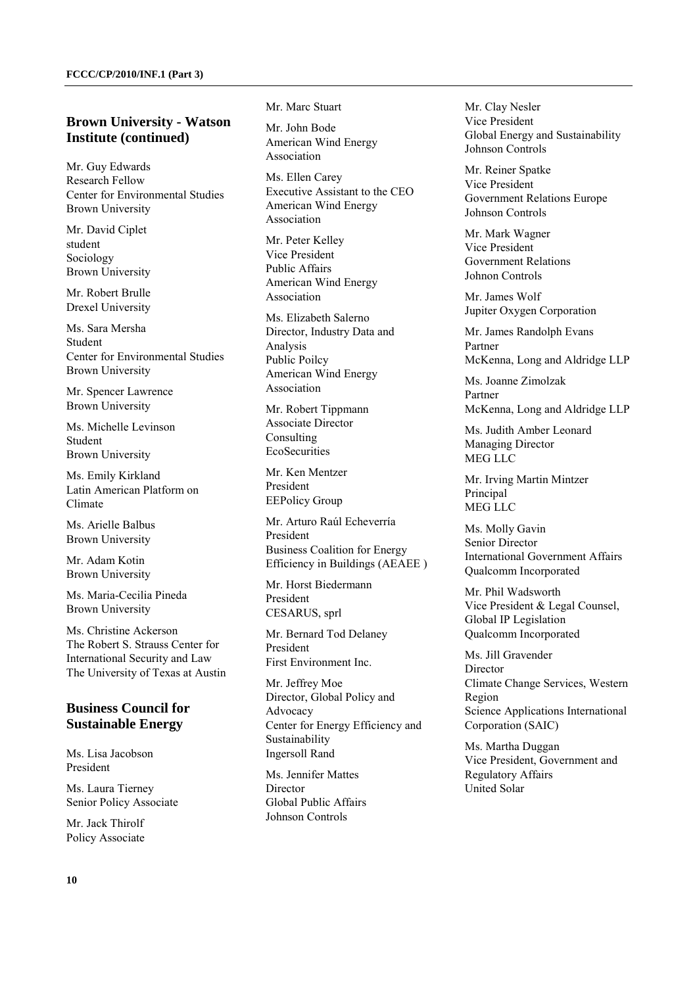### **Brown University - Watson Institute (continued)**

Mr. Guy Edwards Research Fellow Center for Environmental Studies Brown University

Mr. David Ciplet student Sociology Brown University

Mr. Robert Brulle Drexel University

Ms. Sara Mersha Student Center for Environmental Studies Brown University

Mr. Spencer Lawrence Brown University

Ms. Michelle Levinson Student Brown University

Ms. Emily Kirkland Latin American Platform on Climate

Ms. Arielle Balbus Brown University

Mr. Adam Kotin Brown University

Ms. Maria-Cecilia Pineda Brown University

Ms. Christine Ackerson The Robert S. Strauss Center for International Security and Law The University of Texas at Austin

### **Business Council for Sustainable Energy**

Ms. Lisa Jacobson President

Ms. Laura Tierney Senior Policy Associate

Mr. Jack Thirolf Policy Associate Mr. Marc Stuart

Mr. John Bode American Wind Energy Association

Ms. Ellen Carey Executive Assistant to the CEO American Wind Energy Association

Mr. Peter Kelley Vice President Public Affairs American Wind Energy Association

Ms. Elizabeth Salerno Director, Industry Data and Analysis Public Poilcy American Wind Energy Association

Mr. Robert Tippmann Associate Director Consulting **EcoSecurities** 

Mr. Ken Mentzer President EEPolicy Group

Mr. Arturo Raúl Echeverría President Business Coalition for Energy Efficiency in Buildings (AEAEE )

Mr. Horst Biedermann President CESARUS, sprl

Mr. Bernard Tod Delaney President First Environment Inc.

Mr. Jeffrey Moe Director, Global Policy and Advocacy Center for Energy Efficiency and Sustainability Ingersoll Rand

Ms. Jennifer Mattes Director Global Public Affairs Johnson Controls

Mr. Clay Nesler Vice President Global Energy and Sustainability Johnson Controls

Mr. Reiner Spatke Vice President Government Relations Europe Johnson Controls

Mr. Mark Wagner Vice President Government Relations Johnon Controls

Mr. James Wolf Jupiter Oxygen Corporation

Mr. James Randolph Evans Partner McKenna, Long and Aldridge LLP

Ms. Joanne Zimolzak Partner McKenna, Long and Aldridge LLP

Ms. Judith Amber Leonard Managing Director MEG LLC

Mr. Irving Martin Mintzer Principal MEG LLC

Ms. Molly Gavin Senior Director International Government Affairs Qualcomm Incorporated

Mr. Phil Wadsworth Vice President & Legal Counsel, Global IP Legislation Qualcomm Incorporated

Ms. Jill Gravender Director Climate Change Services, Western Region Science Applications International Corporation (SAIC)

Ms. Martha Duggan Vice President, Government and Regulatory Affairs United Solar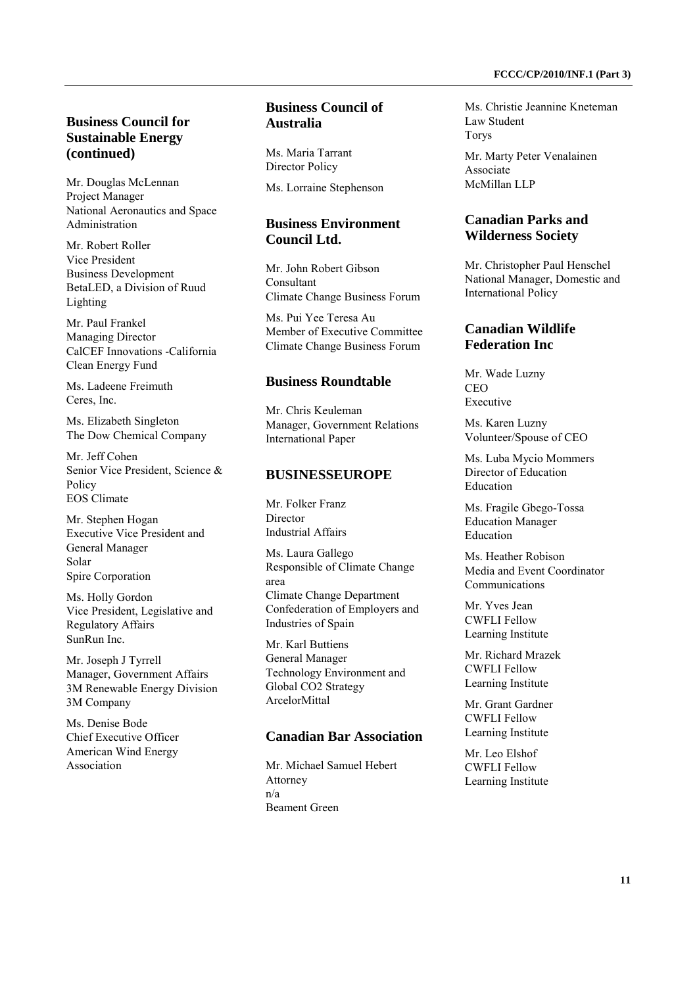### **Business Council for Sustainable Energy (continued)**

Mr. Douglas McLennan Project Manager National Aeronautics and Space Administration

Mr. Robert Roller Vice President Business Development BetaLED, a Division of Ruud Lighting

Mr. Paul Frankel Managing Director CalCEF Innovations -California Clean Energy Fund

Ms. Ladeene Freimuth Ceres, Inc.

Ms. Elizabeth Singleton The Dow Chemical Company

Mr. Jeff Cohen Senior Vice President, Science & Policy EOS Climate

Mr. Stephen Hogan Executive Vice President and General Manager Solar Spire Corporation

Ms. Holly Gordon Vice President, Legislative and Regulatory Affairs SunRun Inc.

Mr. Joseph J Tyrrell Manager, Government Affairs 3M Renewable Energy Division 3M Company

Ms. Denise Bode Chief Executive Officer American Wind Energy Association

### **Business Council of Australia**

Ms. Maria Tarrant Director Policy

Ms. Lorraine Stephenson

### **Business Environment Council Ltd.**

Mr. John Robert Gibson Consultant Climate Change Business Forum

Ms. Pui Yee Teresa Au Member of Executive Committee Climate Change Business Forum

### **Business Roundtable**

Mr. Chris Keuleman Manager, Government Relations International Paper

#### **BUSINESSEUROPE**

Mr. Folker Franz **Director** Industrial Affairs

Ms. Laura Gallego Responsible of Climate Change area Climate Change Department Confederation of Employers and Industries of Spain

Mr. Karl Buttiens General Manager Technology Environment and Global CO2 Strategy ArcelorMittal

#### **Canadian Bar Association**

Mr. Michael Samuel Hebert Attorney n/a Beament Green

Ms. Christie Jeannine Kneteman Law Student Torys

Mr. Marty Peter Venalainen Associate McMillan LLP

### **Canadian Parks and Wilderness Society**

Mr. Christopher Paul Henschel National Manager, Domestic and International Policy

### **Canadian Wildlife Federation Inc**

Mr. Wade Luzny CEO Executive

Ms. Karen Luzny Volunteer/Spouse of CEO

Ms. Luba Mycio Mommers Director of Education Education

Ms. Fragile Gbego-Tossa Education Manager Education

Ms. Heather Robison Media and Event Coordinator Communications

Mr. Yves Jean CWFLI Fellow Learning Institute

Mr. Richard Mrazek CWFLI Fellow Learning Institute

Mr. Grant Gardner CWFLI Fellow Learning Institute

Mr. Leo Elshof CWFLI Fellow Learning Institute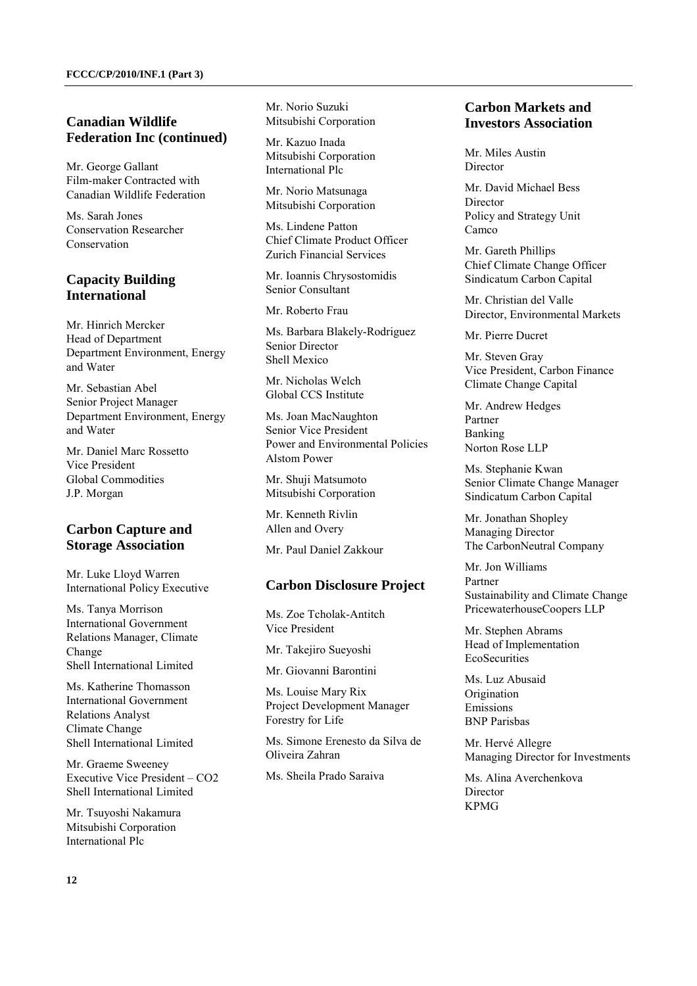## **Canadian Wildlife Federation Inc (continued)**

Mr. George Gallant Film-maker Contracted with Canadian Wildlife Federation

Ms. Sarah Jones Conservation Researcher Conservation

## **Capacity Building International**

Mr. Hinrich Mercker Head of Department Department Environment, Energy and Water

Mr. Sebastian Abel Senior Project Manager Department Environment, Energy and Water

Mr. Daniel Marc Rossetto Vice President Global Commodities J.P. Morgan

## **Carbon Capture and Storage Association**

Mr. Luke Lloyd Warren International Policy Executive

Ms. Tanya Morrison International Government Relations Manager, Climate Change Shell International Limited

Ms. Katherine Thomasson International Government Relations Analyst Climate Change Shell International Limited

Mr. Graeme Sweeney Executive Vice President – CO2 Shell International Limited

Mr. Tsuyoshi Nakamura Mitsubishi Corporation International Plc

Mr. Norio Suzuki Mitsubishi Corporation

Mr. Kazuo Inada Mitsubishi Corporation International Plc

Mr. Norio Matsunaga Mitsubishi Corporation

Ms. Lindene Patton Chief Climate Product Officer Zurich Financial Services

Mr. Ioannis Chrysostomidis Senior Consultant

Mr. Roberto Frau

Ms. Barbara Blakely-Rodriguez Senior Director Shell Mexico

Mr. Nicholas Welch Global CCS Institute

Ms. Joan MacNaughton Senior Vice President Power and Environmental Policies Alstom Power

Mr. Shuji Matsumoto Mitsubishi Corporation

Mr. Kenneth Rivlin Allen and Overy

Mr. Paul Daniel Zakkour

### **Carbon Disclosure Project**

Ms. Zoe Tcholak-Antitch Vice President

Mr. Takejiro Sueyoshi

Mr. Giovanni Barontini

Ms. Louise Mary Rix Project Development Manager Forestry for Life

Ms. Simone Erenesto da Silva de Oliveira Zahran

Ms. Sheila Prado Saraiva

### **Carbon Markets and Investors Association**

Mr. Miles Austin Director

Mr. David Michael Bess **Director** Policy and Strategy Unit Camco

Mr. Gareth Phillips Chief Climate Change Officer Sindicatum Carbon Capital

Mr. Christian del Valle Director, Environmental Markets

Mr. Pierre Ducret

Mr. Steven Gray Vice President, Carbon Finance Climate Change Capital

Mr. Andrew Hedges Partner Banking Norton Rose LLP

Ms. Stephanie Kwan Senior Climate Change Manager Sindicatum Carbon Capital

Mr. Jonathan Shopley Managing Director The CarbonNeutral Company

Mr. Jon Williams Partner Sustainability and Climate Change PricewaterhouseCoopers LLP

Mr. Stephen Abrams Head of Implementation **EcoSecurities** 

Ms. Luz Abusaid **Origination** Emissions BNP Parisbas

Mr. Hervé Allegre Managing Director for Investments

Ms. Alina Averchenkova **Director** KPMG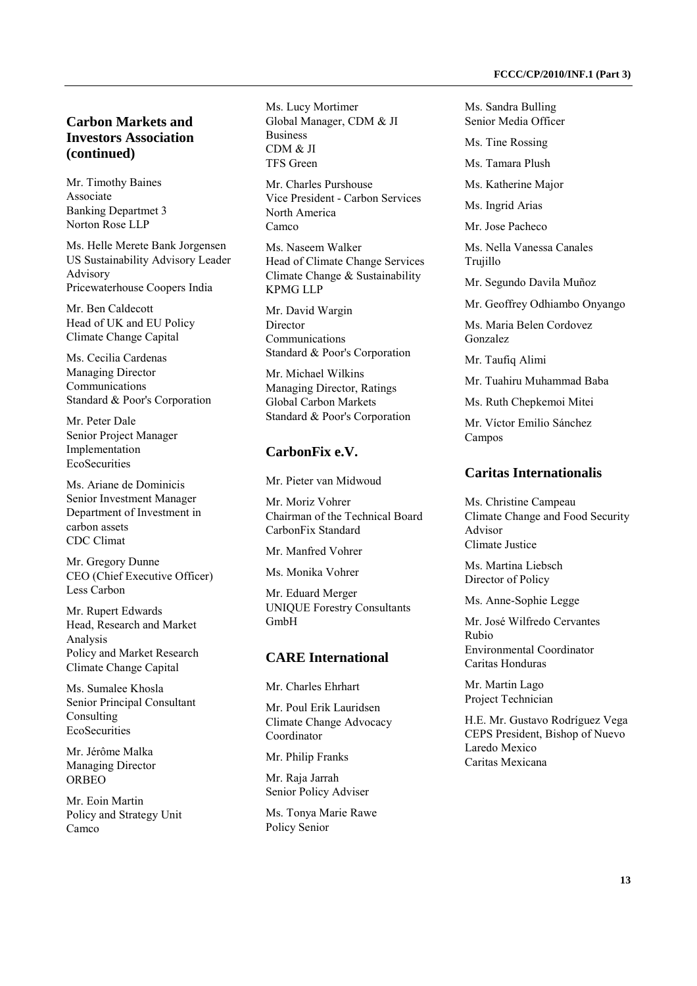## **Carbon Markets and Investors Association (continued)**

Mr. Timothy Baines Associate Banking Departmet 3 Norton Rose LLP

Ms. Helle Merete Bank Jorgensen US Sustainability Advisory Leader Advisory Pricewaterhouse Coopers India

Mr. Ben Caldecott Head of UK and EU Policy Climate Change Capital

Ms. Cecilia Cardenas Managing Director Communications Standard & Poor's Corporation

Mr. Peter Dale Senior Project Manager Implementation **EcoSecurities** 

Ms. Ariane de Dominicis Senior Investment Manager Department of Investment in carbon assets CDC Climat

Mr. Gregory Dunne CEO (Chief Executive Officer) Less Carbon

Mr. Rupert Edwards Head, Research and Market Analysis Policy and Market Research Climate Change Capital

Ms. Sumalee Khosla Senior Principal Consultant Consulting **EcoSecurities** 

Mr. Jérôme Malka Managing Director ORBEO

Mr. Eoin Martin Policy and Strategy Unit Camco

Ms. Lucy Mortimer Global Manager, CDM & JI Business CDM & JI TFS Green

Mr. Charles Purshouse Vice President - Carbon Services North America Camco

Ms. Naseem Walker Head of Climate Change Services Climate Change & Sustainability KPMG LLP

Mr. David Wargin Director Communications Standard & Poor's Corporation

Mr. Michael Wilkins Managing Director, Ratings Global Carbon Markets Standard & Poor's Corporation

#### **CarbonFix e.V.**

Mr. Pieter van Midwoud

Mr. Moriz Vohrer Chairman of the Technical Board CarbonFix Standard

Mr. Manfred Vohrer

Ms. Monika Vohrer

Mr. Eduard Merger UNIQUE Forestry Consultants GmbH

#### **CARE International**

Mr. Charles Ehrhart

Mr. Poul Erik Lauridsen Climate Change Advocacy Coordinator

Mr. Philip Franks

Mr. Raja Jarrah Senior Policy Adviser

Ms. Tonya Marie Rawe Policy Senior

Ms. Sandra Bulling Senior Media Officer

Ms. Tine Rossing

Ms. Tamara Plush

Ms. Katherine Major

Ms. Ingrid Arias

Mr. Jose Pacheco

Ms. Nella Vanessa Canales Trujillo

Mr. Segundo Davila Muñoz

Mr. Geoffrey Odhiambo Onyango

Ms. Maria Belen Cordovez Gonzalez

Mr. Taufiq Alimi

Mr. Tuahiru Muhammad Baba

Ms. Ruth Chepkemoi Mitei

Mr. Víctor Emilio Sánchez Campos

#### **Caritas Internationalis**

Ms. Christine Campeau Climate Change and Food Security Advisor Climate Justice

Ms. Martina Liebsch Director of Policy

Ms. Anne-Sophie Legge

Mr. José Wilfredo Cervantes Rubio Environmental Coordinator Caritas Honduras

Mr. Martin Lago Project Technician

H.E. Mr. Gustavo Rodríguez Vega CEPS President, Bishop of Nuevo Laredo Mexico Caritas Mexicana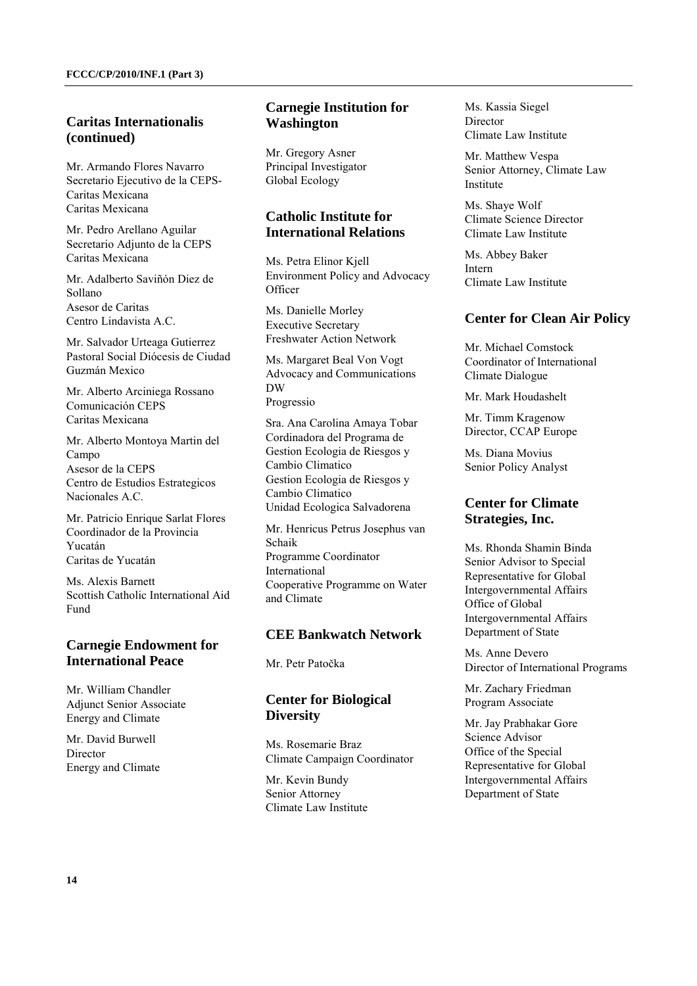### **Caritas Internationalis (continued)**

Mr. Armando Flores Navarro Secretario Ejecutivo de la CEPS-Caritas Mexicana Caritas Mexicana

Mr. Pedro Arellano Aguilar Secretario Adjunto de la CEPS Caritas Mexicana

Mr. Adalberto Saviñón Diez de Sollano Asesor de Caritas Centro Lindavista A.C.

Mr. Salvador Urteaga Gutierrez Pastoral Social Diócesis de Ciudad Guzmán Mexico

Mr. Alberto Arciniega Rossano Comunicación CEPS Caritas Mexicana

Mr. Alberto Montoya Martin del Campo Asesor de la CEPS Centro de Estudios Estrategicos Nacionales A.C.

Mr. Patricio Enrique Sarlat Flores Coordinador de la Provincia Yucatán Caritas de Yucatán

Ms. Alexis Barnett Scottish Catholic International Aid Fund

## **Carnegie Endowment for International Peace**

Mr. William Chandler Adjunct Senior Associate Energy and Climate

Mr. David Burwell **Director** Energy and Climate

## **Carnegie Institution for Washington**

Mr. Gregory Asner Principal Investigator Global Ecology

## **Catholic Institute for International Relations**

Ms. Petra Elinor Kjell Environment Policy and Advocacy **Officer** 

Ms. Danielle Morley Executive Secretary Freshwater Action Network

Ms. Margaret Beal Von Vogt Advocacy and Communications DW Progressio

Sra. Ana Carolina Amaya Tobar Cordinadora del Programa de Gestion Ecologia de Riesgos y Cambio Climatico Gestion Ecologia de Riesgos y Cambio Climatico Unidad Ecologica Salvadorena

Mr. Henricus Petrus Josephus van Schaik Programme Coordinator International Cooperative Programme on Water and Climate

### **CEE Bankwatch Network**

Mr. Petr Patočka

## **Center for Biological Diversity**

Ms. Rosemarie Braz Climate Campaign Coordinator

Mr. Kevin Bundy Senior Attorney Climate Law Institute Ms. Kassia Siegel Director Climate Law Institute

Mr. Matthew Vespa Senior Attorney, Climate Law Institute

Ms. Shaye Wolf Climate Science Director Climate Law Institute

Ms. Abbey Baker Intern Climate Law Institute

## **Center for Clean Air Policy**

Mr. Michael Comstock Coordinator of International Climate Dialogue

Mr. Mark Houdashelt

Mr. Timm Kragenow Director, CCAP Europe

Ms. Diana Movius Senior Policy Analyst

### **Center for Climate Strategies, Inc.**

Ms. Rhonda Shamin Binda Senior Advisor to Special Representative for Global Intergovernmental Affairs Office of Global Intergovernmental Affairs Department of State

Ms. Anne Devero Director of International Programs

Mr. Zachary Friedman Program Associate

Mr. Jay Prabhakar Gore Science Advisor Office of the Special Representative for Global Intergovernmental Affairs Department of State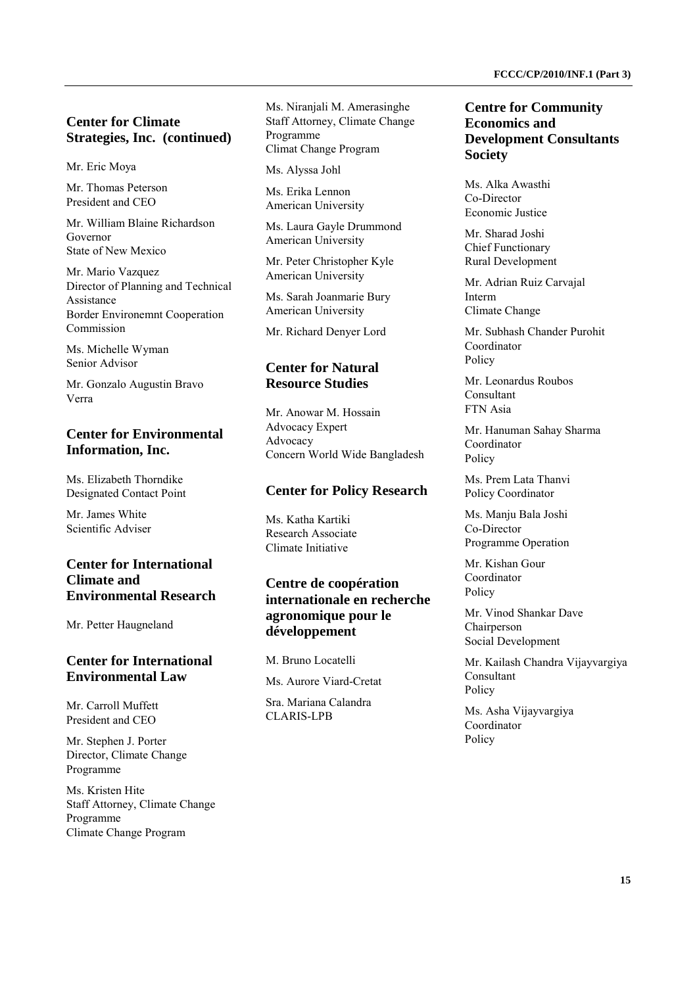## **Center for Climate Strategies, Inc. (continued)**

Mr. Eric Moya

Mr. Thomas Peterson President and CEO

Mr. William Blaine Richardson Governor State of New Mexico

Mr. Mario Vazquez Director of Planning and Technical Assistance Border Environemnt Cooperation Commission

Ms. Michelle Wyman Senior Advisor

Mr. Gonzalo Augustin Bravo Verra

## **Center for Environmental Information, Inc.**

Ms. Elizabeth Thorndike Designated Contact Point

Mr. James White Scientific Adviser

## **Center for International Climate and Environmental Research**

Mr. Petter Haugneland

## **Center for International Environmental Law**

Mr. Carroll Muffett President and CEO

Mr. Stephen J. Porter Director, Climate Change Programme

Ms. Kristen Hite Staff Attorney, Climate Change Programme Climate Change Program

Ms. Niranjali M. Amerasinghe Staff Attorney, Climate Change Programme Climat Change Program

Ms. Alyssa Johl

Ms. Erika Lennon American University

Ms. Laura Gayle Drummond American University

Mr. Peter Christopher Kyle American University

Ms. Sarah Joanmarie Bury American University

Mr. Richard Denyer Lord

## **Center for Natural Resource Studies**

Mr. Anowar M. Hossain Advocacy Expert Advocacy Concern World Wide Bangladesh

### **Center for Policy Research**

Ms. Katha Kartiki Research Associate Climate Initiative

## **Centre de coopération internationale en recherche agronomique pour le développement**

M. Bruno Locatelli

Ms. Aurore Viard-Cretat

Sra. Mariana Calandra CLARIS-LPB

### **Centre for Community Economics and Development Consultants Society**

Ms. Alka Awasthi Co-Director Economic Justice

Mr. Sharad Joshi Chief Functionary Rural Development

Mr. Adrian Ruiz Carvajal Interm Climate Change

Mr. Subhash Chander Purohit Coordinator Policy

Mr. Leonardus Roubos Consultant FTN Asia

Mr. Hanuman Sahay Sharma Coordinator Policy

Ms. Prem Lata Thanvi Policy Coordinator

Ms. Manju Bala Joshi Co-Director Programme Operation

Mr. Kishan Gour Coordinator Policy

Mr. Vinod Shankar Dave Chairperson Social Development

Mr. Kailash Chandra Vijayvargiya Consultant Policy

Ms. Asha Vijayvargiya Coordinator Policy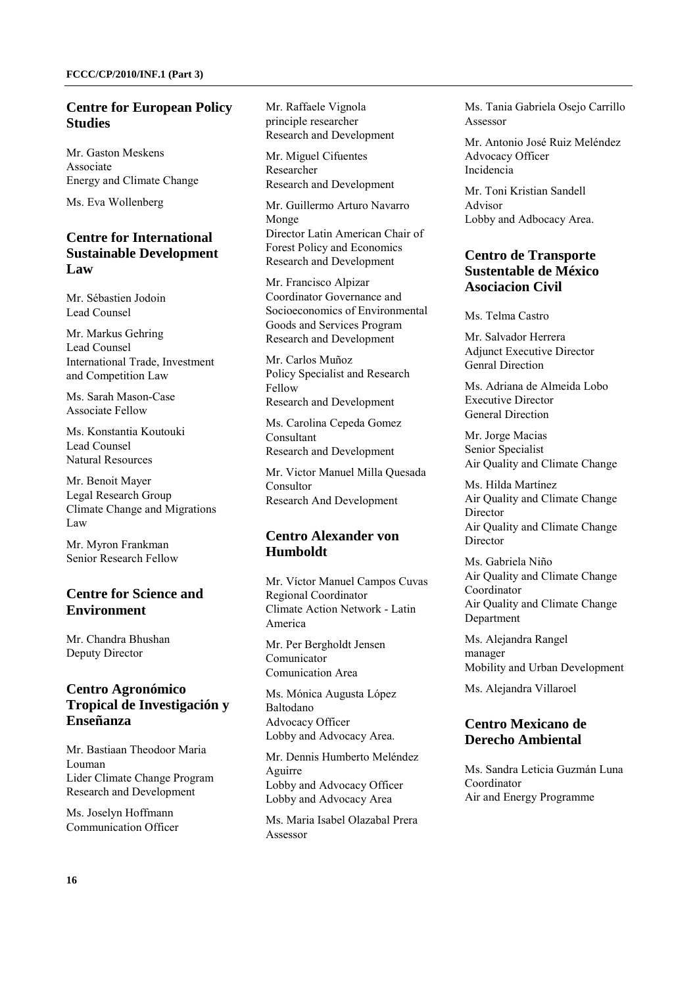## **Centre for European Policy Studies**

Mr. Gaston Meskens Associate Energy and Climate Change

Ms. Eva Wollenberg

### **Centre for International Sustainable Development Law**

Mr. Sébastien Jodoin Lead Counsel

Mr. Markus Gehring Lead Counsel International Trade, Investment and Competition Law

Ms. Sarah Mason-Case Associate Fellow

Ms. Konstantia Koutouki Lead Counsel Natural Resources

Mr. Benoit Mayer Legal Research Group Climate Change and Migrations Law

Mr. Myron Frankman Senior Research Fellow

## **Centre for Science and Environment**

Mr. Chandra Bhushan Deputy Director

### **Centro Agronómico Tropical de Investigación y Enseñanza**

Mr. Bastiaan Theodoor Maria Louman Lider Climate Change Program Research and Development

Ms. Joselyn Hoffmann Communication Officer Mr. Raffaele Vignola principle researcher Research and Development

Mr. Miguel Cifuentes Researcher Research and Development

Mr. Guillermo Arturo Navarro Monge Director Latin American Chair of Forest Policy and Economics Research and Development

Mr. Francisco Alpizar Coordinator Governance and Socioeconomics of Environmental Goods and Services Program Research and Development

Mr. Carlos Muñoz Policy Specialist and Research Fellow Research and Development

Ms. Carolina Cepeda Gomez Consultant Research and Development

Mr. Victor Manuel Milla Quesada Consultor Research And Development

## **Centro Alexander von Humboldt**

Mr. Víctor Manuel Campos Cuvas Regional Coordinator Climate Action Network - Latin America

Mr. Per Bergholdt Jensen Comunicator Comunication Area

Ms. Mónica Augusta López Baltodano Advocacy Officer Lobby and Advocacy Area.

Mr. Dennis Humberto Meléndez Aguirre Lobby and Advocacy Officer Lobby and Advocacy Area

Ms. Maria Isabel Olazabal Prera Assessor

Ms. Tania Gabriela Osejo Carrillo Assessor

Mr. Antonio José Ruiz Meléndez Advocacy Officer Incidencia

Mr. Toni Kristian Sandell Advisor Lobby and Adbocacy Area.

### **Centro de Transporte Sustentable de México Asociacion Civil**

Ms. Telma Castro

Mr. Salvador Herrera Adjunct Executive Director Genral Direction

Ms. Adriana de Almeida Lobo Executive Director General Direction

Mr. Jorge Macias Senior Specialist Air Quality and Climate Change

Ms. Hilda Martínez Air Quality and Climate Change **Director** Air Quality and Climate Change Director

Ms. Gabriela Niño Air Quality and Climate Change Coordinator Air Quality and Climate Change Department

Ms. Alejandra Rangel manager Mobility and Urban Development

Ms. Alejandra Villaroel

## **Centro Mexicano de Derecho Ambiental**

Ms. Sandra Leticia Guzmán Luna Coordinator Air and Energy Programme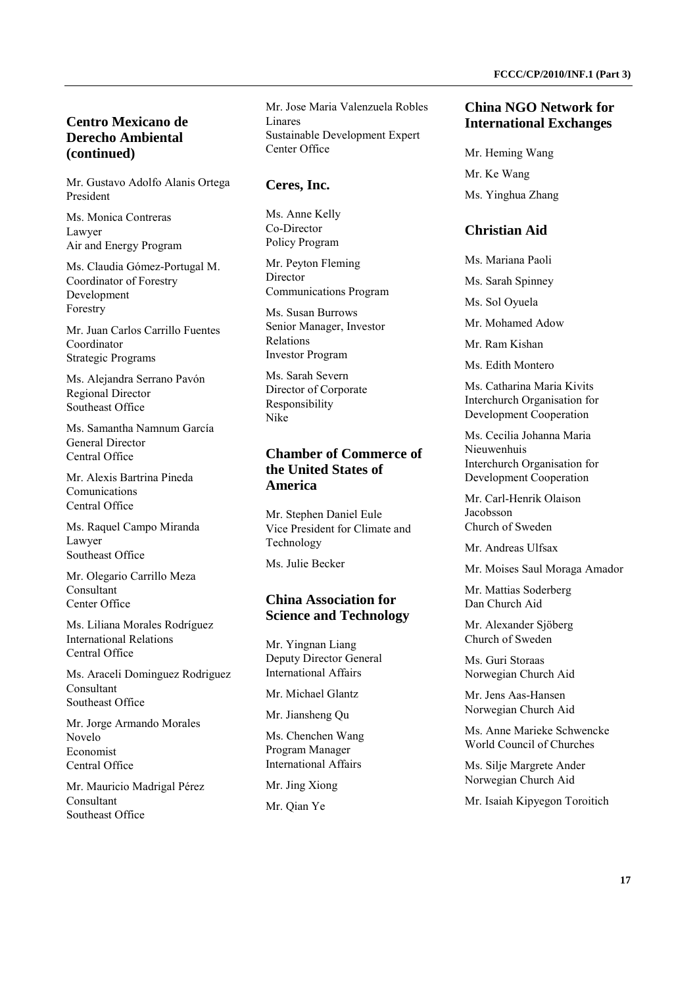### **Centro Mexicano de Derecho Ambiental (continued)**

Mr. Gustavo Adolfo Alanis Ortega President

Ms. Monica Contreras Lawyer Air and Energy Program

Ms. Claudia Gómez-Portugal M. Coordinator of Forestry Development Forestry

Mr. Juan Carlos Carrillo Fuentes Coordinator Strategic Programs

Ms. Alejandra Serrano Pavón Regional Director Southeast Office

Ms. Samantha Namnum García General Director Central Office

Mr. Alexis Bartrina Pineda Comunications Central Office

Ms. Raquel Campo Miranda Lawyer Southeast Office

Mr. Olegario Carrillo Meza Consultant Center Office

Ms. Liliana Morales Rodríguez International Relations Central Office

Ms. Araceli Dominguez Rodriguez Consultant Southeast Office

Mr. Jorge Armando Morales Novelo Economist Central Office

Mr. Mauricio Madrigal Pérez Consultant Southeast Office

Mr. Jose Maria Valenzuela Robles Linares Sustainable Development Expert Center Office

#### **Ceres, Inc.**

Ms. Anne Kelly Co-Director Policy Program

Mr. Peyton Fleming Director Communications Program

Ms. Susan Burrows Senior Manager, Investor Relations Investor Program

Ms. Sarah Severn Director of Corporate Responsibility Nike

### **Chamber of Commerce of the United States of America**

Mr. Stephen Daniel Eule Vice President for Climate and Technology

Ms. Julie Becker

### **China Association for Science and Technology**

Mr. Yingnan Liang Deputy Director General International Affairs

Mr. Michael Glantz

Mr. Jiansheng Qu

Ms. Chenchen Wang Program Manager International Affairs

Mr. Jing Xiong

Mr. Qian Ye

### **China NGO Network for International Exchanges**

Mr. Heming Wang Mr. Ke Wang Ms. Yinghua Zhang

#### **Christian Aid**

Ms. Mariana Paoli

Ms. Sarah Spinney

Ms. Sol Oyuela

Mr. Mohamed Adow

Mr. Ram Kishan

Ms. Edith Montero

Ms. Catharina Maria Kivits Interchurch Organisation for Development Cooperation

Ms. Cecilia Johanna Maria Nieuwenhuis Interchurch Organisation for Development Cooperation

Mr. Carl-Henrik Olaison Jacobsson Church of Sweden

Mr. Andreas Ulfsax

Mr. Moises Saul Moraga Amador

Mr. Mattias Soderberg Dan Church Aid

Mr. Alexander Sjöberg Church of Sweden

Ms. Guri Storaas Norwegian Church Aid

Mr. Jens Aas-Hansen Norwegian Church Aid

Ms. Anne Marieke Schwencke World Council of Churches

Ms. Silje Margrete Ander Norwegian Church Aid

Mr. Isaiah Kipyegon Toroitich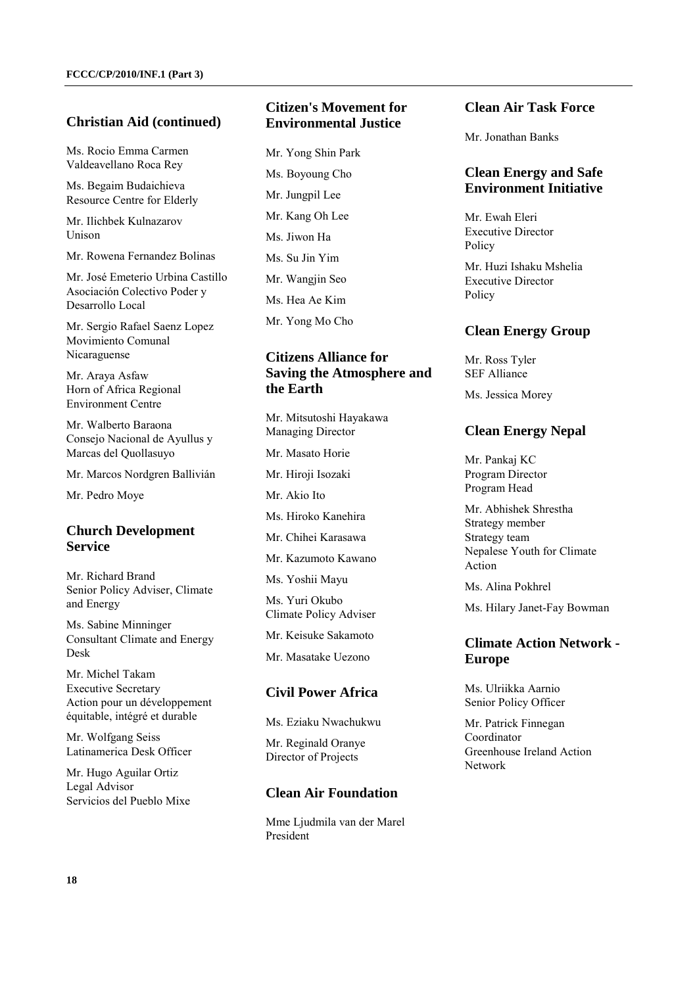### **Christian Aid (continued)**

Ms. Rocio Emma Carmen Valdeavellano Roca Rey

Ms. Begaim Budaichieva Resource Centre for Elderly

Mr. Ilichbek Kulnazarov Unison

Mr. Rowena Fernandez Bolinas

Mr. José Emeterio Urbina Castillo Asociación Colectivo Poder y Desarrollo Local

Mr. Sergio Rafael Saenz Lopez Movimiento Comunal Nicaraguense

Mr. Araya Asfaw Horn of Africa Regional Environment Centre

Mr. Walberto Baraona Consejo Nacional de Ayullus y Marcas del Quollasuyo

Mr. Marcos Nordgren Ballivián

Mr. Pedro Moye

### **Church Development Service**

Mr. Richard Brand Senior Policy Adviser, Climate and Energy

Ms. Sabine Minninger Consultant Climate and Energy Desk

Mr. Michel Takam Executive Secretary Action pour un développement équitable, intégré et durable

Mr. Wolfgang Seiss Latinamerica Desk Officer

Mr. Hugo Aguilar Ortiz Legal Advisor Servicios del Pueblo Mixe

### **Citizen's Movement for Environmental Justice**

Mr. Yong Shin Park Ms. Boyoung Cho Mr. Jungpil Lee Mr. Kang Oh Lee Ms. Jiwon Ha Ms. Su Jin Yim Mr. Wangjin Seo Ms. Hea Ae Kim Mr. Yong Mo Cho

## **Citizens Alliance for Saving the Atmosphere and the Earth**

Mr. Mitsutoshi Hayakawa Managing Director

Mr. Masato Horie

Mr. Hiroji Isozaki

Mr. Akio Ito

Ms. Hiroko Kanehira

Mr. Chihei Karasawa

Mr. Kazumoto Kawano

Ms. Yoshii Mayu

Ms. Yuri Okubo Climate Policy Adviser

Mr. Keisuke Sakamoto

Mr. Masatake Uezono

### **Civil Power Africa**

Ms. Eziaku Nwachukwu

Mr. Reginald Oranye Director of Projects

### **Clean Air Foundation**

Mme Ljudmila van der Marel President

### **Clean Air Task Force**

Mr. Jonathan Banks

### **Clean Energy and Safe Environment Initiative**

Mr. Ewah Eleri Executive Director Policy

Mr. Huzi Ishaku Mshelia Executive Director Policy

#### **Clean Energy Group**

Mr. Ross Tyler SEF Alliance

Ms. Jessica Morey

## **Clean Energy Nepal**

Mr. Pankaj KC Program Director Program Head

Mr. Abhishek Shrestha Strategy member Strategy team Nepalese Youth for Climate Action

Ms. Alina Pokhrel

Ms. Hilary Janet-Fay Bowman

### **Climate Action Network - Europe**

Ms. Ulriikka Aarnio Senior Policy Officer

Mr. Patrick Finnegan Coordinator Greenhouse Ireland Action Network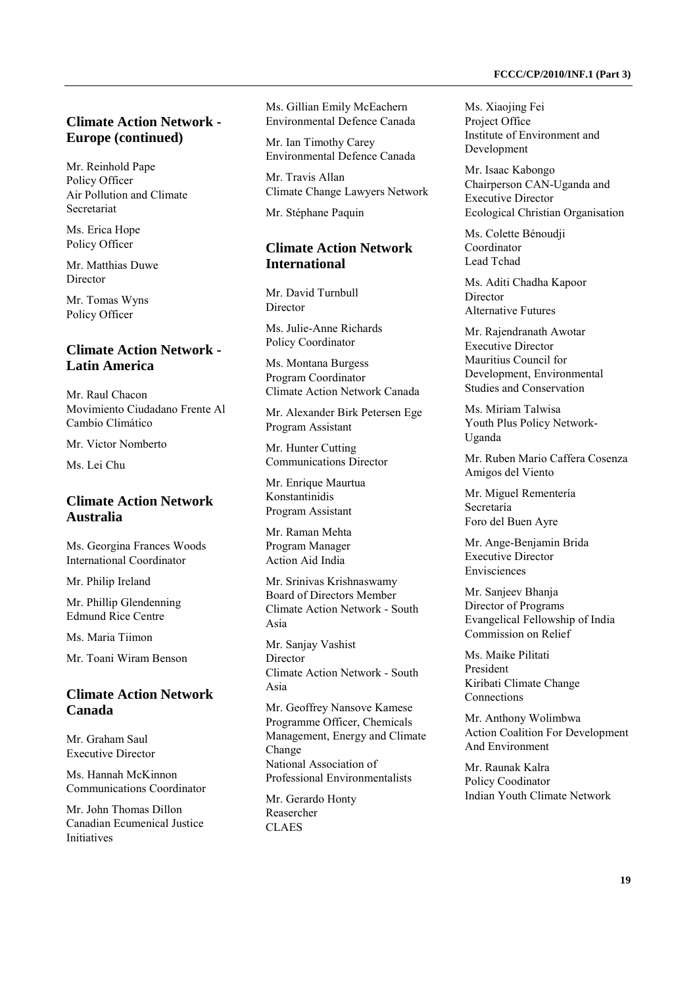## **Climate Action Network - Europe (continued)**

Mr. Reinhold Pape Policy Officer Air Pollution and Climate Secretariat

Ms. Erica Hope Policy Officer

Mr. Matthias Duwe Director

Mr. Tomas Wyns Policy Officer

## **Climate Action Network - Latin America**

Mr. Raul Chacon Movimiento Ciudadano Frente Al Cambio Climático

Mr. Victor Nomberto

Ms. Lei Chu

### **Climate Action Network Australia**

Ms. Georgina Frances Woods International Coordinator

Mr. Philip Ireland

Mr. Phillip Glendenning Edmund Rice Centre

Ms. Maria Tiimon

Mr. Toani Wiram Benson

### **Climate Action Network Canada**

Mr. Graham Saul Executive Director

Ms. Hannah McKinnon Communications Coordinator

Mr. John Thomas Dillon Canadian Ecumenical Justice Initiatives

Ms. Gillian Emily McEachern Environmental Defence Canada

Mr. Ian Timothy Carey Environmental Defence Canada

Mr. Travis Allan Climate Change Lawyers Network

Mr. Stéphane Paquin

### **Climate Action Network International**

Mr. David Turnbull **Director** 

Ms. Julie-Anne Richards Policy Coordinator

Ms. Montana Burgess Program Coordinator Climate Action Network Canada

Mr. Alexander Birk Petersen Ege Program Assistant

Mr. Hunter Cutting Communications Director

Mr. Enrique Maurtua Konstantinidis Program Assistant

Mr. Raman Mehta Program Manager Action Aid India

Mr. Srinivas Krishnaswamy Board of Directors Member Climate Action Network - South Asia

Mr. Sanjay Vashist Director Climate Action Network - South Asia

Mr. Geoffrey Nansove Kamese Programme Officer, Chemicals Management, Energy and Climate Change National Association of Professional Environmentalists

Mr. Gerardo Honty Reasercher CLAES

#### **FCCC/CP/2010/INF.1 (Part 3)**

Ms. Xiaojing Fei Project Office Institute of Environment and Development

Mr. Isaac Kabongo Chairperson CAN-Uganda and Executive Director Ecological Christian Organisation

Ms. Colette Bénoudji Coordinator Lead Tchad

Ms. Aditi Chadha Kapoor Director Alternative Futures

Mr. Rajendranath Awotar Executive Director Mauritius Council for Development, Environmental Studies and Conservation

Ms. Miriam Talwisa Youth Plus Policy Network-Uganda

Mr. Ruben Mario Caffera Cosenza Amigos del Viento

Mr. Miguel Rementería Secretaría Foro del Buen Ayre

Mr. Ange-Benjamin Brida Executive Director Envisciences

Mr. Sanjeev Bhanja Director of Programs Evangelical Fellowship of India Commission on Relief

Ms. Maike Pilitati President Kiribati Climate Change Connections

Mr. Anthony Wolimbwa Action Coalition For Development And Environment

Mr. Raunak Kalra Policy Coodinator Indian Youth Climate Network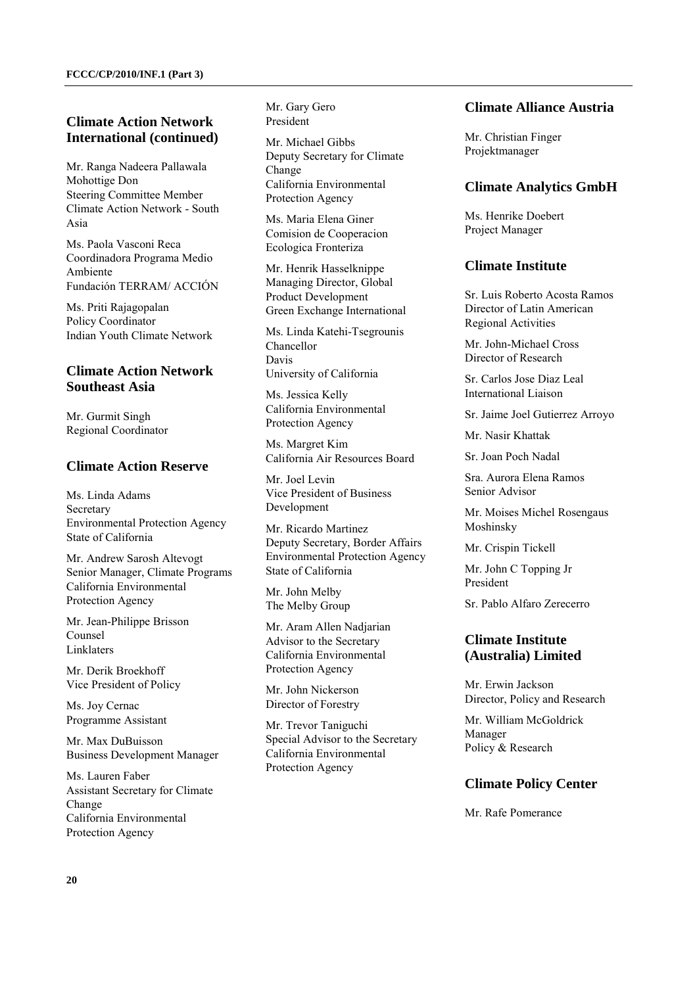### **Climate Action Network International (continued)**

Mr. Ranga Nadeera Pallawala Mohottige Don Steering Committee Member Climate Action Network - South Asia

Ms. Paola Vasconi Reca Coordinadora Programa Medio Ambiente Fundación TERRAM/ ACCIÓN

Ms. Priti Rajagopalan Policy Coordinator Indian Youth Climate Network

### **Climate Action Network Southeast Asia**

Mr. Gurmit Singh Regional Coordinator

#### **Climate Action Reserve**

Ms. Linda Adams Secretary Environmental Protection Agency State of California

Mr. Andrew Sarosh Altevogt Senior Manager, Climate Programs California Environmental Protection Agency

Mr. Jean-Philippe Brisson Counsel Linklaters

Mr. Derik Broekhoff Vice President of Policy

Ms. Joy Cernac Programme Assistant

Mr. Max DuBuisson Business Development Manager

Ms. Lauren Faber Assistant Secretary for Climate Change California Environmental Protection Agency

Mr. Gary Gero President

Mr. Michael Gibbs Deputy Secretary for Climate Change California Environmental Protection Agency

Ms. Maria Elena Giner Comision de Cooperacion Ecologica Fronteriza

Mr. Henrik Hasselknippe Managing Director, Global Product Development Green Exchange International

Ms. Linda Katehi-Tsegrounis Chancellor Davis University of California

Ms. Jessica Kelly California Environmental Protection Agency

Ms. Margret Kim California Air Resources Board

Mr. Joel Levin Vice President of Business Development

Mr. Ricardo Martinez Deputy Secretary, Border Affairs Environmental Protection Agency State of California

Mr. John Melby The Melby Group

Mr. Aram Allen Nadjarian Advisor to the Secretary California Environmental Protection Agency

Mr. John Nickerson Director of Forestry

Mr. Trevor Taniguchi Special Advisor to the Secretary California Environmental Protection Agency

### **Climate Alliance Austria**

Mr. Christian Finger Projektmanager

### **Climate Analytics GmbH**

Ms. Henrike Doebert Project Manager

### **Climate Institute**

Sr. Luis Roberto Acosta Ramos Director of Latin American Regional Activities

Mr. John-Michael Cross Director of Research

Sr. Carlos Jose Diaz Leal International Liaison

Sr. Jaime Joel Gutierrez Arroyo

Mr. Nasir Khattak

Sr. Joan Poch Nadal

Sra. Aurora Elena Ramos Senior Advisor

Mr. Moises Michel Rosengaus Moshinsky

Mr. Crispin Tickell

Mr. John C Topping Jr President

Sr. Pablo Alfaro Zerecerro

### **Climate Institute (Australia) Limited**

Mr. Erwin Jackson Director, Policy and Research

Mr. William McGoldrick Manager Policy & Research

#### **Climate Policy Center**

Mr. Rafe Pomerance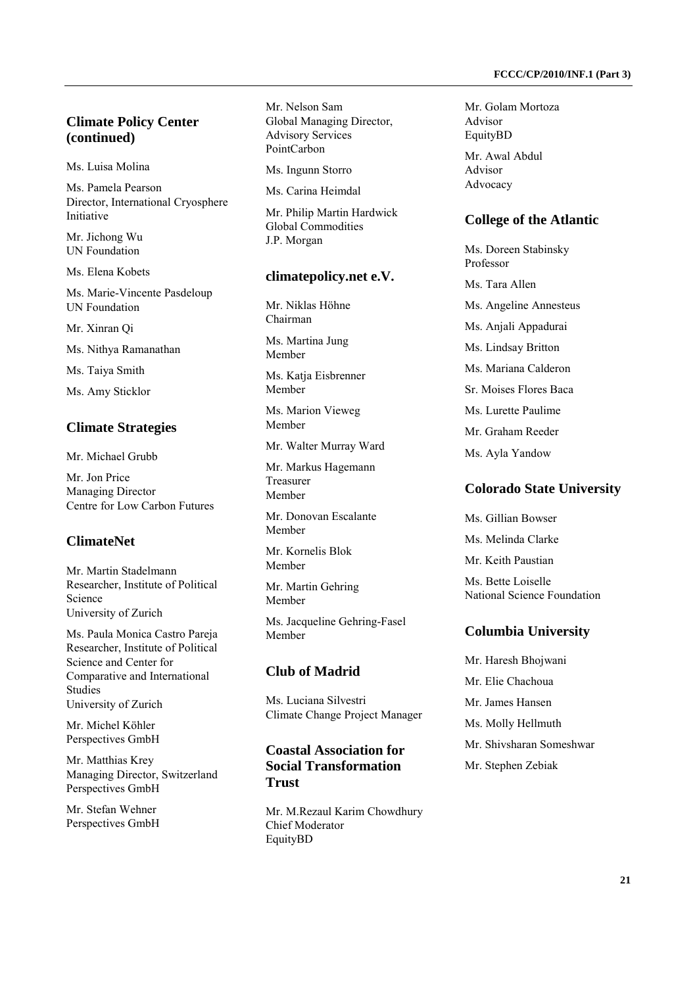### **Climate Policy Center (continued)**

Ms. Luisa Molina

Ms. Pamela Pearson Director, International Cryosphere Initiative

Mr. Jichong Wu UN Foundation

Ms. Elena Kobets

Ms. Marie-Vincente Pasdeloup UN Foundation

Mr. Xinran Qi

Ms. Nithya Ramanathan

Ms. Taiya Smith

Ms. Amy Sticklor

#### **Climate Strategies**

Mr. Michael Grubb

Mr. Jon Price Managing Director Centre for Low Carbon Futures

### **ClimateNet**

Mr. Martin Stadelmann Researcher, Institute of Political Science University of Zurich

Ms. Paula Monica Castro Pareja Researcher, Institute of Political Science and Center for Comparative and International Studies University of Zurich

Mr. Michel Köhler Perspectives GmbH

Mr. Matthias Krey Managing Director, Switzerland Perspectives GmbH

Mr. Stefan Wehner Perspectives GmbH Mr. Nelson Sam Global Managing Director, Advisory Services PointCarbon

Ms. Ingunn Storro

Ms. Carina Heimdal

Mr. Philip Martin Hardwick Global Commodities J.P. Morgan

#### **climatepolicy.net e.V.**

Mr. Niklas Höhne Chairman

Ms. Martina Jung Member

Ms. Katja Eisbrenner Member

Ms. Marion Vieweg Member

Mr. Walter Murray Ward

Mr. Markus Hagemann Treasurer Member

Mr. Donovan Escalante Member

Mr. Kornelis Blok Member

Mr. Martin Gehring Member

Ms. Jacqueline Gehring-Fasel Member

### **Club of Madrid**

Ms. Luciana Silvestri Climate Change Project Manager

### **Coastal Association for Social Transformation Trust**

Mr. M.Rezaul Karim Chowdhury Chief Moderator EquityBD

Mr. Golam Mortoza Advisor EquityBD

Mr. Awal Abdul Advisor Advocacy

#### **College of the Atlantic**

Ms. Doreen Stabinsky Professor

Ms. Tara Allen

Ms. Angeline Annesteus

Ms. Anjali Appadurai

Ms. Lindsay Britton

Ms. Mariana Calderon

Sr. Moises Flores Baca

Ms. Lurette Paulime

Mr. Graham Reeder

Ms. Ayla Yandow

#### **Colorado State University**

Ms. Gillian Bowser Ms. Melinda Clarke

Mr. Keith Paustian

Ms. Bette Loiselle National Science Foundation

#### **Columbia University**

Mr. Haresh Bhojwani Mr. Elie Chachoua Mr. James Hansen Ms. Molly Hellmuth Mr. Shivsharan Someshwar Mr. Stephen Zebiak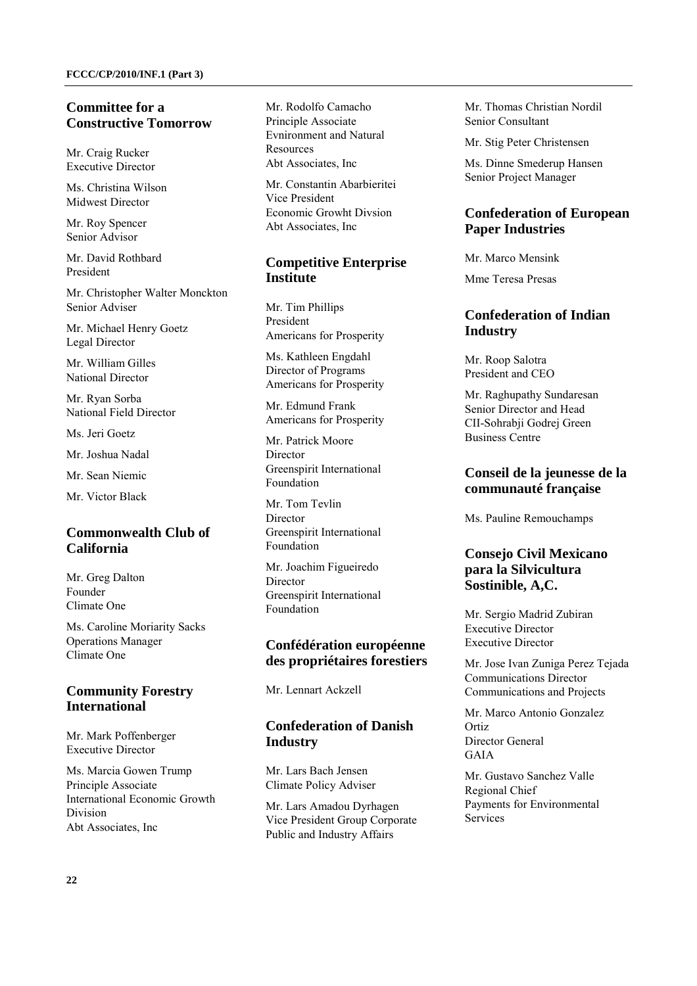### **Committee for a Constructive Tomorrow**

Mr. Craig Rucker Executive Director

Ms. Christina Wilson Midwest Director

Mr. Roy Spencer Senior Advisor

Mr. David Rothbard President

Mr. Christopher Walter Monckton Senior Adviser

Mr. Michael Henry Goetz Legal Director

Mr. William Gilles National Director

Mr. Ryan Sorba National Field Director

Ms. Jeri Goetz

Mr. Joshua Nadal

Mr. Sean Niemic

Mr. Victor Black

## **Commonwealth Club of California**

Mr. Greg Dalton Founder Climate One

Ms. Caroline Moriarity Sacks Operations Manager Climate One

## **Community Forestry International**

Mr. Mark Poffenberger Executive Director

Ms. Marcia Gowen Trump Principle Associate International Economic Growth Division Abt Associates, Inc

Mr. Rodolfo Camacho Principle Associate Evnironment and Natural Resources Abt Associates, Inc

Mr. Constantin Abarbieritei Vice President Economic Growht Divsion Abt Associates, Inc

## **Competitive Enterprise Institute**

Mr. Tim Phillips President Americans for Prosperity

Ms. Kathleen Engdahl Director of Programs Americans for Prosperity

Mr. Edmund Frank Americans for Prosperity

Mr. Patrick Moore Director Greenspirit International Foundation

Mr. Tom Tevlin **Director** Greenspirit International Foundation

Mr. Joachim Figueiredo Director Greenspirit International Foundation

## **Confédération européenne des propriétaires forestiers**

Mr. Lennart Ackzell

## **Confederation of Danish Industry**

Mr. Lars Bach Jensen Climate Policy Adviser

Mr. Lars Amadou Dyrhagen Vice President Group Corporate Public and Industry Affairs

Mr. Thomas Christian Nordil Senior Consultant

Mr. Stig Peter Christensen

Ms. Dinne Smederup Hansen Senior Project Manager

## **Confederation of European Paper Industries**

Mr. Marco Mensink

Mme Teresa Presas

## **Confederation of Indian Industry**

Mr. Roop Salotra President and CEO

Mr. Raghupathy Sundaresan Senior Director and Head CII-Sohrabii Godrei Green Business Centre

### **Conseil de la jeunesse de la communauté française**

Ms. Pauline Remouchamps

## **Consejo Civil Mexicano para la Silvicultura Sostinible, A,C.**

Mr. Sergio Madrid Zubiran Executive Director Executive Director

Mr. Jose Ivan Zuniga Perez Tejada Communications Director Communications and Projects

Mr. Marco Antonio Gonzalez Ortiz Director General GAIA

Mr. Gustavo Sanchez Valle Regional Chief Payments for Environmental Services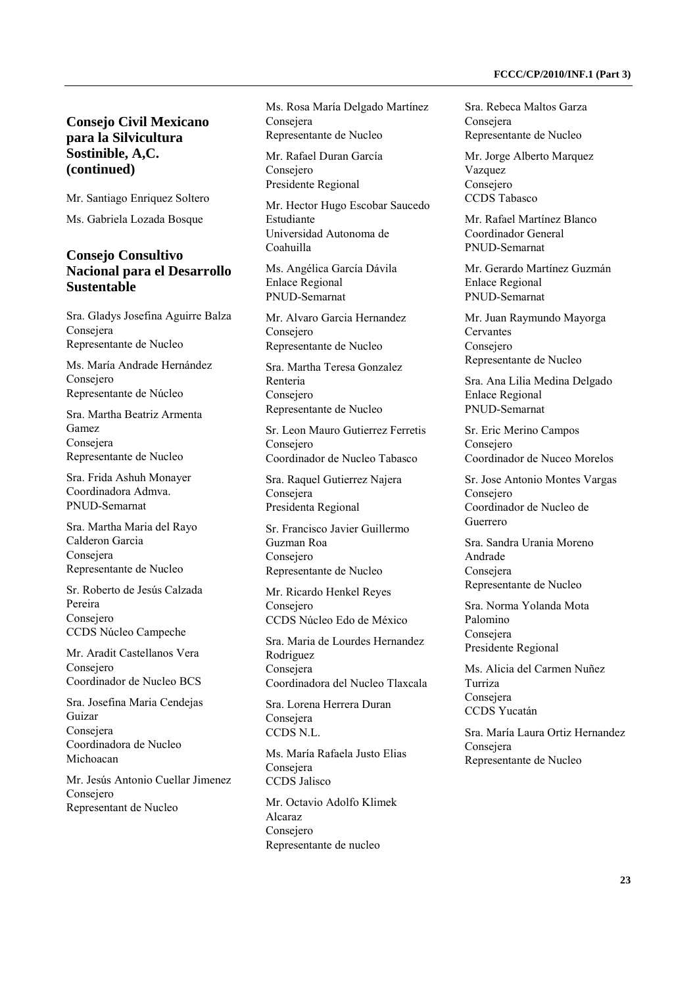### **Consejo Civil Mexicano para la Silvicultura Sostinible, A,C. (continued)**

Mr. Santiago Enriquez Soltero

Ms. Gabriela Lozada Bosque

### **Consejo Consultivo Nacional para el Desarrollo Sustentable**

Sra. Gladys Josefina Aguirre Balza Consejera Representante de Nucleo

Ms. María Andrade Hernández Consejero Representante de Núcleo

Sra. Martha Beatriz Armenta Gamez Consejera Representante de Nucleo

Sra. Frida Ashuh Monayer Coordinadora Admva. PNUD-Semarnat

Sra. Martha Maria del Rayo Calderon Garcia Consejera Representante de Nucleo

Sr. Roberto de Jesús Calzada Pereira Consejero CCDS Núcleo Campeche

Mr. Aradit Castellanos Vera Consejero Coordinador de Nucleo BCS

Sra. Josefina Maria Cendejas Guizar Consejera Coordinadora de Nucleo Michoacan

Mr. Jesús Antonio Cuellar Jimenez Consejero Representant de Nucleo

Ms. Rosa María Delgado Martínez Consejera Representante de Nucleo

Mr. Rafael Duran García Consejero Presidente Regional

Mr. Hector Hugo Escobar Saucedo Estudiante Universidad Autonoma de Coahuilla

Ms. Angélica García Dávila Enlace Regional PNUD-Semarnat

Mr. Alvaro Garcia Hernandez Consejero Representante de Nucleo

Sra. Martha Teresa Gonzalez Renteria Consejero Representante de Nucleo

Sr. Leon Mauro Gutierrez Ferretis Consejero Coordinador de Nucleo Tabasco

Sra. Raquel Gutierrez Najera Consejera Presidenta Regional

Sr. Francisco Javier Guillermo Guzman Roa Consejero Representante de Nucleo

Mr. Ricardo Henkel Reyes Consejero CCDS Núcleo Edo de México

Sra. Maria de Lourdes Hernandez Rodriguez Consejera Coordinadora del Nucleo Tlaxcala

Sra. Lorena Herrera Duran Consejera CCDS N.L.

Ms. María Rafaela Justo Elias Consejera CCDS Jalisco

Mr. Octavio Adolfo Klimek Alcaraz Consejero Representante de nucleo

Sra. Rebeca Maltos Garza Consejera Representante de Nucleo

Mr. Jorge Alberto Marquez Vazquez Consejero CCDS Tabasco

Mr. Rafael Martínez Blanco Coordinador General PNUD-Semarnat

Mr. Gerardo Martínez Guzmán Enlace Regional PNUD-Semarnat

Mr. Juan Raymundo Mayorga **Cervantes** Consejero Representante de Nucleo

Sra. Ana Lilia Medina Delgado Enlace Regional PNUD-Semarnat

Sr. Eric Merino Campos Consejero Coordinador de Nuceo Morelos

Sr. Jose Antonio Montes Vargas Consejero Coordinador de Nucleo de Guerrero

Sra. Sandra Urania Moreno Andrade Consejera Representante de Nucleo

Sra. Norma Yolanda Mota Palomino Consejera Presidente Regional

Ms. Alicia del Carmen Nuñez Turriza Consejera CCDS Yucatán

Sra. María Laura Ortiz Hernandez Consejera Representante de Nucleo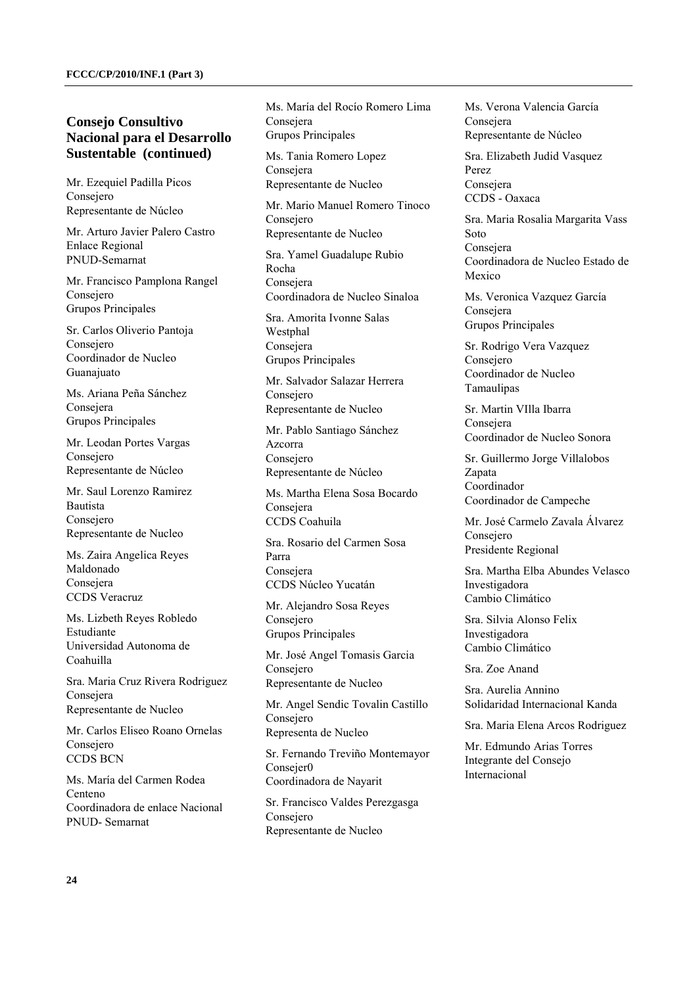Mr. Ezequiel Padilla Picos Consejero Representante de Núcleo

Mr. Arturo Javier Palero Castro Enlace Regional PNUD-Semarnat

Mr. Francisco Pamplona Rangel Consejero Grupos Principales

Sr. Carlos Oliverio Pantoja Consejero Coordinador de Nucleo Guanajuato

Ms. Ariana Peña Sánchez Consejera Grupos Principales

Mr. Leodan Portes Vargas Consejero Representante de Núcleo

Mr. Saul Lorenzo Ramirez Bautista Consejero Representante de Nucleo

Ms. Zaira Angelica Reyes Maldonado Consejera CCDS Veracruz

Ms. Lizbeth Reyes Robledo Estudiante Universidad Autonoma de Coahuilla

Sra. Maria Cruz Rivera Rodriguez Consejera Representante de Nucleo

Mr. Carlos Eliseo Roano Ornelas Consejero CCDS BCN

Ms. María del Carmen Rodea Centeno Coordinadora de enlace Nacional PNUD- Semarnat

Ms. María del Rocío Romero Lima Consejera Grupos Principales

Ms. Tania Romero Lopez **Consejera** Representante de Nucleo

Mr. Mario Manuel Romero Tinoco Consejero Representante de Nucleo

Sra. Yamel Guadalupe Rubio Rocha Consejera Coordinadora de Nucleo Sinaloa

Sra. Amorita Ivonne Salas Westphal Consejera Grupos Principales

Mr. Salvador Salazar Herrera Consejero Representante de Nucleo

Mr. Pablo Santiago Sánchez Azcorra Consejero Representante de Núcleo

Ms. Martha Elena Sosa Bocardo Consejera CCDS Coahuila

Sra. Rosario del Carmen Sosa Parra Consejera CCDS Núcleo Yucatán

Mr. Alejandro Sosa Reyes Consejero Grupos Principales

Mr. José Angel Tomasis Garcia Consejero Representante de Nucleo

Mr. Angel Sendic Tovalin Castillo Consejero Representa de Nucleo

Sr. Fernando Treviño Montemayor Consejer0 Coordinadora de Nayarit

Sr. Francisco Valdes Perezgasga Consejero Representante de Nucleo

Ms. Verona Valencia García Consejera Representante de Núcleo

Sra. Elizabeth Judid Vasquez Perez Consejera CCDS - Oaxaca

Sra. Maria Rosalia Margarita Vass Soto Consejera Coordinadora de Nucleo Estado de Mexico

Ms. Veronica Vazquez García Consejera Grupos Principales

Sr. Rodrigo Vera Vazquez Consejero Coordinador de Nucleo Tamaulipas

Sr. Martin VIlla Ibarra Consejera Coordinador de Nucleo Sonora

Sr. Guillermo Jorge Villalobos Zapata Coordinador Coordinador de Campeche

Mr. José Carmelo Zavala Álvarez Consejero Presidente Regional

Sra. Martha Elba Abundes Velasco Investigadora Cambio Climático

Sra. Silvia Alonso Felix Investigadora Cambio Climático

Sra. Zoe Anand

Sra. Aurelia Annino Solidaridad Internacional Kanda

Sra. Maria Elena Arcos Rodriguez

Mr. Edmundo Arias Torres Integrante del Consejo Internacional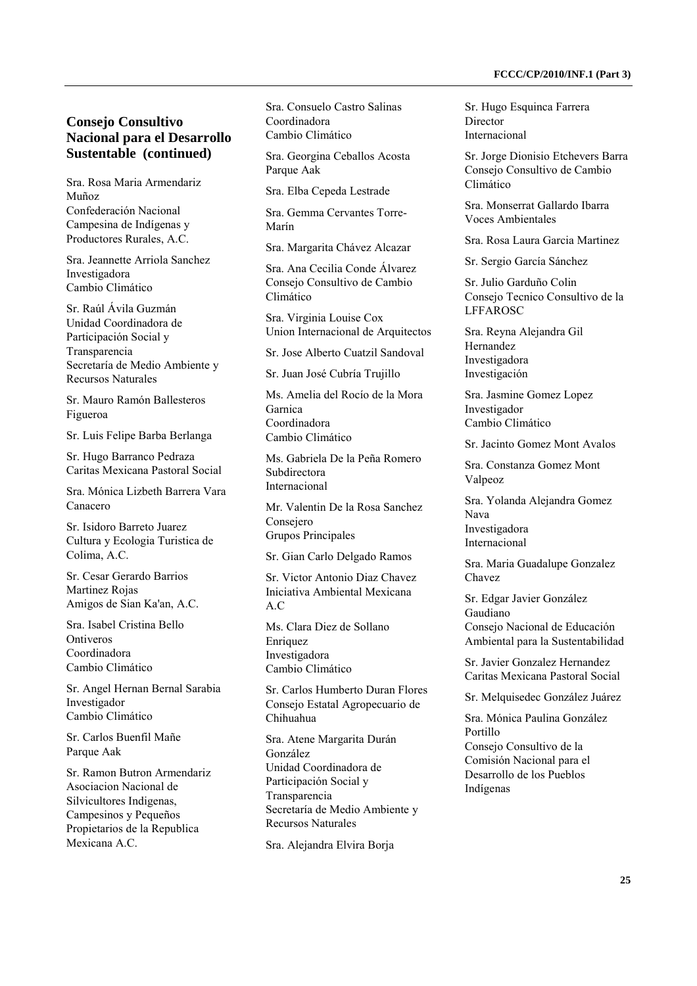Sra. Rosa Maria Armendariz Muñoz Confederación Nacional Campesina de Indígenas y Productores Rurales, A.C.

Sra. Jeannette Arriola Sanchez Investigadora Cambio Climático

Sr. Raúl Ávila Guzmán Unidad Coordinadora de Participación Social y Transparencia Secretaría de Medio Ambiente y Recursos Naturales

Sr. Mauro Ramón Ballesteros Figueroa

Sr. Luis Felipe Barba Berlanga

Sr. Hugo Barranco Pedraza Caritas Mexicana Pastoral Social

Sra. Mónica Lizbeth Barrera Vara Canacero

Sr. Isidoro Barreto Juarez Cultura y Ecologia Turistica de Colima, A.C.

Sr. Cesar Gerardo Barrios Martinez Rojas Amigos de Sian Ka'an, A.C.

Sra. Isabel Cristina Bello **Ontiveros** Coordinadora Cambio Climático

Sr. Angel Hernan Bernal Sarabia Investigador Cambio Climático

Sr. Carlos Buenfil Mañe Parque Aak

Sr. Ramon Butron Armendariz Asociacion Nacional de Silvicultores Indigenas, Campesinos y Pequeños Propietarios de la Republica Mexicana A.C.

Sra. Consuelo Castro Salinas Coordinadora Cambio Climático

Sra. Georgina Ceballos Acosta Parque Aak

Sra. Elba Cepeda Lestrade

Sra. Gemma Cervantes Torre-Marín

Sra. Margarita Chávez Alcazar

Sra. Ana Cecilia Conde Álvarez Consejo Consultivo de Cambio Climático

Sra. Virginia Louise Cox Union Internacional de Arquitectos

Sr. Jose Alberto Cuatzil Sandoval

Sr. Juan José Cubría Trujillo

Ms. Amelia del Rocío de la Mora Garnica Coordinadora Cambio Climático

Ms. Gabriela De la Peña Romero Subdirectora Internacional

Mr. Valentin De la Rosa Sanchez Consejero Grupos Principales

Sr. Gian Carlo Delgado Ramos

Sr. Victor Antonio Diaz Chavez Iniciativa Ambiental Mexicana A.C

Ms. Clara Diez de Sollano Enriquez Investigadora Cambio Climático

Sr. Carlos Humberto Duran Flores Consejo Estatal Agropecuario de Chihuahua

Sra. Atene Margarita Durán González Unidad Coordinadora de Participación Social y Transparencia Secretaría de Medio Ambiente y Recursos Naturales

Sra. Alejandra Elvira Borja

Sr. Hugo Esquinca Farrera Director Internacional

Sr. Jorge Dionisio Etchevers Barra Consejo Consultivo de Cambio Climático

Sra. Monserrat Gallardo Ibarra Voces Ambientales

Sra. Rosa Laura Garcia Martinez

Sr. Sergio García Sánchez

Sr. Julio Garduño Colin Consejo Tecnico Consultivo de la LFFAROSC

Sra. Reyna Alejandra Gil Hernandez Investigadora Investigación

Sra. Jasmine Gomez Lopez Investigador Cambio Climático

Sr. Jacinto Gomez Mont Avalos

Sra. Constanza Gomez Mont Valpeoz

Sra. Yolanda Alejandra Gomez Nava Investigadora Internacional

Sra. Maria Guadalupe Gonzalez Chavez

Sr. Edgar Javier González Gaudiano Consejo Nacional de Educación Ambiental para la Sustentabilidad

Sr. Javier Gonzalez Hernandez Caritas Mexicana Pastoral Social

Sr. Melquisedec González Juárez

Sra. Mónica Paulina González Portillo Consejo Consultivo de la Comisión Nacional para el Desarrollo de los Pueblos Indígenas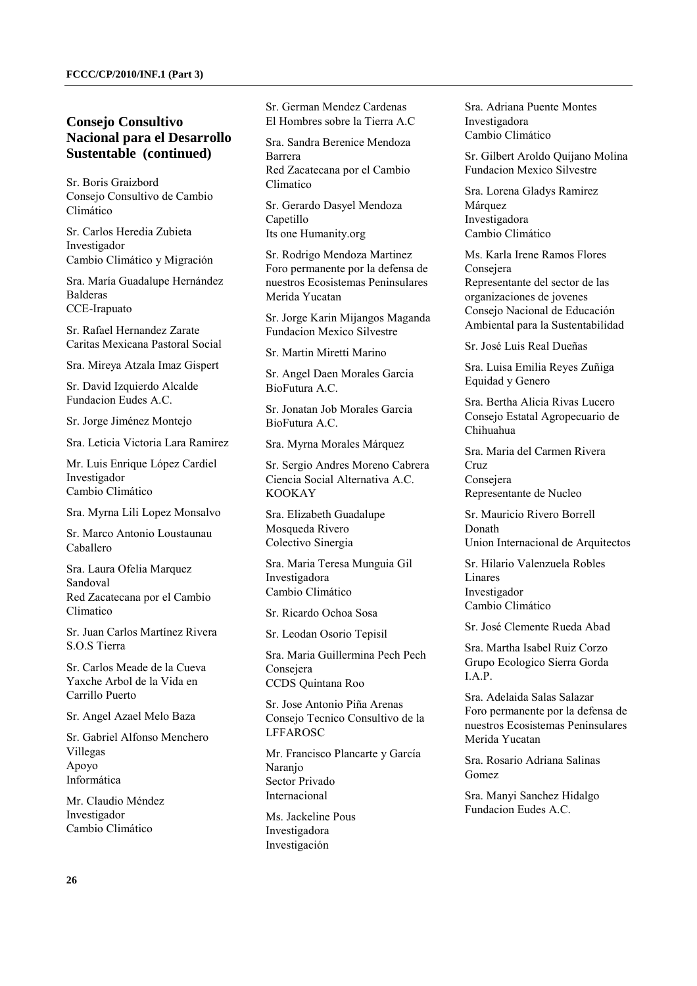Sr. Boris Graizbord Consejo Consultivo de Cambio Climático

Sr. Carlos Heredia Zubieta Investigador Cambio Climático y Migración

Sra. María Guadalupe Hernández Balderas CCE-Irapuato

Sr. Rafael Hernandez Zarate Caritas Mexicana Pastoral Social

Sra. Mireya Atzala Imaz Gispert

Sr. David Izquierdo Alcalde Fundacion Eudes A.C.

Sr. Jorge Jiménez Montejo

Sra. Leticia Victoria Lara Ramirez

Mr. Luis Enrique López Cardiel Investigador Cambio Climático

Sra. Myrna Lili Lopez Monsalvo

Sr. Marco Antonio Loustaunau Caballero

Sra. Laura Ofelia Marquez Sandoval Red Zacatecana por el Cambio Climatico

Sr. Juan Carlos Martínez Rivera S.O.S Tierra

Sr. Carlos Meade de la Cueva Yaxche Arbol de la Vida en Carrillo Puerto

Sr. Angel Azael Melo Baza

Sr. Gabriel Alfonso Menchero Villegas Apoyo Informática

Mr. Claudio Méndez Investigador Cambio Climático

Sr. German Mendez Cardenas El Hombres sobre la Tierra A.C

Sra. Sandra Berenice Mendoza Barrera Red Zacatecana por el Cambio Climatico

Sr. Gerardo Dasyel Mendoza Capetillo Its one Humanity.org

Sr. Rodrigo Mendoza Martinez Foro permanente por la defensa de nuestros Ecosistemas Peninsulares Merida Yucatan

Sr. Jorge Karin Mijangos Maganda Fundacion Mexico Silvestre

Sr. Martin Miretti Marino

Sr. Angel Daen Morales Garcia BioFutura A.C.

Sr. Jonatan Job Morales Garcia BioFutura A.C.

Sra. Myrna Morales Márquez

Sr. Sergio Andres Moreno Cabrera Ciencia Social Alternativa A.C. KOOKAY

Sra. Elizabeth Guadalupe Mosqueda Rivero Colectivo Sinergia

Sra. Maria Teresa Munguia Gil Investigadora Cambio Climático

Sr. Ricardo Ochoa Sosa

Sr. Leodan Osorio Tepisil

Sra. Maria Guillermina Pech Pech Consejera CCDS Quintana Roo

Sr. Jose Antonio Piña Arenas Consejo Tecnico Consultivo de la LFFAROSC

Mr. Francisco Plancarte y García Naranjo Sector Privado Internacional

Ms. Jackeline Pous Investigadora Investigación

Sra. Adriana Puente Montes Investigadora Cambio Climático

Sr. Gilbert Aroldo Quijano Molina Fundacion Mexico Silvestre

Sra. Lorena Gladys Ramirez Márquez Investigadora Cambio Climático

Ms. Karla Irene Ramos Flores Consejera Representante del sector de las organizaciones de jovenes Consejo Nacional de Educación Ambiental para la Sustentabilidad

Sr. José Luis Real Dueñas

Sra. Luisa Emilia Reyes Zuñiga Equidad y Genero

Sra. Bertha Alicia Rivas Lucero Consejo Estatal Agropecuario de Chihuahua

Sra. Maria del Carmen Rivera Cruz Consejera Representante de Nucleo

Sr. Mauricio Rivero Borrell Donath Union Internacional de Arquitectos

Sr. Hilario Valenzuela Robles Linares Investigador Cambio Climático

Sr. José Clemente Rueda Abad

Sra. Martha Isabel Ruiz Corzo Grupo Ecologico Sierra Gorda I.A.P.

Sra. Adelaida Salas Salazar Foro permanente por la defensa de nuestros Ecosistemas Peninsulares Merida Yucatan

Sra. Rosario Adriana Salinas Gomez

Sra. Manyi Sanchez Hidalgo Fundacion Eudes A.C.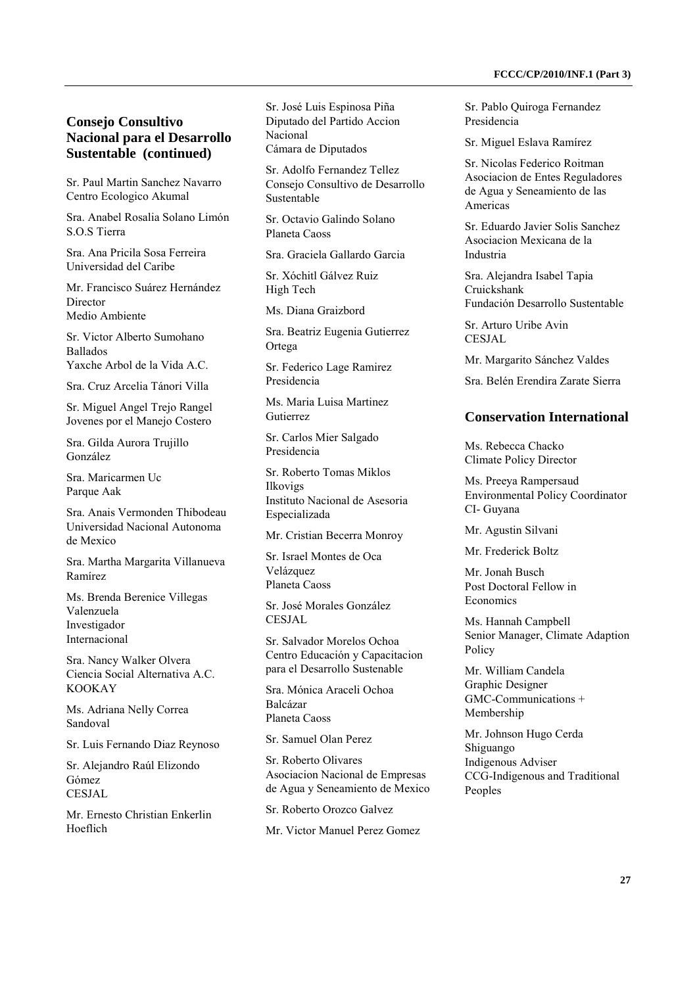Sr. Paul Martin Sanchez Navarro Centro Ecologico Akumal

Sra. Anabel Rosalia Solano Limón S.O.S Tierra

Sra. Ana Pricila Sosa Ferreira Universidad del Caribe

Mr. Francisco Suárez Hernández Director Medio Ambiente

Sr. Victor Alberto Sumohano Ballados Yaxche Arbol de la Vida A.C.

Sra. Cruz Arcelia Tánori Villa

Sr. Miguel Angel Trejo Rangel Jovenes por el Manejo Costero

Sra. Gilda Aurora Trujillo González

Sra. Maricarmen Uc Parque Aak

Sra. Anais Vermonden Thibodeau Universidad Nacional Autonoma de Mexico

Sra. Martha Margarita Villanueva Ramírez

Ms. Brenda Berenice Villegas Valenzuela Investigador Internacional

Sra. Nancy Walker Olvera Ciencia Social Alternativa A.C. KOOKAY

Ms. Adriana Nelly Correa Sandoval

Sr. Luis Fernando Diaz Reynoso

Sr. Alejandro Raúl Elizondo Gómez CESIAL.

Mr. Ernesto Christian Enkerlin Hoeflich

Sr. José Luis Espinosa Piña Diputado del Partido Accion Nacional Cámara de Diputados

Sr. Adolfo Fernandez Tellez Consejo Consultivo de Desarrollo Sustentable

Sr. Octavio Galindo Solano Planeta Caoss

Sra. Graciela Gallardo Garcia

Sr. Xóchitl Gálvez Ruiz High Tech

Ms. Diana Graizbord

Sra. Beatriz Eugenia Gutierrez Ortega

Sr. Federico Lage Ramirez Presidencia

Ms. Maria Luisa Martinez Gutierrez

Sr. Carlos Mier Salgado Presidencia

Sr. Roberto Tomas Miklos Ilkovigs Instituto Nacional de Asesoria Especializada

Mr. Cristian Becerra Monroy

Sr. Israel Montes de Oca Velázquez Planeta Caoss

Sr. José Morales González CESIAL.

Sr. Salvador Morelos Ochoa Centro Educación y Capacitacion para el Desarrollo Sustenable

Sra. Mónica Araceli Ochoa Balcázar Planeta Caoss

Sr. Samuel Olan Perez

Sr. Roberto Olivares Asociacion Nacional de Empresas de Agua y Seneamiento de Mexico

Sr. Roberto Orozco Galvez

Mr. Victor Manuel Perez Gomez

Sr. Pablo Quiroga Fernandez Presidencia

Sr. Miguel Eslava Ramírez

Sr. Nicolas Federico Roitman Asociacion de Entes Reguladores de Agua y Seneamiento de las Americas

Sr. Eduardo Javier Solis Sanchez Asociacion Mexicana de la Industria

Sra. Alejandra Isabel Tapia Cruickshank Fundación Desarrollo Sustentable

Sr. Arturo Uribe Avin CESJAL

Mr. Margarito Sánchez Valdes

Sra. Belén Erendira Zarate Sierra

### **Conservation International**

Ms. Rebecca Chacko Climate Policy Director

Ms. Preeya Rampersaud Environmental Policy Coordinator CI- Guyana

Mr. Agustin Silvani

Mr. Frederick Boltz

Mr. Jonah Busch Post Doctoral Fellow in **Economics** 

Ms. Hannah Campbell Senior Manager, Climate Adaption Policy

Mr. William Candela Graphic Designer GMC-Communications + Membership

Mr. Johnson Hugo Cerda Shiguango Indigenous Adviser CCG-Indigenous and Traditional Peoples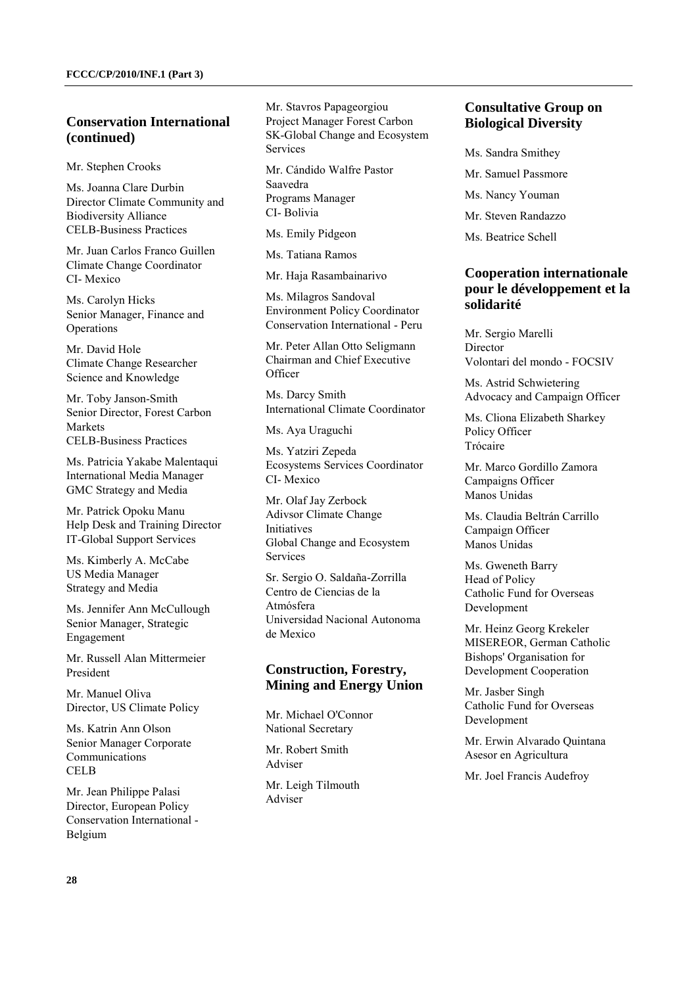### **Conservation International (continued)**

Mr. Stephen Crooks

Ms. Joanna Clare Durbin Director Climate Community and Biodiversity Alliance CELB-Business Practices

Mr. Juan Carlos Franco Guillen Climate Change Coordinator CI- Mexico

Ms. Carolyn Hicks Senior Manager, Finance and **Operations** 

Mr. David Hole Climate Change Researcher Science and Knowledge

Mr. Toby Janson-Smith Senior Director, Forest Carbon Markets CELB-Business Practices

Ms. Patricia Yakabe Malentaqui International Media Manager GMC Strategy and Media

Mr. Patrick Opoku Manu Help Desk and Training Director IT-Global Support Services

Ms. Kimberly A. McCabe US Media Manager Strategy and Media

Ms. Jennifer Ann McCullough Senior Manager, Strategic Engagement

Mr. Russell Alan Mittermeier President

Mr. Manuel Oliva Director, US Climate Policy

Ms. Katrin Ann Olson Senior Manager Corporate Communications CELB

Mr. Jean Philippe Palasi Director, European Policy Conservation International - Belgium

Mr. Stavros Papageorgiou Project Manager Forest Carbon SK-Global Change and Ecosystem **Services** 

Mr. Cándido Walfre Pastor Saavedra Programs Manager CI- Bolivia

Ms. Emily Pidgeon

Ms. Tatiana Ramos

Mr. Haja Rasambainarivo

Ms. Milagros Sandoval Environment Policy Coordinator Conservation International - Peru

Mr. Peter Allan Otto Seligmann Chairman and Chief Executive **Officer** 

Ms. Darcy Smith International Climate Coordinator

Ms. Aya Uraguchi

Ms. Yatziri Zepeda Ecosystems Services Coordinator CI- Mexico

Mr. Olaf Jay Zerbock Adivsor Climate Change **Initiatives** Global Change and Ecosystem Services

Sr. Sergio O. Saldaña-Zorrilla Centro de Ciencias de la Atmósfera Universidad Nacional Autonoma de Mexico

### **Construction, Forestry, Mining and Energy Union**

Mr. Michael O'Connor National Secretary

Mr. Robert Smith Adviser

Mr. Leigh Tilmouth Adviser

### **Consultative Group on Biological Diversity**

- Ms. Sandra Smithey
- Mr. Samuel Passmore
- Ms. Nancy Youman
- Mr. Steven Randazzo
- Ms. Beatrice Schell

### **Cooperation internationale pour le développement et la solidarité**

Mr. Sergio Marelli **Director** Volontari del mondo - FOCSIV

Ms. Astrid Schwietering Advocacy and Campaign Officer

Ms. Cliona Elizabeth Sharkey Policy Officer Trócaire

Mr. Marco Gordillo Zamora Campaigns Officer Manos Unidas

Ms. Claudia Beltrán Carrillo Campaign Officer Manos Unidas

Ms. Gweneth Barry Head of Policy Catholic Fund for Overseas Development

Mr. Heinz Georg Krekeler MISEREOR, German Catholic Bishops' Organisation for Development Cooperation

Mr. Jasber Singh Catholic Fund for Overseas Development

Mr. Erwin Alvarado Quintana Asesor en Agricultura

Mr. Joel Francis Audefroy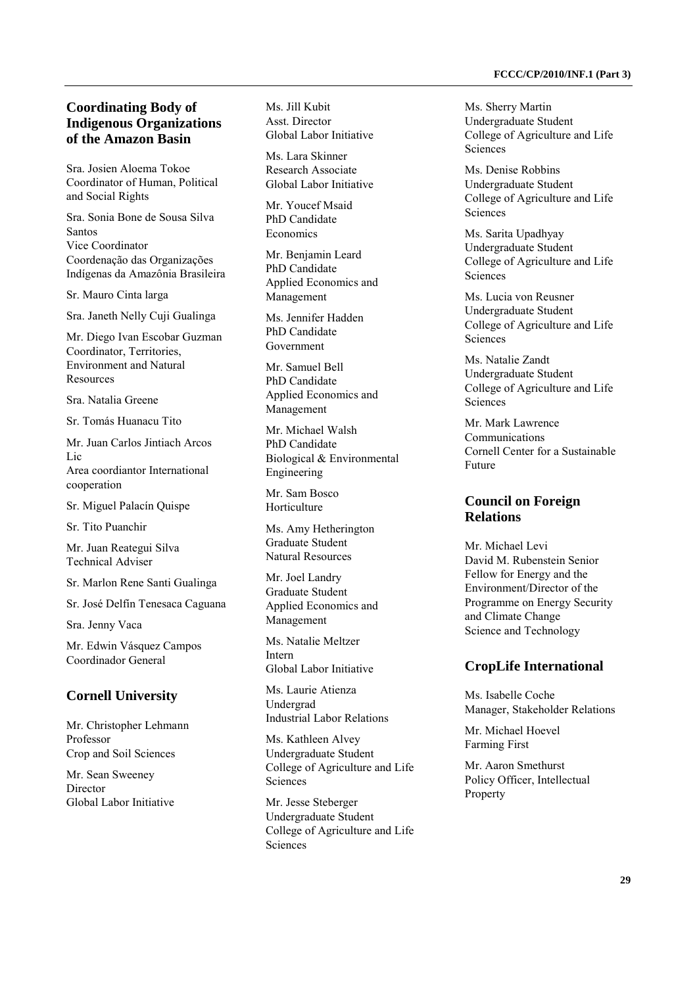### **Coordinating Body of Indigenous Organizations of the Amazon Basin**

Sra. Josien Aloema Tokoe Coordinator of Human, Political and Social Rights

Sra. Sonia Bone de Sousa Silva Santos Vice Coordinator Coordenação das Organizações Indígenas da Amazônia Brasileira

Sr. Mauro Cinta larga

Sra. Janeth Nelly Cuji Gualinga

Mr. Diego Ivan Escobar Guzman Coordinator, Territories, Environment and Natural Resources

Sra. Natalia Greene

Sr. Tomás Huanacu Tito

Mr. Juan Carlos Jintiach Arcos Lic Area coordiantor International cooperation

Sr. Miguel Palacín Quispe

Sr. Tito Puanchir

Mr. Juan Reategui Silva Technical Adviser

Sr. Marlon Rene Santi Gualinga

Sr. José Delfín Tenesaca Caguana

Sra. Jenny Vaca

Mr. Edwin Vásquez Campos Coordinador General

#### **Cornell University**

Mr. Christopher Lehmann Professor Crop and Soil Sciences

Mr. Sean Sweeney Director Global Labor Initiative Ms. Jill Kubit Asst. Director Global Labor Initiative

Ms. Lara Skinner Research Associate Global Labor Initiative

Mr. Youcef Msaid PhD Candidate **Economics** 

Mr. Benjamin Leard PhD Candidate Applied Economics and Management

Ms. Jennifer Hadden PhD Candidate Government

Mr. Samuel Bell PhD Candidate Applied Economics and Management

Mr. Michael Walsh PhD Candidate Biological & Environmental Engineering

Mr. Sam Bosco Horticulture

Ms. Amy Hetherington Graduate Student Natural Resources

Mr. Joel Landry Graduate Student Applied Economics and Management

Ms. Natalie Meltzer Intern Global Labor Initiative

Ms. Laurie Atienza Undergrad Industrial Labor Relations

Ms. Kathleen Alvey Undergraduate Student College of Agriculture and Life Sciences

Mr. Jesse Steberger Undergraduate Student College of Agriculture and Life Sciences

Ms. Sherry Martin Undergraduate Student College of Agriculture and Life **Sciences** 

Ms. Denise Robbins Undergraduate Student College of Agriculture and Life **Sciences** 

Ms. Sarita Upadhyay Undergraduate Student College of Agriculture and Life Sciences

Ms. Lucia von Reusner Undergraduate Student College of Agriculture and Life Sciences

Ms. Natalie Zandt Undergraduate Student College of Agriculture and Life **Sciences** 

Mr. Mark Lawrence Communications Cornell Center for a Sustainable Future

### **Council on Foreign Relations**

Mr. Michael Levi David M. Rubenstein Senior Fellow for Energy and the Environment/Director of the Programme on Energy Security and Climate Change Science and Technology

### **CropLife International**

Ms. Isabelle Coche Manager, Stakeholder Relations

Mr. Michael Hoevel Farming First

Mr. Aaron Smethurst Policy Officer, Intellectual Property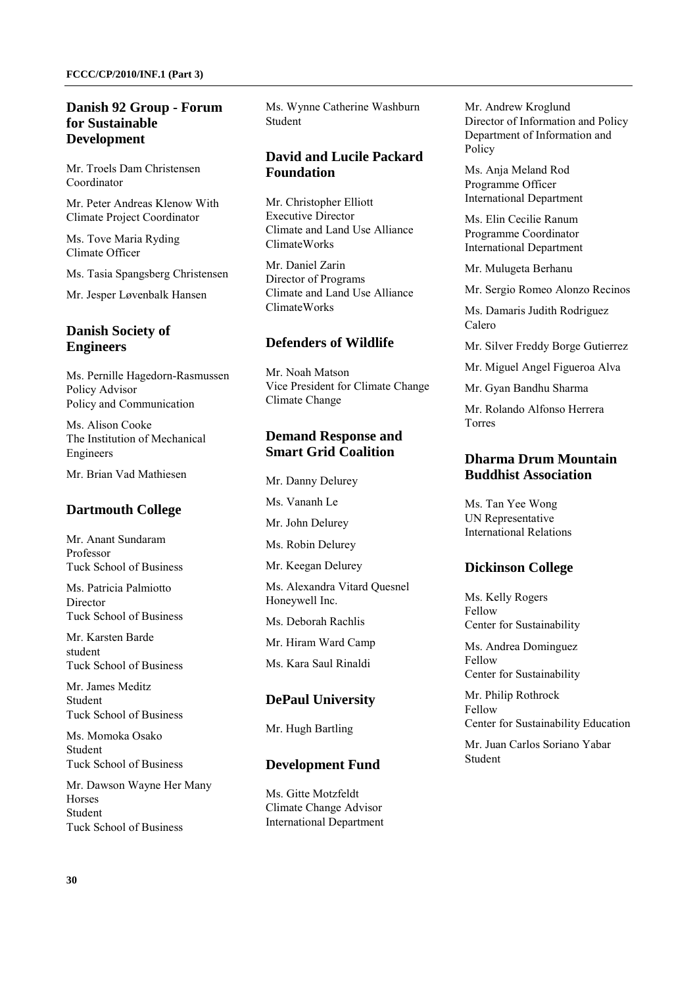### **Danish 92 Group - Forum for Sustainable Development**

Mr. Troels Dam Christensen Coordinator

Mr. Peter Andreas Klenow With Climate Project Coordinator

Ms. Tove Maria Ryding Climate Officer

Ms. Tasia Spangsberg Christensen

Mr. Jesper Løvenbalk Hansen

## **Danish Society of Engineers**

Ms. Pernille Hagedorn-Rasmussen Policy Advisor Policy and Communication

Ms. Alison Cooke The Institution of Mechanical Engineers

Mr. Brian Vad Mathiesen

## **Dartmouth College**

Mr. Anant Sundaram Professor Tuck School of Business

Ms. Patricia Palmiotto **Director** Tuck School of Business

Mr. Karsten Barde student Tuck School of Business

Mr. James Meditz Student Tuck School of Business

Ms. Momoka Osako Student Tuck School of Business

Mr. Dawson Wayne Her Many Horses Student Tuck School of Business

Ms. Wynne Catherine Washburn Student

## **David and Lucile Packard Foundation**

Mr. Christopher Elliott Executive Director Climate and Land Use Alliance ClimateWorks

Mr. Daniel Zarin Director of Programs Climate and Land Use Alliance ClimateWorks

## **Defenders of Wildlife**

Mr. Noah Matson Vice President for Climate Change Climate Change

## **Demand Response and Smart Grid Coalition**

Mr. Danny Delurey Ms. Vananh Le Mr. John Delurey Ms. Robin Delurey

Mr. Keegan Delurey

Ms. Alexandra Vitard Quesnel Honeywell Inc.

Ms. Deborah Rachlis

Mr. Hiram Ward Camp

Ms. Kara Saul Rinaldi

### **DePaul University**

Mr. Hugh Bartling

### **Development Fund**

Ms. Gitte Motzfeldt Climate Change Advisor International Department Mr. Andrew Kroglund Director of Information and Policy Department of Information and Policy

Ms. Anja Meland Rod Programme Officer International Department

Ms. Elin Cecilie Ranum Programme Coordinator International Department

Mr. Mulugeta Berhanu

Mr. Sergio Romeo Alonzo Recinos

Ms. Damaris Judith Rodriguez Calero

Mr. Silver Freddy Borge Gutierrez

Mr. Miguel Angel Figueroa Alva

Mr. Gyan Bandhu Sharma

Mr. Rolando Alfonso Herrera Torres

## **Dharma Drum Mountain Buddhist Association**

Ms. Tan Yee Wong UN Representative International Relations

## **Dickinson College**

Ms. Kelly Rogers Fellow Center for Sustainability

Ms. Andrea Dominguez Fellow Center for Sustainability

Mr. Philip Rothrock Fellow Center for Sustainability Education

Mr. Juan Carlos Soriano Yabar Student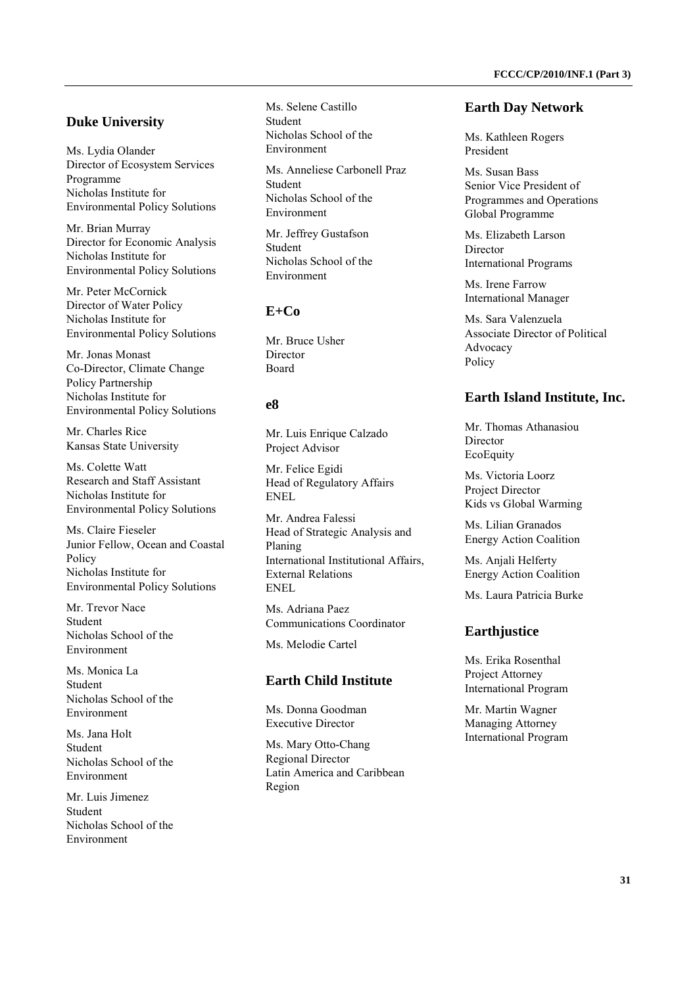### **Duke University**

Ms. Lydia Olander Director of Ecosystem Services Programme Nicholas Institute for Environmental Policy Solutions

Mr. Brian Murray Director for Economic Analysis Nicholas Institute for Environmental Policy Solutions

Mr. Peter McCornick Director of Water Policy Nicholas Institute for Environmental Policy Solutions

Mr. Jonas Monast Co-Director, Climate Change Policy Partnership Nicholas Institute for Environmental Policy Solutions

Mr. Charles Rice Kansas State University

Ms. Colette Watt Research and Staff Assistant Nicholas Institute for Environmental Policy Solutions

Ms. Claire Fieseler Junior Fellow, Ocean and Coastal Policy Nicholas Institute for Environmental Policy Solutions

Mr. Trevor Nace Student Nicholas School of the Environment

Ms. Monica La Student Nicholas School of the Environment

Ms. Jana Holt Student Nicholas School of the Environment

Mr. Luis Jimenez Student Nicholas School of the Environment

Ms. Selene Castillo Student Nicholas School of the Environment

Ms. Anneliese Carbonell Praz Student Nicholas School of the Environment

Mr. Jeffrey Gustafson Student Nicholas School of the Environment

### **E+Co**

Mr. Bruce Usher Director Board

## **e8**

Mr. Luis Enrique Calzado Project Advisor

Mr. Felice Egidi Head of Regulatory Affairs ENEL

Mr. Andrea Falessi Head of Strategic Analysis and Planing International Institutional Affairs, External Relations ENEL

Ms. Adriana Paez Communications Coordinator

Ms. Melodie Cartel

### **Earth Child Institute**

Ms. Donna Goodman Executive Director

Ms. Mary Otto-Chang Regional Director Latin America and Caribbean Region

#### **Earth Day Network**

Ms. Kathleen Rogers President

Ms. Susan Bass Senior Vice President of Programmes and Operations Global Programme

Ms. Elizabeth Larson Director International Programs

Ms. Irene Farrow International Manager

Ms. Sara Valenzuela Associate Director of Political Advocacy Policy

#### **Earth Island Institute, Inc.**

Mr. Thomas Athanasiou Director EcoEquity

Ms. Victoria Loorz Project Director Kids vs Global Warming

Ms. Lilian Granados Energy Action Coalition

Ms. Anjali Helferty Energy Action Coalition

Ms. Laura Patricia Burke

#### **Earthjustice**

Ms. Erika Rosenthal Project Attorney International Program

Mr. Martin Wagner Managing Attorney International Program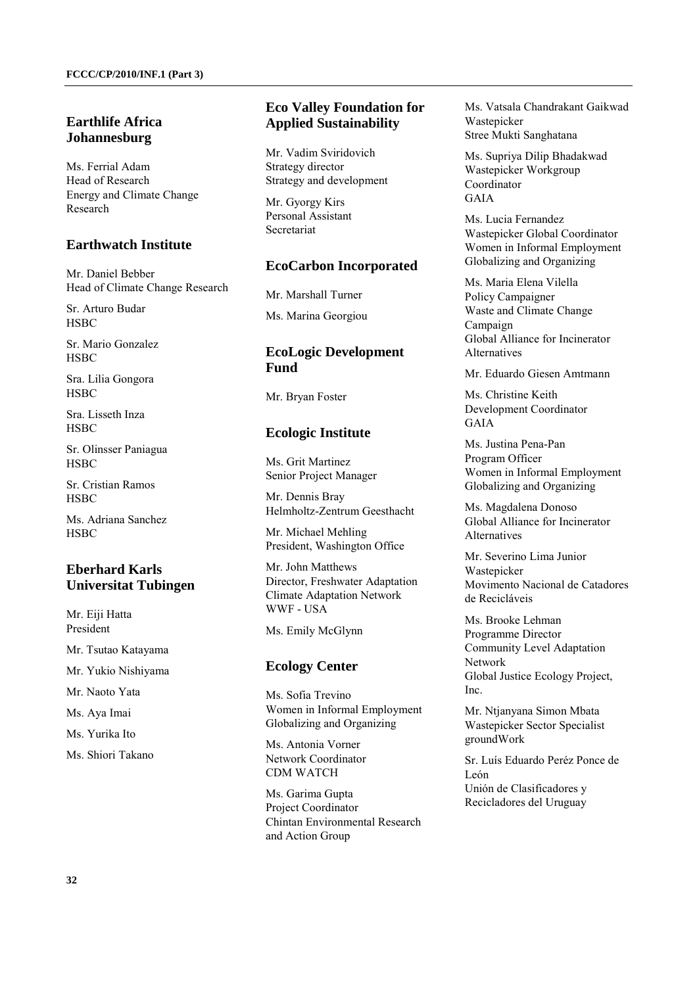### **Earthlife Africa Johannesburg**

Ms. Ferrial Adam Head of Research Energy and Climate Change Research

### **Earthwatch Institute**

Mr. Daniel Bebber Head of Climate Change Research

Sr. Arturo Budar **HSBC** 

Sr. Mario Gonzalez **HSBC** 

Sra. Lilia Gongora **HSBC** 

Sra. Lisseth Inza HSBC

Sr. Olinsser Paniagua **HSBC** 

Sr. Cristian Ramos **HSBC** 

Ms. Adriana Sanchez **HSBC** 

## **Eberhard Karls Universitat Tubingen**

Mr. Eiji Hatta President

Mr. Tsutao Katayama

Mr. Yukio Nishiyama

Mr. Naoto Yata

Ms. Aya Imai

Ms. Yurika Ito

Ms. Shiori Takano

## **Eco Valley Foundation for Applied Sustainability**

Mr. Vadim Sviridovich Strategy director Strategy and development

Mr. Gyorgy Kirs Personal Assistant Secretariat

### **EcoCarbon Incorporated**

Mr. Marshall Turner

Ms. Marina Georgiou

## **EcoLogic Development Fund**

Mr. Bryan Foster

### **Ecologic Institute**

Ms. Grit Martinez Senior Project Manager

Mr. Dennis Bray Helmholtz-Zentrum Geesthacht

Mr. Michael Mehling President, Washington Office

Mr. John Matthews Director, Freshwater Adaptation Climate Adaptation Network WWF - USA

Ms. Emily McGlynn

### **Ecology Center**

Ms. Sofia Trevino Women in Informal Employment Globalizing and Organizing

Ms. Antonia Vorner Network Coordinator CDM WATCH

Ms. Garima Gupta Project Coordinator Chintan Environmental Research and Action Group

Ms. Vatsala Chandrakant Gaikwad Wastepicker Stree Mukti Sanghatana

Ms. Supriya Dilip Bhadakwad Wastepicker Workgroup Coordinator GAIA

Ms. Lucia Fernandez Wastepicker Global Coordinator Women in Informal Employment Globalizing and Organizing

Ms. Maria Elena Vilella Policy Campaigner Waste and Climate Change Campaign Global Alliance for Incinerator Alternatives

Mr. Eduardo Giesen Amtmann

Ms. Christine Keith Development Coordinator GAIA

Ms. Justina Pena-Pan Program Officer Women in Informal Employment Globalizing and Organizing

Ms. Magdalena Donoso Global Alliance for Incinerator Alternatives

Mr. Severino Lima Junior Wastenicker Movimento Nacional de Catadores de Recicláveis

Ms. Brooke Lehman Programme Director Community Level Adaptation Network Global Justice Ecology Project, Inc.

Mr. Ntjanyana Simon Mbata Wastepicker Sector Specialist groundWork

Sr. Luís Eduardo Peréz Ponce de León Unión de Clasificadores y Recicladores del Uruguay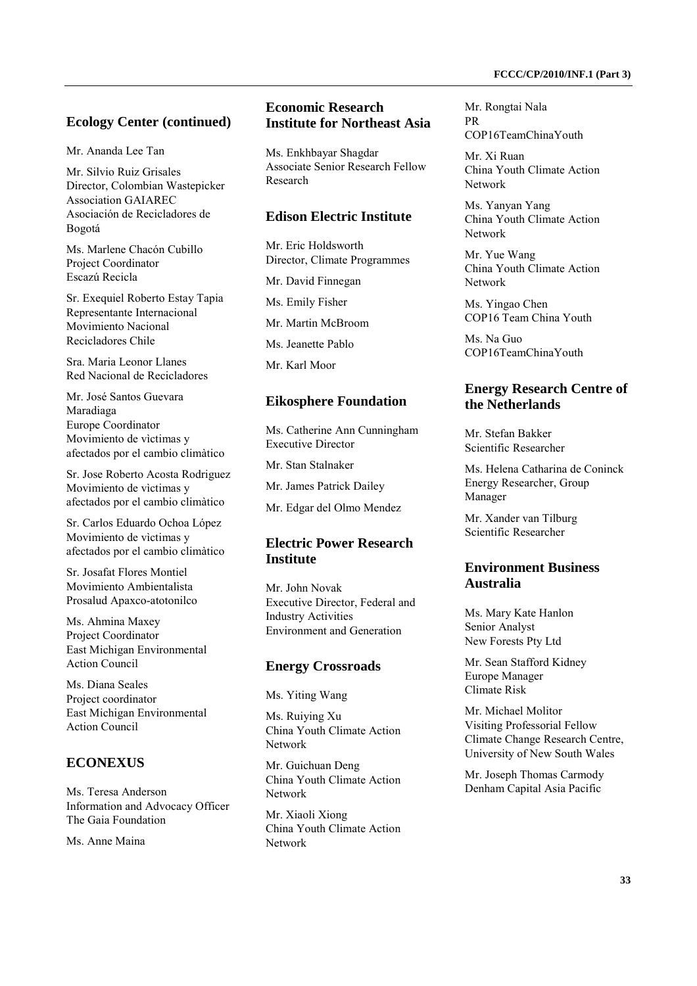### **Ecology Center (continued)**

Mr. Ananda Lee Tan

Mr. Silvio Ruiz Grisales Director, Colombian Wastepicker Association GAIAREC Asociación de Recicladores de Bogotá

Ms. Marlene Chacón Cubillo Project Coordinator Escazú Recicla

Sr. Exequiel Roberto Estay Tapia Representante Internacional Movimiento Nacional Recicladores Chile

Sra. Maria Leonor Llanes Red Nacional de Recicladores

Mr. José Santos Guevara Maradiaga Europe Coordinator Movimiento de vìctimas y afectados por el cambio climàtico

Sr. Jose Roberto Acosta Rodriguez Movimiento de vìctimas y afectados por el cambio climàtico

Sr. Carlos Eduardo Ochoa López Movimiento de vìctimas y afectados por el cambio climàtico

Sr. Josafat Flores Montiel Movimiento Ambientalista Prosalud Apaxco-atotonilco

Ms. Ahmina Maxey Project Coordinator East Michigan Environmental Action Council

Ms. Diana Seales Project coordinator East Michigan Environmental Action Council

### **ECONEXUS**

Ms. Teresa Anderson Information and Advocacy Officer The Gaia Foundation

Ms. Anne Maina

### **Economic Research Institute for Northeast Asia**

Ms. Enkhbayar Shagdar Associate Senior Research Fellow Research

### **Edison Electric Institute**

Mr. Eric Holdsworth Director, Climate Programmes

Mr. David Finnegan

Ms. Emily Fisher

Mr. Martin McBroom

Ms. Jeanette Pablo

Mr. Karl Moor

#### **Eikosphere Foundation**

Ms. Catherine Ann Cunningham Executive Director

Mr. Stan Stalnaker

Mr. James Patrick Dailey

Mr. Edgar del Olmo Mendez

### **Electric Power Research Institute**

Mr. John Novak Executive Director, Federal and Industry Activities Environment and Generation

#### **Energy Crossroads**

Ms. Yiting Wang

Ms. Ruiying Xu China Youth Climate Action Network

Mr. Guichuan Deng China Youth Climate Action Network

Mr. Xiaoli Xiong China Youth Climate Action Network

Mr. Rongtai Nala PR COP16TeamChinaYouth

Mr. Xi Ruan China Youth Climate Action Network

Ms. Yanyan Yang China Youth Climate Action Network

Mr. Yue Wang China Youth Climate Action Network

Ms. Yingao Chen COP16 Team China Youth

Ms. Na Guo COP16TeamChinaYouth

### **Energy Research Centre of the Netherlands**

Mr. Stefan Bakker Scientific Researcher

Ms. Helena Catharina de Coninck Energy Researcher, Group Manager

Mr. Xander van Tilburg Scientific Researcher

### **Environment Business Australia**

Ms. Mary Kate Hanlon Senior Analyst New Forests Pty Ltd

Mr. Sean Stafford Kidney Europe Manager Climate Risk

Mr. Michael Molitor Visiting Professorial Fellow Climate Change Research Centre, University of New South Wales

Mr. Joseph Thomas Carmody Denham Capital Asia Pacific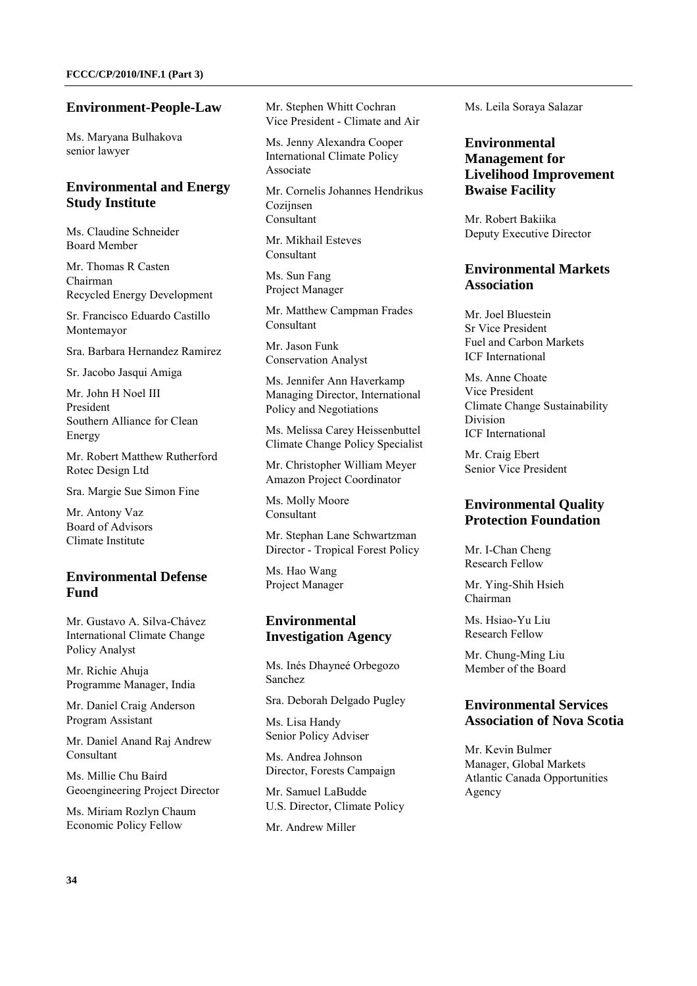#### **Environment-People-Law**

Ms. Maryana Bulhakova senior lawyer

### **Environmental and Energy Study Institute**

Ms. Claudine Schneider Board Member

Mr. Thomas R Casten Chairman Recycled Energy Development

Sr. Francisco Eduardo Castillo Montemayor

Sra. Barbara Hernandez Ramirez

Sr. Jacobo Jasqui Amiga

Mr. John H Noel III President Southern Alliance for Clean Energy

Mr. Robert Matthew Rutherford Rotec Design Ltd

Sra. Margie Sue Simon Fine

Mr. Antony Vaz Board of Advisors Climate Institute

### **Environmental Defense Fund**

Mr. Gustavo A. Silva-Chávez International Climate Change Policy Analyst

Mr. Richie Ahuja Programme Manager, India

Mr. Daniel Craig Anderson Program Assistant

Mr. Daniel Anand Raj Andrew Consultant

Ms. Millie Chu Baird Geoengineering Project Director

Ms. Miriam Rozlyn Chaum Economic Policy Fellow

Mr. Stephen Whitt Cochran Vice President - Climate and Air

Ms. Jenny Alexandra Cooper International Climate Policy Associate

Mr. Cornelis Johannes Hendrikus Coziinsen Consultant

Mr. Mikhail Esteves Consultant

Ms. Sun Fang Project Manager

Mr. Matthew Campman Frades Consultant

Mr. Jason Funk Conservation Analyst

Ms. Jennifer Ann Haverkamp Managing Director, International Policy and Negotiations

Ms. Melissa Carey Heissenbuttel Climate Change Policy Specialist

Mr. Christopher William Meyer Amazon Project Coordinator

Ms. Molly Moore Consultant

Mr. Stephan Lane Schwartzman Director - Tropical Forest Policy

Ms. Hao Wang Project Manager

### **Environmental Investigation Agency**

Ms. Inés Dhayneé Orbegozo Sanchez

Sra. Deborah Delgado Pugley

Ms. Lisa Handy Senior Policy Adviser

Ms. Andrea Johnson Director, Forests Campaign

Mr. Samuel LaBudde U.S. Director, Climate Policy

Mr. Andrew Miller

Ms. Leila Soraya Salazar

### **Environmental Management for Livelihood Improvement Bwaise Facility**

Mr. Robert Bakiika Deputy Executive Director

### **Environmental Markets Association**

Mr. Joel Bluestein Sr Vice President Fuel and Carbon Markets ICF International

Ms. Anne Choate Vice President Climate Change Sustainability Division ICF International

Mr. Craig Ebert Senior Vice President

### **Environmental Quality Protection Foundation**

Mr. I-Chan Cheng Research Fellow

Mr. Ying-Shih Hsieh Chairman

Ms. Hsiao-Yu Liu Research Fellow

Mr. Chung-Ming Liu Member of the Board

### **Environmental Services Association of Nova Scotia**

Mr. Kevin Bulmer Manager, Global Markets Atlantic Canada Opportunities Agency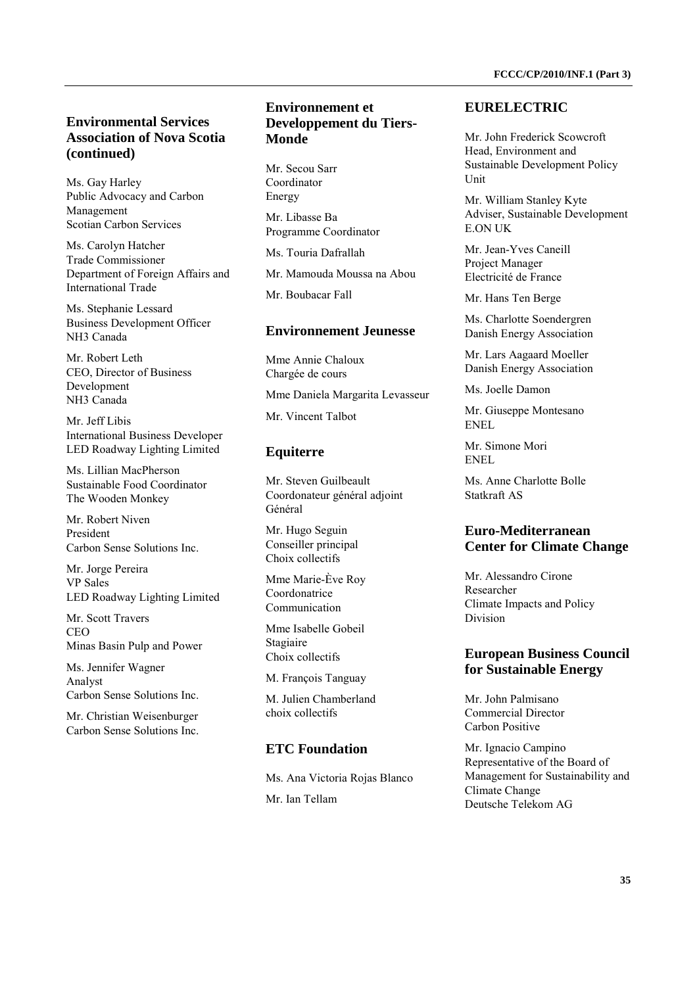## **Environmental Services Association of Nova Scotia (continued)**

Ms. Gay Harley Public Advocacy and Carbon Management Scotian Carbon Services

Ms. Carolyn Hatcher Trade Commissioner Department of Foreign Affairs and International Trade

Ms. Stephanie Lessard Business Development Officer NH3 Canada

Mr. Robert Leth CEO, Director of Business Development NH3 Canada

Mr. Jeff Libis International Business Developer LED Roadway Lighting Limited

Ms. Lillian MacPherson Sustainable Food Coordinator The Wooden Monkey

Mr. Robert Niven President Carbon Sense Solutions Inc.

Mr. Jorge Pereira VP Sales LED Roadway Lighting Limited

Mr. Scott Travers  $CEO$ Minas Basin Pulp and Power

Ms. Jennifer Wagner Analyst Carbon Sense Solutions Inc.

Mr. Christian Weisenburger Carbon Sense Solutions Inc.

### **Environnement et Developpement du Tiers-Monde**

Mr. Secou Sarr Coordinator Energy

Mr. Libasse Ba Programme Coordinator

Ms. Touria Dafrallah

Mr. Mamouda Moussa na Abou

Mr. Boubacar Fall

#### **Environnement Jeunesse**

Mme Annie Chaloux Chargée de cours

Mme Daniela Margarita Levasseur

Mr. Vincent Talbot

### **Equiterre**

Mr. Steven Guilbeault Coordonateur général adjoint Général

Mr. Hugo Seguin Conseiller principal Choix collectifs

Mme Marie-Ève Roy Coordonatrice Communication

Mme Isabelle Gobeil Stagiaire Choix collectifs

M. François Tanguay

M. Julien Chamberland choix collectifs

### **ETC Foundation**

Ms. Ana Victoria Rojas Blanco Mr. Ian Tellam

#### **EURELECTRIC**

Mr. John Frederick Scowcroft Head, Environment and Sustainable Development Policy Unit

Mr. William Stanley Kyte Adviser, Sustainable Development E.ON UK

Mr. Jean-Yves Caneill Project Manager Electricité de France

Mr. Hans Ten Berge

Ms. Charlotte Soendergren Danish Energy Association

Mr. Lars Aagaard Moeller Danish Energy Association

Ms. Joelle Damon

Mr. Giuseppe Montesano ENEL

Mr. Simone Mori ENEL

Ms. Anne Charlotte Bolle Statkraft AS

### **Euro-Mediterranean Center for Climate Change**

Mr. Alessandro Cirone Researcher Climate Impacts and Policy Division

### **European Business Council for Sustainable Energy**

Mr. John Palmisano Commercial Director Carbon Positive

Mr. Ignacio Campino Representative of the Board of Management for Sustainability and Climate Change Deutsche Telekom AG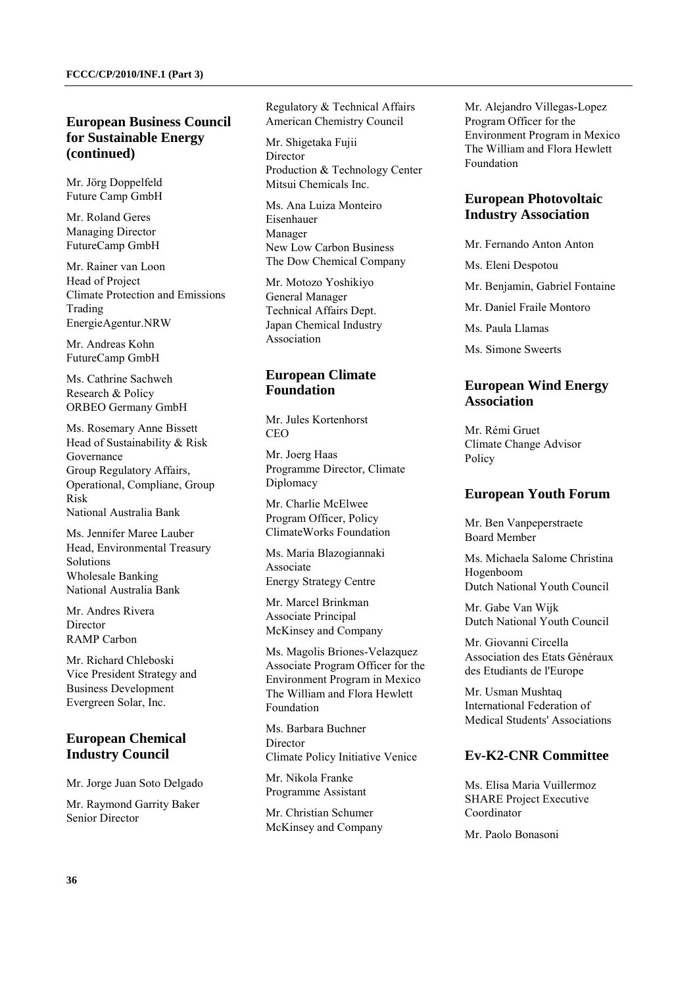### **European Business Council for Sustainable Energy (continued)**

Mr. Jörg Doppelfeld Future Camp GmbH

Mr. Roland Geres Managing Director FutureCamp GmbH

Mr. Rainer van Loon Head of Project Climate Protection and Emissions Trading EnergieAgentur.NRW

Mr. Andreas Kohn FutureCamp GmbH

Ms. Cathrine Sachweh Research & Policy ORBEO Germany GmbH

Ms. Rosemary Anne Bissett Head of Sustainability & Risk Governance Group Regulatory Affairs, Operational, Compliane, Group Risk National Australia Bank

Ms. Jennifer Maree Lauber Head, Environmental Treasury Solutions Wholesale Banking National Australia Bank

Mr. Andres Rivera Director RAMP Carbon

Mr. Richard Chleboski Vice President Strategy and Business Development Evergreen Solar, Inc.

## **European Chemical Industry Council**

Mr. Jorge Juan Soto Delgado

Mr. Raymond Garrity Baker Senior Director

Regulatory & Technical Affairs American Chemistry Council

Mr. Shigetaka Fujii Director Production & Technology Center Mitsui Chemicals Inc.

Ms. Ana Luiza Monteiro Eisenhauer Manager New Low Carbon Business The Dow Chemical Company

Mr. Motozo Yoshikiyo General Manager Technical Affairs Dept. Japan Chemical Industry Association

### **European Climate Foundation**

Mr. Jules Kortenhorst  $CEO$ 

Mr. Joerg Haas Programme Director, Climate Diplomacy

Mr. Charlie McElwee Program Officer, Policy ClimateWorks Foundation

Ms. Maria Blazogiannaki Associate Energy Strategy Centre

Mr. Marcel Brinkman Associate Principal McKinsey and Company

Ms. Magolis Briones-Velazquez Associate Program Officer for the Environment Program in Mexico The William and Flora Hewlett Foundation

Ms. Barbara Buchner Director Climate Policy Initiative Venice

Mr. Nikola Franke Programme Assistant

Mr. Christian Schumer McKinsey and Company Mr. Alejandro Villegas-Lopez Program Officer for the Environment Program in Mexico The William and Flora Hewlett Foundation

### **European Photovoltaic Industry Association**

Mr. Fernando Anton Anton

Ms. Eleni Despotou

Mr. Benjamin, Gabriel Fontaine

Mr. Daniel Fraile Montoro

Ms. Paula Llamas

Ms. Simone Sweerts

### **European Wind Energy Association**

Mr. Rémi Gruet Climate Change Advisor Policy

### **European Youth Forum**

Mr. Ben Vanpeperstraete Board Member

Ms. Michaela Salome Christina Hogenboom Dutch National Youth Council

Mr. Gabe Van Wijk Dutch National Youth Council

Mr. Giovanni Circella Association des Etats Généraux des Etudiants de l'Europe

Mr. Usman Mushtaq International Federation of Medical Students' Associations

### **Ev-K2-CNR Committee**

Ms. Elisa Maria Vuillermoz SHARE Project Executive Coordinator

Mr. Paolo Bonasoni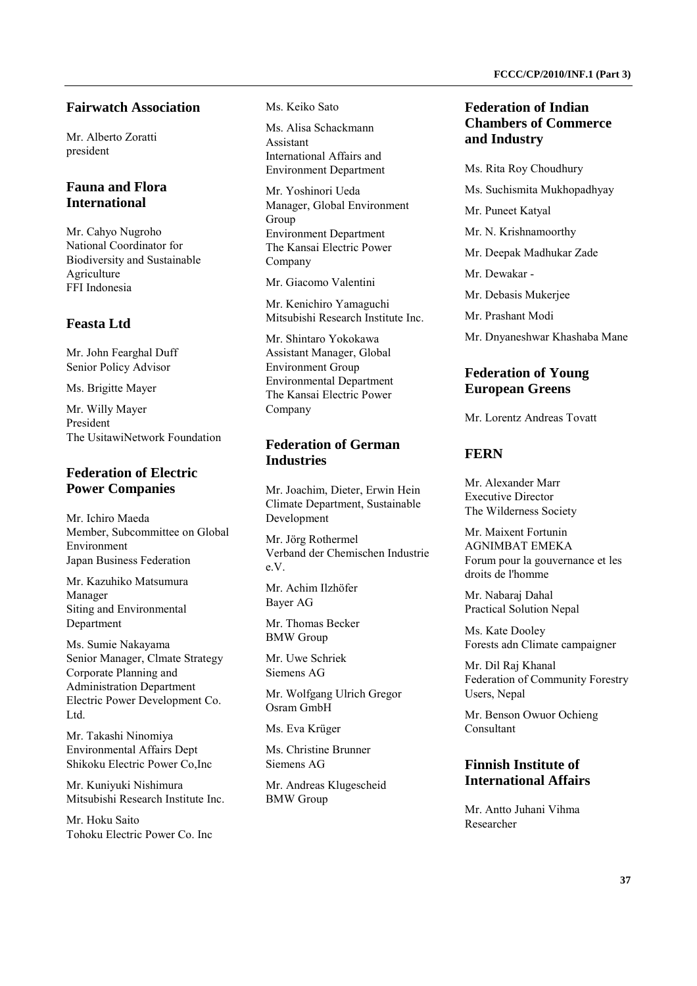# **Fairwatch Association**

Mr. Alberto Zoratti president

# **Fauna and Flora International**

Mr. Cahyo Nugroho National Coordinator for Biodiversity and Sustainable Agriculture FFI Indonesia

# **Feasta Ltd**

Mr. John Fearghal Duff Senior Policy Advisor

Ms. Brigitte Mayer

Mr. Willy Mayer President The UsitawiNetwork Foundation

# **Federation of Electric Power Companies**

Mr. Ichiro Maeda Member, Subcommittee on Global Environment Japan Business Federation

Mr. Kazuhiko Matsumura Manager Siting and Environmental Department

Ms. Sumie Nakayama Senior Manager, Clmate Strategy Corporate Planning and Administration Department Electric Power Development Co. Ltd.

Mr. Takashi Ninomiya Environmental Affairs Dept Shikoku Electric Power Co,Inc

Mr. Kuniyuki Nishimura Mitsubishi Research Institute Inc.

Mr. Hoku Saito Tohoku Electric Power Co. Inc Ms. Keiko Sato

Ms. Alisa Schackmann Assistant International Affairs and Environment Department

Mr. Yoshinori Ueda Manager, Global Environment Group Environment Department The Kansai Electric Power Company

Mr. Giacomo Valentini

Mr. Kenichiro Yamaguchi Mitsubishi Research Institute Inc.

Mr. Shintaro Yokokawa Assistant Manager, Global Environment Group Environmental Department The Kansai Electric Power Company

# **Federation of German Industries**

Mr. Joachim, Dieter, Erwin Hein Climate Department, Sustainable Development

Mr. Jörg Rothermel Verband der Chemischen Industrie e.V.

Mr. Achim Ilzhöfer Bayer AG

Mr. Thomas Becker BMW Group

Mr. Uwe Schriek Siemens AG

Mr. Wolfgang Ulrich Gregor Osram GmbH

Ms. Eva Krüger

Ms. Christine Brunner Siemens AG

Mr. Andreas Klugescheid BMW Group

# **Federation of Indian Chambers of Commerce and Industry**

Ms. Rita Roy Choudhury Ms. Suchismita Mukhopadhyay Mr. Puneet Katyal Mr. N. Krishnamoorthy Mr. Deepak Madhukar Zade Mr. Dewakar - Mr. Debasis Mukerjee Mr. Prashant Modi

Mr. Dnyaneshwar Khashaba Mane

# **Federation of Young European Greens**

Mr. Lorentz Andreas Tovatt

# **FERN**

Mr. Alexander Marr Executive Director The Wilderness Society

Mr. Maixent Fortunin AGNIMBAT EMEKA Forum pour la gouvernance et les droits de l'homme

Mr. Nabaraj Dahal Practical Solution Nepal

Ms. Kate Dooley Forests adn Climate campaigner

Mr. Dil Raj Khanal Federation of Community Forestry Users, Nepal

Mr. Benson Owuor Ochieng Consultant

# **Finnish Institute of International Affairs**

Mr. Antto Juhani Vihma Researcher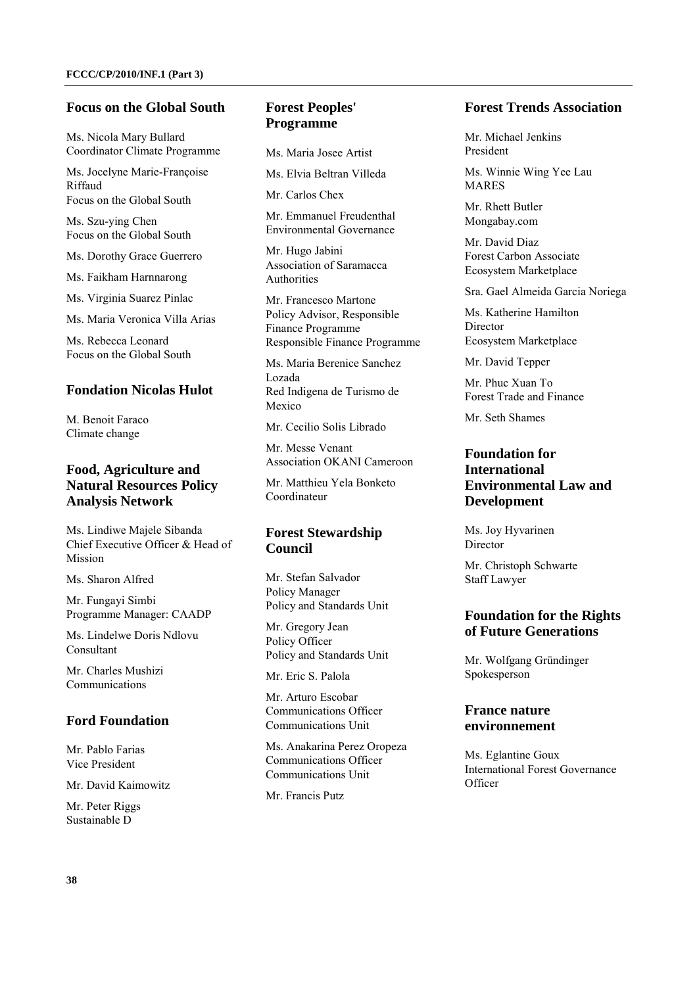#### **Focus on the Global South**

Ms. Nicola Mary Bullard Coordinator Climate Programme

Ms. Jocelyne Marie-Françoise Riffaud Focus on the Global South

Ms. Szu-ying Chen Focus on the Global South

Ms. Dorothy Grace Guerrero

Ms. Faikham Harnnarong

Ms. Virginia Suarez Pinlac

Ms. Maria Veronica Villa Arias

Ms. Rebecca Leonard Focus on the Global South

## **Fondation Nicolas Hulot**

M. Benoit Faraco Climate change

## **Food, Agriculture and Natural Resources Policy Analysis Network**

Ms. Lindiwe Majele Sibanda Chief Executive Officer & Head of Mission

Ms. Sharon Alfred

Mr. Fungayi Simbi Programme Manager: CAADP

Ms. Lindelwe Doris Ndlovu Consultant

Mr. Charles Mushizi Communications

## **Ford Foundation**

Mr. Pablo Farias Vice President

Mr. David Kaimowitz

Mr. Peter Riggs Sustainable D

# **Forest Peoples' Programme**

Ms. Maria Josee Artist

Ms. Elvia Beltran Villeda

Mr. Carlos Chex

Mr. Emmanuel Freudenthal Environmental Governance

Mr. Hugo Jabini Association of Saramacca Authorities

Mr. Francesco Martone Policy Advisor, Responsible Finance Programme Responsible Finance Programme

Ms. Maria Berenice Sanchez Lozada Red Indigena de Turismo de Mexico

Mr. Cecilio Solis Librado

Mr. Messe Venant Association OKANI Cameroon

Mr. Matthieu Yela Bonketo Coordinateur

# **Forest Stewardship Council**

Mr. Stefan Salvador Policy Manager Policy and Standards Unit

Mr. Gregory Jean Policy Officer Policy and Standards Unit

Mr. Eric S. Palola

Mr. Arturo Escobar Communications Officer Communications Unit

Ms. Anakarina Perez Oropeza Communications Officer Communications Unit

Mr. Francis Putz

## **Forest Trends Association**

Mr. Michael Jenkins President

Ms. Winnie Wing Yee Lau MARES

Mr. Rhett Butler Mongabay.com

Mr. David Diaz Forest Carbon Associate Ecosystem Marketplace

Sra. Gael Almeida Garcia Noriega

Ms. Katherine Hamilton Director Ecosystem Marketplace

Mr. David Tepper

Mr. Phuc Xuan To Forest Trade and Finance

Mr. Seth Shames

# **Foundation for International Environmental Law and Development**

Ms. Joy Hyvarinen **Director** 

Mr. Christoph Schwarte Staff Lawyer

## **Foundation for the Rights of Future Generations**

Mr. Wolfgang Gründinger Spokesperson

## **France nature environnement**

Ms. Eglantine Goux International Forest Governance **Officer**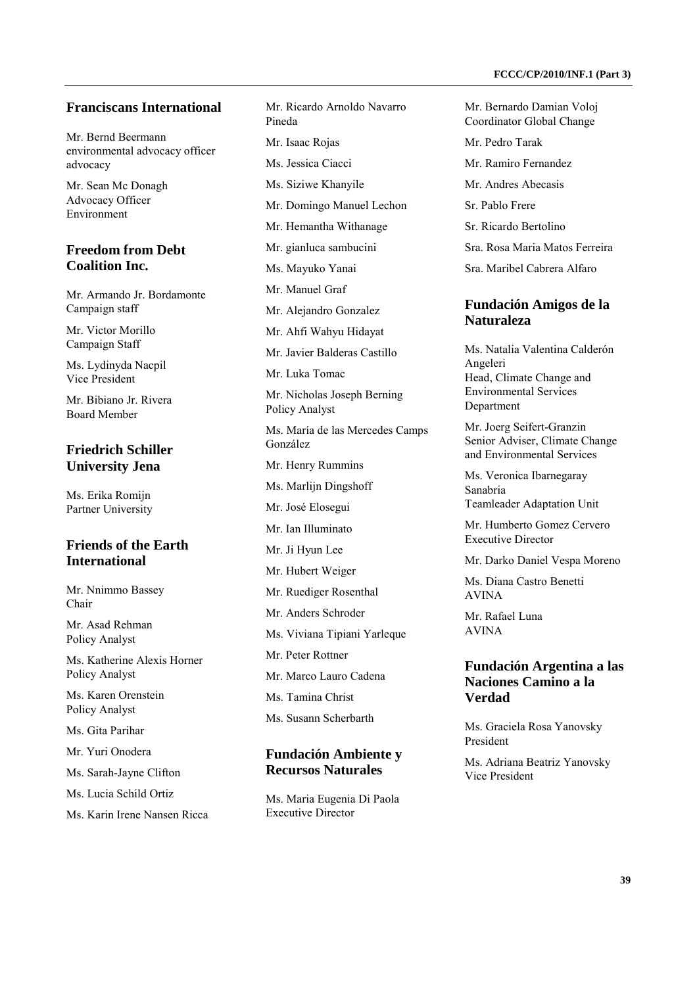#### **Franciscans International**

Mr. Bernd Beermann environmental advocacy officer advocacy

Mr. Sean Mc Donagh Advocacy Officer Environment

# **Freedom from Debt Coalition Inc.**

Mr. Armando Jr. Bordamonte Campaign staff

Mr. Victor Morillo Campaign Staff

Ms. Lydinyda Nacpil Vice President

Mr. Bibiano Jr. Rivera Board Member

#### **Friedrich Schiller University Jena**

Ms. Erika Romijn Partner University

## **Friends of the Earth International**

Mr. Nnimmo Bassey Chair

Mr. Asad Rehman Policy Analyst

Ms. Katherine Alexis Horner Policy Analyst

Ms. Karen Orenstein Policy Analyst

Ms. Gita Parihar

Mr. Yuri Onodera

Ms. Sarah-Jayne Clifton

Ms. Lucia Schild Ortiz

Ms. Karin Irene Nansen Ricca

Mr. Ricardo Arnoldo Navarro Pineda Mr. Isaac Rojas Ms. Jessica Ciacci Ms. Siziwe Khanyile Mr. Domingo Manuel Lechon Mr. Hemantha Withanage Mr. gianluca sambucini Ms. Mayuko Yanai Mr. Manuel Graf Mr. Alejandro Gonzalez Mr. Ahfi Wahyu Hidayat Mr. Javier Balderas Castillo Mr. Luka Tomac Mr. Nicholas Joseph Berning Policy Analyst Ms. María de las Mercedes Camps González Mr. Henry Rummins Ms. Marlijn Dingshoff Mr. José Elosegui Mr. Ian Illuminato Mr. Ji Hyun Lee Mr. Hubert Weiger Mr. Ruediger Rosenthal Mr. Anders Schroder Ms. Viviana Tipiani Yarleque Mr. Peter Rottner Mr. Marco Lauro Cadena Ms. Tamina Christ Ms. Susann Scherbarth **Fundación Ambiente y** 

# **Recursos Naturales**

Ms. Maria Eugenia Di Paola Executive Director

Mr. Bernardo Damian Voloj Coordinator Global Change

Mr. Pedro Tarak

Mr. Ramiro Fernandez

Mr. Andres Abecasis

Sr. Pablo Frere

Sr. Ricardo Bertolino

Sra. Rosa Maria Matos Ferreira

Sra. Maribel Cabrera Alfaro

#### **Fundación Amigos de la Naturaleza**

Ms. Natalia Valentina Calderón Angeleri Head, Climate Change and Environmental Services **Department** 

Mr. Joerg Seifert-Granzin Senior Adviser, Climate Change and Environmental Services

Ms. Veronica Ibarnegaray Sanabria Teamleader Adaptation Unit

Mr. Humberto Gomez Cervero Executive Director

Mr. Darko Daniel Vespa Moreno

Ms. Diana Castro Benetti AVINA

Mr. Rafael Luna AVINA

#### **Fundación Argentina a las Naciones Camino a la Verdad**

Ms. Graciela Rosa Yanovsky President

Ms. Adriana Beatriz Yanovsky Vice President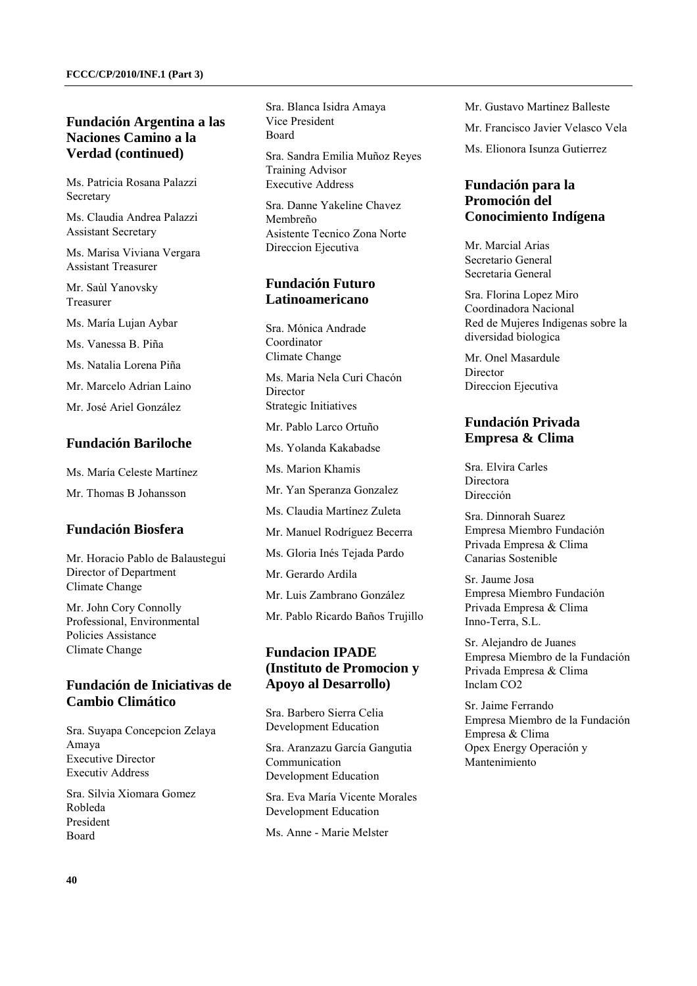# **Fundación Argentina a las Naciones Camino a la Verdad (continued)**

Ms. Patricia Rosana Palazzi Secretary

Ms. Claudia Andrea Palazzi Assistant Secretary

Ms. Marisa Viviana Vergara Assistant Treasurer

Mr. Saùl Yanovsky Treasurer

Ms. María Lujan Aybar

Ms. Vanessa B. Piña

Ms. Natalia Lorena Piña

Mr. Marcelo Adrian Laino

Mr. José Ariel González

#### **Fundación Bariloche**

Ms. María Celeste Martínez

Mr. Thomas B Johansson

#### **Fundación Biosfera**

Mr. Horacio Pablo de Balaustegui Director of Department Climate Change

Mr. John Cory Connolly Professional, Environmental Policies Assistance Climate Change

## **Fundación de Iniciativas de Cambio Climático**

Sra. Suyapa Concepcion Zelaya Amaya Executive Director Executiv Address

Sra. Silvia Xiomara Gomez Robleda President Board

Sra. Blanca Isidra Amaya Vice President Board

Sra. Sandra Emilia Muñoz Reyes Training Advisor Executive Address

Sra. Danne Yakeline Chavez Membreño Asistente Tecnico Zona Norte Direccion Ejecutiva

## **Fundación Futuro Latinoamericano**

Sra. Mónica Andrade Coordinator Climate Change

Ms. Maria Nela Curi Chacón **Director** Strategic Initiatives

Mr. Pablo Larco Ortuño

Ms. Yolanda Kakabadse

Ms. Marion Khamis

Mr. Yan Speranza Gonzalez

Ms. Claudia Martínez Zuleta

Mr. Manuel Rodríguez Becerra

Ms. Gloria Inés Tejada Pardo

Mr. Gerardo Ardila

Mr. Luis Zambrano González

Mr. Pablo Ricardo Baños Trujillo

# **Fundacion IPADE (Instituto de Promocion y Apoyo al Desarrollo)**

Sra. Barbero Sierra Celia Development Education

Sra. Aranzazu García Gangutia Communication Development Education

Sra. Eva María Vicente Morales Development Education

Ms. Anne - Marie Melster

Mr. Gustavo Martinez Balleste

Mr. Francisco Javier Velasco Vela

Ms. Elionora Isunza Gutierrez

# **Fundación para la Promoción del Conocimiento Indígena**

Mr. Marcial Arias Secretario General Secretaria General

Sra. Florina Lopez Miro Coordinadora Nacional Red de Mujeres Indigenas sobre la diversidad biologica

Mr. Onel Masardule **Director** Direccion Ejecutiva

# **Fundación Privada Empresa & Clima**

Sra. Elvira Carles Directora Dirección

Sra. Dinnorah Suarez Empresa Miembro Fundación Privada Empresa & Clima Canarias Sostenible

Sr. Jaume Josa Empresa Miembro Fundación Privada Empresa & Clima Inno-Terra, S.L.

Sr. Alejandro de Juanes Empresa Miembro de la Fundación Privada Empresa & Clima Inclam CO2

Sr. Jaime Ferrando Empresa Miembro de la Fundación Empresa & Clima Opex Energy Operación y Mantenimiento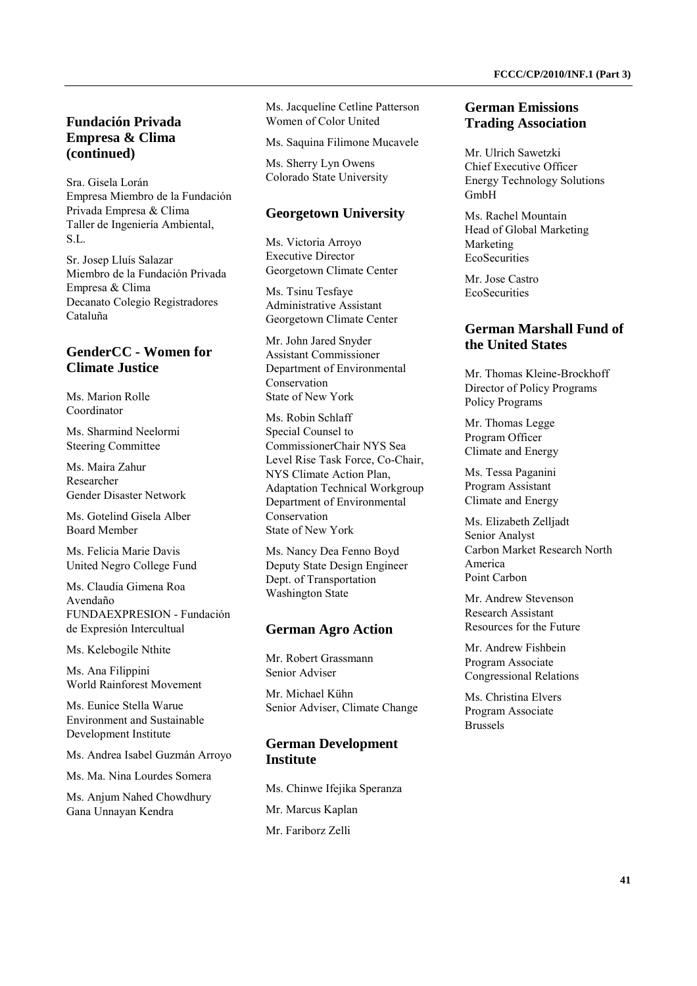## **Fundación Privada Empresa & Clima (continued)**

Sra. Gisela Lorán Empresa Miembro de la Fundación Privada Empresa & Clima Taller de Ingeniería Ambiental, S.L.

Sr. Josep Lluís Salazar Miembro de la Fundación Privada Empresa & Clima Decanato Colegio Registradores Cataluña

# **GenderCC - Women for Climate Justice**

Ms. Marion Rolle Coordinator

Ms. Sharmind Neelormi Steering Committee

Ms. Maira Zahur Researcher Gender Disaster Network

Ms. Gotelind Gisela Alber Board Member

Ms. Felicia Marie Davis United Negro College Fund

Ms. Claudia Gimena Roa Avendaño FUNDAEXPRESION - Fundación de Expresión Intercultual

Ms. Kelebogile Nthite

Ms. Ana Filippini World Rainforest Movement

Ms. Eunice Stella Warue Environment and Sustainable Development Institute

Ms. Andrea Isabel Guzmán Arroyo

Ms. Ma. Nina Lourdes Somera

Ms. Anjum Nahed Chowdhury Gana Unnayan Kendra

Ms. Jacqueline Cetline Patterson Women of Color United

Ms. Saquina Filimone Mucavele

Ms. Sherry Lyn Owens Colorado State University

#### **Georgetown University**

Ms. Victoria Arroyo Executive Director Georgetown Climate Center

Ms. Tsinu Tesfaye Administrative Assistant Georgetown Climate Center

Mr. John Jared Snyder Assistant Commissioner Department of Environmental Conservation State of New York

Ms. Robin Schlaff Special Counsel to CommissionerChair NYS Sea Level Rise Task Force, Co-Chair, NYS Climate Action Plan, Adaptation Technical Workgroup Department of Environmental Conservation State of New York

Ms. Nancy Dea Fenno Boyd Deputy State Design Engineer Dept. of Transportation Washington State

#### **German Agro Action**

Mr. Robert Grassmann Senior Adviser

Mr. Michael Kühn Senior Adviser, Climate Change

#### **German Development Institute**

Ms. Chinwe Ifejika Speranza Mr. Marcus Kaplan Mr. Fariborz Zelli

#### **German Emissions Trading Association**

Mr. Ulrich Sawetzki Chief Executive Officer Energy Technology Solutions GmbH

Ms. Rachel Mountain Head of Global Marketing Marketing **EcoSecurities** 

Mr. Jose Castro **EcoSecurities** 

#### **German Marshall Fund of the United States**

Mr. Thomas Kleine-Brockhoff Director of Policy Programs Policy Programs

Mr. Thomas Legge Program Officer Climate and Energy

Ms. Tessa Paganini Program Assistant Climate and Energy

Ms. Elizabeth Zelljadt Senior Analyst Carbon Market Research North America Point Carbon

Mr. Andrew Stevenson Research Assistant Resources for the Future

Mr. Andrew Fishbein Program Associate Congressional Relations

Ms. Christina Elvers Program Associate Brussels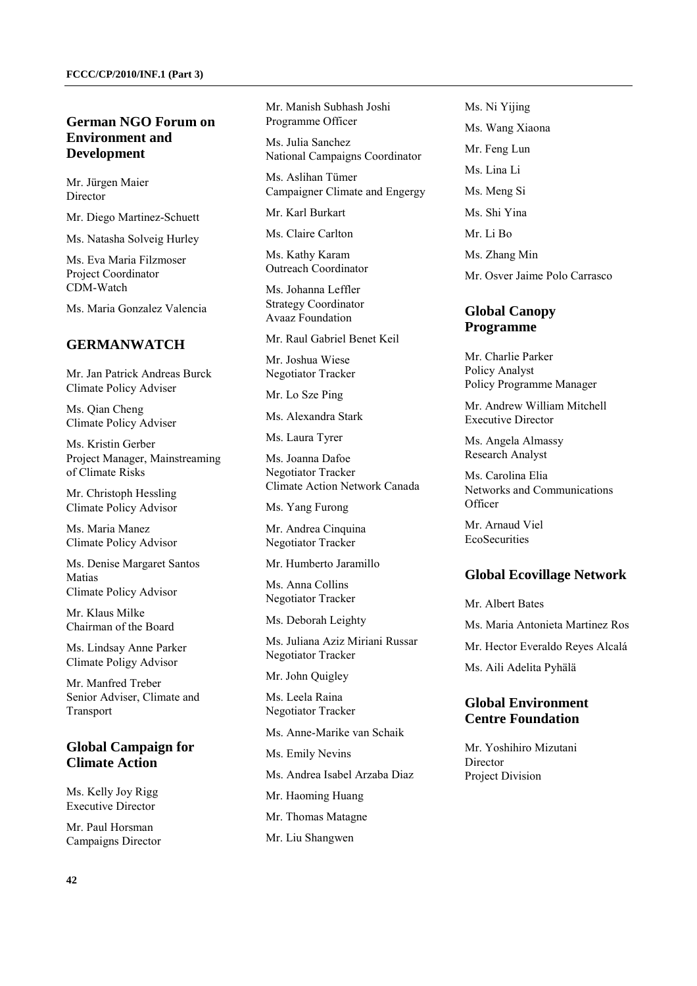# **German NGO Forum on Environment and Development**

Mr. Jürgen Maier Director

Mr. Diego Martinez-Schuett

Ms. Natasha Solveig Hurley

Ms. Eva Maria Filzmoser Project Coordinator CDM-Watch

Ms. Maria Gonzalez Valencia

#### **GERMANWATCH**

Mr. Jan Patrick Andreas Burck Climate Policy Adviser

Ms. Qian Cheng Climate Policy Adviser

Ms. Kristin Gerber Project Manager, Mainstreaming of Climate Risks

Mr. Christoph Hessling Climate Policy Advisor

Ms. Maria Manez Climate Policy Advisor

Ms. Denise Margaret Santos Matias Climate Policy Advisor

Mr. Klaus Milke Chairman of the Board

Ms. Lindsay Anne Parker Climate Poligy Advisor

Mr. Manfred Treber Senior Adviser, Climate and Transport

## **Global Campaign for Climate Action**

Ms. Kelly Joy Rigg Executive Director

Mr. Paul Horsman Campaigns Director Ms. Julia Sanchez National Campaigns Coordinator

Ms. Aslihan Tümer Campaigner Climate and Engergy

Mr. Karl Burkart

Ms. Claire Carlton

Ms. Kathy Karam Outreach Coordinator

Ms. Johanna Leffler Strategy Coordinator Avaaz Foundation

Mr. Raul Gabriel Benet Keil

Mr. Joshua Wiese Negotiator Tracker

Mr. Lo Sze Ping

Ms. Alexandra Stark

Ms. Laura Tyrer

Ms. Joanna Dafoe Negotiator Tracker Climate Action Network Canada

Ms. Yang Furong

Mr. Andrea Cinquina Negotiator Tracker

Mr. Humberto Jaramillo

Ms. Anna Collins Negotiator Tracker

Ms. Deborah Leighty

Ms. Juliana Aziz Miriani Russar Negotiator Tracker

Mr. John Quigley

Ms. Leela Raina Negotiator Tracker

Ms. Anne-Marike van Schaik

Ms. Emily Nevins

Ms. Andrea Isabel Arzaba Diaz

Mr. Haoming Huang

Mr. Thomas Matagne

Mr. Liu Shangwen

Ms. Ni Yijing Ms. Wang Xiaona Mr. Feng Lun Ms. Lina Li Ms. Meng Si Ms. Shi Yina Mr. Li Bo Ms. Zhang Min

Mr. Osver Jaime Polo Carrasco

## **Global Canopy Programme**

Mr. Charlie Parker Policy Analyst Policy Programme Manager

Mr. Andrew William Mitchell Executive Director

Ms. Angela Almassy Research Analyst

Ms. Carolina Elia Networks and Communications **Officer** 

Mr. Arnaud Viel **EcoSecurities** 

#### **Global Ecovillage Network**

Mr. Albert Bates Ms. Maria Antonieta Martinez Ros Mr. Hector Everaldo Reyes Alcalá Ms. Aili Adelita Pyhälä

## **Global Environment Centre Foundation**

Mr. Yoshihiro Mizutani Director Project Division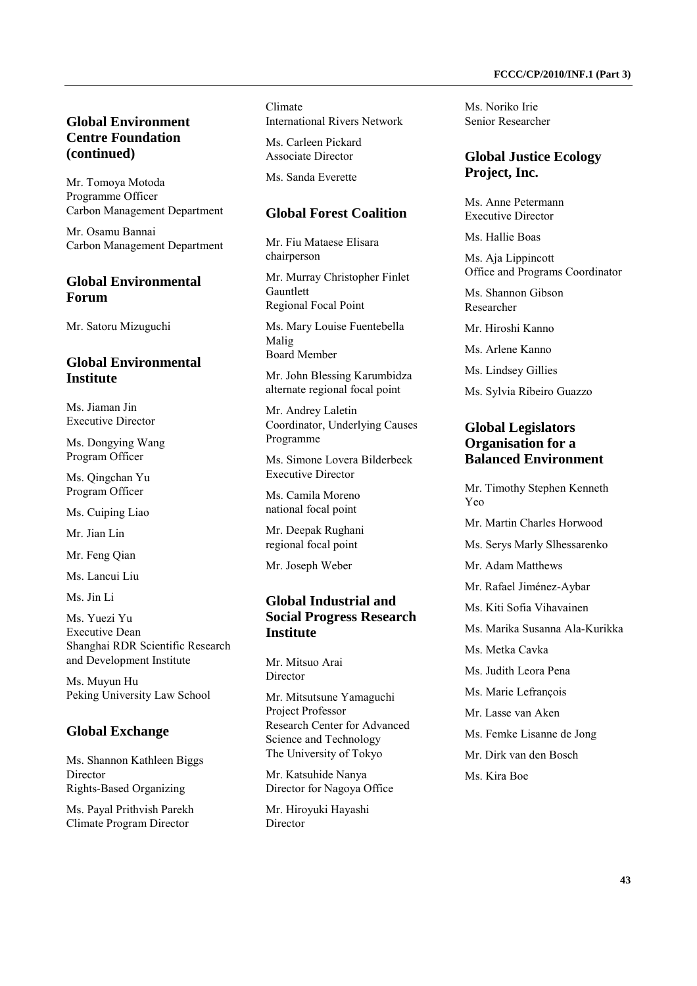# **Global Environment Centre Foundation (continued)**

Mr. Tomoya Motoda Programme Officer Carbon Management Department

Mr. Osamu Bannai Carbon Management Department

# **Global Environmental Forum**

Mr. Satoru Mizuguchi

#### **Global Environmental Institute**

Ms. Jiaman Jin Executive Director

Ms. Dongying Wang Program Officer

Ms. Qingchan Yu Program Officer

Ms. Cuiping Liao

Mr. Jian Lin

Mr. Feng Qian

Ms. Lancui Liu

Ms. Iin Li

Ms. Yuezi Yu Executive Dean Shanghai RDR Scientific Research and Development Institute

Ms. Muyun Hu Peking University Law School

#### **Global Exchange**

Ms. Shannon Kathleen Biggs Director Rights-Based Organizing

Ms. Payal Prithvish Parekh Climate Program Director

Climate International Rivers Network

Ms. Carleen Pickard Associate Director

Ms. Sanda Everette

## **Global Forest Coalition**

Mr. Fiu Mataese Elisara chairperson

Mr. Murray Christopher Finlet Gauntlett Regional Focal Point

Ms. Mary Louise Fuentebella Malig Board Member

Mr. John Blessing Karumbidza alternate regional focal point

Mr. Andrey Laletin Coordinator, Underlying Causes Programme

Ms. Simone Lovera Bilderbeek Executive Director

Ms. Camila Moreno national focal point

Mr. Deepak Rughani regional focal point

Mr. Joseph Weber

# **Global Industrial and Social Progress Research Institute**

Mr. Mitsuo Arai Director

Mr. Mitsutsune Yamaguchi Project Professor Research Center for Advanced Science and Technology The University of Tokyo

Mr. Katsuhide Nanya Director for Nagoya Office

Mr. Hiroyuki Hayashi Director

Ms. Noriko Irie Senior Researcher

#### **Global Justice Ecology Project, Inc.**

Ms. Anne Petermann Executive Director

Ms. Hallie Boas

Ms. Aja Lippincott Office and Programs Coordinator

Ms. Shannon Gibson Researcher

Mr. Hiroshi Kanno

Ms. Arlene Kanno

Ms. Lindsey Gillies

Ms. Sylvia Ribeiro Guazzo

#### **Global Legislators Organisation for a Balanced Environment**

Mr. Timothy Stephen Kenneth Yeo Mr. Martin Charles Horwood Ms. Serys Marly Slhessarenko Mr. Adam Matthews Mr. Rafael Jiménez-Aybar Ms. Kiti Sofia Vihavainen Ms. Marika Susanna Ala-Kurikka Ms. Metka Cavka Ms. Judith Leora Pena Ms. Marie Lefrançois Mr. Lasse van Aken Ms. Femke Lisanne de Jong Mr. Dirk van den Bosch Ms. Kira Boe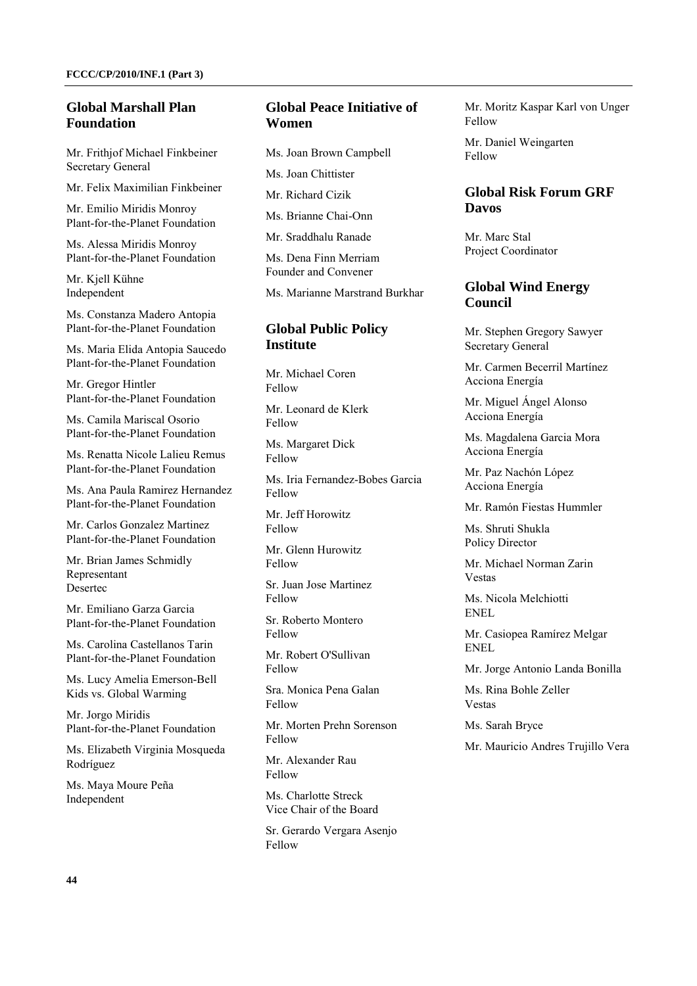## **Global Marshall Plan Foundation**

Mr. Frithjof Michael Finkbeiner Secretary General

Mr. Felix Maximilian Finkbeiner

Mr. Emilio Miridis Monroy Plant-for-the-Planet Foundation

Ms. Alessa Miridis Monroy Plant-for-the-Planet Foundation

Mr. Kjell Kühne Independent

Ms. Constanza Madero Antopia Plant-for-the-Planet Foundation

Ms. Maria Elida Antopia Saucedo Plant-for-the-Planet Foundation

Mr. Gregor Hintler Plant-for-the-Planet Foundation

Ms. Camila Mariscal Osorio Plant-for-the-Planet Foundation

Ms. Renatta Nicole Lalieu Remus Plant-for-the-Planet Foundation

Ms. Ana Paula Ramirez Hernandez Plant-for-the-Planet Foundation

Mr. Carlos Gonzalez Martinez Plant-for-the-Planet Foundation

Mr. Brian James Schmidly Representant Desertec

Mr. Emiliano Garza Garcia Plant-for-the-Planet Foundation

Ms. Carolina Castellanos Tarin Plant-for-the-Planet Foundation

Ms. Lucy Amelia Emerson-Bell Kids vs. Global Warming

Mr. Jorgo Miridis Plant-for-the-Planet Foundation

Ms. Elizabeth Virginia Mosqueda Rodríguez

Ms. Maya Moure Peña Independent

# **Global Peace Initiative of Women**

Ms. Joan Brown Campbell

Ms. Joan Chittister

Mr. Richard Cizik

Ms. Brianne Chai-Onn

Mr. Sraddhalu Ranade

Ms. Dena Finn Merriam Founder and Convener

Ms. Marianne Marstrand Burkhar

#### **Global Public Policy Institute**

Mr. Michael Coren Fellow

Mr. Leonard de Klerk Fellow

Ms. Margaret Dick Fellow

Ms. Iria Fernandez-Bobes Garcia Fellow

Mr. Jeff Horowitz Fellow

Mr. Glenn Hurowitz Fellow

Sr. Juan Jose Martinez Fellow

Sr. Roberto Montero Fellow

Mr. Robert O'Sullivan Fellow

Sra. Monica Pena Galan Fellow

Mr. Morten Prehn Sorenson Fellow

Mr. Alexander Rau Fellow

Ms. Charlotte Streck Vice Chair of the Board

Sr. Gerardo Vergara Asenjo Fellow

Mr. Moritz Kaspar Karl von Unger Fellow

Mr. Daniel Weingarten Fellow

## **Global Risk Forum GRF Davos**

Mr. Marc Stal Project Coordinator

#### **Global Wind Energy Council**

Mr. Stephen Gregory Sawyer Secretary General

Mr. Carmen Becerril Martínez Acciona Energía

Mr. Miguel Ángel Alonso Acciona Energía

Ms. Magdalena Garcia Mora Acciona Energía

Mr. Paz Nachón López Acciona Energía

Mr. Ramón Fiestas Hummler

Ms. Shruti Shukla Policy Director

Mr. Michael Norman Zarin Vestas

Ms. Nicola Melchiotti ENEL

Mr. Casiopea Ramírez Melgar ENEL

Mr. Jorge Antonio Landa Bonilla

Ms. Rina Bohle Zeller Vestas

Ms. Sarah Bryce

Mr. Mauricio Andres Trujillo Vera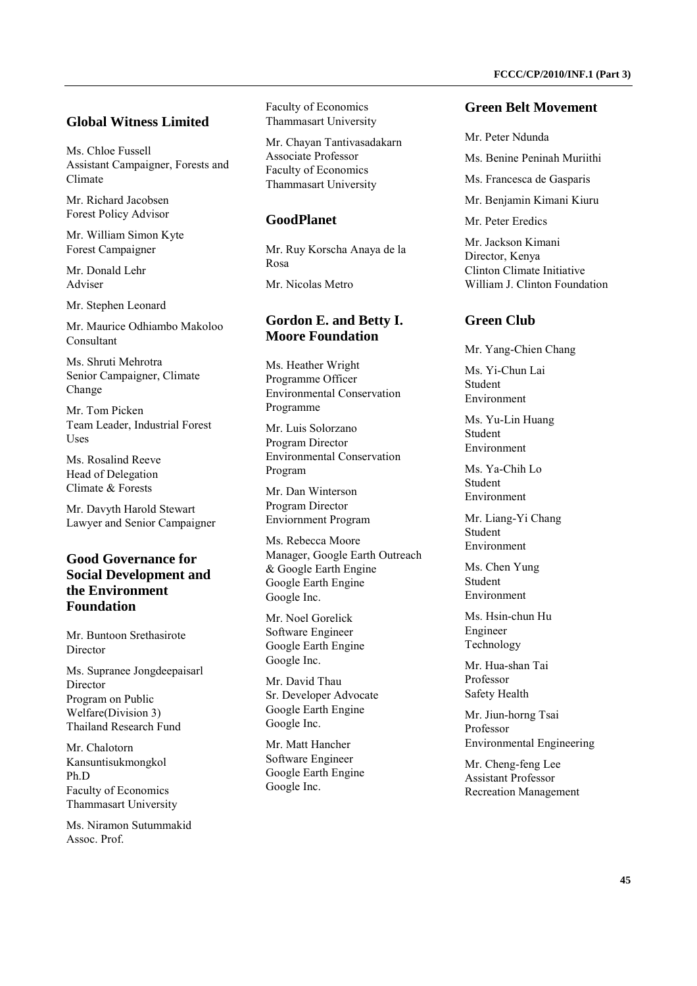#### **Global Witness Limited**

Ms. Chloe Fussell Assistant Campaigner, Forests and Climate

Mr. Richard Jacobsen Forest Policy Advisor

Mr. William Simon Kyte Forest Campaigner

Mr. Donald Lehr Adviser

Mr. Stephen Leonard

Mr. Maurice Odhiambo Makoloo Consultant

Ms. Shruti Mehrotra Senior Campaigner, Climate Change

Mr. Tom Picken Team Leader, Industrial Forest Uses

Ms. Rosalind Reeve Head of Delegation Climate & Forests

Mr. Davyth Harold Stewart Lawyer and Senior Campaigner

# **Good Governance for Social Development and the Environment Foundation**

Mr. Buntoon Srethasirote Director

Ms. Supranee Jongdeepaisarl Director Program on Public Welfare(Division 3) Thailand Research Fund

Mr. Chalotorn Kansuntisukmongkol Ph.D Faculty of Economics Thammasart University

Ms. Niramon Sutummakid Assoc. Prof.

Faculty of Economics Thammasart University

Mr. Chayan Tantivasadakarn Associate Professor Faculty of Economics Thammasart University

#### **GoodPlanet**

Mr. Ruy Korscha Anaya de la Rosa Mr. Nicolas Metro

## **Gordon E. and Betty I. Moore Foundation**

Ms. Heather Wright Programme Officer Environmental Conservation Programme

Mr. Luis Solorzano Program Director Environmental Conservation Program

Mr. Dan Winterson Program Director Enviornment Program

Ms. Rebecca Moore Manager, Google Earth Outreach & Google Earth Engine Google Earth Engine Google Inc.

Mr. Noel Gorelick Software Engineer Google Earth Engine Google Inc.

Mr. David Thau Sr. Developer Advocate Google Earth Engine Google Inc.

Mr. Matt Hancher Software Engineer Google Earth Engine Google Inc.

#### **Green Belt Movement**

Mr. Peter Ndunda

- Ms. Benine Peninah Muriithi
- Ms. Francesca de Gasparis
- Mr. Benjamin Kimani Kiuru

Mr. Peter Eredics

Mr. Jackson Kimani Director, Kenya Clinton Climate Initiative William J. Clinton Foundation

# **Green Club**

Mr. Yang-Chien Chang

Ms. Yi-Chun Lai Student Environment

Ms. Yu-Lin Huang Student Environment

Ms. Ya-Chih Lo Student Environment

Mr. Liang-Yi Chang Student Environment

Ms. Chen Yung Student Environment

Ms. Hsin-chun Hu Engineer Technology

Mr. Hua-shan Tai Professor Safety Health

Mr. Jiun-horng Tsai Professor Environmental Engineering

Mr. Cheng-feng Lee Assistant Professor Recreation Management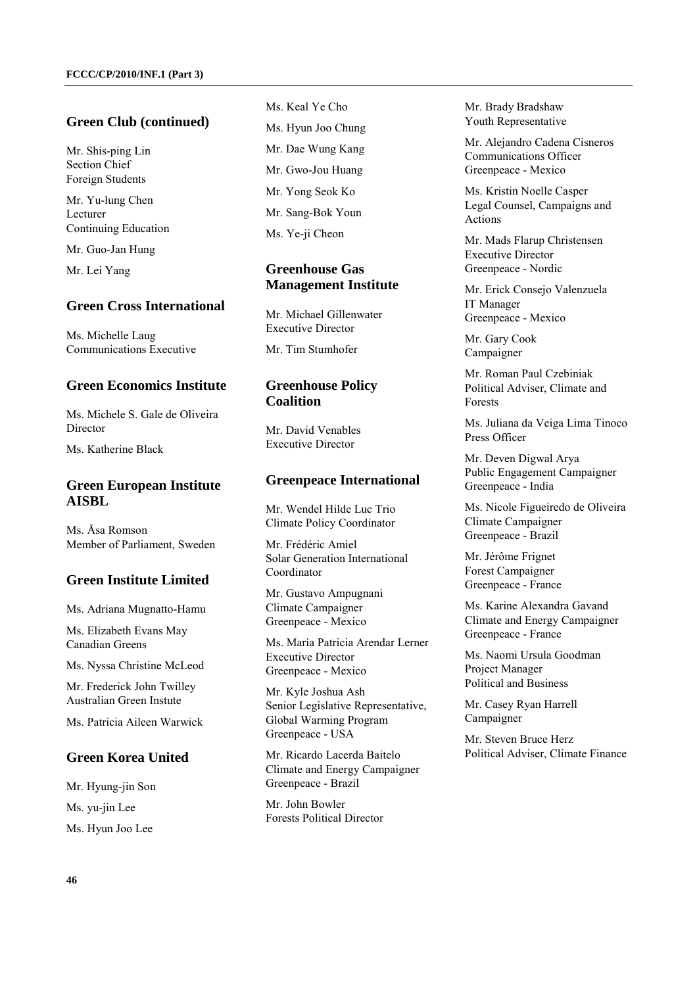#### **Green Club (continued)**

Mr. Shis-ping Lin Section Chief Foreign Students

Mr. Yu-lung Chen Lecturer Continuing Education

Mr. Guo-Jan Hung

Mr. Lei Yang

# **Green Cross International**

Ms. Michelle Laug Communications Executive

#### **Green Economics Institute**

Ms. Michele S. Gale de Oliveira Director

Ms. Katherine Black

#### **Green European Institute AISBL**

Ms. Åsa Romson Member of Parliament, Sweden

#### **Green Institute Limited**

Ms. Adriana Mugnatto-Hamu

Ms. Elizabeth Evans May Canadian Greens

Ms. Nyssa Christine McLeod

Mr. Frederick John Twilley Australian Green Instute

Ms. Patricia Aileen Warwick

#### **Green Korea United**

Mr. Hyung-jin Son Ms. yu-jin Lee Ms. Hyun Joo Lee

Ms. Keal Ye Cho Ms. Hyun Joo Chung Mr. Dae Wung Kang Mr. Gwo-Jou Huang Mr. Yong Seok Ko Mr. Sang-Bok Youn Ms. Ye-ji Cheon

#### **Greenhouse Gas Management Institute**

Mr. Michael Gillenwater Executive Director

Mr. Tim Stumhofer

#### **Greenhouse Policy Coalition**

Mr. David Venables Executive Director

#### **Greenpeace International**

Mr. Wendel Hilde Luc Trio Climate Policy Coordinator

Mr. Frédéric Amiel Solar Generation International Coordinator

Mr. Gustavo Ampugnani Climate Campaigner Greenpeace - Mexico

Ms. María Patricia Arendar Lerner Executive Director Greenpeace - Mexico

Mr. Kyle Joshua Ash Senior Legislative Representative, Global Warming Program Greenpeace - USA

Mr. Ricardo Lacerda Baitelo Climate and Energy Campaigner Greenpeace - Brazil

Mr. John Bowler Forests Political Director Mr. Brady Bradshaw Youth Representative

Mr. Alejandro Cadena Cisneros Communications Officer Greenpeace - Mexico

Ms. Kristin Noelle Casper Legal Counsel, Campaigns and Actions

Mr. Mads Flarup Christensen Executive Director Greenpeace - Nordic

Mr. Erick Consejo Valenzuela IT Manager Greenpeace - Mexico

Mr. Gary Cook Campaigner

Mr. Roman Paul Czebiniak Political Adviser, Climate and Forests

Ms. Juliana da Veiga Lima Tinoco Press Officer

Mr. Deven Digwal Arya Public Engagement Campaigner Greenpeace - India

Ms. Nicole Figueiredo de Oliveira Climate Campaigner Greenpeace - Brazil

Mr. Jérôme Frignet Forest Campaigner Greenpeace - France

Ms. Karine Alexandra Gavand Climate and Energy Campaigner Greenpeace - France

Ms. Naomi Ursula Goodman Project Manager Political and Business

Mr. Casey Ryan Harrell Campaigner

Mr. Steven Bruce Herz Political Adviser, Climate Finance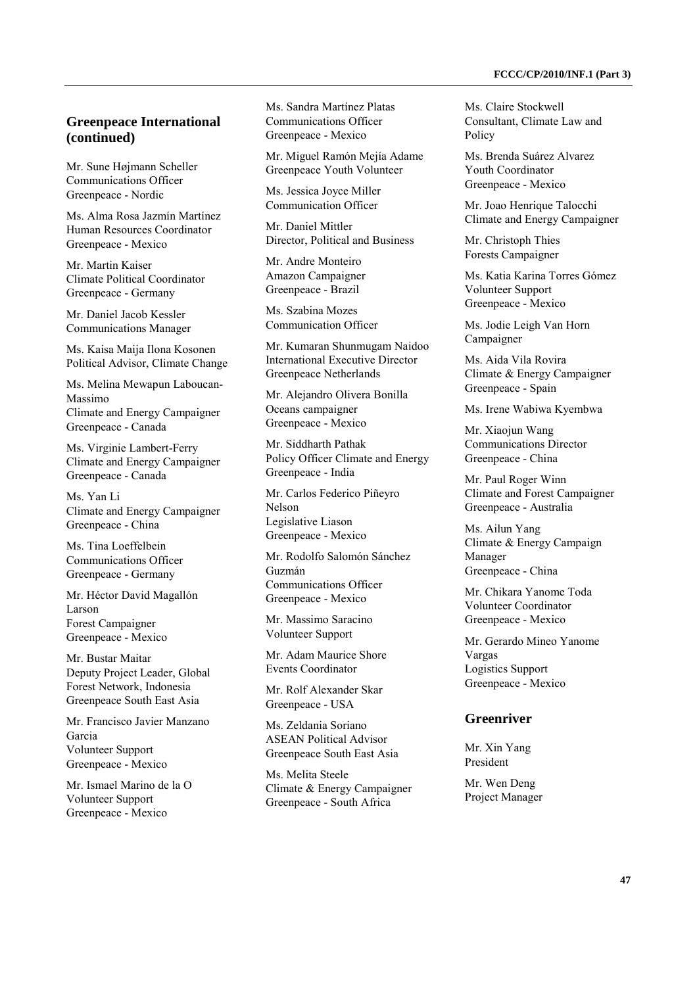#### **Greenpeace International (continued)**

Mr. Sune Højmann Scheller Communications Officer Greenpeace - Nordic

Ms. Alma Rosa Jazmín Martínez Human Resources Coordinator Greenpeace - Mexico

Mr. Martin Kaiser Climate Political Coordinator Greenpeace - Germany

Mr. Daniel Jacob Kessler Communications Manager

Ms. Kaisa Maija Ilona Kosonen Political Advisor, Climate Change

Ms. Melina Mewapun Laboucan-Massimo Climate and Energy Campaigner Greenpeace - Canada

Ms. Virginie Lambert-Ferry Climate and Energy Campaigner Greenpeace - Canada

Ms. Yan Li Climate and Energy Campaigner Greenpeace - China

Ms. Tina Loeffelbein Communications Officer Greenpeace - Germany

Mr. Héctor David Magallón Larson Forest Campaigner Greenpeace - Mexico

Mr. Bustar Maitar Deputy Project Leader, Global Forest Network, Indonesia Greenpeace South East Asia

Mr. Francisco Javier Manzano Garcia Volunteer Support Greenpeace - Mexico

Mr. Ismael Marino de la O Volunteer Support Greenpeace - Mexico

Ms. Sandra Martínez Platas Communications Officer Greenpeace - Mexico

Mr. Miguel Ramón Mejía Adame Greenpeace Youth Volunteer

Ms. Jessica Joyce Miller Communication Officer

Mr. Daniel Mittler Director, Political and Business

Mr. Andre Monteiro Amazon Campaigner Greenpeace - Brazil

Ms. Szabina Mozes Communication Officer

Mr. Kumaran Shunmugam Naidoo International Executive Director Greenpeace Netherlands

Mr. Alejandro Olivera Bonilla Oceans campaigner Greenpeace - Mexico

Mr. Siddharth Pathak Policy Officer Climate and Energy Greenpeace - India

Mr. Carlos Federico Piñeyro Nelson Legislative Liason Greenpeace - Mexico

Mr. Rodolfo Salomón Sánchez Guzmán Communications Officer Greenpeace - Mexico

Mr. Massimo Saracino Volunteer Support

Mr. Adam Maurice Shore Events Coordinator

Mr. Rolf Alexander Skar Greenpeace - USA

Ms. Zeldania Soriano ASEAN Political Advisor Greenpeace South East Asia

Ms. Melita Steele Climate & Energy Campaigner Greenpeace - South Africa

Ms. Claire Stockwell Consultant, Climate Law and Policy

Ms. Brenda Suárez Alvarez Youth Coordinator Greenpeace - Mexico

Mr. Joao Henrique Talocchi Climate and Energy Campaigner

Mr. Christoph Thies Forests Campaigner

Ms. Katia Karina Torres Gómez Volunteer Support Greenpeace - Mexico

Ms. Jodie Leigh Van Horn Campaigner

Ms. Aida Vila Rovira Climate & Energy Campaigner Greenpeace - Spain

Ms. Irene Wabiwa Kyembwa

Mr. Xiaojun Wang Communications Director Greenpeace - China

Mr. Paul Roger Winn Climate and Forest Campaigner Greenpeace - Australia

Ms. Ailun Yang Climate & Energy Campaign Manager Greenpeace - China

Mr. Chikara Yanome Toda Volunteer Coordinator Greenpeace - Mexico

Mr. Gerardo Mineo Yanome Vargas Logistics Support Greenpeace - Mexico

# **Greenriver**

Mr. Xin Yang President

Mr. Wen Deng Project Manager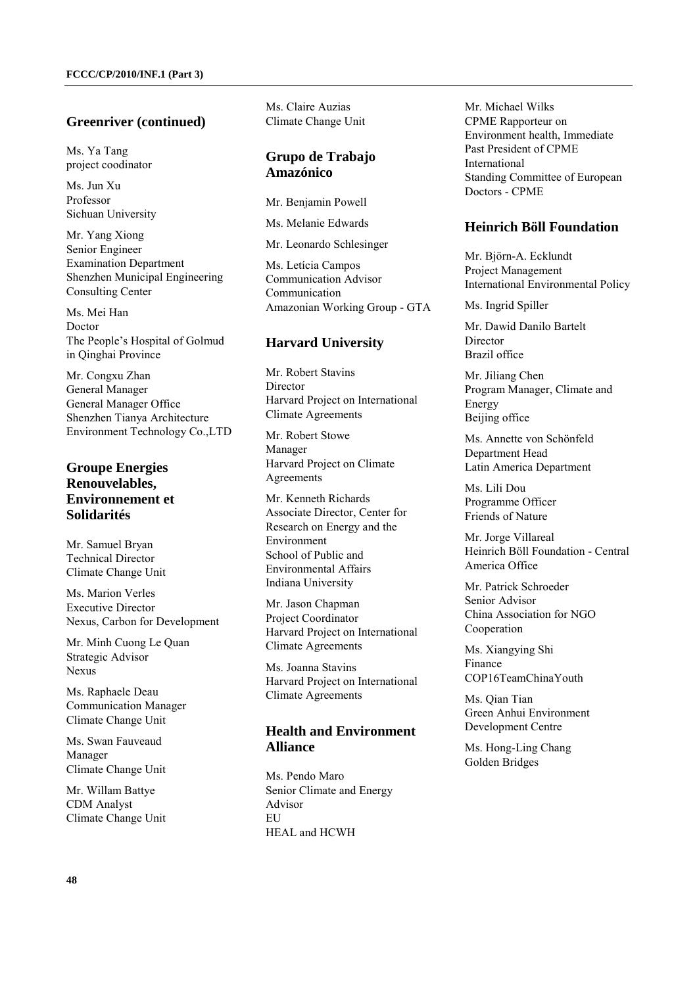#### **Greenriver (continued)**

Ms. Ya Tang project coodinator

Ms. Jun Xu Professor Sichuan University

Mr. Yang Xiong Senior Engineer Examination Department Shenzhen Municipal Engineering Consulting Center

Ms. Mei Han Doctor The People's Hospital of Golmud in Qinghai Province

Mr. Congxu Zhan General Manager General Manager Office Shenzhen Tianya Architecture Environment Technology Co.,LTD

# **Groupe Energies Renouvelables, Environnement et Solidarités**

Mr. Samuel Bryan Technical Director Climate Change Unit

Ms. Marion Verles Executive Director Nexus, Carbon for Development

Mr. Minh Cuong Le Quan Strategic Advisor Nexus

Ms. Raphaele Deau Communication Manager Climate Change Unit

Ms. Swan Fauveaud Manager Climate Change Unit

Mr. Willam Battye CDM Analyst Climate Change Unit

Ms. Claire Auzias Climate Change Unit

#### **Grupo de Trabajo Amazónico**

Mr. Benjamin Powell

Ms. Melanie Edwards

Mr. Leonardo Schlesinger

Ms. Letícia Campos Communication Advisor Communication Amazonian Working Group - GTA

#### **Harvard University**

Mr. Robert Stavins Director Harvard Project on International Climate Agreements

Mr. Robert Stowe Manager Harvard Project on Climate Agreements

Mr. Kenneth Richards Associate Director, Center for Research on Energy and the Environment School of Public and Environmental Affairs Indiana University

Mr. Jason Chapman Project Coordinator Harvard Project on International Climate Agreements

Ms. Joanna Stavins Harvard Project on International Climate Agreements

# **Health and Environment Alliance**

Ms. Pendo Maro Senior Climate and Energy Advisor **EU** HEAL and HCWH

Mr. Michael Wilks CPME Rapporteur on Environment health, Immediate Past President of CPME International Standing Committee of European Doctors - CPME

#### **Heinrich Böll Foundation**

Mr. Björn-A. Ecklundt Project Management International Environmental Policy

Ms. Ingrid Spiller

Mr. Dawid Danilo Bartelt **Director** Brazil office

Mr. Jiliang Chen Program Manager, Climate and Energy Beijing office

Ms. Annette von Schönfeld Department Head Latin America Department

Ms. Lili Dou Programme Officer Friends of Nature

Mr. Jorge Villareal Heinrich Böll Foundation - Central America Office

Mr. Patrick Schroeder Senior Advisor China Association for NGO Cooperation

Ms. Xiangying Shi Finance COP16TeamChinaYouth

Ms. Qian Tian Green Anhui Environment Development Centre

Ms. Hong-Ling Chang Golden Bridges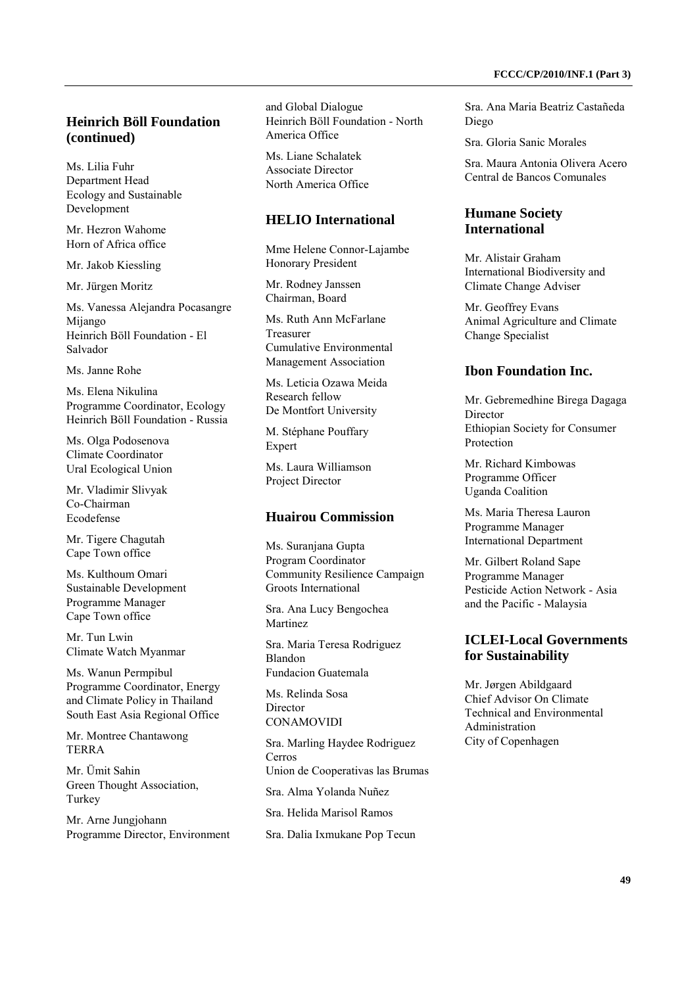# **Heinrich Böll Foundation (continued)**

Ms. Lilia Fuhr Department Head Ecology and Sustainable Development

Mr. Hezron Wahome Horn of Africa office

Mr. Jakob Kiessling

Mr. Jürgen Moritz

Ms. Vanessa Alejandra Pocasangre Mijango Heinrich Böll Foundation - El Salvador

Ms. Janne Rohe

Ms. Elena Nikulina Programme Coordinator, Ecology Heinrich Böll Foundation - Russia

Ms. Olga Podosenova Climate Coordinator Ural Ecological Union

Mr. Vladimir Slivyak Co-Chairman Ecodefense

Mr. Tigere Chagutah Cape Town office

Ms. Kulthoum Omari Sustainable Development Programme Manager Cape Town office

Mr. Tun Lwin Climate Watch Myanmar

Ms. Wanun Permpibul Programme Coordinator, Energy and Climate Policy in Thailand South East Asia Regional Office

Mr. Montree Chantawong TERRA

Mr. Ümit Sahin Green Thought Association, Turkey

Mr. Arne Jungjohann Programme Director, Environment and Global Dialogue Heinrich Böll Foundation - North America Office

Ms. Liane Schalatek Associate Director North America Office

#### **HELIO International**

Mme Helene Connor-Lajambe Honorary President

Mr. Rodney Janssen Chairman, Board

Ms. Ruth Ann McFarlane Treasurer Cumulative Environmental Management Association

Ms. Leticia Ozawa Meida Research fellow De Montfort University

M. Stéphane Pouffary Expert

Ms. Laura Williamson Project Director

#### **Huairou Commission**

Ms. Suranjana Gupta Program Coordinator Community Resilience Campaign Groots International

Sra. Ana Lucy Bengochea Martinez

Sra. Maria Teresa Rodriguez Blandon Fundacion Guatemala

Ms. Relinda Sosa **Director** CONAMOVIDI

Sra. Marling Haydee Rodriguez Cerros Union de Cooperativas las Brumas Sra. Alma Yolanda Nuñez Sra. Helida Marisol Ramos

Sra. Dalia Ixmukane Pop Tecun

Sra. Ana Maria Beatriz Castañeda Diego

Sra. Gloria Sanic Morales

Sra. Maura Antonia Olivera Acero Central de Bancos Comunales

#### **Humane Society International**

Mr. Alistair Graham International Biodiversity and Climate Change Adviser

Mr. Geoffrey Evans Animal Agriculture and Climate Change Specialist

#### **Ibon Foundation Inc.**

Mr. Gebremedhine Birega Dagaga Director Ethiopian Society for Consumer Protection

Mr. Richard Kimbowas Programme Officer Uganda Coalition

Ms. Maria Theresa Lauron Programme Manager International Department

Mr. Gilbert Roland Sape Programme Manager Pesticide Action Network - Asia and the Pacific - Malaysia

## **ICLEI-Local Governments for Sustainability**

Mr. Jørgen Abildgaard Chief Advisor On Climate Technical and Environmental Administration City of Copenhagen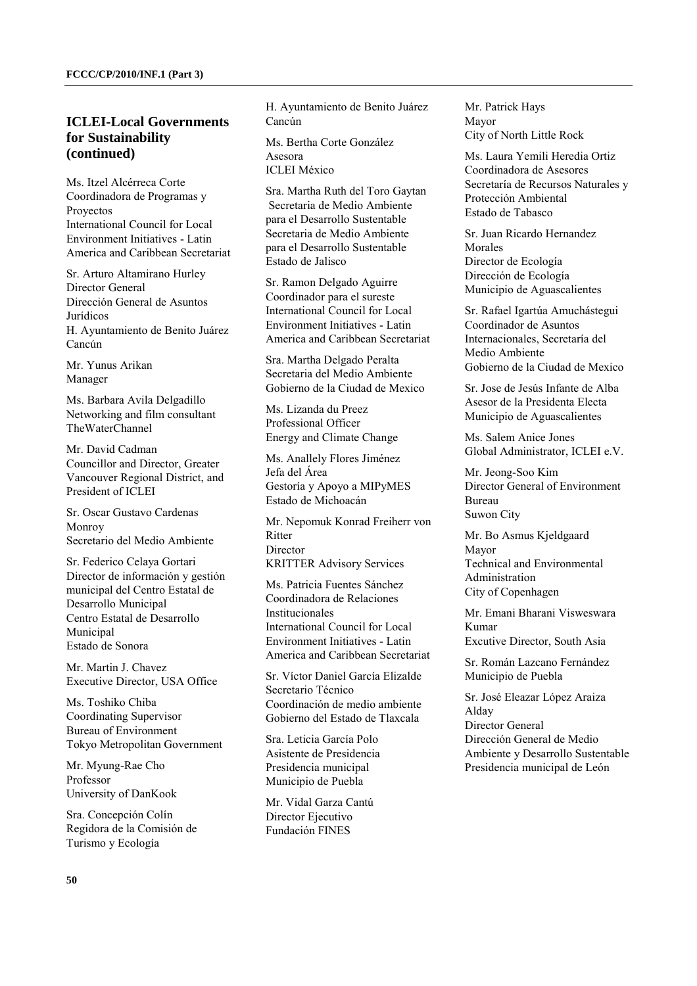## **ICLEI-Local Governments for Sustainability (continued)**

Ms. Itzel Alcérreca Corte Coordinadora de Programas y Proyectos International Council for Local Environment Initiatives - Latin America and Caribbean Secretariat

Sr. Arturo Altamirano Hurley Director General Dirección General de Asuntos Jurídicos H. Ayuntamiento de Benito Juárez Cancún

Mr. Yunus Arikan Manager

Ms. Barbara Avila Delgadillo Networking and film consultant TheWaterChannel

Mr. David Cadman Councillor and Director, Greater Vancouver Regional District, and President of ICLEI

Sr. Oscar Gustavo Cardenas Monroy Secretario del Medio Ambiente

Sr. Federico Celaya Gortari Director de información y gestión municipal del Centro Estatal de Desarrollo Municipal Centro Estatal de Desarrollo Municipal Estado de Sonora

Mr. Martin J. Chavez Executive Director, USA Office

Ms. Toshiko Chiba Coordinating Supervisor Bureau of Environment Tokyo Metropolitan Government

Mr. Myung-Rae Cho Professor University of DanKook

Sra. Concepción Colín Regidora de la Comisión de Turismo y Ecología

H. Ayuntamiento de Benito Juárez Cancún

Ms. Bertha Corte González Asesora ICLEI México

Sra. Martha Ruth del Toro Gaytan Secretaria de Medio Ambiente para el Desarrollo Sustentable Secretaria de Medio Ambiente para el Desarrollo Sustentable Estado de Jalisco

Sr. Ramon Delgado Aguirre Coordinador para el sureste International Council for Local Environment Initiatives - Latin America and Caribbean Secretariat

Sra. Martha Delgado Peralta Secretaria del Medio Ambiente Gobierno de la Ciudad de Mexico

Ms. Lizanda du Preez Professional Officer Energy and Climate Change

Ms. Anallely Flores Jiménez Jefa del Área Gestoría y Apoyo a MIPyMES Estado de Michoacán

Mr. Nepomuk Konrad Freiherr von **Ritter Director** KRITTER Advisory Services

Ms. Patricia Fuentes Sánchez Coordinadora de Relaciones Institucionales International Council for Local Environment Initiatives - Latin America and Caribbean Secretariat

Sr. Víctor Daniel García Elizalde Secretario Técnico Coordinación de medio ambiente Gobierno del Estado de Tlaxcala

Sra. Leticia García Polo Asistente de Presidencia Presidencia municipal Municipio de Puebla

Mr. Vidal Garza Cantú Director Ejecutivo Fundación FINES

Mr. Patrick Hays Mayor City of North Little Rock

Ms. Laura Yemili Heredia Ortiz Coordinadora de Asesores Secretaría de Recursos Naturales y Protección Ambiental Estado de Tabasco

Sr. Juan Ricardo Hernandez Morales Director de Ecología Dirección de Ecología Municipio de Aguascalientes

Sr. Rafael Igartúa Amuchástegui Coordinador de Asuntos Internacionales, Secretaría del Medio Ambiente Gobierno de la Ciudad de Mexico

Sr. Jose de Jesús Infante de Alba Asesor de la Presidenta Electa Municipio de Aguascalientes

Ms. Salem Anice Jones Global Administrator, ICLEI e.V.

Mr. Jeong-Soo Kim Director General of Environment Bureau Suwon City

Mr. Bo Asmus Kjeldgaard Mayor Technical and Environmental Administration City of Copenhagen

Mr. Emani Bharani Visweswara Kumar Excutive Director, South Asia

Sr. Román Lazcano Fernández Municipio de Puebla

Sr. José Eleazar López Araiza Alday Director General Dirección General de Medio Ambiente y Desarrollo Sustentable Presidencia municipal de León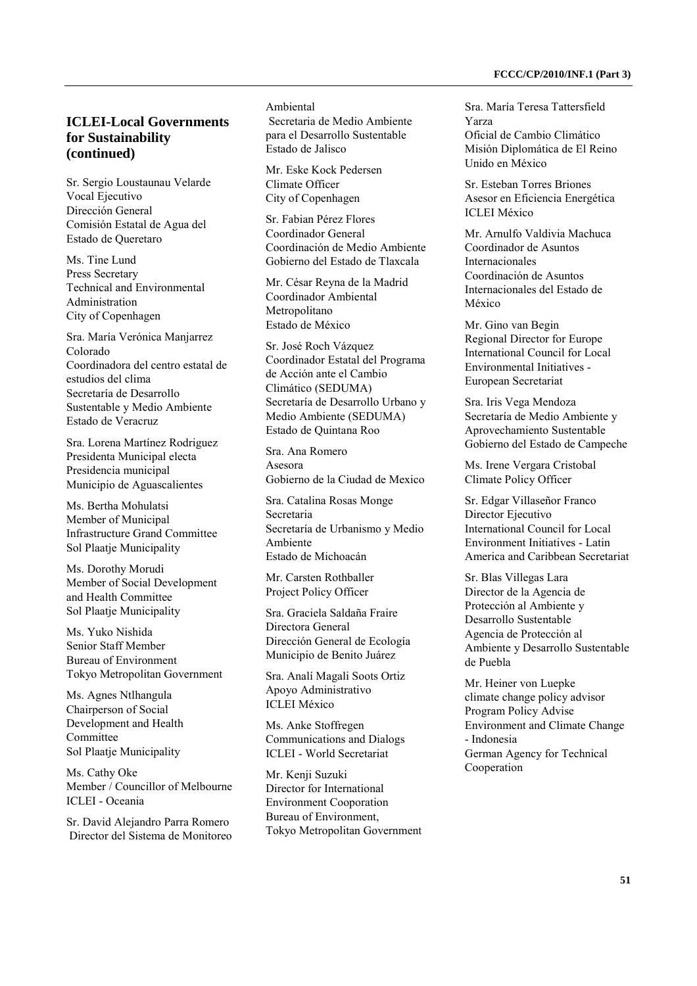# **ICLEI-Local Governments for Sustainability (continued)**

Sr. Sergio Loustaunau Velarde Vocal Ejecutivo Dirección General Comisión Estatal de Agua del Estado de Queretaro

Ms. Tine Lund Press Secretary Technical and Environmental Administration City of Copenhagen

Sra. María Verónica Manjarrez Colorado Coordinadora del centro estatal de estudios del clima Secretaría de Desarrollo Sustentable y Medio Ambiente Estado de Veracruz

Sra. Lorena Martínez Rodriguez Presidenta Municipal electa Presidencia municipal Municipio de Aguascalientes

Ms. Bertha Mohulatsi Member of Municipal Infrastructure Grand Committee Sol Plaatje Municipality

Ms. Dorothy Morudi Member of Social Development and Health Committee Sol Plaatje Municipality

Ms. Yuko Nishida Senior Staff Member Bureau of Environment Tokyo Metropolitan Government

Ms. Agnes Ntlhangula Chairperson of Social Development and Health **Committee** Sol Plaatje Municipality

Ms. Cathy Oke Member / Councillor of Melbourne ICLEI - Oceania

Sr. David Alejandro Parra Romero Director del Sistema de Monitoreo Ambiental Secretaria de Medio Ambiente para el Desarrollo Sustentable Estado de Jalisco

Mr. Eske Kock Pedersen Climate Officer City of Copenhagen

Sr. Fabian Pérez Flores Coordinador General Coordinación de Medio Ambiente Gobierno del Estado de Tlaxcala

Mr. César Reyna de la Madrid Coordinador Ambiental Metropolitano Estado de México

Sr. José Roch Vázquez Coordinador Estatal del Programa de Acción ante el Cambio Climático (SEDUMA) Secretaría de Desarrollo Urbano y Medio Ambiente (SEDUMA) Estado de Quintana Roo

Sra. Ana Romero Asesora Gobierno de la Ciudad de Mexico

Sra. Catalina Rosas Monge Secretaria Secretaría de Urbanismo y Medio Ambiente Estado de Michoacán

Mr. Carsten Rothballer Project Policy Officer

Sra. Graciela Saldaña Fraire Directora General Dirección General de Ecología Municipio de Benito Juárez

Sra. Analí Magali Soots Ortiz Apoyo Administrativo ICLEI México

Ms. Anke Stoffregen Communications and Dialogs ICLEI - World Secretariat

Mr. Kenji Suzuki Director for International Environment Cooporation Bureau of Environment, Tokyo Metropolitan Government Sra. María Teresa Tattersfield Yarza Oficial de Cambio Climático Misión Diplomática de El Reino Unido en México

Sr. Esteban Torres Briones Asesor en Eficiencia Energética ICLEI México

Mr. Arnulfo Valdivia Machuca Coordinador de Asuntos Internacionales Coordinación de Asuntos Internacionales del Estado de México

Mr. Gino van Begin Regional Director for Europe International Council for Local Environmental Initiatives - European Secretariat

Sra. Iris Vega Mendoza Secretaría de Medio Ambiente y Aprovechamiento Sustentable Gobierno del Estado de Campeche

Ms. Irene Vergara Cristobal Climate Policy Officer

Sr. Edgar Villaseñor Franco Director Ejecutivo International Council for Local Environment Initiatives - Latin America and Caribbean Secretariat

Sr. Blas Villegas Lara Director de la Agencia de Protección al Ambiente y Desarrollo Sustentable Agencia de Protección al Ambiente y Desarrollo Sustentable de Puebla

Mr. Heiner von Luepke climate change policy advisor Program Policy Advise Environment and Climate Change - Indonesia German Agency for Technical Cooperation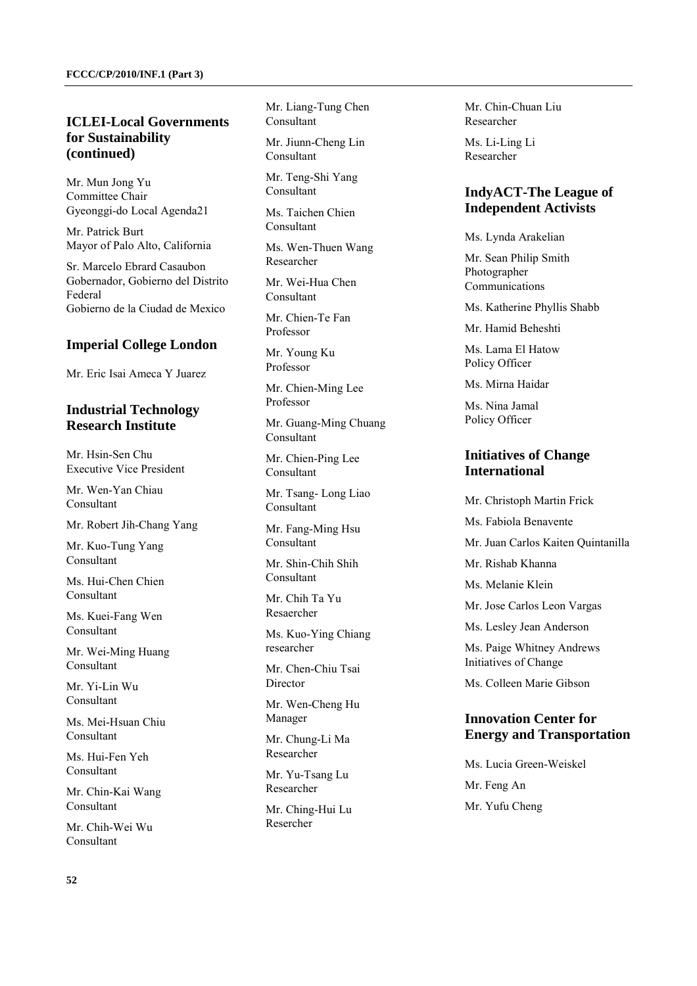# **ICLEI-Local Governments for Sustainability (continued)**

Mr. Mun Jong Yu Committee Chair Gyeonggi-do Local Agenda21

Mr. Patrick Burt Mayor of Palo Alto, California

Sr. Marcelo Ebrard Casaubon Gobernador, Gobierno del Distrito Federal Gobierno de la Ciudad de Mexico

#### **Imperial College London**

Mr. Eric Isai Ameca Y Juarez

#### **Industrial Technology Research Institute**

Mr. Hsin-Sen Chu Executive Vice President

Mr. Wen-Yan Chiau Consultant

Mr. Robert Jih-Chang Yang

Mr. Kuo-Tung Yang Consultant

Ms. Hui-Chen Chien Consultant

Ms. Kuei-Fang Wen Consultant

Mr. Wei-Ming Huang Consultant

Mr. Yi-Lin Wu Consultant

Ms. Mei-Hsuan Chiu Consultant

Ms. Hui-Fen Yeh Consultant

Mr. Chin-Kai Wang Consultant

Mr. Chih-Wei Wu Consultant

Mr. Liang-Tung Chen Consultant

Mr. Jiunn-Cheng Lin Consultant

Mr. Teng-Shi Yang Consultant

Ms. Taichen Chien Consultant

Ms. Wen-Thuen Wang Researcher

Mr. Wei-Hua Chen Consultant

Mr. Chien-Te Fan Professor

Mr. Young Ku Professor

Mr. Chien-Ming Lee Professor

Mr. Guang-Ming Chuang Consultant

Mr. Chien-Ping Lee Consultant

Mr. Tsang- Long Liao Consultant

Mr. Fang-Ming Hsu Consultant

Mr. Shin-Chih Shih Consultant

Mr. Chih Ta Yu Resaercher

Ms. Kuo-Ying Chiang researcher

Mr. Chen-Chiu Tsai Director

Mr. Wen-Cheng Hu Manager

Mr. Chung-Li Ma Researcher

Mr. Yu-Tsang Lu Researcher

Mr. Ching-Hui Lu Resercher

Mr. Chin-Chuan Liu Researcher

Ms. Li-Ling Li Researcher

## **IndyACT-The League of Independent Activists**

Ms. Lynda Arakelian

Mr. Sean Philip Smith Photographer Communications

Ms. Katherine Phyllis Shabb

Mr. Hamid Beheshti

Ms. Lama El Hatow Policy Officer

Ms. Mirna Haidar

Ms. Nina Jamal Policy Officer

# **Initiatives of Change International**

Mr. Christoph Martin Frick

Ms. Fabiola Benavente

Mr. Juan Carlos Kaiten Quintanilla

Mr. Rishab Khanna

Ms. Melanie Klein

Mr. Jose Carlos Leon Vargas

Ms. Lesley Jean Anderson

Ms. Paige Whitney Andrews Initiatives of Change

Ms. Colleen Marie Gibson

# **Innovation Center for Energy and Transportation**

Ms. Lucia Green-Weiskel Mr. Feng An Mr. Yufu Cheng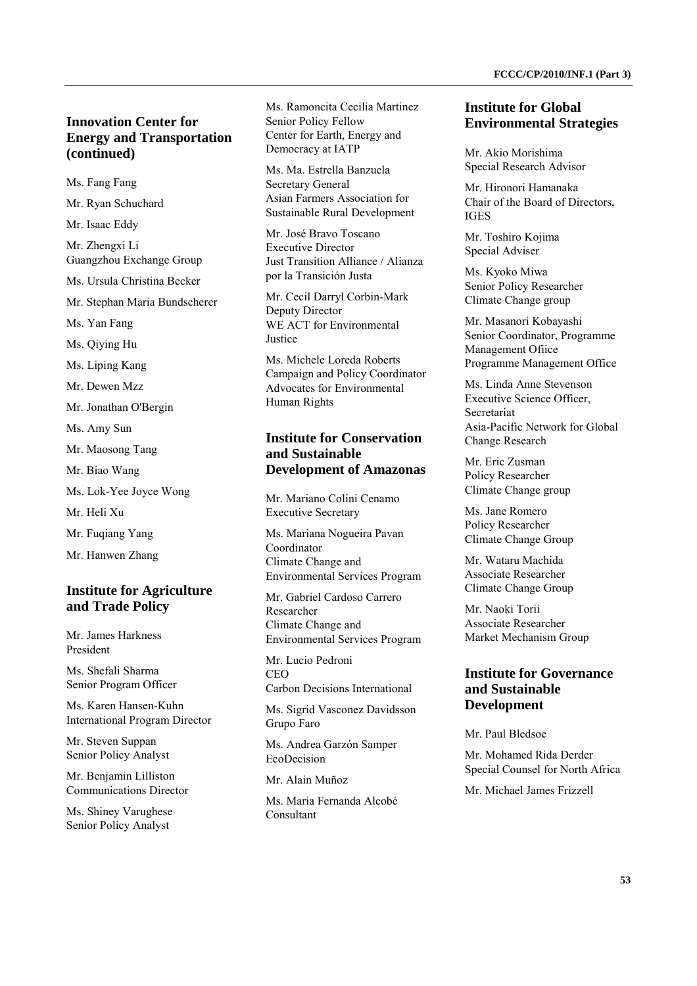# **Innovation Center for Energy and Transportation (continued)**

Ms. Fang Fang

Mr. Ryan Schuchard

Mr. Isaac Eddy

Mr. Zhengxi Li Guangzhou Exchange Group

Ms. Ursula Christina Becker

Mr. Stephan Maria Bundscherer

Ms. Yan Fang

Ms. Qiying Hu

Ms. Liping Kang

Mr. Dewen Mzz

Mr. Jonathan O'Bergin

Ms. Amy Sun

- Mr. Maosong Tang
- Mr. Biao Wang
- Ms. Lok-Yee Joyce Wong

Mr. Heli Xu

Mr. Fuqiang Yang

Mr. Hanwen Zhang

#### **Institute for Agriculture and Trade Policy**

Mr. James Harkness President

Ms. Shefali Sharma Senior Program Officer

Ms. Karen Hansen-Kuhn International Program Director

Mr. Steven Suppan Senior Policy Analyst

Mr. Benjamin Lilliston Communications Director

Ms. Shiney Varughese Senior Policy Analyst

Ms. Ramoncita Cecilia Martinez Senior Policy Fellow Center for Earth, Energy and Democracy at IATP

Ms. Ma. Estrella Banzuela Secretary General Asian Farmers Association for Sustainable Rural Development

Mr. José Bravo Toscano Executive Director Just Transition Alliance / Alianza por la Transición Justa

Mr. Cecil Darryl Corbin-Mark Deputy Director WE ACT for Environmental Justice

Ms. Michele Loreda Roberts Campaign and Policy Coordinator Advocates for Environmental Human Rights

#### **Institute for Conservation and Sustainable Development of Amazonas**

Mr. Mariano Colini Cenamo Executive Secretary

Ms. Mariana Nogueira Pavan Coordinator Climate Change and Environmental Services Program

Mr. Gabriel Cardoso Carrero Researcher Climate Change and Environmental Services Program

Mr. Lucio Pedroni CEO Carbon Decisions International

Ms. Sigrid Vasconez Davidsson Grupo Faro

Ms. Andrea Garzón Samper EcoDecision

Mr. Alain Muñoz

Ms. Maria Fernanda Alcobé Consultant

#### **Institute for Global Environmental Strategies**

Mr. Akio Morishima Special Research Advisor

Mr. Hironori Hamanaka Chair of the Board of Directors, IGES

Mr. Toshiro Kojima Special Adviser

Ms. Kyoko Miwa Senior Policy Researcher Climate Change group

Mr. Masanori Kobayashi Senior Coordinator, Programme Management Ofiice Programme Management Office

Ms. Linda Anne Stevenson Executive Science Officer, Secretariat Asia-Pacific Network for Global Change Research

Mr. Eric Zusman Policy Researcher Climate Change group

Ms. Jane Romero Policy Researcher Climate Change Group

Mr. Wataru Machida Associate Researcher Climate Change Group

Mr. Naoki Torii Associate Researcher Market Mechanism Group

## **Institute for Governance and Sustainable Development**

Mr. Paul Bledsoe

Mr. Mohamed Rida Derder Special Counsel for North Africa

Mr. Michael James Frizzell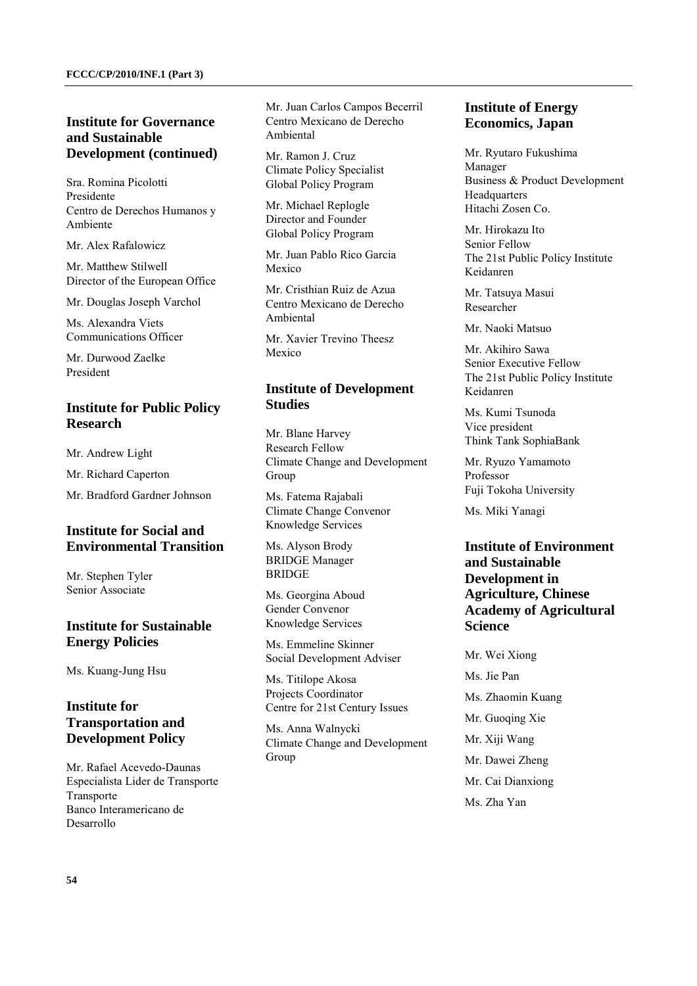## **Institute for Governance and Sustainable Development (continued)**

Sra. Romina Picolotti Presidente Centro de Derechos Humanos y Ambiente

Mr. Alex Rafalowicz

Mr. Matthew Stilwell Director of the European Office

Mr. Douglas Joseph Varchol

Ms. Alexandra Viets Communications Officer

Mr. Durwood Zaelke President

# **Institute for Public Policy Research**

Mr. Andrew Light

Mr. Richard Caperton

Mr. Bradford Gardner Johnson

# **Institute for Social and Environmental Transition**

Mr. Stephen Tyler Senior Associate

## **Institute for Sustainable Energy Policies**

Ms. Kuang-Jung Hsu

# **Institute for Transportation and Development Policy**

Mr. Rafael Acevedo-Daunas Especialista Lider de Transporte Transporte Banco Interamericano de Desarrollo

Mr. Juan Carlos Campos Becerril Centro Mexicano de Derecho Ambiental

Mr. Ramon J. Cruz Climate Policy Specialist Global Policy Program

Mr. Michael Replogle Director and Founder Global Policy Program

Mr. Juan Pablo Rico Garcia Mexico

Mr. Cristhian Ruiz de Azua Centro Mexicano de Derecho Ambiental

Mr. Xavier Trevino Theesz Mexico

# **Institute of Development Studies**

Mr. Blane Harvey Research Fellow Climate Change and Development Group

Ms. Fatema Rajabali Climate Change Convenor Knowledge Services

Ms. Alyson Brody BRIDGE Manager **BRIDGE** 

Ms. Georgina Aboud Gender Convenor Knowledge Services

Ms. Emmeline Skinner Social Development Adviser

Ms. Titilope Akosa Projects Coordinator Centre for 21st Century Issues

Ms. Anna Walnycki Climate Change and Development Group

# **Institute of Energy Economics, Japan**

Mr. Ryutaro Fukushima Manager Business & Product Development **Headquarters** Hitachi Zosen Co.

Mr. Hirokazu Ito Senior Fellow The 21st Public Policy Institute Keidanren

Mr. Tatsuya Masui Researcher

Mr. Naoki Matsuo

Mr. Akihiro Sawa Senior Executive Fellow The 21st Public Policy Institute Keidanren

Ms. Kumi Tsunoda Vice president Think Tank SophiaBank

Mr. Ryuzo Yamamoto Professor Fuji Tokoha University

Ms. Miki Yanagi

# **Institute of Environment and Sustainable Development in Agriculture, Chinese Academy of Agricultural Science**

Mr. Wei Xiong Ms. Jie Pan Ms. Zhaomin Kuang Mr. Guoqing Xie Mr. Xiji Wang Mr. Dawei Zheng Mr. Cai Dianxiong Ms. Zha Yan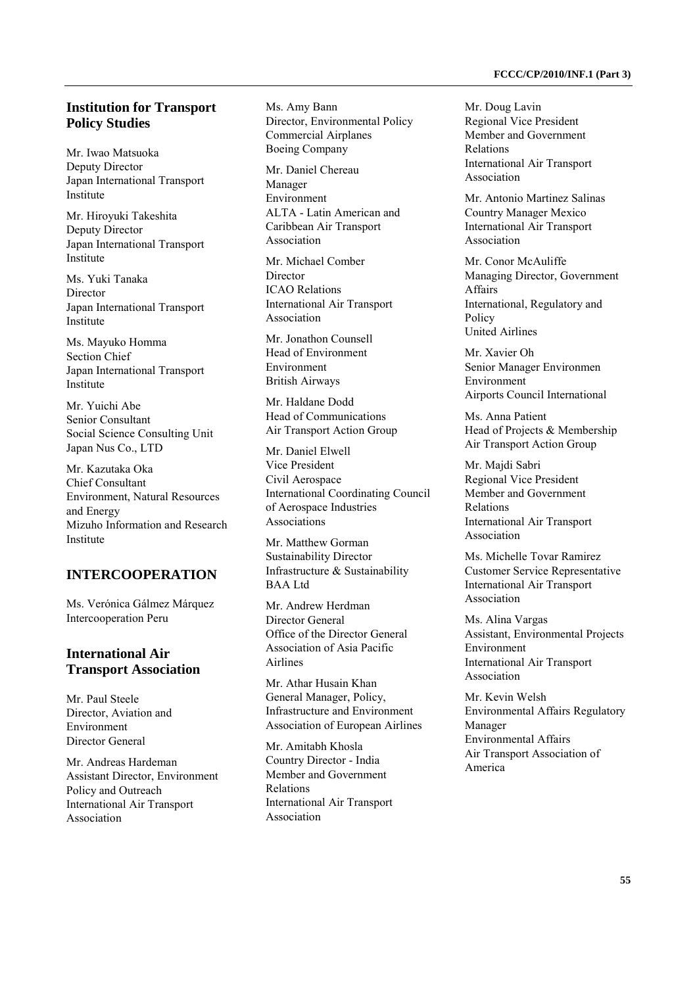#### **Institution for Transport Policy Studies**

Mr. Iwao Matsuoka Deputy Director Japan International Transport Institute

Mr. Hiroyuki Takeshita Deputy Director Japan International Transport Institute

Ms. Yuki Tanaka Director Japan International Transport Institute

Ms. Mayuko Homma Section Chief Japan International Transport Institute

Mr. Yuichi Abe Senior Consultant Social Science Consulting Unit Japan Nus Co., LTD

Mr. Kazutaka Oka Chief Consultant Environment, Natural Resources and Energy Mizuho Information and Research Institute

## **INTERCOOPERATION**

Ms. Verónica Gálmez Márquez Intercooperation Peru

#### **International Air Transport Association**

Mr. Paul Steele Director, Aviation and Environment Director General

Mr. Andreas Hardeman Assistant Director, Environment Policy and Outreach International Air Transport Association

Ms. Amy Bann Director, Environmental Policy Commercial Airplanes Boeing Company

Mr. Daniel Chereau Manager Environment ALTA - Latin American and Caribbean Air Transport Association

Mr. Michael Comber Director ICAO Relations International Air Transport Association

Mr. Jonathon Counsell Head of Environment Environment British Airways

Mr. Haldane Dodd Head of Communications Air Transport Action Group

Mr. Daniel Elwell Vice President Civil Aerospace International Coordinating Council of Aerospace Industries Associations

Mr. Matthew Gorman Sustainability Director Infrastructure & Sustainability BAA Ltd

Mr. Andrew Herdman Director General Office of the Director General Association of Asia Pacific Airlines

Mr. Athar Husain Khan General Manager, Policy, Infrastructure and Environment Association of European Airlines

Mr. Amitabh Khosla Country Director - India Member and Government Relations International Air Transport Association

Mr. Doug Lavin Regional Vice President Member and Government Relations International Air Transport Association

Mr. Antonio Martinez Salinas Country Manager Mexico International Air Transport Association

Mr. Conor McAuliffe Managing Director, Government Affairs International, Regulatory and Policy United Airlines

Mr. Xavier Oh Senior Manager Environmen Environment Airports Council International

Ms. Anna Patient Head of Projects & Membership Air Transport Action Group

Mr. Majdi Sabri Regional Vice President Member and Government Relations International Air Transport Association

Ms. Michelle Tovar Ramirez Customer Service Representative International Air Transport Association

Ms. Alina Vargas Assistant, Environmental Projects Environment International Air Transport Association

Mr. Kevin Welsh Environmental Affairs Regulatory Manager Environmental Affairs Air Transport Association of America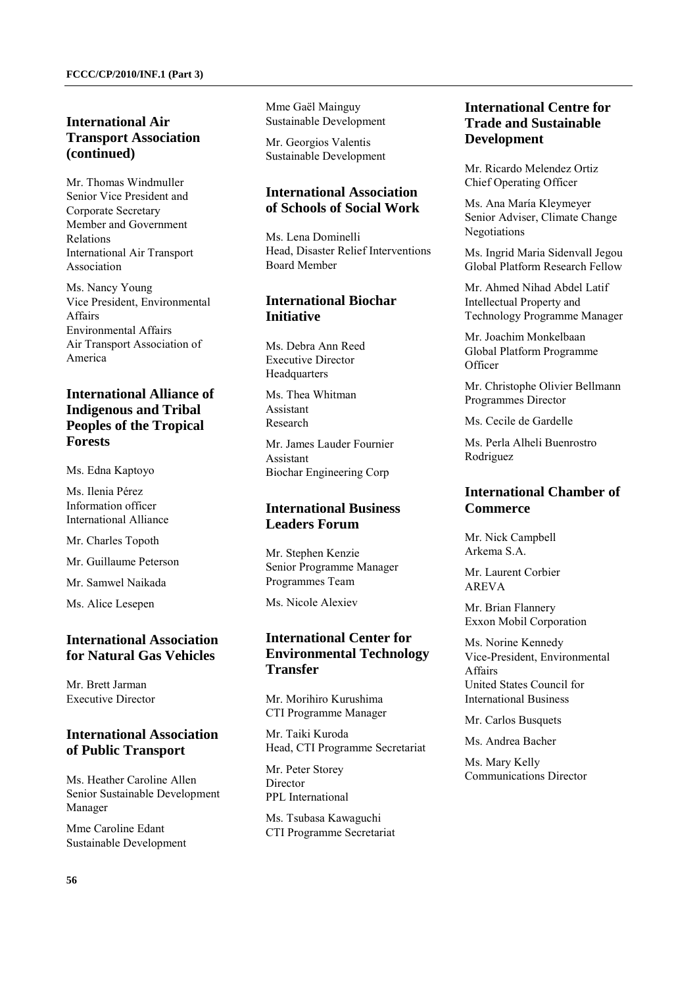# **International Air Transport Association (continued)**

Mr. Thomas Windmuller Senior Vice President and Corporate Secretary Member and Government Relations International Air Transport Association

Ms. Nancy Young Vice President, Environmental Affairs Environmental Affairs Air Transport Association of America

# **International Alliance of Indigenous and Tribal Peoples of the Tropical Forests**

Ms. Edna Kaptoyo

Ms. Ilenia Pérez Information officer International Alliance

Mr. Charles Topoth

Mr. Guillaume Peterson

Mr. Samwel Naikada

Ms. Alice Lesepen

#### **International Association for Natural Gas Vehicles**

Mr. Brett Jarman Executive Director

#### **International Association of Public Transport**

Ms. Heather Caroline Allen Senior Sustainable Development Manager

Mme Caroline Edant Sustainable Development Mme Gaël Mainguy Sustainable Development

Mr. Georgios Valentis Sustainable Development

## **International Association of Schools of Social Work**

Ms. Lena Dominelli Head, Disaster Relief Interventions Board Member

## **International Biochar Initiative**

Ms. Debra Ann Reed Executive Director Headquarters

Ms. Thea Whitman Assistant Research

Mr. James Lauder Fournier Assistant Biochar Engineering Corp

## **International Business Leaders Forum**

Mr. Stephen Kenzie Senior Programme Manager Programmes Team

Ms. Nicole Alexiev

## **International Center for Environmental Technology Transfer**

Mr. Morihiro Kurushima CTI Programme Manager

Mr. Taiki Kuroda Head, CTI Programme Secretariat

Mr. Peter Storey **Director** PPL International

Ms. Tsubasa Kawaguchi CTI Programme Secretariat

# **International Centre for Trade and Sustainable Development**

Mr. Ricardo Melendez Ortiz Chief Operating Officer

Ms. Ana María Kleymeyer Senior Adviser, Climate Change Negotiations

Ms. Ingrid Maria Sidenvall Jegou Global Platform Research Fellow

Mr. Ahmed Nihad Abdel Latif Intellectual Property and Technology Programme Manager

Mr. Joachim Monkelbaan Global Platform Programme **Officer** 

Mr. Christophe Olivier Bellmann Programmes Director

Ms. Cecile de Gardelle

Ms. Perla Alheli Buenrostro Rodriguez

# **International Chamber of Commerce**

Mr. Nick Campbell Arkema S.A.

Mr. Laurent Corbier AREVA

Mr. Brian Flannery Exxon Mobil Corporation

Ms. Norine Kennedy Vice-President, Environmental **Affairs** United States Council for International Business

Mr. Carlos Busquets

Ms. Andrea Bacher

Ms. Mary Kelly Communications Director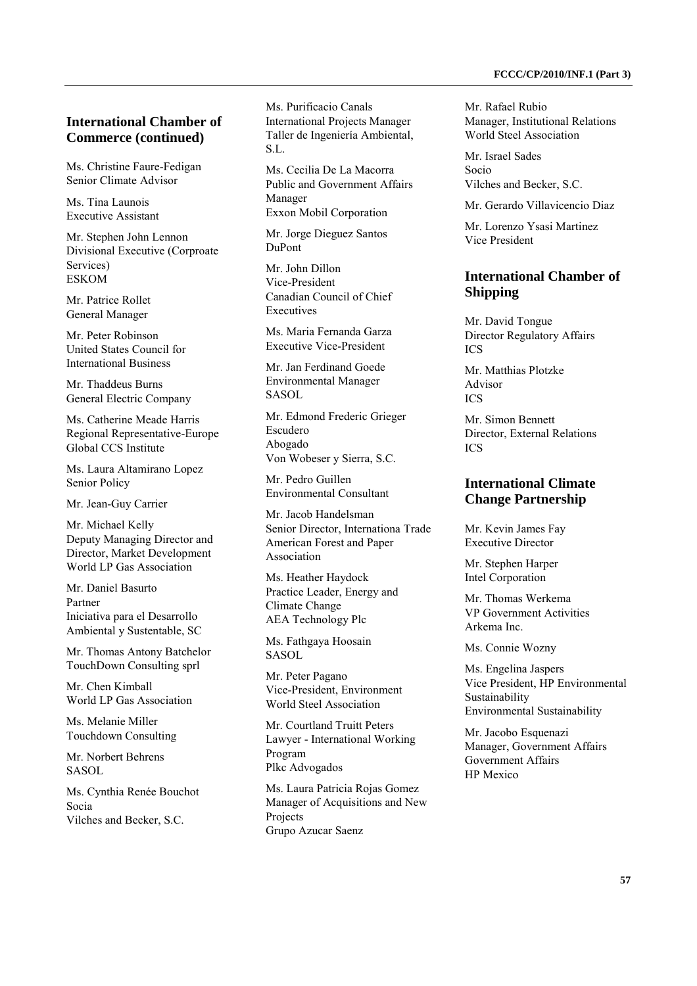#### **International Chamber of Commerce (continued)**

Ms. Christine Faure-Fedigan Senior Climate Advisor

Ms. Tina Launois Executive Assistant

Mr. Stephen John Lennon Divisional Executive (Corproate Services) **ESKOM** 

Mr. Patrice Rollet General Manager

Mr. Peter Robinson United States Council for International Business

Mr. Thaddeus Burns General Electric Company

Ms. Catherine Meade Harris Regional Representative-Europe Global CCS Institute

Ms. Laura Altamirano Lopez Senior Policy

Mr. Jean-Guy Carrier

Mr. Michael Kelly Deputy Managing Director and Director, Market Development World LP Gas Association

Mr. Daniel Basurto Partner Iniciativa para el Desarrollo Ambiental y Sustentable, SC

Mr. Thomas Antony Batchelor TouchDown Consulting sprl

Mr. Chen Kimball World LP Gas Association

Ms. Melanie Miller Touchdown Consulting

Mr. Norbert Behrens SASOL

Ms. Cynthia Renée Bouchot Socia Vilches and Becker, S.C.

Ms. Purificacio Canals International Projects Manager Taller de Ingeniería Ambiental, S.L.

Ms. Cecilia De La Macorra Public and Government Affairs Manager Exxon Mobil Corporation

Mr. Jorge Dieguez Santos DuPont

Mr. John Dillon Vice-President Canadian Council of Chief Executives

Ms. Maria Fernanda Garza Executive Vice-President

Mr. Jan Ferdinand Goede Environmental Manager SASOL

Mr. Edmond Frederic Grieger Escudero Abogado Von Wobeser y Sierra, S.C.

Mr. Pedro Guillen Environmental Consultant

Mr. Jacob Handelsman Senior Director, Internationa Trade American Forest and Paper Association

Ms. Heather Haydock Practice Leader, Energy and Climate Change AEA Technology Plc

Ms. Fathgaya Hoosain SASOL

Mr. Peter Pagano Vice-President, Environment World Steel Association

Mr. Courtland Truitt Peters Lawyer - International Working Program Plkc Advogados

Ms. Laura Patricia Rojas Gomez Manager of Acquisitions and New Projects Grupo Azucar Saenz

Mr. Rafael Rubio Manager, Institutional Relations World Steel Association

Mr. Israel Sades Socio Vilches and Becker, S.C.

Mr. Gerardo Villavicencio Diaz

Mr. Lorenzo Ysasi Martinez Vice President

# **International Chamber of Shipping**

Mr. David Tongue Director Regulatory Affairs ICS

Mr. Matthias Plotzke Advisor  $ICS$ 

Mr. Simon Bennett Director, External Relations ICS

# **International Climate Change Partnership**

Mr. Kevin James Fay Executive Director

Mr. Stephen Harper Intel Corporation

Mr. Thomas Werkema VP Government Activities Arkema Inc.

Ms. Connie Wozny

Ms. Engelina Jaspers Vice President, HP Environmental Sustainability Environmental Sustainability

Mr. Jacobo Esquenazi Manager, Government Affairs Government Affairs HP Mexico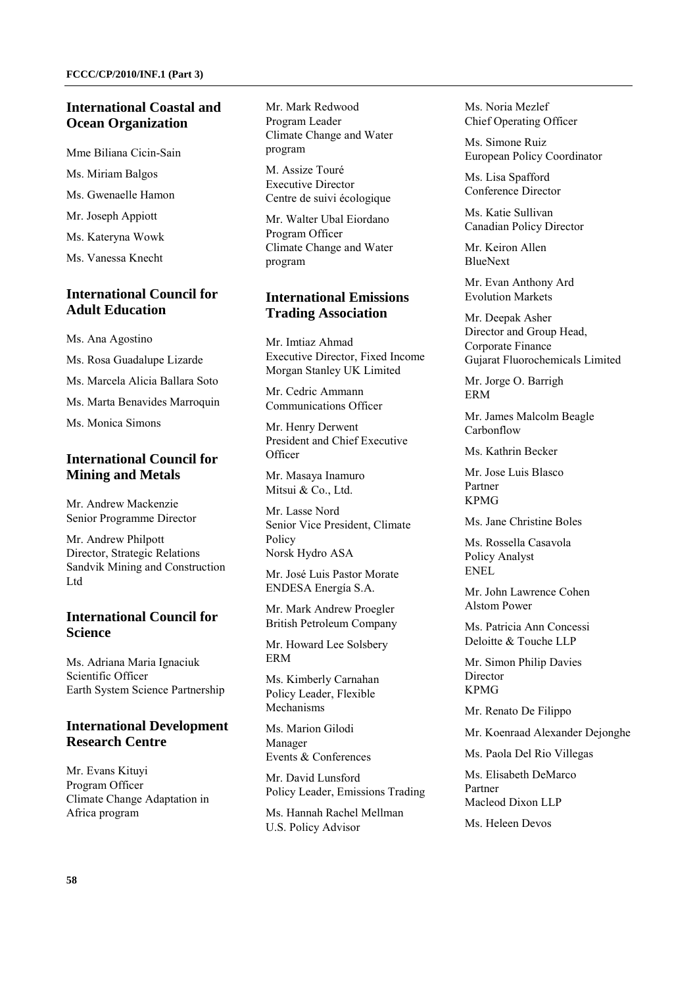## **International Coastal and Ocean Organization**

Mme Biliana Cicin-Sain

Ms. Miriam Balgos

Ms. Gwenaelle Hamon

Mr. Joseph Appiott

Ms. Kateryna Wowk

Ms. Vanessa Knecht

# **International Council for Adult Education**

Ms. Ana Agostino

Ms. Rosa Guadalupe Lizarde

Ms. Marcela Alicia Ballara Soto

Ms. Marta Benavides Marroquin

Ms. Monica Simons

# **International Council for Mining and Metals**

Mr. Andrew Mackenzie Senior Programme Director

Mr. Andrew Philpott Director, Strategic Relations Sandvik Mining and Construction Ltd

## **International Council for Science**

Ms. Adriana Maria Ignaciuk Scientific Officer Earth System Science Partnership

# **International Development Research Centre**

Mr. Evans Kituyi Program Officer Climate Change Adaptation in Africa program

Mr. Mark Redwood Program Leader Climate Change and Water program

M. Assize Touré Executive Director Centre de suivi écologique

Mr. Walter Ubal Eiordano Program Officer Climate Change and Water program

# **International Emissions Trading Association**

Mr. Imtiaz Ahmad Executive Director, Fixed Income Morgan Stanley UK Limited

Mr. Cedric Ammann Communications Officer

Mr. Henry Derwent President and Chief Executive **Officer** 

Mr. Masaya Inamuro Mitsui & Co., Ltd.

Mr. Lasse Nord Senior Vice President, Climate Policy Norsk Hydro ASA

Mr. José Luis Pastor Morate ENDESA Energía S.A.

Mr. Mark Andrew Proegler British Petroleum Company

Mr. Howard Lee Solsbery ERM

Ms. Kimberly Carnahan Policy Leader, Flexible Mechanisms

Ms. Marion Gilodi Manager Events & Conferences

Mr. David Lunsford Policy Leader, Emissions Trading

Ms. Hannah Rachel Mellman U.S. Policy Advisor

Ms. Noria Mezlef Chief Operating Officer

Ms. Simone Ruiz European Policy Coordinator

Ms. Lisa Spafford Conference Director

Ms. Katie Sullivan Canadian Policy Director

Mr. Keiron Allen BlueNext

Mr. Evan Anthony Ard Evolution Markets

Mr. Deepak Asher Director and Group Head, Corporate Finance Gujarat Fluorochemicals Limited

Mr. Jorge O. Barrigh ERM

Mr. James Malcolm Beagle Carbonflow

Ms. Kathrin Becker

Mr. Jose Luis Blasco Partner KPMG

Ms. Jane Christine Boles

Ms. Rossella Casavola Policy Analyst ENEL

Mr. John Lawrence Cohen Alstom Power

Ms. Patricia Ann Concessi Deloitte & Touche LLP

Mr. Simon Philip Davies Director KPMG

Mr. Renato De Filippo

Mr. Koenraad Alexander Dejonghe

Ms. Paola Del Rio Villegas

Ms. Elisabeth DeMarco Partner Macleod Dixon LLP

Ms. Heleen Devos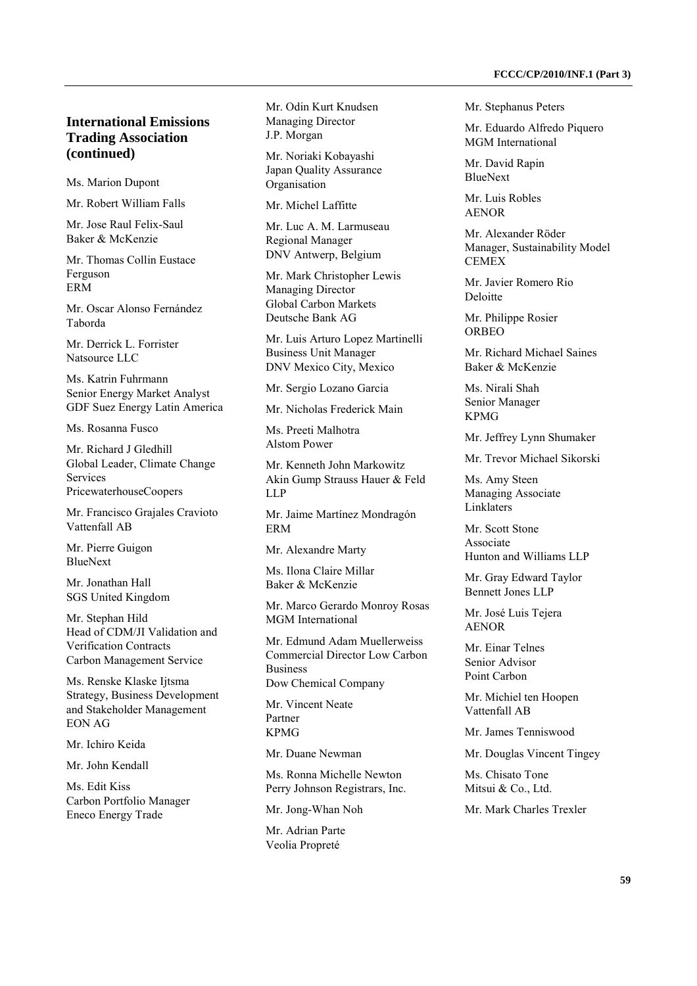# **International Emissions Trading Association (continued)**

Ms. Marion Dupont

Mr. Robert William Falls

Mr. Jose Raul Felix-Saul Baker & McKenzie

Mr. Thomas Collin Eustace Ferguson ERM

Mr. Oscar Alonso Fernández Taborda

Mr. Derrick L. Forrister Natsource LLC

Ms. Katrin Fuhrmann Senior Energy Market Analyst GDF Suez Energy Latin America

Ms. Rosanna Fusco

Mr. Richard J Gledhill Global Leader, Climate Change **Services** PricewaterhouseCoopers

Mr. Francisco Grajales Cravioto Vattenfall AB

Mr. Pierre Guigon BlueNext

Mr. Jonathan Hall SGS United Kingdom

Mr. Stephan Hild Head of CDM/JI Validation and Verification Contracts Carbon Management Service

Ms. Renske Klaske Ijtsma Strategy, Business Development and Stakeholder Management EON AG

Mr. Ichiro Keida

Mr. John Kendall

Ms. Edit Kiss Carbon Portfolio Manager Eneco Energy Trade

Mr. Odin Kurt Knudsen Managing Director J.P. Morgan

Mr. Noriaki Kobayashi Japan Quality Assurance Organisation

Mr. Michel Laffitte

Mr. Luc A. M. Larmuseau Regional Manager DNV Antwerp, Belgium

Mr. Mark Christopher Lewis Managing Director Global Carbon Markets Deutsche Bank AG

Mr. Luis Arturo Lopez Martinelli Business Unit Manager DNV Mexico City, Mexico

Mr. Sergio Lozano Garcia

Mr. Nicholas Frederick Main

Ms. Preeti Malhotra Alstom Power

Mr. Kenneth John Markowitz Akin Gump Strauss Hauer & Feld LLP

Mr. Jaime Martínez Mondragón ERM

Mr. Alexandre Marty

Ms. Ilona Claire Millar Baker & McKenzie

Mr. Marco Gerardo Monroy Rosas MGM International

Mr. Edmund Adam Muellerweiss Commercial Director Low Carbon Business Dow Chemical Company

Mr. Vincent Neate Partner KPMG

Mr. Duane Newman

Ms. Ronna Michelle Newton Perry Johnson Registrars, Inc.

Mr. Jong-Whan Noh

Mr. Adrian Parte Veolia Propreté

Mr. Stephanus Peters

Mr. Eduardo Alfredo Piquero MGM International

Mr. David Rapin BlueNext

Mr. Luis Robles AENOR

Mr. Alexander Röder Manager, Sustainability Model **CEMEX** 

Mr. Javier Romero Rio Deloitte

Mr. Philippe Rosier ORBEO

Mr. Richard Michael Saines Baker & McKenzie

Ms. Nirali Shah Senior Manager KPMG

Mr. Jeffrey Lynn Shumaker

Mr. Trevor Michael Sikorski

Ms. Amy Steen Managing Associate Linklaters

Mr. Scott Stone Associate Hunton and Williams LLP

Mr. Gray Edward Taylor Bennett Jones LLP

Mr. José Luis Tejera AENOR

Mr. Einar Telnes Senior Advisor Point Carbon

Mr. Michiel ten Hoopen Vattenfall AB

Mr. James Tenniswood

Mr. Douglas Vincent Tingey

Ms. Chisato Tone Mitsui & Co., Ltd.

Mr. Mark Charles Trexler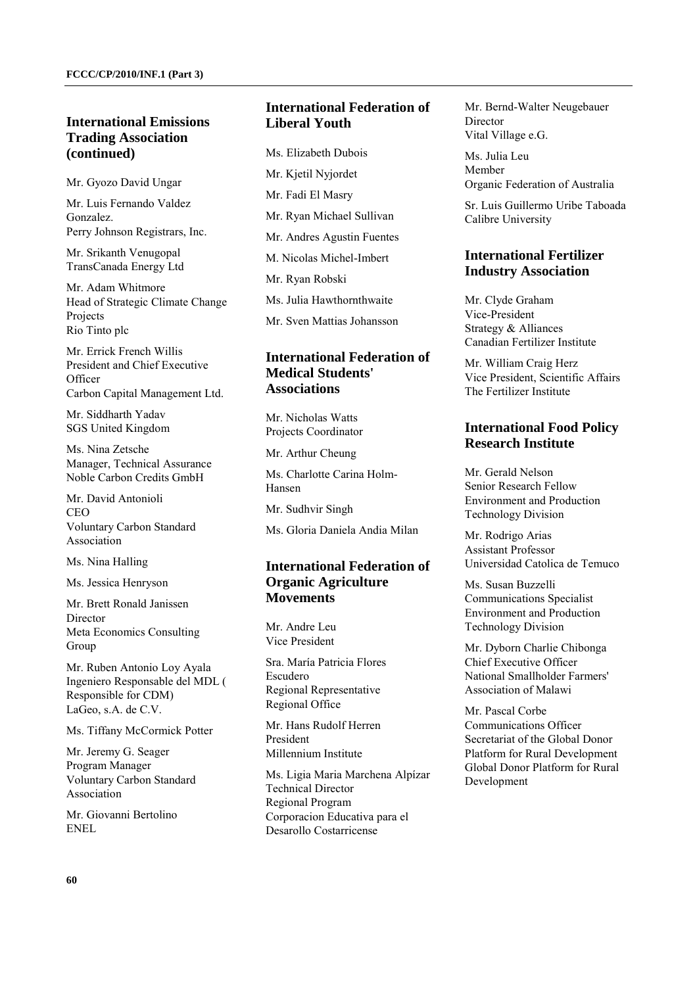# **International Emissions Trading Association (continued)**

Mr. Gyozo David Ungar

Mr. Luis Fernando Valdez Gonzalez. Perry Johnson Registrars, Inc.

Mr. Srikanth Venugopal TransCanada Energy Ltd

Mr. Adam Whitmore Head of Strategic Climate Change **Projects** Rio Tinto plc

Mr. Errick French Willis President and Chief Executive **Officer** Carbon Capital Management Ltd.

Mr. Siddharth Yadav SGS United Kingdom

Ms. Nina Zetsche Manager, Technical Assurance Noble Carbon Credits GmbH

Mr. David Antonioli  $CEO$ Voluntary Carbon Standard Association

Ms. Nina Halling

Ms. Jessica Henryson

Mr. Brett Ronald Janissen **Director** Meta Economics Consulting Group

Mr. Ruben Antonio Loy Ayala Ingeniero Responsable del MDL ( Responsible for CDM) LaGeo, s.A. de C.V.

Ms. Tiffany McCormick Potter

Mr. Jeremy G. Seager Program Manager Voluntary Carbon Standard Association

Mr. Giovanni Bertolino ENEL

# **International Federation of Liberal Youth**

Ms. Elizabeth Dubois

Mr. Kjetil Nyjordet Mr. Fadi El Masry Mr. Ryan Michael Sullivan Mr. Andres Agustin Fuentes

M. Nicolas Michel-Imbert

Mr. Ryan Robski

Ms. Julia Hawthornthwaite

Mr. Sven Mattias Johansson

# **International Federation of Medical Students' Associations**

Mr. Nicholas Watts Projects Coordinator

Mr. Arthur Cheung

Ms. Charlotte Carina Holm-Hansen

Mr. Sudhvir Singh

Ms. Gloria Daniela Andia Milan

## **International Federation of Organic Agriculture Movements**

Mr. Andre Leu Vice President

Sra. María Patricia Flores Escudero Regional Representative Regional Office

Mr. Hans Rudolf Herren President Millennium Institute

Ms. Ligia Maria Marchena Alpízar Technical Director Regional Program Corporacion Educativa para el Desarollo Costarricense

Mr. Bernd-Walter Neugebauer Director Vital Village e.G.

Ms. Julia Leu Member Organic Federation of Australia

Sr. Luis Guillermo Uribe Taboada Calibre University

## **International Fertilizer Industry Association**

Mr. Clyde Graham Vice-President Strategy & Alliances Canadian Fertilizer Institute

Mr. William Craig Herz Vice President, Scientific Affairs The Fertilizer Institute

# **International Food Policy Research Institute**

Mr. Gerald Nelson Senior Research Fellow Environment and Production Technology Division

Mr. Rodrigo Arias Assistant Professor Universidad Catolica de Temuco

Ms. Susan Buzzelli Communications Specialist Environment and Production Technology Division

Mr. Dyborn Charlie Chibonga Chief Executive Officer National Smallholder Farmers' Association of Malawi

Mr. Pascal Corbe Communications Officer Secretariat of the Global Donor Platform for Rural Development Global Donor Platform for Rural Development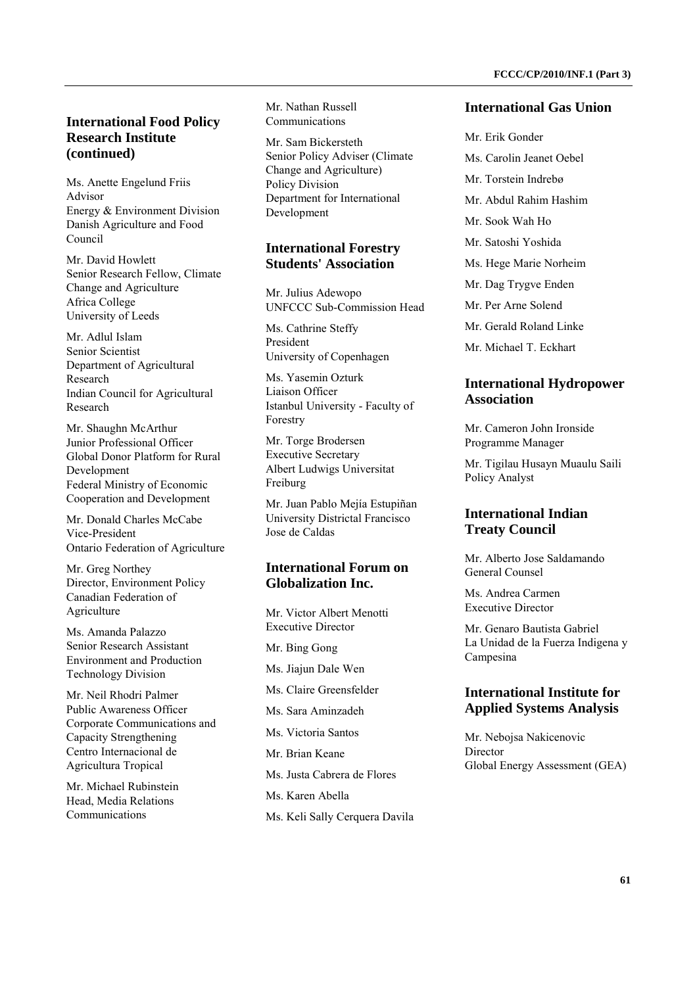Ms. Anette Engelund Friis Advisor Energy & Environment Division Danish Agriculture and Food Council

Mr. David Howlett Senior Research Fellow, Climate Change and Agriculture Africa College University of Leeds

Mr. Adlul Islam Senior Scientist Department of Agricultural Research Indian Council for Agricultural Research

Mr. Shaughn McArthur Junior Professional Officer Global Donor Platform for Rural **Development** Federal Ministry of Economic Cooperation and Development

Mr. Donald Charles McCabe Vice-President Ontario Federation of Agriculture

Mr. Greg Northey Director, Environment Policy Canadian Federation of Agriculture

Ms. Amanda Palazzo Senior Research Assistant Environment and Production Technology Division

Mr. Neil Rhodri Palmer Public Awareness Officer Corporate Communications and Capacity Strengthening Centro Internacional de Agricultura Tropical

Mr. Michael Rubinstein Head, Media Relations Communications

Mr. Nathan Russell Communications

Mr. Sam Bickersteth Senior Policy Adviser (Climate Change and Agriculture) Policy Division Department for International Development

# **International Forestry Students' Association**

Mr. Julius Adewopo UNFCCC Sub-Commission Head

Ms. Cathrine Steffy President University of Copenhagen

Ms. Yasemin Ozturk Liaison Officer Istanbul University - Faculty of Forestry

Mr. Torge Brodersen Executive Secretary Albert Ludwigs Universitat Freiburg

Mr. Juan Pablo Mejía Estupiñan University Districtal Francisco Jose de Caldas

# **International Forum on Globalization Inc.**

Mr. Victor Albert Menotti Executive Director

Mr. Bing Gong

Ms. Jiajun Dale Wen

Ms. Claire Greensfelder

Ms. Sara Aminzadeh

Ms. Victoria Santos

Mr. Brian Keane

- Ms. Justa Cabrera de Flores
- Ms. Karen Abella
- Ms. Keli Sally Cerquera Davila

#### **International Gas Union**

- Mr. Erik Gonder
- Ms. Carolin Jeanet Oebel
- Mr. Torstein Indrebø
- Mr. Abdul Rahim Hashim
- Mr. Sook Wah Ho
- Mr. Satoshi Yoshida
- Ms. Hege Marie Norheim
- Mr. Dag Trygve Enden
- Mr. Per Arne Solend
- Mr. Gerald Roland Linke
- Mr. Michael T. Eckhart

#### **International Hydropower Association**

Mr. Cameron John Ironside Programme Manager

Mr. Tigilau Husayn Muaulu Saili Policy Analyst

#### **International Indian Treaty Council**

Mr. Alberto Jose Saldamando General Counsel

Ms. Andrea Carmen Executive Director

Mr. Genaro Bautista Gabriel La Unidad de la Fuerza Indigena y Campesina

# **International Institute for Applied Systems Analysis**

Mr. Nebojsa Nakicenovic Director Global Energy Assessment (GEA)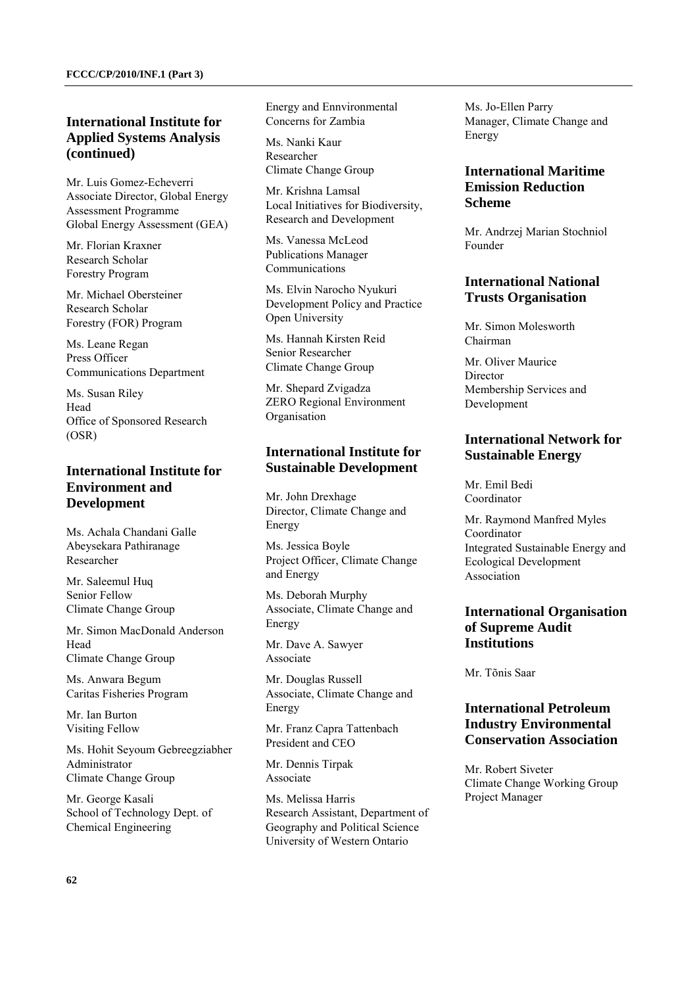# **International Institute for Applied Systems Analysis (continued)**

Mr. Luis Gomez-Echeverri Associate Director, Global Energy Assessment Programme Global Energy Assessment (GEA)

Mr. Florian Kraxner Research Scholar Forestry Program

Mr. Michael Obersteiner Research Scholar Forestry (FOR) Program

Ms. Leane Regan Press Officer Communications Department

Ms. Susan Riley Head Office of Sponsored Research (OSR)

# **International Institute for Environment and Development**

Ms. Achala Chandani Galle Abeysekara Pathiranage Researcher

Mr. Saleemul Huq Senior Fellow Climate Change Group

Mr. Simon MacDonald Anderson Head Climate Change Group

Ms. Anwara Begum Caritas Fisheries Program

Mr. Ian Burton Visiting Fellow

Ms. Hohit Seyoum Gebreegziabher Administrator Climate Change Group

Mr. George Kasali School of Technology Dept. of Chemical Engineering

Energy and Ennvironmental Concerns for Zambia

Ms. Nanki Kaur Researcher Climate Change Group

Mr. Krishna Lamsal Local Initiatives for Biodiversity, Research and Development

Ms. Vanessa McLeod Publications Manager Communications

Ms. Elvin Narocho Nyukuri Development Policy and Practice Open University

Ms. Hannah Kirsten Reid Senior Researcher Climate Change Group

Mr. Shepard Zvigadza ZERO Regional Environment Organisation

# **International Institute for Sustainable Development**

Mr. John Drexhage Director, Climate Change and Energy

Ms. Jessica Boyle Project Officer, Climate Change and Energy

Ms. Deborah Murphy Associate, Climate Change and Energy

Mr. Dave A. Sawyer Associate

Mr. Douglas Russell Associate, Climate Change and Energy

Mr. Franz Capra Tattenbach President and CEO

Mr. Dennis Tirpak Associate

Ms. Melissa Harris Research Assistant, Department of Geography and Political Science University of Western Ontario

Ms. Jo-Ellen Parry Manager, Climate Change and Energy

# **International Maritime Emission Reduction Scheme**

Mr. Andrzej Marian Stochniol Founder

# **International National Trusts Organisation**

Mr. Simon Molesworth Chairman

Mr. Oliver Maurice **Director** Membership Services and Development

## **International Network for Sustainable Energy**

Mr. Emil Bedi Coordinator

Mr. Raymond Manfred Myles Coordinator Integrated Sustainable Energy and Ecological Development Association

# **International Organisation of Supreme Audit Institutions**

Mr. Tõnis Saar

# **International Petroleum Industry Environmental Conservation Association**

Mr. Robert Siveter Climate Change Working Group Project Manager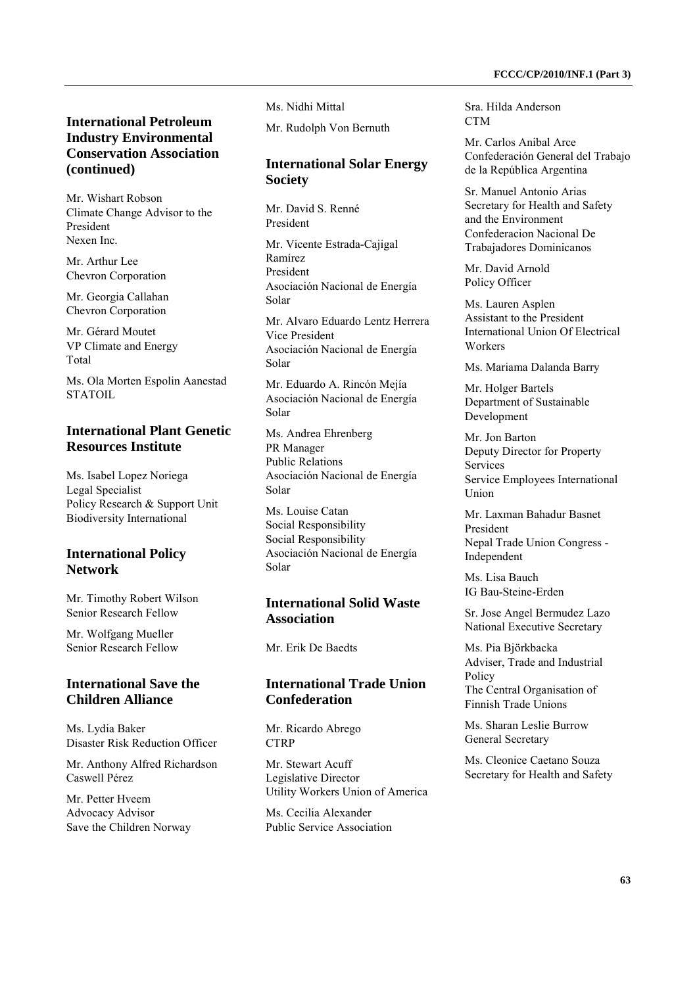# **International Petroleum Industry Environmental Conservation Association (continued)**

Mr. Wishart Robson Climate Change Advisor to the President Nexen Inc.

Mr. Arthur Lee Chevron Corporation

Mr. Georgia Callahan Chevron Corporation

Mr. Gérard Moutet VP Climate and Energy Total

Ms. Ola Morten Espolin Aanestad STATOIL.

# **International Plant Genetic Resources Institute**

Ms. Isabel Lopez Noriega Legal Specialist Policy Research & Support Unit Biodiversity International

#### **International Policy Network**

Mr. Timothy Robert Wilson Senior Research Fellow

Mr. Wolfgang Mueller Senior Research Fellow

## **International Save the Children Alliance**

Ms. Lydia Baker Disaster Risk Reduction Officer

Mr. Anthony Alfred Richardson Caswell Pérez

Mr. Petter Hveem Advocacy Advisor Save the Children Norway Ms. Nidhi Mittal

Mr. Rudolph Von Bernuth

## **International Solar Energy Society**

Mr. David S. Renné President

Mr. Vicente Estrada-Cajigal Ramírez President Asociación Nacional de Energía Solar

Mr. Alvaro Eduardo Lentz Herrera Vice President Asociación Nacional de Energía Solar

Mr. Eduardo A. Rincón Mejía Asociación Nacional de Energía Solar

Ms. Andrea Ehrenberg PR Manager Public Relations Asociación Nacional de Energía Solar

Ms. Louise Catan Social Responsibility Social Responsibility Asociación Nacional de Energía Solar

## **International Solid Waste Association**

Mr. Erik De Baedts

## **International Trade Union Confederation**

Mr. Ricardo Abrego **CTRP** 

Mr. Stewart Acuff Legislative Director Utility Workers Union of America

Ms. Cecilia Alexander Public Service Association Sra. Hilda Anderson **CTM** 

Mr. Carlos Anibal Arce Confederación General del Trabajo de la República Argentina

Sr. Manuel Antonio Arias Secretary for Health and Safety and the Environment Confederacion Nacional De Trabajadores Dominicanos

Mr. David Arnold Policy Officer

Ms. Lauren Asplen Assistant to the President International Union Of Electrical Workers

Ms. Mariama Dalanda Barry

Mr. Holger Bartels Department of Sustainable Development

Mr. Jon Barton Deputy Director for Property Services Service Employees International Union

Mr. Laxman Bahadur Basnet President Nepal Trade Union Congress - Independent

Ms. Lisa Bauch IG Bau-Steine-Erden

Sr. Jose Angel Bermudez Lazo National Executive Secretary

Ms. Pia Björkbacka Adviser, Trade and Industrial Policy The Central Organisation of Finnish Trade Unions

Ms. Sharan Leslie Burrow General Secretary

Ms. Cleonice Caetano Souza Secretary for Health and Safety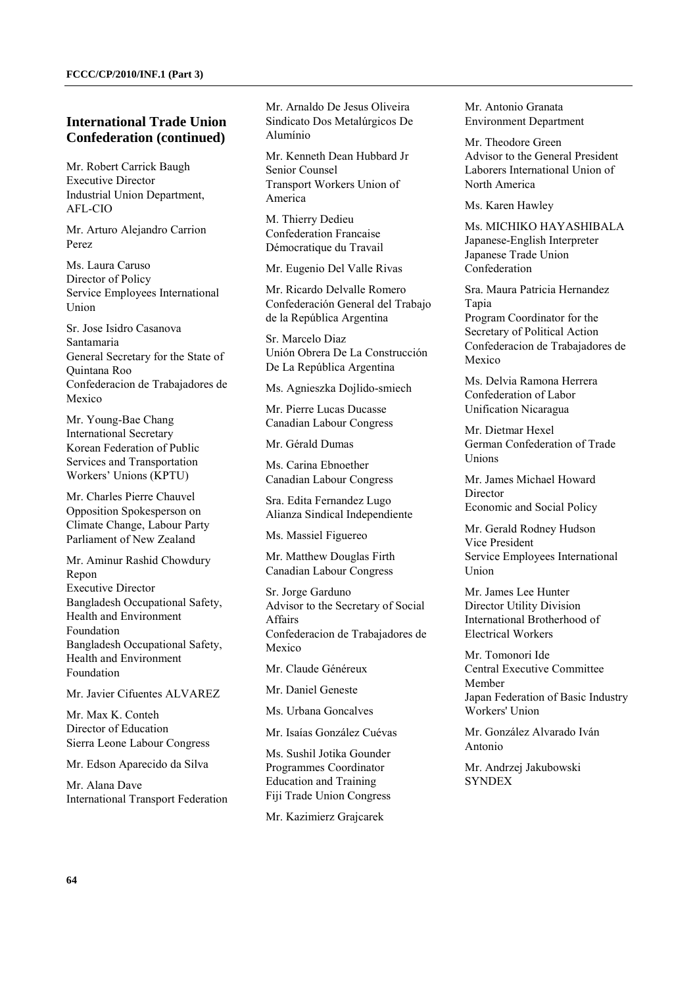## **International Trade Union Confederation (continued)**

Mr. Robert Carrick Baugh Executive Director Industrial Union Department, AFL-CIO

Mr. Arturo Alejandro Carrion Perez

Ms. Laura Caruso Director of Policy Service Employees International Union

Sr. Jose Isidro Casanova Santamaria General Secretary for the State of Quintana Roo Confederacion de Trabajadores de Mexico

Mr. Young-Bae Chang International Secretary Korean Federation of Public Services and Transportation Workers' Unions (KPTU)

Mr. Charles Pierre Chauvel Opposition Spokesperson on Climate Change, Labour Party Parliament of New Zealand

Mr. Aminur Rashid Chowdury Repon Executive Director Bangladesh Occupational Safety, Health and Environment Foundation Bangladesh Occupational Safety, Health and Environment Foundation

Mr. Javier Cifuentes ALVAREZ

Mr. Max K. Conteh Director of Education Sierra Leone Labour Congress

Mr. Edson Aparecido da Silva

Mr. Alana Dave International Transport Federation Mr. Arnaldo De Jesus Oliveira Sindicato Dos Metalúrgicos De Alumínio

Mr. Kenneth Dean Hubbard Jr Senior Counsel Transport Workers Union of America

M. Thierry Dedieu Confederation Francaise Démocratique du Travail

Mr. Eugenio Del Valle Rivas

Mr. Ricardo Delvalle Romero Confederación General del Trabajo de la República Argentina

Sr. Marcelo Diaz Unión Obrera De La Construcción De La República Argentina

Ms. Agnieszka Dojlido-smiech

Mr. Pierre Lucas Ducasse Canadian Labour Congress

Mr. Gérald Dumas

Ms. Carina Ebnoether Canadian Labour Congress

Sra. Edita Fernandez Lugo Alianza Sindical Independiente

Ms. Massiel Figuereo

Mr. Matthew Douglas Firth Canadian Labour Congress

Sr. Jorge Garduno Advisor to the Secretary of Social Affairs Confederacion de Trabajadores de Mexico

Mr. Claude Généreux

Mr. Daniel Geneste

Ms. Urbana Goncalves

Mr. Isaías González Cuévas

Ms. Sushil Jotika Gounder Programmes Coordinator Education and Training Fiji Trade Union Congress

Mr. Kazimierz Grajcarek

Mr. Antonio Granata Environment Department

Mr. Theodore Green Advisor to the General President Laborers International Union of North America

Ms. Karen Hawley

Ms. MICHIKO HAYASHIBALA Japanese-English Interpreter Japanese Trade Union Confederation

Sra. Maura Patricia Hernandez Tapia Program Coordinator for the Secretary of Political Action Confederacion de Trabajadores de Mexico

Ms. Delvia Ramona Herrera Confederation of Labor Unification Nicaragua

Mr. Dietmar Hexel German Confederation of Trade Unions

Mr. James Michael Howard Director Economic and Social Policy

Mr. Gerald Rodney Hudson Vice President Service Employees International Union

Mr. James Lee Hunter Director Utility Division International Brotherhood of Electrical Workers

Mr. Tomonori Ide Central Executive Committee Member Japan Federation of Basic Industry Workers' Union

Mr. González Alvarado Iván Antonio

Mr. Andrzej Jakubowski **SYNDEX**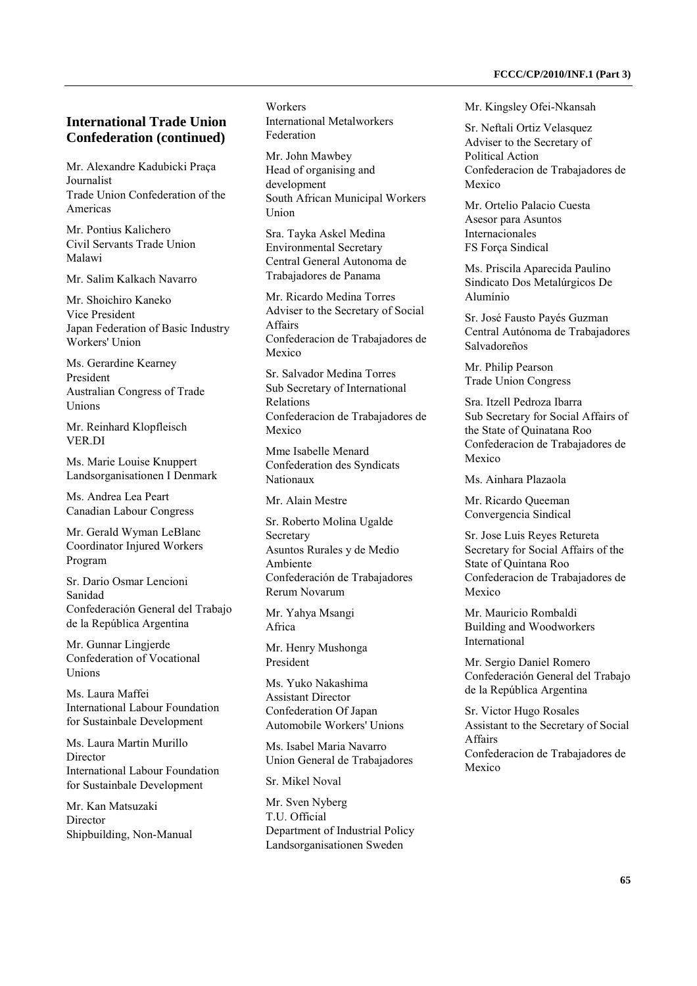#### **International Trade Union Confederation (continued)**

Mr. Alexandre Kadubicki Praça Journalist Trade Union Confederation of the Americas

Mr. Pontius Kalichero Civil Servants Trade Union Malawi

Mr. Salim Kalkach Navarro

Mr. Shoichiro Kaneko Vice President Japan Federation of Basic Industry Workers' Union

Ms. Gerardine Kearney President Australian Congress of Trade Unions

Mr. Reinhard Klopfleisch VER.DI

Ms. Marie Louise Knuppert Landsorganisationen I Denmark

Ms. Andrea Lea Peart Canadian Labour Congress

Mr. Gerald Wyman LeBlanc Coordinator Injured Workers Program

Sr. Dario Osmar Lencioni Sanidad Confederación General del Trabajo de la República Argentina

Mr. Gunnar Lingjerde Confederation of Vocational **Unions** 

Ms. Laura Maffei International Labour Foundation for Sustainbale Development

Ms. Laura Martin Murillo Director International Labour Foundation for Sustainbale Development

Mr. Kan Matsuzaki Director Shipbuilding, Non-Manual Workers International Metalworkers Federation

Mr. John Mawbey Head of organising and development South African Municipal Workers Union

Sra. Tayka Askel Medina Environmental Secretary Central General Autonoma de Trabajadores de Panama

Mr. Ricardo Medina Torres Adviser to the Secretary of Social Affairs Confederacion de Trabajadores de Mexico

Sr. Salvador Medina Torres Sub Secretary of International Relations Confederacion de Trabajadores de Mexico

Mme Isabelle Menard Confederation des Syndicats Nationaux

Mr. Alain Mestre

Sr. Roberto Molina Ugalde Secretary Asuntos Rurales y de Medio Ambiente Confederación de Trabajadores Rerum Novarum

Mr. Yahya Msangi Africa

Mr. Henry Mushonga President

Ms. Yuko Nakashima Assistant Director Confederation Of Japan Automobile Workers' Unions

Ms. Isabel Maria Navarro Union General de Trabajadores

Sr. Mikel Noval

Mr. Sven Nyberg T.U. Official Department of Industrial Policy Landsorganisationen Sweden

Mr. Kingsley Ofei-Nkansah

Sr. Neftali Ortiz Velasquez Adviser to the Secretary of Political Action Confederacion de Trabajadores de Mexico

Mr. Ortelio Palacio Cuesta Asesor para Asuntos Internacionales FS Força Sindical

Ms. Priscila Aparecida Paulino Sindicato Dos Metalúrgicos De Alumínio

Sr. José Fausto Payés Guzman Central Autónoma de Trabajadores Salvadoreños

Mr. Philip Pearson Trade Union Congress

Sra. Itzell Pedroza Ibarra Sub Secretary for Social Affairs of the State of Quinatana Roo Confederacion de Trabajadores de Mexico

Ms. Ainhara Plazaola

Mr. Ricardo Queeman Convergencia Sindical

Sr. Jose Luis Reyes Retureta Secretary for Social Affairs of the State of Quintana Roo Confederacion de Trabajadores de Mexico

Mr. Mauricio Rombaldi Building and Woodworkers International

Mr. Sergio Daniel Romero Confederación General del Trabajo de la República Argentina

Sr. Victor Hugo Rosales Assistant to the Secretary of Social Affairs Confederacion de Trabajadores de Mexico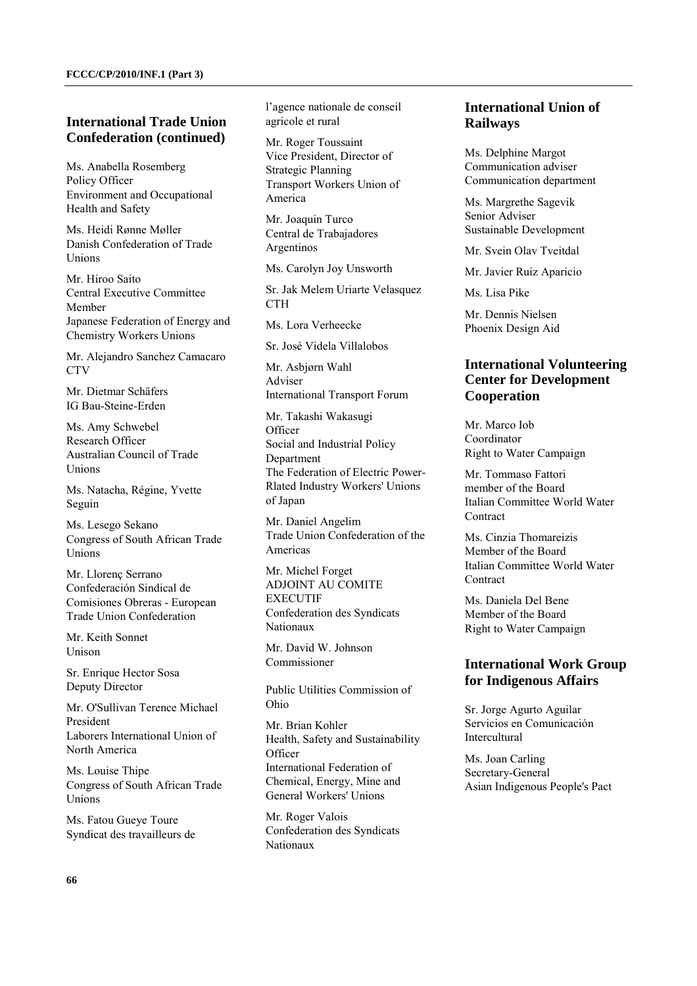#### **International Trade Union Confederation (continued)**

Ms. Anabella Rosemberg Policy Officer Environment and Occupational Health and Safety

Ms. Heidi Rønne Møller Danish Confederation of Trade Unions

Mr. Hiroo Saito Central Executive Committee Member Japanese Federation of Energy and Chemistry Workers Unions

Mr. Alejandro Sanchez Camacaro CT<sub>V</sub>

Mr. Dietmar Schäfers IG Bau-Steine-Erden

Ms. Amy Schwebel Research Officer Australian Council of Trade Unions

Ms. Natacha, Régine, Yvette Seguin

Ms. Lesego Sekano Congress of South African Trade Unions

Mr. Llorenç Serrano Confederación Sindical de Comisiones Obreras - European Trade Union Confederation

Mr. Keith Sonnet Unison

Sr. Enrique Hector Sosa Deputy Director

Mr. O'Sullivan Terence Michael President Laborers International Union of North America

Ms. Louise Thipe Congress of South African Trade Unions

Ms. Fatou Gueye Toure Syndicat des travailleurs de l'agence nationale de conseil agricole et rural

Mr. Roger Toussaint Vice President, Director of Strategic Planning Transport Workers Union of America

Mr. Joaquin Turco Central de Trabajadores Argentinos

Ms. Carolyn Joy Unsworth

Sr. Jak Melem Uriarte Velasquez **CTH** 

Ms. Lora Verheecke

Sr. José Videla Villalobos

Mr. Asbjørn Wahl Adviser International Transport Forum

Mr. Takashi Wakasugi **Officer** Social and Industrial Policy **Department** The Federation of Electric Power-Rlated Industry Workers' Unions of Japan

Mr. Daniel Angelim Trade Union Confederation of the Americas

Mr. Michel Forget ADJOINT AU COMITE **EXECUTIF** Confederation des Syndicats Nationaux

Mr. David W. Johnson Commissioner

Public Utilities Commission of Ohio

Mr. Brian Kohler Health, Safety and Sustainability **Officer** International Federation of Chemical, Energy, Mine and General Workers' Unions

Mr. Roger Valois Confederation des Syndicats Nationaux

# **International Union of Railways**

Ms. Delphine Margot Communication adviser Communication department

Ms. Margrethe Sagevik Senior Adviser Sustainable Development

Mr. Svein Olav Tveitdal

Mr. Javier Ruiz Aparicio

Ms. Lisa Pike

Mr. Dennis Nielsen Phoenix Design Aid

# **International Volunteering Center for Development Cooperation**

Mr. Marco Iob Coordinator Right to Water Campaign

Mr. Tommaso Fattori member of the Board Italian Committee World Water **Contract** 

Ms. Cinzia Thomareizis Member of the Board Italian Committee World Water **Contract** 

Ms. Daniela Del Bene Member of the Board Right to Water Campaign

## **International Work Group for Indigenous Affairs**

Sr. Jorge Agurto Aguilar Servicios en Comunicación Intercultural

Ms. Joan Carling Secretary-General Asian Indigenous People's Pact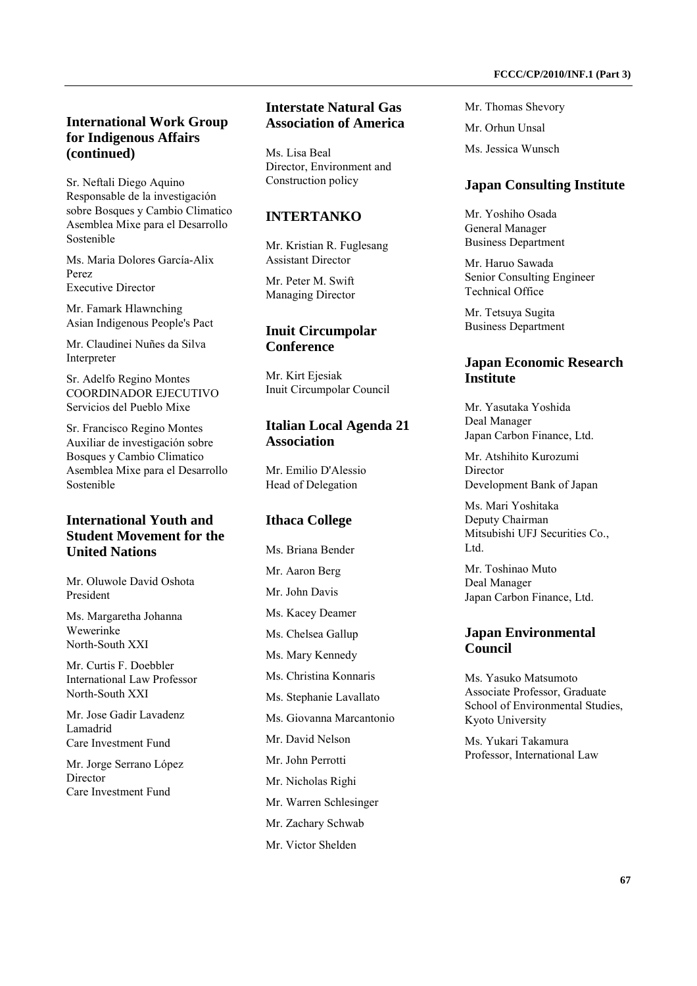# **International Work Group for Indigenous Affairs (continued)**

Sr. Neftali Diego Aquino Responsable de la investigación sobre Bosques y Cambio Climatico Asemblea Mixe para el Desarrollo Sostenible

Ms. Maria Dolores García-Alix Perez Executive Director

Mr. Famark Hlawnching Asian Indigenous People's Pact

Mr. Claudinei Nuñes da Silva Interpreter

Sr. Adelfo Regino Montes COORDINADOR EJECUTIVO Servicios del Pueblo Mixe

Sr. Francisco Regino Montes Auxiliar de investigación sobre Bosques y Cambio Climatico Asemblea Mixe para el Desarrollo Sostenible

# **International Youth and Student Movement for the United Nations**

Mr. Oluwole David Oshota President

Ms. Margaretha Johanna Wewerinke North-South XXI

Mr. Curtis F. Doebbler International Law Professor North-South XXI

Mr. Jose Gadir Lavadenz Lamadrid Care Investment Fund

Mr. Jorge Serrano López Director Care Investment Fund

#### **Interstate Natural Gas Association of America**

Ms. Lisa Beal Director, Environment and Construction policy

#### **INTERTANKO**

Mr. Kristian R. Fuglesang Assistant Director

Mr. Peter M. Swift Managing Director

#### **Inuit Circumpolar Conference**

Mr. Kirt Ejesiak Inuit Circumpolar Council

#### **Italian Local Agenda 21 Association**

Mr. Emilio D'Alessio Head of Delegation

## **Ithaca College**

Ms. Briana Bender Mr. Aaron Berg Mr. John Davis Ms. Kacey Deamer Ms. Chelsea Gallup Ms. Mary Kennedy Ms. Christina Konnaris Ms. Stephanie Lavallato Ms. Giovanna Marcantonio Mr. David Nelson Mr. John Perrotti

- Mr. Nicholas Righi
- Mr. Warren Schlesinger
- Mr. Zachary Schwab
- Mr. Victor Shelden

Mr. Thomas Shevory Mr. Orhun Unsal Ms. Jessica Wunsch

#### **Japan Consulting Institute**

Mr. Yoshiho Osada General Manager Business Department

Mr. Haruo Sawada Senior Consulting Engineer Technical Office

Mr. Tetsuya Sugita Business Department

#### **Japan Economic Research Institute**

Mr. Yasutaka Yoshida Deal Manager Japan Carbon Finance, Ltd.

Mr. Atshihito Kurozumi Director Development Bank of Japan

Ms. Mari Yoshitaka Deputy Chairman Mitsubishi UFJ Securities Co., L<sub>td</sub>

Mr. Toshinao Muto Deal Manager Japan Carbon Finance, Ltd.

## **Japan Environmental Council**

Ms. Yasuko Matsumoto Associate Professor, Graduate School of Environmental Studies, Kyoto University

Ms. Yukari Takamura Professor, International Law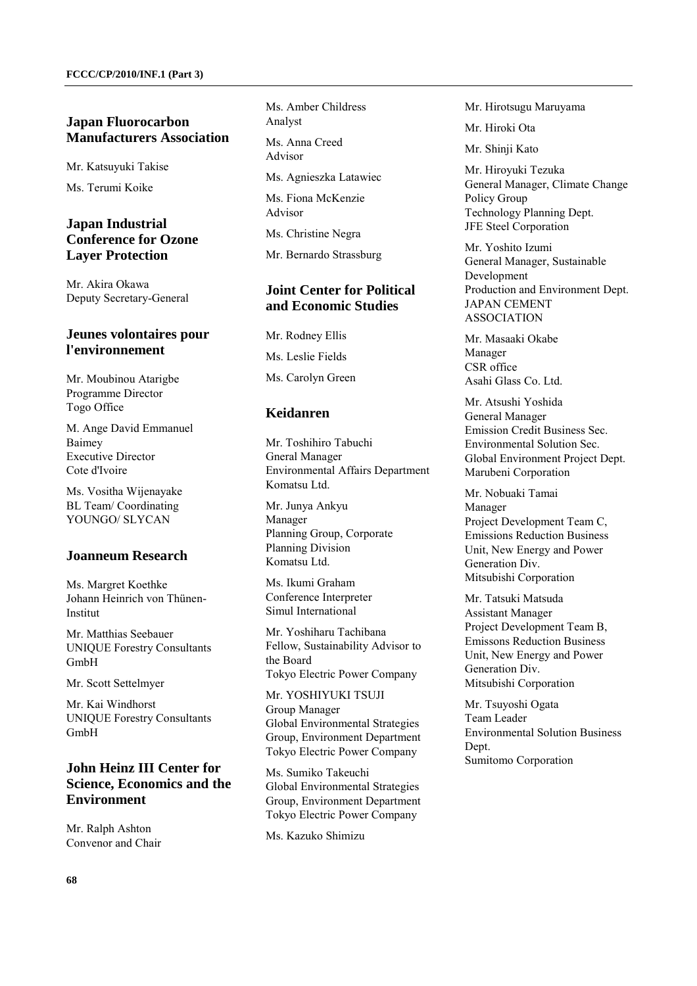## **Japan Fluorocarbon Manufacturers Association**

Mr. Katsuyuki Takise

Ms. Terumi Koike

#### **Japan Industrial Conference for Ozone Layer Protection**

Mr. Akira Okawa Deputy Secretary-General

## **Jeunes volontaires pour l'environnement**

Mr. Moubinou Atarigbe Programme Director Togo Office

M. Ange David Emmanuel Baimey Executive Director Cote d'Ivoire

Ms. Vositha Wijenayake BL Team/ Coordinating YOUNGO/ SLYCAN

#### **Joanneum Research**

Ms. Margret Koethke Johann Heinrich von Thünen-Institut

Mr. Matthias Seebauer UNIQUE Forestry Consultants GmbH

Mr. Scott Settelmyer

Mr. Kai Windhorst UNIQUE Forestry Consultants GmbH

# **John Heinz III Center for Science, Economics and the Environment**

Mr. Ralph Ashton Convenor and Chair Ms. Amber Childress Analyst

Ms. Anna Creed Advisor

Ms. Agnieszka Latawiec

Ms. Fiona McKenzie Advisor

Ms. Christine Negra

Mr. Bernardo Strassburg

# **Joint Center for Political and Economic Studies**

Mr. Rodney Ellis Ms. Leslie Fields Ms. Carolyn Green

## **Keidanren**

Mr. Toshihiro Tabuchi Gneral Manager Environmental Affairs Department Komatsu Ltd.

Mr. Junya Ankyu Manager Planning Group, Corporate Planning Division Komatsu Ltd.

Ms. Ikumi Graham Conference Interpreter Simul International

Mr. Yoshiharu Tachibana Fellow, Sustainability Advisor to the Board Tokyo Electric Power Company

Mr. YOSHIYUKI TSUJI Group Manager Global Environmental Strategies Group, Environment Department Tokyo Electric Power Company

Ms. Sumiko Takeuchi Global Environmental Strategies Group, Environment Department Tokyo Electric Power Company

Ms. Kazuko Shimizu

Mr. Hirotsugu Maruyama

Mr. Hiroki Ota

Mr. Shinji Kato

Mr. Hiroyuki Tezuka General Manager, Climate Change Policy Group Technology Planning Dept. JFE Steel Corporation

Mr. Yoshito Izumi General Manager, Sustainable Development Production and Environment Dept. JAPAN CEMENT ASSOCIATION

Mr. Masaaki Okabe Manager CSR office Asahi Glass Co. Ltd.

Mr. Atsushi Yoshida General Manager Emission Credit Business Sec. Environmental Solution Sec. Global Environment Project Dept. Marubeni Corporation

Mr. Nobuaki Tamai Manager Project Development Team C, Emissions Reduction Business Unit, New Energy and Power Generation Div. Mitsubishi Corporation

Mr. Tatsuki Matsuda Assistant Manager Project Development Team B, Emissons Reduction Business Unit, New Energy and Power Generation Div. Mitsubishi Corporation

Mr. Tsuyoshi Ogata Team Leader Environmental Solution Business Dept. Sumitomo Corporation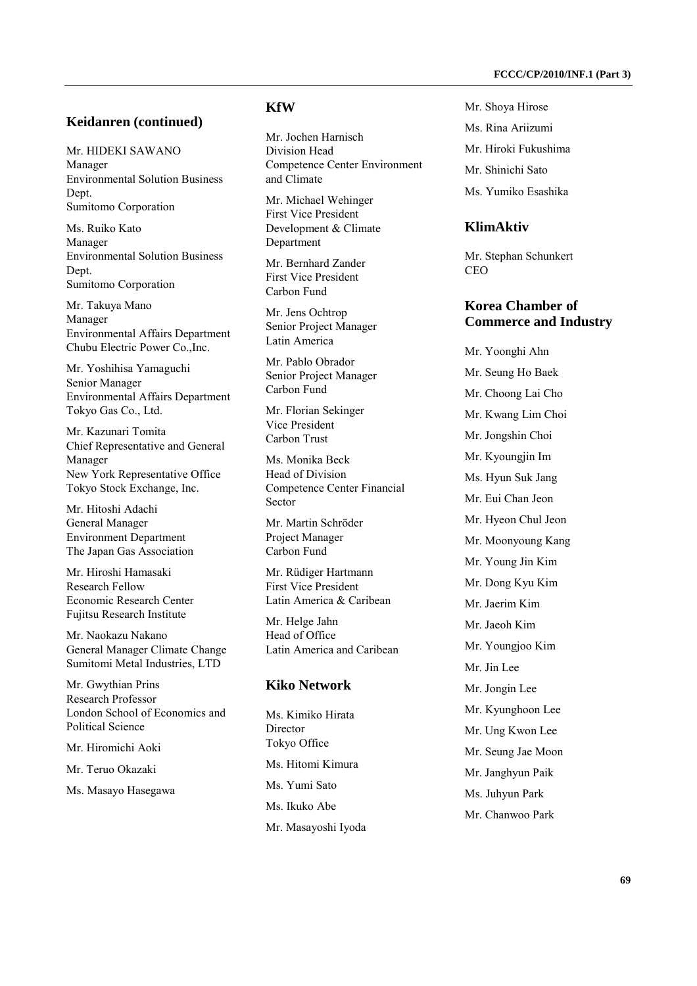#### **Keidanren (continued)**

Mr. HIDEKI SAWANO Manager Environmental Solution Business **Dept.** Sumitomo Corporation

Ms. Ruiko Kato Manager Environmental Solution Business Dept. Sumitomo Corporation

Mr. Takuya Mano Manager Environmental Affairs Department Chubu Electric Power Co.,Inc.

Mr. Yoshihisa Yamaguchi Senior Manager Environmental Affairs Department Tokyo Gas Co., Ltd.

Mr. Kazunari Tomita Chief Representative and General Manager New York Representative Office Tokyo Stock Exchange, Inc.

Mr. Hitoshi Adachi General Manager Environment Department The Japan Gas Association

Mr. Hiroshi Hamasaki Research Fellow Economic Research Center Fujitsu Research Institute

Mr. Naokazu Nakano General Manager Climate Change Sumitomi Metal Industries, LTD

Mr. Gwythian Prins Research Professor London School of Economics and Political Science

Mr. Hiromichi Aoki

Mr. Teruo Okazaki

Ms. Masayo Hasegawa

# **KfW**

Mr. Jochen Harnisch Division Head Competence Center Environment and Climate

Mr. Michael Wehinger First Vice President Development & Climate Department

Mr. Bernhard Zander First Vice President Carbon Fund

Mr. Jens Ochtrop Senior Project Manager Latin America

Mr. Pablo Obrador Senior Project Manager Carbon Fund

Mr. Florian Sekinger Vice President Carbon Trust

Ms. Monika Beck Head of Division Competence Center Financial Sector

Mr. Martin Schröder Project Manager Carbon Fund

Mr. Rüdiger Hartmann First Vice President Latin America & Caribean

Mr. Helge Jahn Head of Office Latin America and Caribean

## **Kiko Network**

Ms. Kimiko Hirata Director Tokyo Office Ms. Hitomi Kimura Ms. Yumi Sato Ms. Ikuko Abe Mr. Masayoshi Iyoda Mr. Shoya Hirose Ms. Rina Ariizumi Mr. Hiroki Fukushima Mr. Shinichi Sato Ms. Yumiko Esashika

## **KlimAktiv**

Mr. Stephan Schunkert CEO

#### **Korea Chamber of Commerce and Industry**

Mr. Yoonghi Ahn Mr. Seung Ho Baek Mr. Choong Lai Cho Mr. Kwang Lim Choi Mr. Jongshin Choi Mr. Kyoungiin Im Ms. Hyun Suk Jang Mr. Eui Chan Jeon Mr. Hyeon Chul Jeon Mr. Moonyoung Kang Mr. Young Jin Kim Mr. Dong Kyu Kim Mr. Jaerim Kim Mr. Jaeoh Kim Mr. Youngjoo Kim Mr. Jin Lee Mr. Jongin Lee Mr. Kyunghoon Lee Mr. Ung Kwon Lee Mr. Seung Jae Moon Mr. Janghyun Paik Ms. Juhyun Park Mr. Chanwoo Park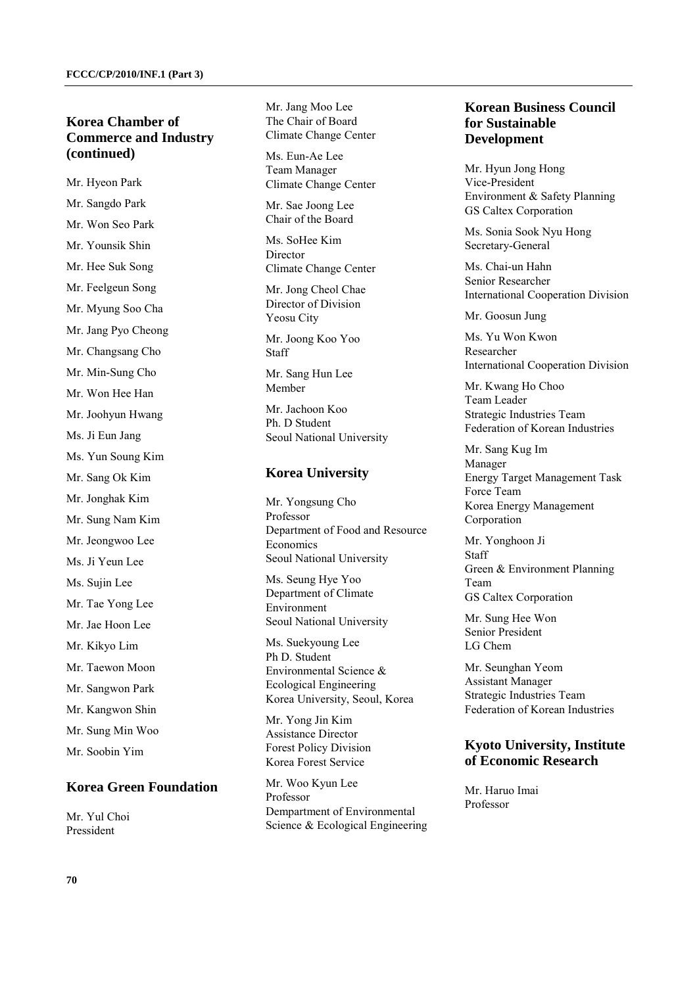## **Korea Chamber of Commerce and Industry (continued)**

Mr. Hyeon Park Mr. Sangdo Park Mr. Won Seo Park Mr. Younsik Shin Mr. Hee Suk Song Mr. Feelgeun Song Mr. Myung Soo Cha Mr. Jang Pyo Cheong Mr. Changsang Cho Mr. Min-Sung Cho Mr. Won Hee Han Mr. Joohyun Hwang Ms. Ji Eun Jang Ms. Yun Soung Kim Mr. Sang Ok Kim Mr. Jonghak Kim Mr. Sung Nam Kim Mr. Jeongwoo Lee Ms. Ji Yeun Lee Ms. Sujin Lee Mr. Tae Yong Lee Mr. Jae Hoon Lee Mr. Kikyo Lim Mr. Taewon Moon Mr. Sangwon Park Mr. Kangwon Shin Mr. Sung Min Woo Mr. Soobin Yim

# **Korea Green Foundation**

Mr. Yul Choi Pressident

Mr. Jang Moo Lee The Chair of Board Climate Change Center

Ms. Eun-Ae Lee Team Manager Climate Change Center

Mr. Sae Joong Lee Chair of the Board

Ms. SoHee Kim Director Climate Change Center

Mr. Jong Cheol Chae Director of Division Yeosu City

Mr. Joong Koo Yoo Staff

Mr. Sang Hun Lee Member

Mr. Jachoon Koo Ph. D Student Seoul National University

#### **Korea University**

Mr. Yongsung Cho Professor Department of Food and Resource Economics Seoul National University

Ms. Seung Hye Yoo Department of Climate Environment Seoul National University

Ms. Suekyoung Lee Ph D. Student Environmental Science & Ecological Engineering Korea University, Seoul, Korea

Mr. Yong Jin Kim Assistance Director Forest Policy Division Korea Forest Service

Mr. Woo Kyun Lee Professor Dempartment of Environmental Science & Ecological Engineering

#### **Korean Business Council for Sustainable Development**

Mr. Hyun Jong Hong Vice-President Environment & Safety Planning GS Caltex Corporation

Ms. Sonia Sook Nyu Hong Secretary-General

Ms. Chai-un Hahn Senior Researcher International Cooperation Division

Mr. Goosun Jung

Ms. Yu Won Kwon Researcher International Cooperation Division

Mr. Kwang Ho Choo Team Leader Strategic Industries Team Federation of Korean Industries

Mr. Sang Kug Im Manager Energy Target Management Task Force Team Korea Energy Management Corporation

Mr. Yonghoon Ji Staff Green & Environment Planning Team GS Caltex Corporation

Mr. Sung Hee Won Senior President LG Chem

Mr. Seunghan Yeom Assistant Manager Strategic Industries Team Federation of Korean Industries

#### **Kyoto University, Institute of Economic Research**

Mr. Haruo Imai Professor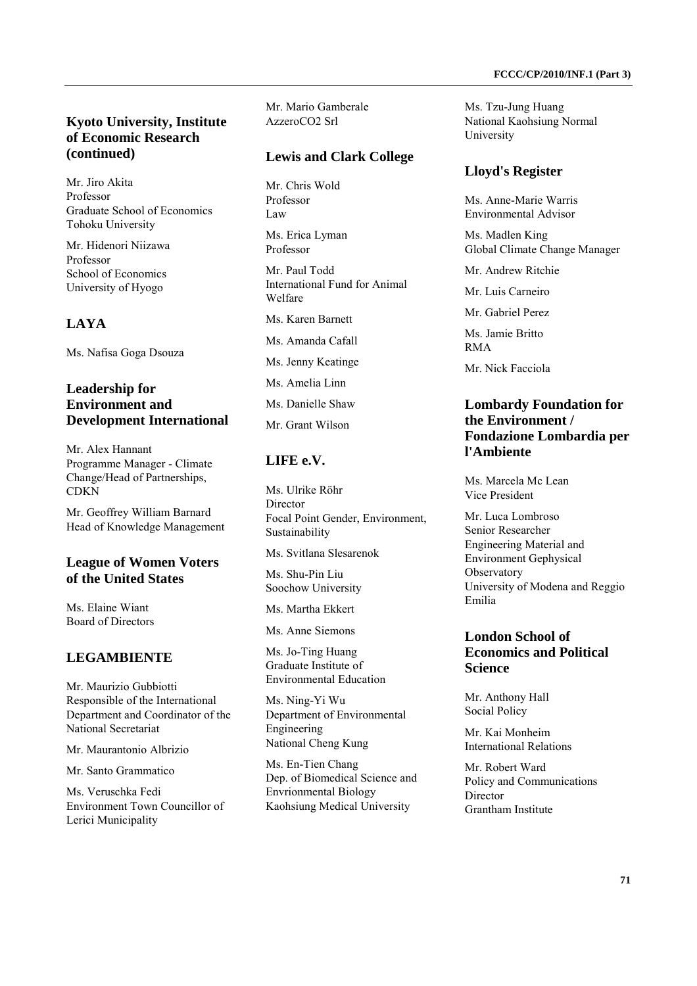## **Kyoto University, Institute of Economic Research (continued)**

Mr. Jiro Akita Professor Graduate School of Economics Tohoku University

Mr. Hidenori Niizawa Professor School of Economics University of Hyogo

# **LAYA**

Ms. Nafisa Goga Dsouza

# **Leadership for Environment and Development International**

Mr. Alex Hannant Programme Manager - Climate Change/Head of Partnerships, CDKN

Mr. Geoffrey William Barnard Head of Knowledge Management

#### **League of Women Voters of the United States**

Ms. Elaine Wiant Board of Directors

## **LEGAMBIENTE**

Mr. Maurizio Gubbiotti Responsible of the International Department and Coordinator of the National Secretariat

Mr. Maurantonio Albrizio

Mr. Santo Grammatico

Ms. Veruschka Fedi Environment Town Councillor of Lerici Municipality

Mr. Mario Gamberale AzzeroCO2 Srl

#### **Lewis and Clark College**

Mr. Chris Wold Professor Law

Ms. Erica Lyman Professor

Mr. Paul Todd International Fund for Animal Welfare

Ms. Karen Barnett

Ms. Amanda Cafall

Ms. Jenny Keatinge

Ms. Amelia Linn

Ms. Danielle Shaw

Mr. Grant Wilson

#### **LIFE e.V.**

Ms. Ulrike Röhr Director Focal Point Gender, Environment, Sustainability

Ms. Svitlana Slesarenok

Ms. Shu-Pin Liu Soochow University

Ms. Martha Ekkert

Ms. Anne Siemons

Ms. Jo-Ting Huang Graduate Institute of Environmental Education

Ms. Ning-Yi Wu Department of Environmental Engineering National Cheng Kung

Ms. En-Tien Chang Dep. of Biomedical Science and Envrionmental Biology Kaohsiung Medical University

Ms. Tzu-Jung Huang National Kaohsiung Normal University

## **Lloyd's Register**

Ms. Anne-Marie Warris Environmental Advisor

Ms. Madlen King Global Climate Change Manager

Mr. Andrew Ritchie

Mr. Luis Carneiro

Mr. Gabriel Perez

Ms. Jamie Britto RMA

Mr. Nick Facciola

#### **Lombardy Foundation for the Environment / Fondazione Lombardia per l'Ambiente**

Ms. Marcela Mc Lean Vice President

Mr. Luca Lombroso Senior Researcher Engineering Material and Environment Gephysical **Observatory** University of Modena and Reggio Emilia

# **London School of Economics and Political Science**

Mr. Anthony Hall Social Policy

Mr. Kai Monheim International Relations

Mr. Robert Ward Policy and Communications Director Grantham Institute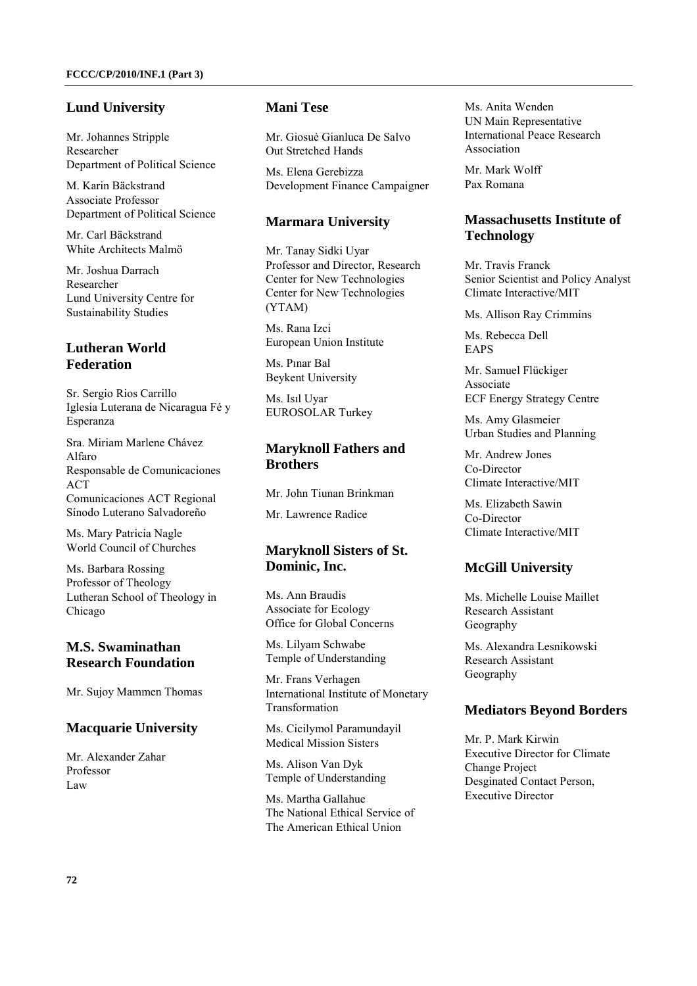# **Lund University**

Mr. Johannes Stripple Researcher Department of Political Science

M. Karin Bäckstrand Associate Professor Department of Political Science

Mr. Carl Bäckstrand White Architects Malmö

Mr. Joshua Darrach Researcher Lund University Centre for Sustainability Studies

# **Lutheran World Federation**

Sr. Sergio Rios Carrillo Iglesia Luterana de Nicaragua Fé y Esperanza

Sra. Miriam Marlene Chávez Alfaro Responsable de Comunicaciones **ACT** Comunicaciones ACT Regional Sínodo Luterano Salvadoreño

Ms. Mary Patricia Nagle World Council of Churches

Ms. Barbara Rossing Professor of Theology Lutheran School of Theology in Chicago

# **M.S. Swaminathan Research Foundation**

Mr. Sujoy Mammen Thomas

#### **Macquarie University**

Mr. Alexander Zahar Professor Law

#### **Mani Tese**

Mr. Giosuè Gianluca De Salvo Out Stretched Hands

Ms. Elena Gerebizza Development Finance Campaigner

## **Marmara University**

Mr. Tanay Sidki Uyar Professor and Director, Research Center for New Technologies Center for New Technologies (YTAM)

Ms. Rana Izci European Union Institute

Ms. Pınar Bal Beykent University

Ms. Isıl Uyar EUROSOLAR Turkey

# **Maryknoll Fathers and Brothers**

Mr. John Tiunan Brinkman

Mr. Lawrence Radice

# **Maryknoll Sisters of St. Dominic, Inc.**

Ms. Ann Braudis Associate for Ecology Office for Global Concerns

Ms. Lilyam Schwabe Temple of Understanding

Mr. Frans Verhagen International Institute of Monetary Transformation

Ms. Cicilymol Paramundayil Medical Mission Sisters

Ms. Alison Van Dyk Temple of Understanding

Ms. Martha Gallahue The National Ethical Service of The American Ethical Union

Ms. Anita Wenden UN Main Representative International Peace Research Association

Mr. Mark Wolff Pax Romana

# **Massachusetts Institute of Technology**

Mr. Travis Franck Senior Scientist and Policy Analyst Climate Interactive/MIT

Ms. Allison Ray Crimmins

Ms. Rebecca Dell EAPS

Mr. Samuel Flückiger Associate ECF Energy Strategy Centre

Ms. Amy Glasmeier Urban Studies and Planning

Mr. Andrew Jones Co-Director Climate Interactive/MIT

Ms. Elizabeth Sawin Co-Director Climate Interactive/MIT

# **McGill University**

Ms. Michelle Louise Maillet Research Assistant Geography

Ms. Alexandra Lesnikowski Research Assistant Geography

# **Mediators Beyond Borders**

Mr. P. Mark Kirwin Executive Director for Climate Change Project Desginated Contact Person, Executive Director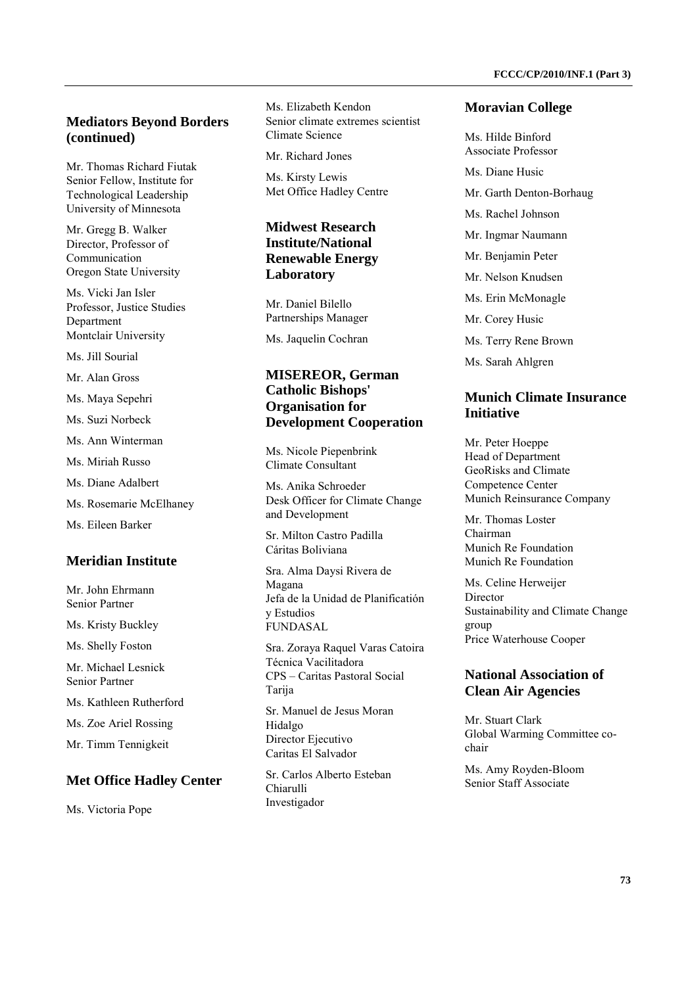### **Mediators Beyond Borders (continued)**

Mr. Thomas Richard Fiutak Senior Fellow, Institute for Technological Leadership University of Minnesota

Mr. Gregg B. Walker Director, Professor of Communication Oregon State University

Ms. Vicki Jan Isler Professor, Justice Studies Department Montclair University

Ms. Jill Sourial

Mr. Alan Gross

Ms. Maya Sepehri

Ms. Suzi Norbeck

Ms. Ann Winterman

Ms. Miriah Russo

Ms. Diane Adalbert

Ms. Rosemarie McElhaney

Ms. Eileen Barker

#### **Meridian Institute**

Mr. John Ehrmann Senior Partner

Ms. Kristy Buckley

Ms. Shelly Foston

Mr. Michael Lesnick Senior Partner

Ms. Kathleen Rutherford

Ms. Zoe Ariel Rossing

Mr. Timm Tennigkeit

#### **Met Office Hadley Center**

Ms. Victoria Pope

Ms. Elizabeth Kendon Senior climate extremes scientist Climate Science

Mr. Richard Jones

Ms. Kirsty Lewis Met Office Hadley Centre

### **Midwest Research Institute/National Renewable Energy Laboratory**

Mr. Daniel Bilello Partnerships Manager

Ms. Jaquelin Cochran

#### **MISEREOR, German Catholic Bishops' Organisation for Development Cooperation**

Ms. Nicole Piepenbrink Climate Consultant

Ms. Anika Schroeder Desk Officer for Climate Change and Development

Sr. Milton Castro Padilla Cáritas Boliviana

Sra. Alma Daysi Rivera de Magana Jefa de la Unidad de Planificatión y Estudios FUNDASAL

Sra. Zoraya Raquel Varas Catoira Técnica Vacilitadora CPS – Caritas Pastoral Social Tarija Sr. Manuel de Jesus Moran Hidalgo

Director Ejecutivo Caritas El Salvador

Sr. Carlos Alberto Esteban Chiarulli Investigador

#### **Moravian College**

Ms. Hilde Binford Associate Professor Ms. Diane Husic Mr. Garth Denton-Borhaug Ms. Rachel Johnson Mr. Ingmar Naumann Mr. Benjamin Peter Mr. Nelson Knudsen Ms. Erin McMonagle Mr. Corey Husic Ms. Terry Rene Brown Ms. Sarah Ahlgren

#### **Munich Climate Insurance Initiative**

Mr. Peter Hoeppe Head of Department GeoRisks and Climate Competence Center Munich Reinsurance Company

Mr. Thomas Loster Chairman Munich Re Foundation Munich Re Foundation

Ms. Celine Herweijer Director Sustainability and Climate Change group Price Waterhouse Cooper

# **National Association of Clean Air Agencies**

Mr. Stuart Clark Global Warming Committee cochair

Ms. Amy Royden-Bloom Senior Staff Associate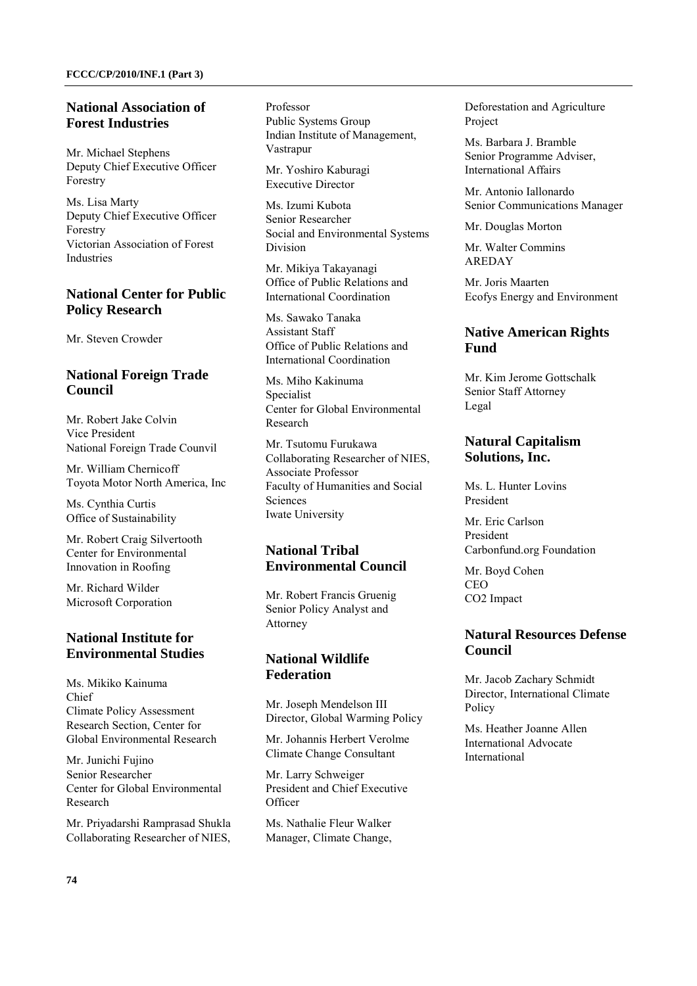### **National Association of Forest Industries**

Mr. Michael Stephens Deputy Chief Executive Officer Forestry

Ms. Lisa Marty Deputy Chief Executive Officer Forestry Victorian Association of Forest Industries

# **National Center for Public Policy Research**

Mr. Steven Crowder

# **National Foreign Trade Council**

Mr. Robert Jake Colvin Vice President National Foreign Trade Counvil

Mr. William Chernicoff Toyota Motor North America, Inc

Ms. Cynthia Curtis Office of Sustainability

Mr. Robert Craig Silvertooth Center for Environmental Innovation in Roofing

Mr. Richard Wilder Microsoft Corporation

# **National Institute for Environmental Studies**

Ms. Mikiko Kainuma Chief Climate Policy Assessment Research Section, Center for Global Environmental Research

Mr. Junichi Fujino Senior Researcher Center for Global Environmental Research

Mr. Priyadarshi Ramprasad Shukla Collaborating Researcher of NIES, Professor Public Systems Group Indian Institute of Management, Vastrapur

Mr. Yoshiro Kaburagi Executive Director

Ms. Izumi Kubota Senior Researcher Social and Environmental Systems Division

Mr. Mikiya Takayanagi Office of Public Relations and International Coordination

Ms. Sawako Tanaka Assistant Staff Office of Public Relations and International Coordination

Ms. Miho Kakinuma Specialist Center for Global Environmental Research

Mr. Tsutomu Furukawa Collaborating Researcher of NIES, Associate Professor Faculty of Humanities and Social **Sciences** Iwate University

# **National Tribal Environmental Council**

Mr. Robert Francis Gruenig Senior Policy Analyst and Attorney

# **National Wildlife Federation**

Mr. Joseph Mendelson III Director, Global Warming Policy

Mr. Johannis Herbert Verolme Climate Change Consultant

Mr. Larry Schweiger President and Chief Executive **Officer** 

Ms. Nathalie Fleur Walker Manager, Climate Change, Deforestation and Agriculture Project

Ms. Barbara J. Bramble Senior Programme Adviser, International Affairs

Mr. Antonio Iallonardo Senior Communications Manager

Mr. Douglas Morton

Mr. Walter Commins AREDAY

Mr. Joris Maarten Ecofys Energy and Environment

# **Native American Rights Fund**

Mr. Kim Jerome Gottschalk Senior Staff Attorney Legal

# **Natural Capitalism Solutions, Inc.**

Ms. L. Hunter Lovins President

Mr. Eric Carlson President Carbonfund.org Foundation

Mr. Boyd Cohen CEO CO2 Impact

# **Natural Resources Defense Council**

Mr. Jacob Zachary Schmidt Director, International Climate Policy

Ms. Heather Joanne Allen International Advocate International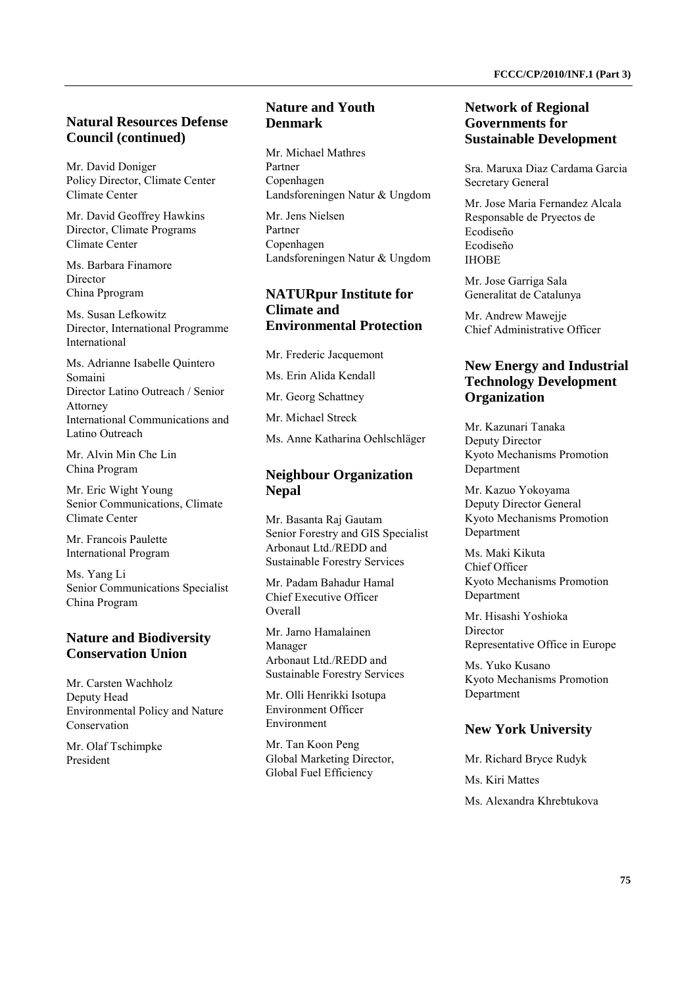## **Natural Resources Defense Council (continued)**

Mr. David Doniger Policy Director, Climate Center Climate Center

Mr. David Geoffrey Hawkins Director, Climate Programs Climate Center

Ms. Barbara Finamore **Director** China Pprogram

Ms. Susan Lefkowitz Director, International Programme International

Ms. Adrianne Isabelle Quintero Somaini Director Latino Outreach / Senior Attorney International Communications and Latino Outreach

Mr. Alvin Min Che Lin China Program

Mr. Eric Wight Young Senior Communications, Climate Climate Center

Mr. Francois Paulette International Program

Ms. Yang Li Senior Communications Specialist China Program

### **Nature and Biodiversity Conservation Union**

Mr. Carsten Wachholz Deputy Head Environmental Policy and Nature Conservation

Mr. Olaf Tschimpke President

## **Nature and Youth Denmark**

Mr. Michael Mathres Partner Copenhagen Landsforeningen Natur & Ungdom

Mr. Jens Nielsen Partner Copenhagen Landsforeningen Natur & Ungdom

### **NATURpur Institute for Climate and Environmental Protection**

Mr. Frederic Jacquemont Ms. Erin Alida Kendall Mr. Georg Schattney Mr. Michael Streck Ms. Anne Katharina Oehlschläger

### **Neighbour Organization Nepal**

Mr. Basanta Raj Gautam Senior Forestry and GIS Specialist Arbonaut Ltd./REDD and Sustainable Forestry Services

Mr. Padam Bahadur Hamal Chief Executive Officer Overall

Mr. Jarno Hamalainen Manager Arbonaut Ltd./REDD and Sustainable Forestry Services

Mr. Olli Henrikki Isotupa Environment Officer Environment

Mr. Tan Koon Peng Global Marketing Director, Global Fuel Efficiency

#### **Network of Regional Governments for Sustainable Development**

Sra. Maruxa Diaz Cardama Garcia Secretary General

Mr. Jose Maria Fernandez Alcala Responsable de Pryectos de Ecodiseño Ecodiseño **IHOBE** 

Mr. Jose Garriga Sala Generalitat de Catalunya

Mr. Andrew Mawejje Chief Administrative Officer

# **New Energy and Industrial Technology Development Organization**

Mr. Kazunari Tanaka Deputy Director Kyoto Mechanisms Promotion Department

Mr. Kazuo Yokoyama Deputy Director General Kyoto Mechanisms Promotion Department

Ms. Maki Kikuta Chief Officer Kyoto Mechanisms Promotion Department

Mr. Hisashi Yoshioka Director Representative Office in Europe

Ms. Yuko Kusano Kyoto Mechanisms Promotion Department

### **New York University**

Mr. Richard Bryce Rudyk Ms. Kiri Mattes Ms. Alexandra Khrebtukova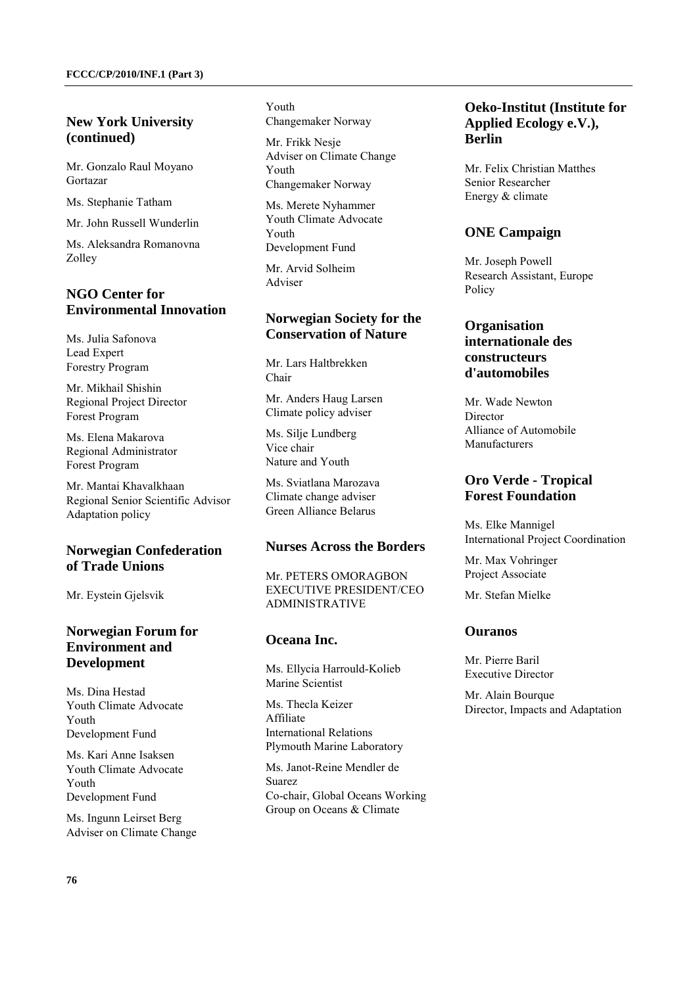# **New York University (continued)**

Mr. Gonzalo Raul Moyano Gortazar

Ms. Stephanie Tatham

Mr. John Russell Wunderlin

Ms. Aleksandra Romanovna Zolley

# **NGO Center for Environmental Innovation**

Ms. Julia Safonova Lead Expert Forestry Program

Mr. Mikhail Shishin Regional Project Director Forest Program

Ms. Elena Makarova Regional Administrator Forest Program

Mr. Mantai Khavalkhaan Regional Senior Scientific Advisor Adaptation policy

# **Norwegian Confederation of Trade Unions**

Mr. Eystein Gjelsvik

# **Norwegian Forum for Environment and Development**

Ms. Dina Hestad Youth Climate Advocate Youth Development Fund

Ms. Kari Anne Isaksen Youth Climate Advocate Youth Development Fund

Ms. Ingunn Leirset Berg Adviser on Climate Change Youth Changemaker Norway

Mr. Frikk Nesje Adviser on Climate Change Youth Changemaker Norway

Ms. Merete Nyhammer Youth Climate Advocate Youth Development Fund

Mr. Arvid Solheim Adviser

# **Norwegian Society for the Conservation of Nature**

Mr. Lars Haltbrekken Chair

Mr. Anders Haug Larsen Climate policy adviser

Ms. Silje Lundberg Vice chair Nature and Youth

Ms. Sviatlana Marozava Climate change adviser Green Alliance Belarus

### **Nurses Across the Borders**

Mr. PETERS OMORAGBON EXECUTIVE PRESIDENT/CEO ADMINISTRATIVE

# **Oceana Inc.**

Ms. Ellycia Harrould-Kolieb Marine Scientist

Ms. Thecla Keizer Affiliate International Relations Plymouth Marine Laboratory

Ms. Janot-Reine Mendler de Suarez Co-chair, Global Oceans Working Group on Oceans & Climate

# **Oeko-Institut (Institute for Applied Ecology e.V.), Berlin**

Mr. Felix Christian Matthes Senior Researcher Energy & climate

# **ONE Campaign**

Mr. Joseph Powell Research Assistant, Europe Policy

# **Organisation internationale des constructeurs d'automobiles**

Mr. Wade Newton Director Alliance of Automobile Manufacturers

# **Oro Verde - Tropical Forest Foundation**

Ms. Elke Mannigel International Project Coordination

Mr. Max Vohringer Project Associate

Mr. Stefan Mielke

# **Ouranos**

Mr. Pierre Baril Executive Director

Mr. Alain Bourque Director, Impacts and Adaptation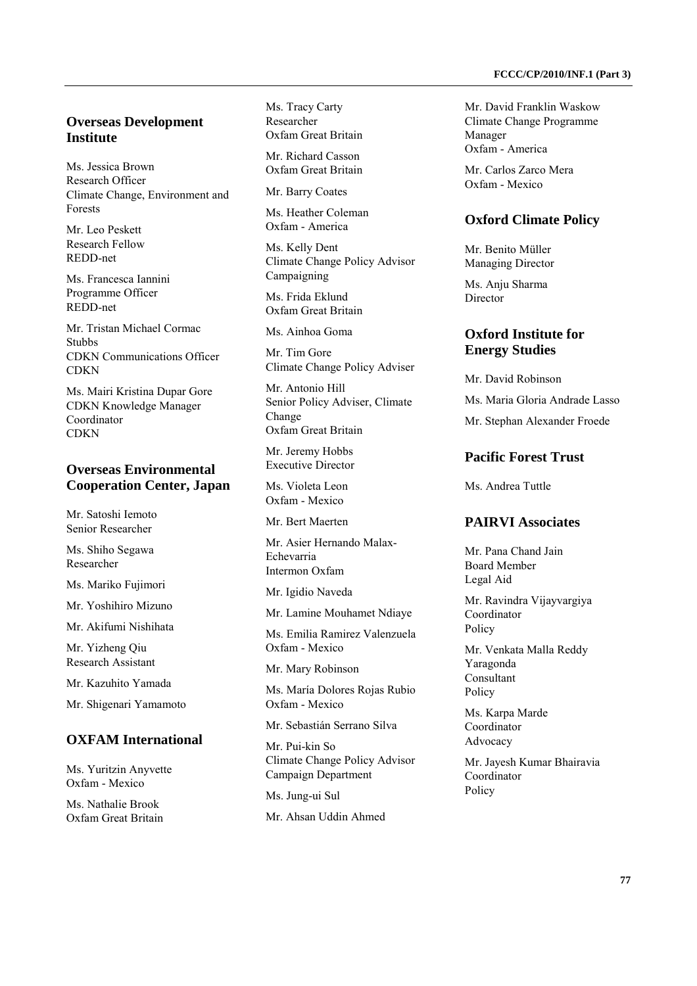#### **Overseas Development Institute**

Ms. Jessica Brown Research Officer Climate Change, Environment and Forests

Mr. Leo Peskett Research Fellow REDD-net

Ms. Francesca Iannini Programme Officer REDD-net

Mr. Tristan Michael Cormac Stubbs CDKN Communications Officer **CDKN** 

Ms. Mairi Kristina Dupar Gore CDKN Knowledge Manager Coordinator **CDKN** 

### **Overseas Environmental Cooperation Center, Japan**

Mr. Satoshi Iemoto Senior Researcher

Ms. Shiho Segawa Researcher

Ms. Mariko Fujimori

Mr. Yoshihiro Mizuno

Mr. Akifumi Nishihata

Mr. Yizheng Qiu Research Assistant

Mr. Kazuhito Yamada

Mr. Shigenari Yamamoto

# **OXFAM International**

Ms. Yuritzin Anyvette Oxfam - Mexico

Ms. Nathalie Brook Oxfam Great Britain Ms. Tracy Carty Researcher Oxfam Great Britain

Mr. Richard Casson Oxfam Great Britain

Mr. Barry Coates

Ms. Heather Coleman Oxfam - America

Ms. Kelly Dent Climate Change Policy Advisor Campaigning

Ms. Frida Eklund Oxfam Great Britain

Ms. Ainhoa Goma

Mr. Tim Gore Climate Change Policy Adviser

Mr. Antonio Hill Senior Policy Adviser, Climate Change Oxfam Great Britain

Mr. Jeremy Hobbs Executive Director

Ms. Violeta Leon Oxfam - Mexico

Mr. Bert Maerten

Mr. Asier Hernando Malax-Echevarria Intermon Oxfam

Mr. Igidio Naveda

Mr. Lamine Mouhamet Ndiaye

Ms. Emilia Ramirez Valenzuela Oxfam - Mexico

Mr. Mary Robinson

Ms. María Dolores Rojas Rubio Oxfam - Mexico

Mr. Sebastián Serrano Silva

Mr. Pui-kin So Climate Change Policy Advisor Campaign Department

Ms. Jung-ui Sul

Mr. Ahsan Uddin Ahmed

Mr. David Franklin Waskow Climate Change Programme Manager Oxfam - America

Mr. Carlos Zarco Mera Oxfam - Mexico

#### **Oxford Climate Policy**

Mr. Benito Müller Managing Director

Ms. Anju Sharma Director

#### **Oxford Institute for Energy Studies**

Mr. David Robinson

Ms. Maria Gloria Andrade Lasso

Mr. Stephan Alexander Froede

## **Pacific Forest Trust**

Ms. Andrea Tuttle

## **PAIRVI Associates**

Mr. Pana Chand Jain Board Member Legal Aid

Mr. Ravindra Vijayvargiya Coordinator Policy

Mr. Venkata Malla Reddy Yaragonda Consultant Policy

Ms. Karpa Marde Coordinator Advocacy

Mr. Jayesh Kumar Bhairavia Coordinator Policy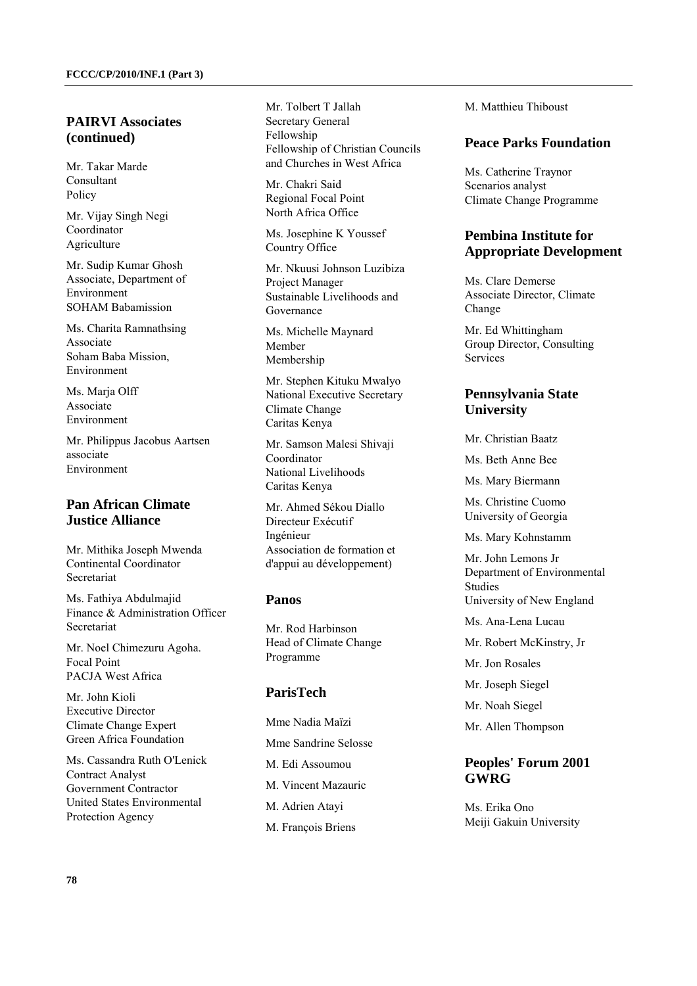#### **PAIRVI Associates (continued)**

Mr. Takar Marde Consultant Policy

Mr. Vijay Singh Negi Coordinator Agriculture

Mr. Sudip Kumar Ghosh Associate, Department of Environment SOHAM Babamission

Ms. Charita Ramnathsing Associate Soham Baba Mission, Environment

Ms. Maria Olff Associate Environment

Mr. Philippus Jacobus Aartsen associate Environment

# **Pan African Climate Justice Alliance**

Mr. Mithika Joseph Mwenda Continental Coordinator Secretariat

Ms. Fathiya Abdulmajid Finance & Administration Officer Secretariat

Mr. Noel Chimezuru Agoha. Focal Point PACJA West Africa

Mr. John Kioli Executive Director Climate Change Expert Green Africa Foundation

Ms. Cassandra Ruth O'Lenick Contract Analyst Government Contractor United States Environmental Protection Agency

Mr. Tolbert T Jallah Secretary General Fellowship Fellowship of Christian Councils and Churches in West Africa

Mr. Chakri Said Regional Focal Point North Africa Office

Ms. Josephine K Youssef Country Office

Mr. Nkuusi Johnson Luzibiza Project Manager Sustainable Livelihoods and Governance

Ms. Michelle Maynard Member Membership

Mr. Stephen Kituku Mwalyo National Executive Secretary Climate Change Caritas Kenya

Mr. Samson Malesi Shivaji Coordinator National Livelihoods Caritas Kenya

Mr. Ahmed Sékou Diallo Directeur Exécutif Ingénieur Association de formation et d'appui au développement)

#### **Panos**

Mr. Rod Harbinson Head of Climate Change Programme

# **ParisTech**

Mme Nadia Maïzi Mme Sandrine Selosse M. Edi Assoumou M. Vincent Mazauric M. Adrien Atayi M. François Briens

M. Matthieu Thiboust

#### **Peace Parks Foundation**

Ms. Catherine Traynor Scenarios analyst Climate Change Programme

# **Pembina Institute for Appropriate Development**

Ms. Clare Demerse Associate Director, Climate Change

Mr. Ed Whittingham Group Director, Consulting **Services** 

# **Pennsylvania State University**

Mr. Christian Baatz

Ms. Beth Anne Bee

Ms. Mary Biermann

Ms. Christine Cuomo University of Georgia

Ms. Mary Kohnstamm

Mr. John Lemons Jr Department of Environmental Studies University of New England

Ms. Ana-Lena Lucau

Mr. Robert McKinstry, Jr

Mr. Jon Rosales

Mr. Joseph Siegel

Mr. Noah Siegel

Mr. Allen Thompson

### **Peoples' Forum 2001 GWRG**

Ms. Erika Ono Meiji Gakuin University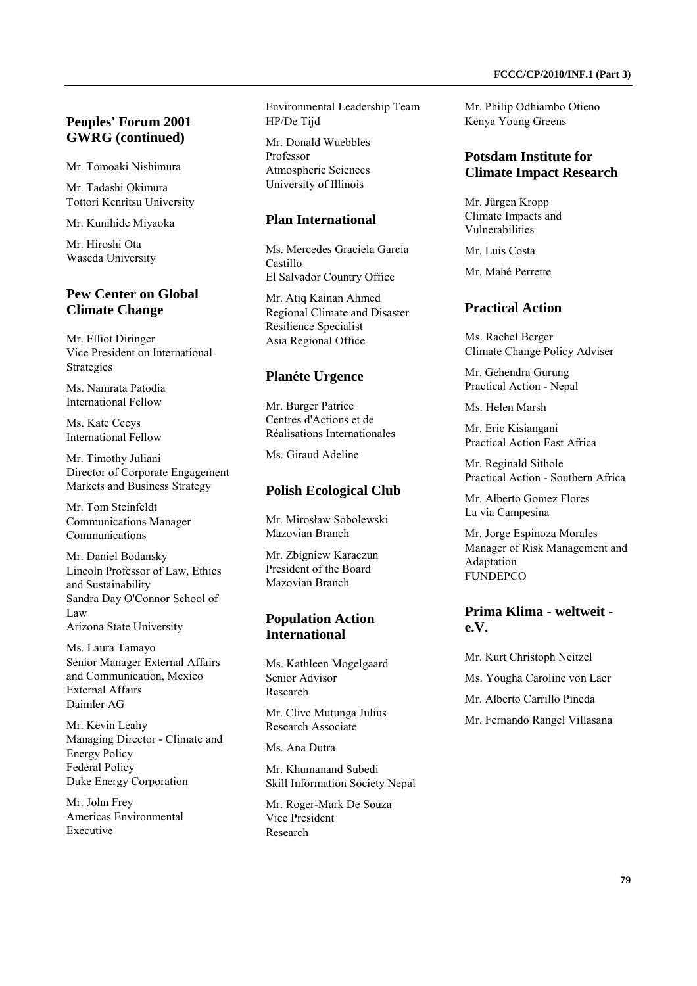# **Peoples' Forum 2001 GWRG (continued)**

Mr. Tomoaki Nishimura

Mr. Tadashi Okimura Tottori Kenritsu University

Mr. Kunihide Miyaoka

Mr. Hiroshi Ota Waseda University

# **Pew Center on Global Climate Change**

Mr. Elliot Diringer Vice President on International Strategies

Ms. Namrata Patodia International Fellow

Ms. Kate Cecys International Fellow

Mr. Timothy Juliani Director of Corporate Engagement Markets and Business Strategy

Mr. Tom Steinfeldt Communications Manager Communications

Mr. Daniel Bodansky Lincoln Professor of Law, Ethics and Sustainability Sandra Day O'Connor School of Law Arizona State University

Ms. Laura Tamayo Senior Manager External Affairs and Communication, Mexico External Affairs Daimler AG

Mr. Kevin Leahy Managing Director - Climate and Energy Policy Federal Policy Duke Energy Corporation

Mr. John Frey Americas Environmental Executive

Environmental Leadership Team HP/De Tijd

Mr. Donald Wuebbles Professor Atmospheric Sciences University of Illinois

#### **Plan International**

Ms. Mercedes Graciela Garcia Castillo El Salvador Country Office

Mr. Atiq Kainan Ahmed Regional Climate and Disaster Resilience Specialist Asia Regional Office

### **Planéte Urgence**

Mr. Burger Patrice Centres d'Actions et de Réalisations Internationales

Ms. Giraud Adeline

#### **Polish Ecological Club**

Mr. Mirosław Sobolewski Mazovian Branch

Mr. Zbigniew Karaczun President of the Board Mazovian Branch

#### **Population Action International**

Ms. Kathleen Mogelgaard Senior Advisor Research

Mr. Clive Mutunga Julius Research Associate

Ms. Ana Dutra

Mr. Khumanand Subedi Skill Information Society Nepal

Mr. Roger-Mark De Souza Vice President Research

Mr. Philip Odhiambo Otieno Kenya Young Greens

### **Potsdam Institute for Climate Impact Research**

Mr. Jürgen Kropp Climate Impacts and Vulnerabilities

Mr. Luis Costa

Mr. Mahé Perrette

### **Practical Action**

Ms. Rachel Berger Climate Change Policy Adviser

Mr. Gehendra Gurung Practical Action - Nepal

Ms. Helen Marsh

Mr. Eric Kisiangani Practical Action East Africa

Mr. Reginald Sithole Practical Action - Southern Africa

Mr. Alberto Gomez Flores La via Campesina

Mr. Jorge Espinoza Morales Manager of Risk Management and Adaptation **FUNDEPCO** 

### **Prima Klima - weltweit e.V.**

Mr. Kurt Christoph Neitzel Ms. Yougha Caroline von Laer Mr. Alberto Carrillo Pineda Mr. Fernando Rangel Villasana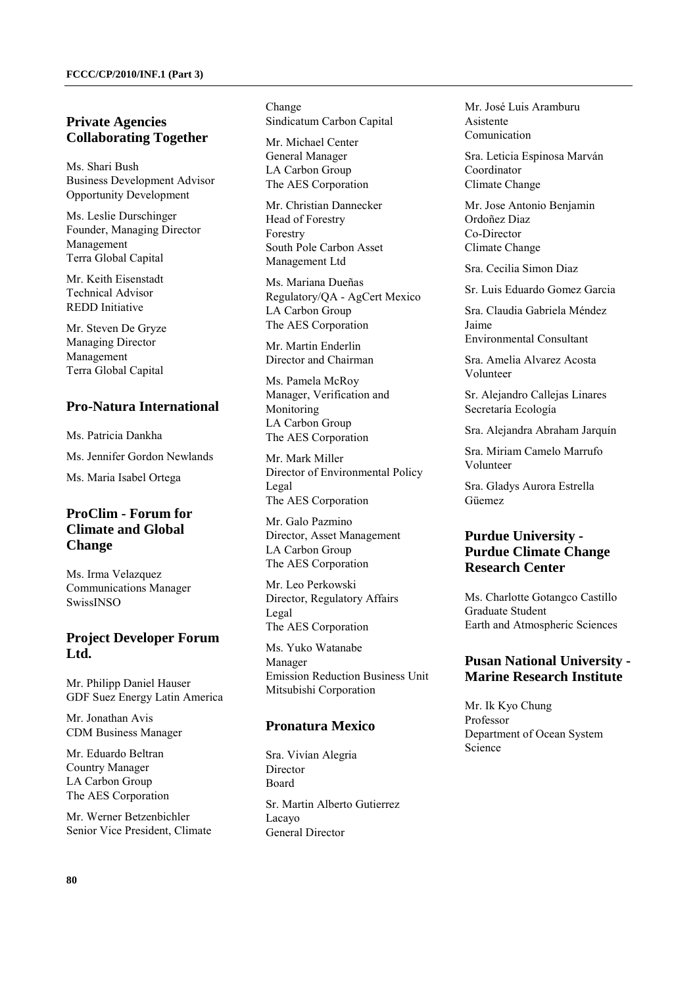# **Private Agencies Collaborating Together**

Ms. Shari Bush Business Development Advisor Opportunity Development

Ms. Leslie Durschinger Founder, Managing Director Management Terra Global Capital

Mr. Keith Eisenstadt Technical Advisor REDD Initiative

Mr. Steven De Gryze Managing Director Management Terra Global Capital

#### **Pro-Natura International**

Ms. Patricia Dankha

Ms. Jennifer Gordon Newlands

Ms. Maria Isabel Ortega

# **ProClim - Forum for Climate and Global Change**

Ms. Irma Velazquez Communications Manager SwissINSO

### **Project Developer Forum Ltd.**

Mr. Philipp Daniel Hauser GDF Suez Energy Latin America

Mr. Jonathan Avis CDM Business Manager

Mr. Eduardo Beltran Country Manager LA Carbon Group The AES Corporation

Mr. Werner Betzenbichler Senior Vice President, Climate Change Sindicatum Carbon Capital

Mr. Michael Center General Manager LA Carbon Group The AES Corporation

Mr. Christian Dannecker Head of Forestry Forestry South Pole Carbon Asset Management Ltd

Ms. Mariana Dueñas Regulatory/QA - AgCert Mexico LA Carbon Group The AES Corporation

Mr. Martin Enderlin Director and Chairman

Ms. Pamela McRoy Manager, Verification and Monitoring LA Carbon Group The AES Corporation

Mr. Mark Miller Director of Environmental Policy Legal The AES Corporation

Mr. Galo Pazmino Director, Asset Management LA Carbon Group The AES Corporation

Mr. Leo Perkowski Director, Regulatory Affairs Legal The AES Corporation

Ms. Yuko Watanabe Manager Emission Reduction Business Unit Mitsubishi Corporation

### **Pronatura Mexico**

Sra. Vivían Alegria Director Board Sr. Martin Alberto Gutierrez Lacayo

General Director

Mr. José Luis Aramburu Asistente Comunication

Sra. Leticia Espinosa Marván Coordinator Climate Change

Mr. Jose Antonio Benjamin Ordoñez Diaz Co-Director Climate Change

Sra. Cecilia Simon Diaz

Sr. Luis Eduardo Gomez Garcia

Sra. Claudia Gabriela Méndez Jaime

Environmental Consultant

Sra. Amelia Alvarez Acosta Volunteer

Sr. Alejandro Callejas Linares Secretaría Ecología

Sra. Alejandra Abraham Jarquín

Sra. Miriam Camelo Marrufo Volunteer

Sra. Gladys Aurora Estrella Güemez

# **Purdue University - Purdue Climate Change Research Center**

Ms. Charlotte Gotangco Castillo Graduate Student Earth and Atmospheric Sciences

### **Pusan National University - Marine Research Institute**

Mr. Ik Kyo Chung Professor Department of Ocean System Science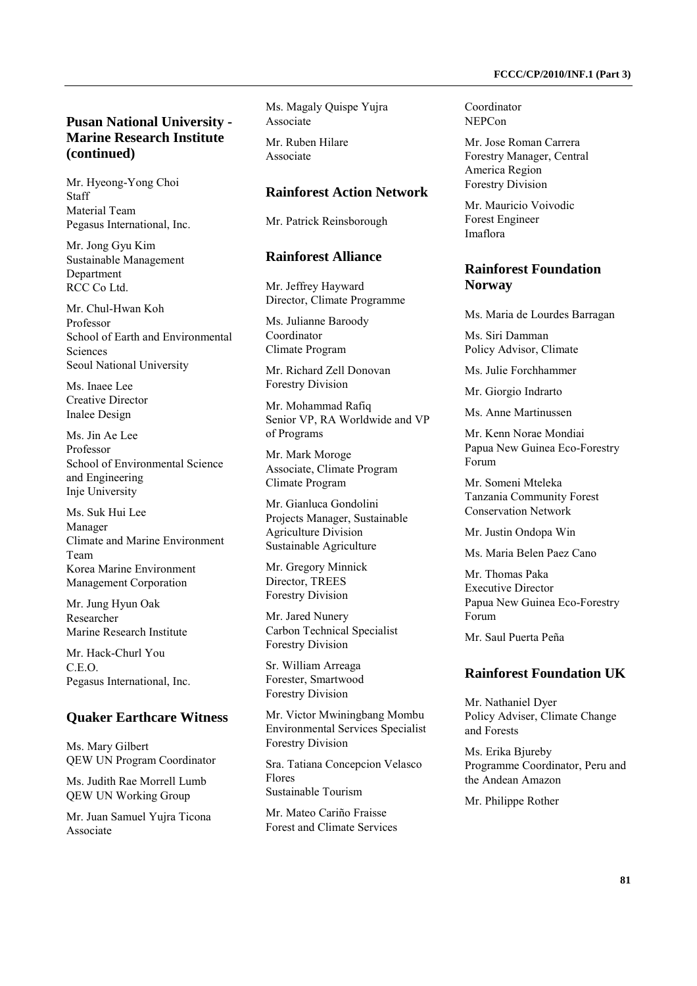# **Pusan National University - Marine Research Institute (continued)**

Mr. Hyeong-Yong Choi Staff Material Team Pegasus International, Inc.

Mr. Jong Gyu Kim Sustainable Management Department RCC Co Ltd.

Mr. Chul-Hwan Koh Professor School of Earth and Environmental Sciences Seoul National University

Ms. Inaee Lee Creative Director Inalee Design

Ms. Jin Ae Lee Professor School of Environmental Science and Engineering Inje University

Ms. Suk Hui Lee Manager Climate and Marine Environment Team Korea Marine Environment Management Corporation

Mr. Jung Hyun Oak Researcher Marine Research Institute

Mr. Hack-Churl You C.E.O. Pegasus International, Inc.

#### **Quaker Earthcare Witness**

Ms. Mary Gilbert QEW UN Program Coordinator

Ms. Judith Rae Morrell Lumb QEW UN Working Group

Mr. Juan Samuel Yujra Ticona Associate

Ms. Magaly Quispe Yujra Associate

Mr. Ruben Hilare Associate

#### **Rainforest Action Network**

Mr. Patrick Reinsborough

#### **Rainforest Alliance**

Mr. Jeffrey Hayward Director, Climate Programme

Ms. Julianne Baroody Coordinator Climate Program

Mr. Richard Zell Donovan Forestry Division

Mr. Mohammad Rafiq Senior VP, RA Worldwide and VP of Programs

Mr. Mark Moroge Associate, Climate Program Climate Program

Mr. Gianluca Gondolini Projects Manager, Sustainable Agriculture Division Sustainable Agriculture

Mr. Gregory Minnick Director, TREES Forestry Division

Mr. Jared Nunery Carbon Technical Specialist Forestry Division

Sr. William Arreaga Forester, Smartwood Forestry Division

Mr. Victor Mwiningbang Mombu Environmental Services Specialist Forestry Division

Sra. Tatiana Concepcion Velasco Flores Sustainable Tourism

Mr. Mateo Cariño Fraisse Forest and Climate Services Coordinator NEPCon

Mr. Jose Roman Carrera Forestry Manager, Central America Region Forestry Division

Mr. Mauricio Voivodic Forest Engineer Imaflora

#### **Rainforest Foundation Norway**

Ms. Maria de Lourdes Barragan

Ms. Siri Damman Policy Advisor, Climate

Ms. Julie Forchhammer

Mr. Giorgio Indrarto

Ms. Anne Martinussen

Mr. Kenn Norae Mondiai Papua New Guinea Eco-Forestry Forum

Mr. Someni Mteleka Tanzania Community Forest Conservation Network

Mr. Justin Ondopa Win

Ms. Maria Belen Paez Cano

Mr. Thomas Paka Executive Director Papua New Guinea Eco-Forestry Forum

Mr. Saul Puerta Peña

#### **Rainforest Foundation UK**

Mr. Nathaniel Dyer Policy Adviser, Climate Change and Forests

Ms. Erika Biureby Programme Coordinator, Peru and the Andean Amazon

Mr. Philippe Rother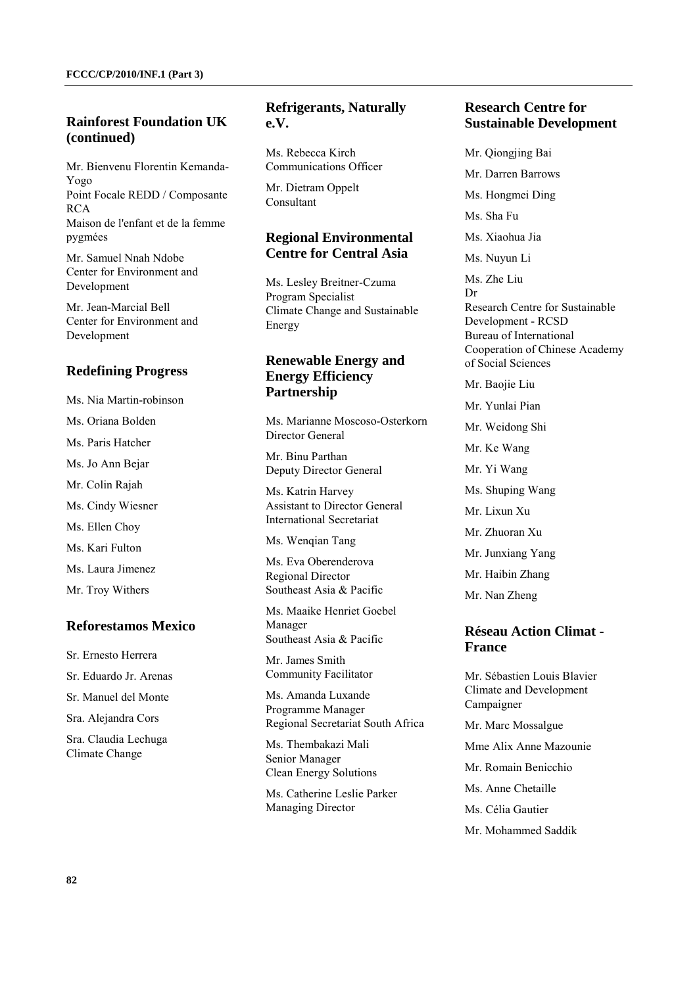# **Rainforest Foundation UK (continued)**

Mr. Bienvenu Florentin Kemanda-Yogo Point Focale REDD / Composante RCA Maison de l'enfant et de la femme pygmées

Mr. Samuel Nnah Ndobe Center for Environment and Development

Mr. Jean-Marcial Bell Center for Environment and Development

# **Redefining Progress**

- Ms. Nia Martin-robinson
- Ms. Oriana Bolden
- Ms. Paris Hatcher
- Ms. Jo Ann Bejar
- Mr. Colin Rajah
- Ms. Cindy Wiesner
- Ms. Ellen Choy
- Ms. Kari Fulton
- Ms. Laura Jimenez
- Mr. Troy Withers

#### **Reforestamos Mexico**

Sr. Ernesto Herrera Sr. Eduardo Jr. Arenas Sr. Manuel del Monte Sra. Alejandra Cors Sra. Claudia Lechuga Climate Change

# **Refrigerants, Naturally e.V.**

Ms. Rebecca Kirch Communications Officer

Mr. Dietram Oppelt Consultant

### **Regional Environmental Centre for Central Asia**

Ms. Lesley Breitner-Czuma Program Specialist Climate Change and Sustainable Energy

# **Renewable Energy and Energy Efficiency Partnership**

Ms. Marianne Moscoso-Osterkorn Director General

Mr. Binu Parthan Deputy Director General

Ms. Katrin Harvey Assistant to Director General International Secretariat

Ms. Wenqian Tang

Ms. Eva Oberenderova Regional Director Southeast Asia & Pacific

Ms. Maaike Henriet Goebel Manager Southeast Asia & Pacific

Mr. James Smith Community Facilitator

Ms. Amanda Luxande Programme Manager Regional Secretariat South Africa

Ms. Thembakazi Mali Senior Manager Clean Energy Solutions

Ms. Catherine Leslie Parker Managing Director

#### **Research Centre for Sustainable Development**

Mr. Qiongjing Bai Mr. Darren Barrows Ms. Hongmei Ding Ms. Sha Fu Ms. Xiaohua Jia Ms. Nuyun Li Ms. Zhe Liu Dr Research Centre for Sustainable Development - RCSD Bureau of International Cooperation of Chinese Academy of Social Sciences

Mr. Baojie Liu

Mr. Yunlai Pian Mr. Weidong Shi Mr. Ke Wang Mr. Yi Wang Ms. Shuping Wang Mr. Lixun Xu Mr. Zhuoran Xu Mr. Junxiang Yang Mr. Haibin Zhang Mr. Nan Zheng

### **Réseau Action Climat - France**

Mr. Sébastien Louis Blavier Climate and Development Campaigner

Mr. Marc Mossalgue

Mme Alix Anne Mazounie

Mr. Romain Benicchio

Ms. Anne Chetaille

Ms. Célia Gautier

Mr. Mohammed Saddik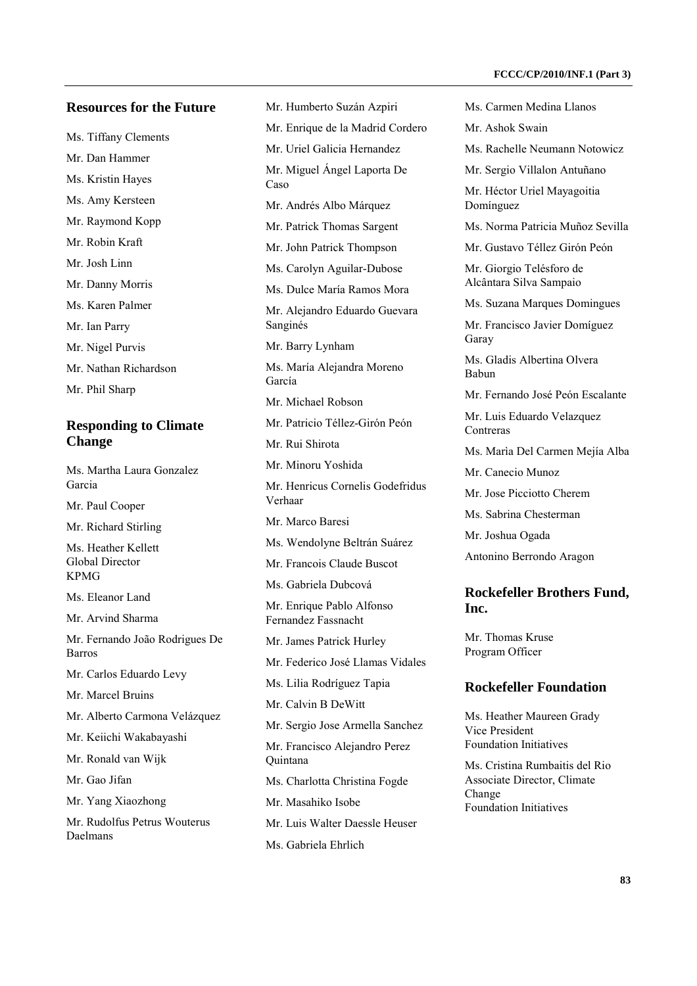#### **Resources for the Future**

- Ms. Tiffany Clements
- Mr. Dan Hammer

Ms. Kristin Hayes

- Ms. Amy Kersteen
- Mr. Raymond Kopp
- Mr. Robin Kraft
- Mr. Josh Linn
- Mr. Danny Morris
- Ms. Karen Palmer
- Mr. Ian Parry
- Mr. Nigel Purvis
- Mr. Nathan Richardson
- Mr. Phil Sharp

#### **Responding to Climate Change**

Ms. Martha Laura Gonzalez Garcia

Mr. Paul Cooper

Mr. Richard Stirling

Ms. Heather Kellett Global Director KPMG

Ms. Eleanor Land

Mr. Arvind Sharma

Mr. Fernando João Rodrigues De Barros

Mr. Carlos Eduardo Levy

Mr. Marcel Bruins

- Mr. Alberto Carmona Velázquez
- Mr. Keiichi Wakabayashi

Mr. Ronald van Wijk

Mr. Gao Jifan

Mr. Yang Xiaozhong

Mr. Rudolfus Petrus Wouterus Daelmans

Mr. Humberto Suzán Azpiri Mr. Enrique de la Madrid Cordero Mr. Uriel Galicia Hernandez Mr. Miguel Ángel Laporta De Caso Mr. Andrés Albo Márquez Mr. Patrick Thomas Sargent Mr. John Patrick Thompson Ms. Carolyn Aguilar-Dubose Ms. Dulce María Ramos Mora Mr. Alejandro Eduardo Guevara Sanginés Mr. Barry Lynham Ms. María Alejandra Moreno García Mr. Michael Robson Mr. Patricio Téllez-Girón Peón Mr. Rui Shirota Mr. Minoru Yoshida Mr. Henricus Cornelis Godefridus Verhaar Mr. Marco Baresi Ms. Wendolyne Beltrán Suárez Mr. Francois Claude Buscot Ms. Gabriela Dubcová Mr. Enrique Pablo Alfonso Fernandez Fassnacht Mr. James Patrick Hurley Mr. Federico José Llamas Vidales Ms. Lilia Rodríguez Tapia Mr. Calvin B DeWitt Mr. Sergio Jose Armella Sanchez

Mr. Francisco Alejandro Perez Quintana

- Ms. Charlotta Christina Fogde
- Mr. Masahiko Isobe
- Mr. Luis Walter Daessle Heuser
- Ms. Gabriela Ehrlich

Ms. Carmen Medina Llanos

- Mr. Ashok Swain
- Ms. Rachelle Neumann Notowicz
- Mr. Sergio Villalon Antuñano

Mr. Héctor Uriel Mayagoitia Domínguez

- Ms. Norma Patricia Muñoz Sevilla
- Mr. Gustavo Téllez Girón Peón

Mr. Giorgio Telésforo de Alcântara Silva Sampaio

Ms. Suzana Marques Domingues

Mr. Francisco Javier Domíguez Garay

Ms. Gladis Albertina Olvera Babun

Mr. Fernando José Peón Escalante

Mr. Luis Eduardo Velazquez **Contreras** 

Ms. Marìa Del Carmen Mejía Alba

Mr. Canecio Munoz

Mr. Jose Picciotto Cherem

Ms. Sabrina Chesterman

Mr. Joshua Ogada

Antonino Berrondo Aragon

#### **Rockefeller Brothers Fund, Inc.**

Mr. Thomas Kruse Program Officer

#### **Rockefeller Foundation**

Ms. Heather Maureen Grady Vice President Foundation Initiatives

Ms. Cristina Rumbaitis del Rio Associate Director, Climate Change Foundation Initiatives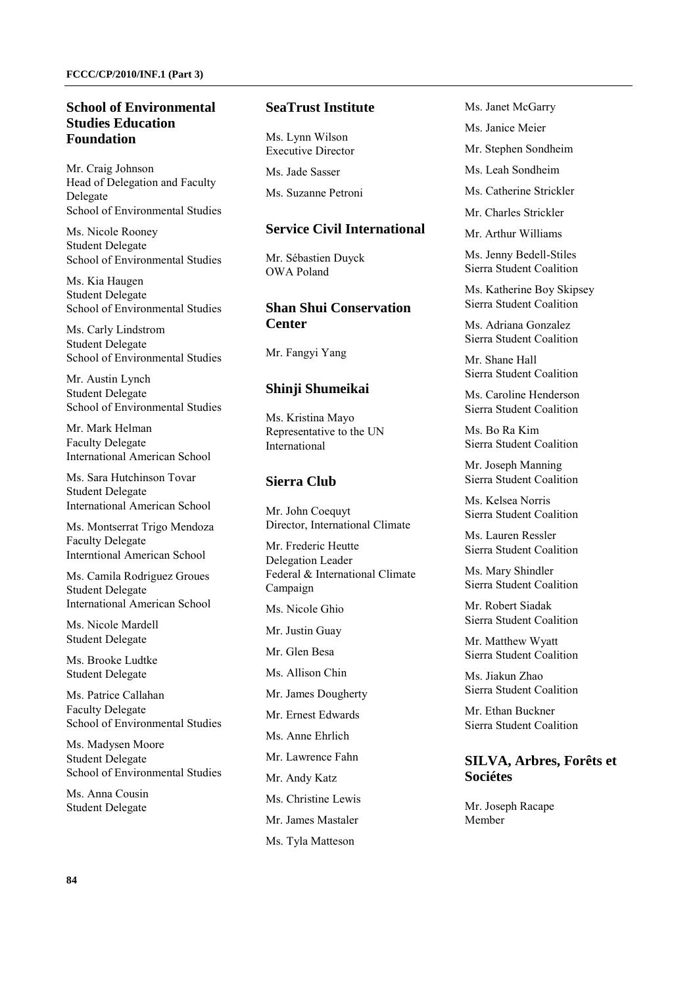#### **School of Environmental Studies Education Foundation**

Mr. Craig Johnson Head of Delegation and Faculty Delegate School of Environmental Studies

Ms. Nicole Rooney Student Delegate School of Environmental Studies

Ms. Kia Haugen Student Delegate School of Environmental Studies

Ms. Carly Lindstrom Student Delegate School of Environmental Studies

Mr. Austin Lynch Student Delegate School of Environmental Studies

Mr. Mark Helman Faculty Delegate International American School

Ms. Sara Hutchinson Tovar Student Delegate International American School

Ms. Montserrat Trigo Mendoza Faculty Delegate Interntional American School

Ms. Camila Rodriguez Groues Student Delegate International American School

Ms. Nicole Mardell Student Delegate

Ms. Brooke Ludtke Student Delegate

Ms. Patrice Callahan Faculty Delegate School of Environmental Studies

Ms. Madysen Moore Student Delegate School of Environmental Studies

Ms. Anna Cousin Student Delegate

#### **SeaTrust Institute**

Ms. Lynn Wilson Executive Director

Ms. Jade Sasser

Ms. Suzanne Petroni

#### **Service Civil International**

Mr. Sébastien Duyck OWA Poland

# **Shan Shui Conservation Center**

Mr. Fangyi Yang

#### **Shinji Shumeikai**

Ms. Kristina Mayo Representative to the UN International

#### **Sierra Club**

Mr. John Coequyt Director, International Climate

Mr. Frederic Heutte Delegation Leader Federal & International Climate Campaign

Ms. Nicole Ghio

Mr. Justin Guay

Mr. Glen Besa

Ms. Allison Chin

Mr. James Dougherty

Mr. Ernest Edwards

- Ms. Anne Ehrlich
- Mr. Lawrence Fahn
- Mr. Andy Katz
- Ms. Christine Lewis
- Mr. James Mastaler
- Ms. Tyla Matteson

Ms. Janet McGarry

- Ms. Janice Meier
- Mr. Stephen Sondheim
- Ms. Leah Sondheim
- Ms. Catherine Strickler
- Mr. Charles Strickler
- Mr. Arthur Williams

Ms. Jenny Bedell-Stiles Sierra Student Coalition

Ms. Katherine Boy Skipsey Sierra Student Coalition

Ms. Adriana Gonzalez Sierra Student Coalition

Mr. Shane Hall Sierra Student Coalition

Ms. Caroline Henderson Sierra Student Coalition

Ms. Bo Ra Kim Sierra Student Coalition

Mr. Joseph Manning Sierra Student Coalition

Ms. Kelsea Norris Sierra Student Coalition

Ms. Lauren Ressler Sierra Student Coalition

Ms. Mary Shindler Sierra Student Coalition

Mr. Robert Siadak Sierra Student Coalition

Mr. Matthew Wyatt Sierra Student Coalition

Ms. Jiakun Zhao Sierra Student Coalition

Mr. Ethan Buckner Sierra Student Coalition

#### **SILVA, Arbres, Forêts et Sociétes**

Mr. Joseph Racape Member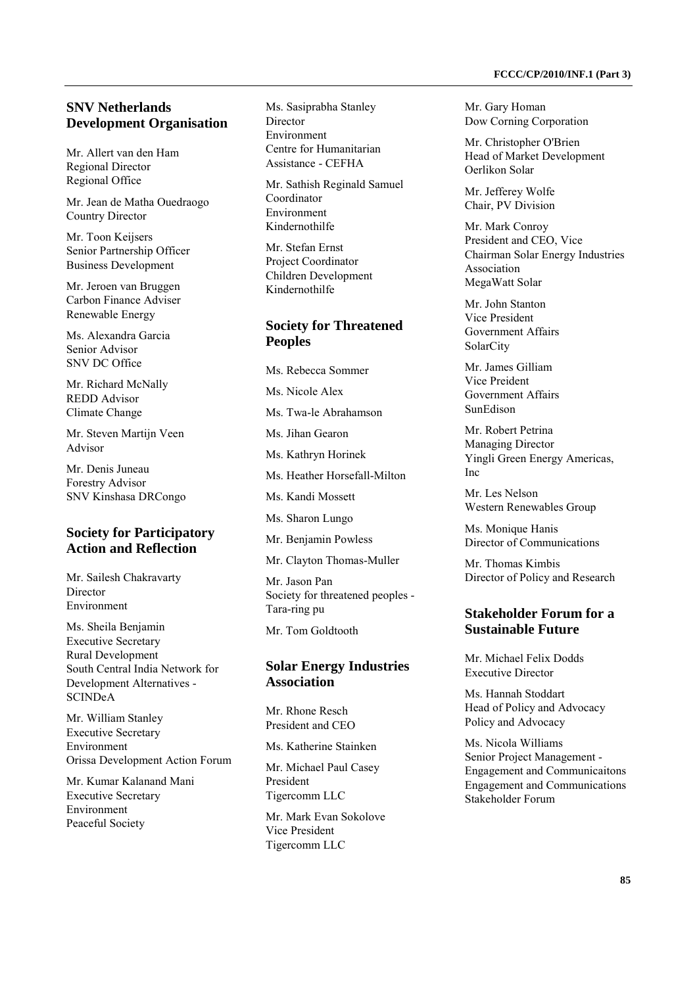### **SNV Netherlands Development Organisation**

Mr. Allert van den Ham Regional Director Regional Office

Mr. Jean de Matha Ouedraogo Country Director

Mr. Toon Keijsers Senior Partnership Officer Business Development

Mr. Jeroen van Bruggen Carbon Finance Adviser Renewable Energy

Ms. Alexandra Garcia Senior Advisor SNV DC Office

Mr. Richard McNally REDD Advisor Climate Change

Mr. Steven Martijn Veen Advisor

Mr. Denis Juneau Forestry Advisor SNV Kinshasa DRCongo

# **Society for Participatory Action and Reflection**

Mr. Sailesh Chakravarty Director Environment

Ms. Sheila Benjamin Executive Secretary Rural Development South Central India Network for Development Alternatives - SCINDeA

Mr. William Stanley Executive Secretary Environment Orissa Development Action Forum

Mr. Kumar Kalanand Mani Executive Secretary Environment Peaceful Society

Ms. Sasiprabha Stanley Director Environment Centre for Humanitarian Assistance - CEFHA

Mr. Sathish Reginald Samuel Coordinator Environment Kindernothilfe

Mr. Stefan Ernst Project Coordinator Children Development Kindernothilfe

# **Society for Threatened Peoples**

Ms. Rebecca Sommer

Ms. Nicole Alex

Ms. Twa-le Abrahamson

Ms. Jihan Gearon

Ms. Kathryn Horinek

Ms. Heather Horsefall-Milton

Ms. Kandi Mossett

Ms. Sharon Lungo

Mr. Benjamin Powless

Mr. Clayton Thomas-Muller

Mr. Jason Pan Society for threatened peoples - Tara-ring pu

Mr. Tom Goldtooth

#### **Solar Energy Industries Association**

Mr. Rhone Resch President and CEO

Ms. Katherine Stainken

Mr. Michael Paul Casey President Tigercomm LLC

Mr. Mark Evan Sokolove Vice President Tigercomm LLC

Mr. Gary Homan Dow Corning Corporation

Mr. Christopher O'Brien Head of Market Development Oerlikon Solar

Mr. Jefferey Wolfe Chair, PV Division

Mr. Mark Conroy President and CEO, Vice Chairman Solar Energy Industries Association MegaWatt Solar

Mr. John Stanton Vice President Government Affairs **SolarCity** 

Mr. James Gilliam Vice Preident Government Affairs SunEdison

Mr. Robert Petrina Managing Director Yingli Green Energy Americas, Inc

Mr. Les Nelson Western Renewables Group

Ms. Monique Hanis Director of Communications

Mr. Thomas Kimbis Director of Policy and Research

# **Stakeholder Forum for a Sustainable Future**

Mr. Michael Felix Dodds Executive Director

Ms. Hannah Stoddart Head of Policy and Advocacy Policy and Advocacy

Ms. Nicola Williams Senior Project Management - Engagement and Communicaitons Engagement and Communications Stakeholder Forum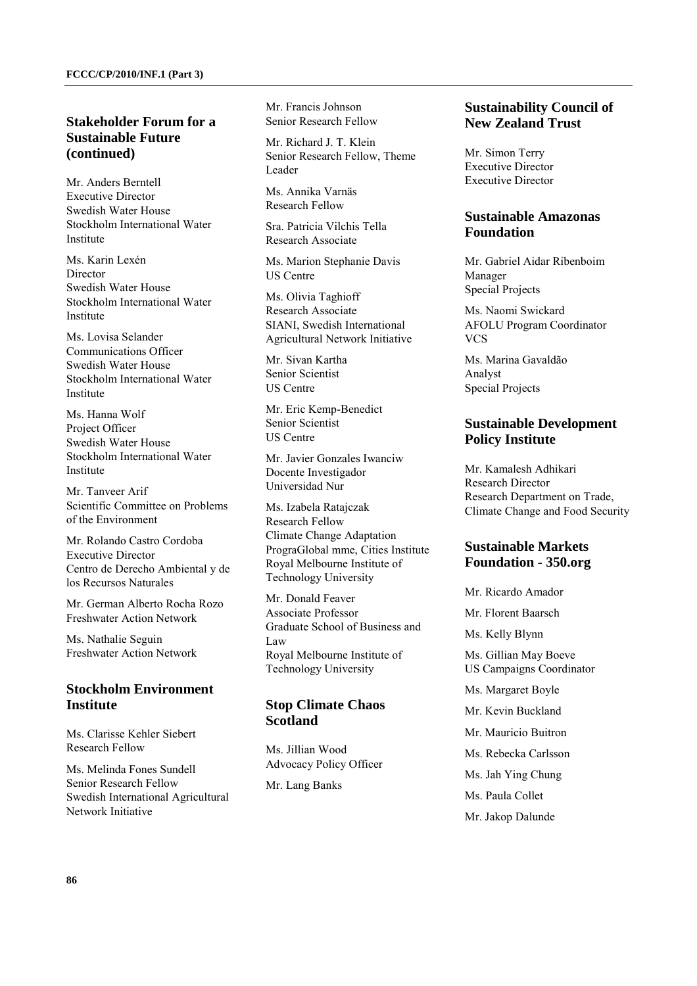### **Stakeholder Forum for a Sustainable Future (continued)**

Mr. Anders Berntell Executive Director Swedish Water House Stockholm International Water Institute

Ms. Karin Lexén Director Swedish Water House Stockholm International Water Institute

Ms. Lovisa Selander Communications Officer Swedish Water House Stockholm International Water Institute

Ms. Hanna Wolf Project Officer Swedish Water House Stockholm International Water Institute

Mr. Tanveer Arif Scientific Committee on Problems of the Environment

Mr. Rolando Castro Cordoba Executive Director Centro de Derecho Ambiental y de los Recursos Naturales

Mr. German Alberto Rocha Rozo Freshwater Action Network

Ms. Nathalie Seguin Freshwater Action Network

# **Stockholm Environment Institute**

Ms. Clarisse Kehler Siebert Research Fellow

Ms. Melinda Fones Sundell Senior Research Fellow Swedish International Agricultural Network Initiative

Mr. Francis Johnson Senior Research Fellow

Mr. Richard J. T. Klein Senior Research Fellow, Theme Leader

Ms. Annika Varnäs Research Fellow

Sra. Patricia Vilchis Tella Research Associate

Ms. Marion Stephanie Davis US Centre

Ms. Olivia Taghioff Research Associate SIANI, Swedish International Agricultural Network Initiative

Mr. Sivan Kartha Senior Scientist US Centre

Mr. Eric Kemp-Benedict Senior Scientist US Centre

Mr. Javier Gonzales Iwanciw Docente Investigador Universidad Nur

Ms. Izabela Ratajczak Research Fellow Climate Change Adaptation PrograGlobal mme, Cities Institute Royal Melbourne Institute of Technology University

Mr. Donald Feaver Associate Professor Graduate School of Business and Law Royal Melbourne Institute of Technology University

# **Stop Climate Chaos Scotland**

Ms. Jillian Wood Advocacy Policy Officer

Mr. Lang Banks

### **Sustainability Council of New Zealand Trust**

Mr. Simon Terry Executive Director Executive Director

### **Sustainable Amazonas Foundation**

Mr. Gabriel Aidar Ribenboim Manager Special Projects

Ms. Naomi Swickard AFOLU Program Coordinator VCS

Ms. Marina Gavaldão Analyst Special Projects

# **Sustainable Development Policy Institute**

Mr. Kamalesh Adhikari Research Director Research Department on Trade, Climate Change and Food Security

### **Sustainable Markets Foundation - 350.org**

Mr. Ricardo Amador Mr. Florent Baarsch Ms. Kelly Blynn Ms. Gillian May Boeve US Campaigns Coordinator Ms. Margaret Boyle Mr. Kevin Buckland Mr. Mauricio Buitron Ms. Rebecka Carlsson Ms. Jah Ying Chung Ms. Paula Collet Mr. Jakop Dalunde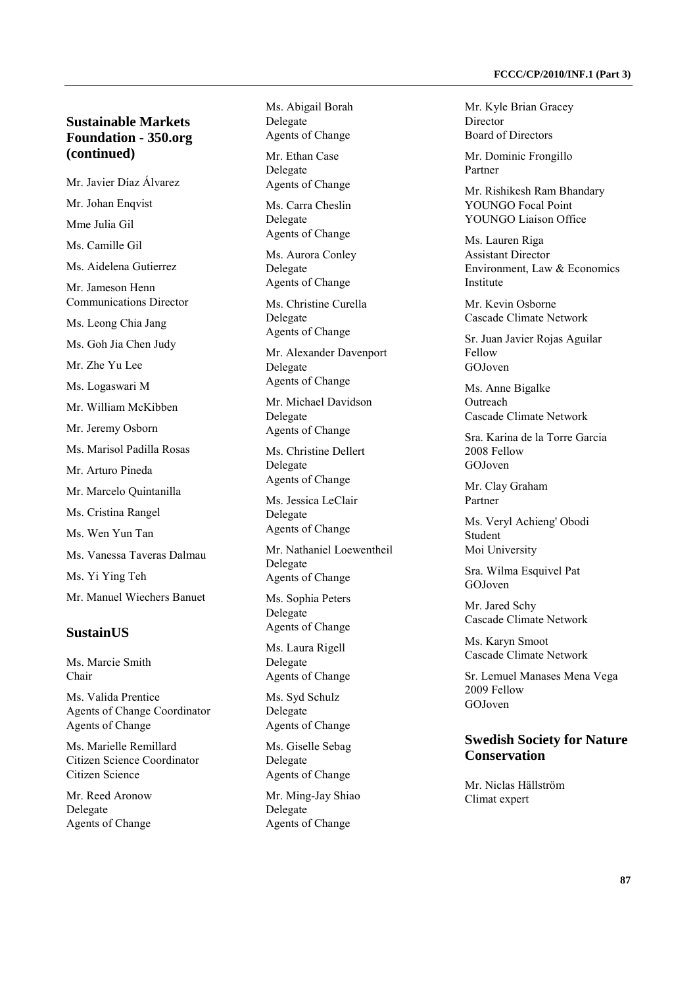# **Sustainable Markets Foundation - 350.org (continued)**

- Mr. Javier Díaz Álvarez
- Mr. Johan Enqvist
- Mme Julia Gil

Ms. Camille Gil

Ms. Aidelena Gutierrez

Mr. Jameson Henn Communications Director

Ms. Leong Chia Jang

Ms. Goh Jia Chen Judy

Mr. Zhe Yu Lee

Ms. Logaswari M

Mr. William McKibben

Mr. Jeremy Osborn

Ms. Marisol Padilla Rosas

Mr. Arturo Pineda

- Mr. Marcelo Quintanilla
- Ms. Cristina Rangel

Ms. Wen Yun Tan

Ms. Vanessa Taveras Dalmau

Ms. Yi Ying Teh

Mr. Manuel Wiechers Banuet

#### **SustainUS**

Ms. Marcie Smith Chair

Ms. Valida Prentice Agents of Change Coordinator Agents of Change

Ms. Marielle Remillard Citizen Science Coordinator Citizen Science

Mr. Reed Aronow Delegate Agents of Change Ms. Abigail Borah Delegate Agents of Change

Mr. Ethan Case Delegate Agents of Change

Ms. Carra Cheslin Delegate Agents of Change

Ms. Aurora Conley Delegate Agents of Change

Ms. Christine Curella Delegate Agents of Change

Mr. Alexander Davenport Delegate Agents of Change

Mr. Michael Davidson Delegate Agents of Change

Ms. Christine Dellert Delegate Agents of Change

Ms. Jessica LeClair Delegate Agents of Change

Mr. Nathaniel Loewentheil Delegate

Agents of Change

Ms. Sophia Peters Delegate Agents of Change

Ms. Laura Rigell Delegate Agents of Change

Ms. Syd Schulz Delegate Agents of Change

Ms. Giselle Sebag Delegate Agents of Change

Mr. Ming-Jay Shiao Delegate Agents of Change

Mr. Kyle Brian Gracey Director Board of Directors

Mr. Dominic Frongillo Partner

Mr. Rishikesh Ram Bhandary YOUNGO Focal Point YOUNGO Liaison Office

Ms. Lauren Riga Assistant Director Environment, Law & Economics Institute

Mr. Kevin Osborne Cascade Climate Network

Sr. Juan Javier Rojas Aguilar Fellow GOJoven

Ms. Anne Bigalke **Outreach** Cascade Climate Network

Sra. Karina de la Torre Garcia 2008 Fellow GOJoven

Mr. Clay Graham Partner

Ms. Veryl Achieng' Obodi Student Moi University

Sra. Wilma Esquivel Pat GOJoven

Mr. Jared Schy Cascade Climate Network

Ms. Karyn Smoot Cascade Climate Network

Sr. Lemuel Manases Mena Vega 2009 Fellow GOJoven

### **Swedish Society for Nature Conservation**

Mr. Niclas Hällström Climat expert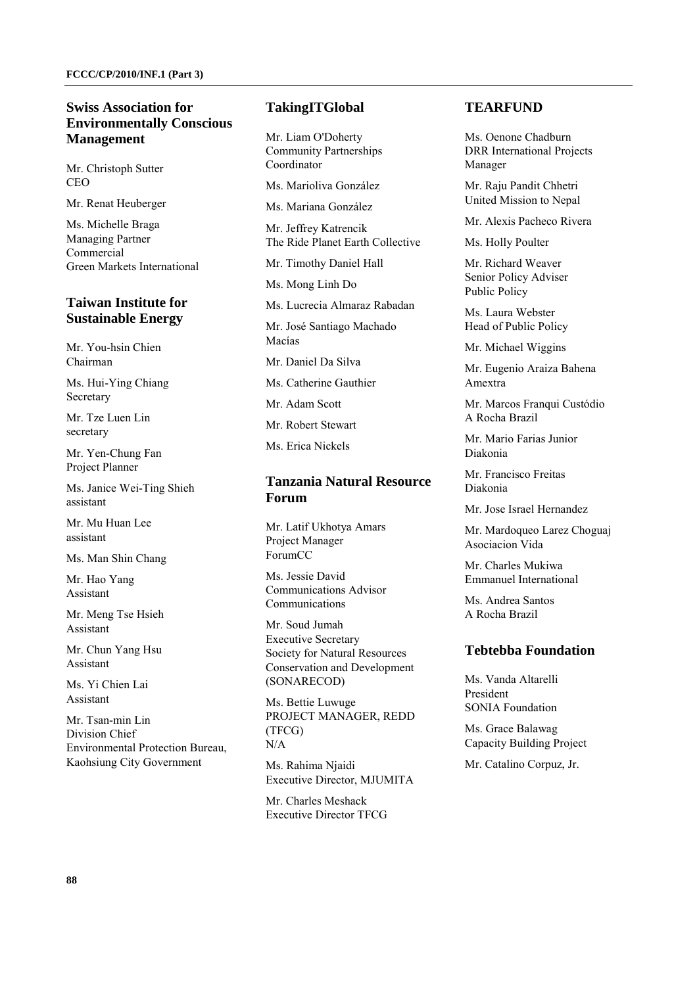### **Swiss Association for Environmentally Conscious Management**

Mr. Christoph Sutter CEO

Mr. Renat Heuberger

Ms. Michelle Braga Managing Partner Commercial Green Markets International

# **Taiwan Institute for Sustainable Energy**

Mr. You-hsin Chien Chairman

Ms. Hui-Ying Chiang Secretary

Mr. Tze Luen Lin secretary

Mr. Yen-Chung Fan Project Planner

Ms. Janice Wei-Ting Shieh assistant

Mr. Mu Huan Lee assistant

Ms. Man Shin Chang

Mr. Hao Yang Assistant

Mr. Meng Tse Hsieh Assistant

Mr. Chun Yang Hsu Assistant

Ms. Yi Chien Lai Assistant

Mr. Tsan-min Lin Division Chief Environmental Protection Bureau, Kaohsiung City Government

#### **TakingITGlobal**

Mr. Liam O'Doherty Community Partnerships Coordinator

Ms. Marioliva González

Ms. Mariana González

Mr. Jeffrey Katrencik The Ride Planet Earth Collective

Mr. Timothy Daniel Hall

Ms. Mong Linh Do

Ms. Lucrecia Almaraz Rabadan

Mr. José Santiago Machado Macías

Mr. Daniel Da Silva

Ms. Catherine Gauthier

Mr. Adam Scott

Mr. Robert Stewart

Ms. Erica Nickels

### **Tanzania Natural Resource Forum**

Mr. Latif Ukhotya Amars Project Manager ForumCC

Ms. Jessie David Communications Advisor Communications

Mr. Soud Jumah Executive Secretary Society for Natural Resources Conservation and Development (SONARECOD)

Ms. Bettie Luwuge PROJECT MANAGER, REDD (TFCG) N/A

Ms. Rahima Njaidi Executive Director, MJUMITA

Mr. Charles Meshack Executive Director TFCG

## **TEARFUND**

Ms. Oenone Chadburn DRR International Projects Manager

Mr. Raju Pandit Chhetri United Mission to Nepal

Mr. Alexis Pacheco Rivera

Ms. Holly Poulter

Mr. Richard Weaver Senior Policy Adviser Public Policy

Ms. Laura Webster Head of Public Policy

Mr. Michael Wiggins

Mr. Eugenio Araiza Bahena Amextra

Mr. Marcos Franqui Custódio A Rocha Brazil

Mr. Mario Farias Junior Diakonia

Mr. Francisco Freitas Diakonia

Mr. Jose Israel Hernandez

Mr. Mardoqueo Larez Choguaj Asociacion Vida

Mr. Charles Mukiwa Emmanuel International

Ms. Andrea Santos A Rocha Brazil

#### **Tebtebba Foundation**

Ms. Vanda Altarelli President SONIA Foundation

Ms. Grace Balawag Capacity Building Project

Mr. Catalino Corpuz, Jr.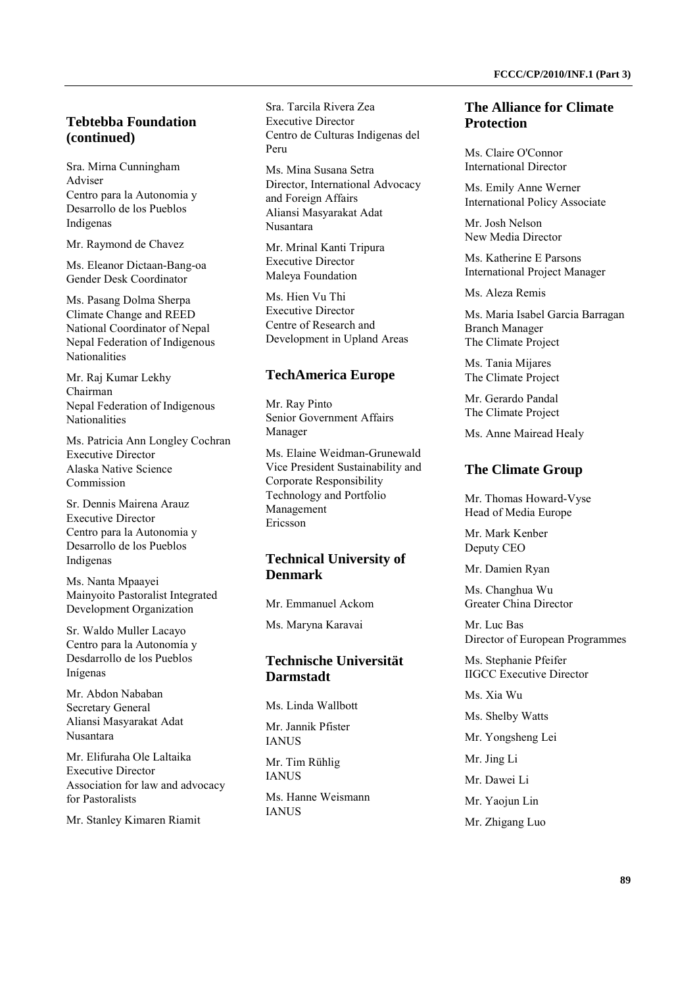Sra. Mirna Cunningham Adviser Centro para la Autonomia y Desarrollo de los Pueblos Indigenas

**(continued)** 

Mr. Raymond de Chavez

Ms. Eleanor Dictaan-Bang-oa Gender Desk Coordinator

Ms. Pasang Dolma Sherpa Climate Change and REED National Coordinator of Nepal Nepal Federation of Indigenous **Nationalities** 

Mr. Raj Kumar Lekhy Chairman Nepal Federation of Indigenous **Nationalities** 

Ms. Patricia Ann Longley Cochran Executive Director Alaska Native Science Commission

Sr. Dennis Mairena Arauz Executive Director Centro para la Autonomia y Desarrollo de los Pueblos Indigenas

Ms. Nanta Mpaayei Mainyoito Pastoralist Integrated Development Organization

Sr. Waldo Muller Lacayo Centro para la Autonomía y Desdarrollo de los Pueblos Inígenas

Mr. Abdon Nababan Secretary General Aliansi Masyarakat Adat Nusantara

Mr. Elifuraha Ole Laltaika Executive Director Association for law and advocacy for Pastoralists

Mr. Stanley Kimaren Riamit

Sra. Tarcila Rivera Zea Executive Director Centro de Culturas Indigenas del Peru

Ms. Mina Susana Setra Director, International Advocacy and Foreign Affairs Aliansi Masyarakat Adat Nusantara

Mr. Mrinal Kanti Tripura Executive Director Maleya Foundation

Ms. Hien Vu Thi Executive Director Centre of Research and Development in Upland Areas

#### **TechAmerica Europe**

Mr. Ray Pinto Senior Government Affairs Manager

Ms. Elaine Weidman-Grunewald Vice President Sustainability and Corporate Responsibility Technology and Portfolio Management Ericsson

# **Technical University of Denmark**

Mr. Emmanuel Ackom

Ms. Maryna Karavai

# **Technische Universität Darmstadt**

Ms. Linda Wallbott Mr. Jannik Pfister **IANUS** 

Mr. Tim Rühlig **IANUS** 

Ms. Hanne Weismann **IANUS** 

### **The Alliance for Climate Protection**

Ms. Claire O'Connor International Director

Ms. Emily Anne Werner International Policy Associate

Mr. Josh Nelson New Media Director

Ms. Katherine E Parsons International Project Manager

Ms. Aleza Remis

Ms. Maria Isabel Garcia Barragan Branch Manager The Climate Project

Ms. Tania Mijares The Climate Project

Mr. Gerardo Pandal The Climate Project

Ms. Anne Mairead Healy

#### **The Climate Group**

Mr. Thomas Howard-Vyse Head of Media Europe

Mr. Mark Kenber Deputy CEO

Mr. Damien Ryan

Ms. Changhua Wu Greater China Director

Mr. Luc Bas Director of European Programmes

Ms. Stephanie Pfeifer IIGCC Executive Director

Ms. Xia Wu

Ms. Shelby Watts

Mr. Yongsheng Lei

Mr. Jing Li

Mr. Dawei Li

Mr. Yaojun Lin

Mr. Zhigang Luo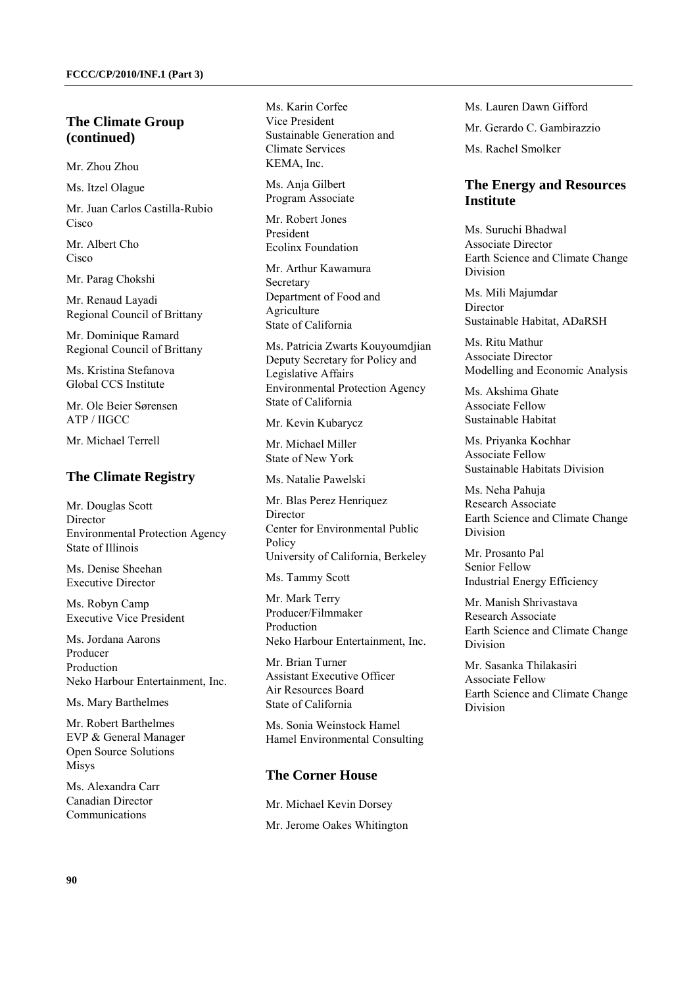### **The Climate Group (continued)**

Mr. Zhou Zhou

Ms. Itzel Olague

Mr. Juan Carlos Castilla-Rubio Cisco

Mr. Albert Cho Cisco

Mr. Parag Chokshi

Mr. Renaud Layadi Regional Council of Brittany

Mr. Dominique Ramard Regional Council of Brittany

Ms. Kristina Stefanova Global CCS Institute

Mr. Ole Beier Sørensen ATP / IIGCC

Mr. Michael Terrell

### **The Climate Registry**

Mr. Douglas Scott Director Environmental Protection Agency State of Illinois

Ms. Denise Sheehan Executive Director

Ms. Robyn Camp Executive Vice President

Ms. Jordana Aarons Producer Production Neko Harbour Entertainment, Inc.

Ms. Mary Barthelmes

Mr. Robert Barthelmes EVP & General Manager Open Source Solutions Misys

Ms. Alexandra Carr Canadian Director Communications

Ms. Karin Corfee Vice President Sustainable Generation and Climate Services KEMA, Inc.

Ms. Anja Gilbert Program Associate

Mr. Robert Jones President Ecolinx Foundation

Mr. Arthur Kawamura Secretary Department of Food and Agriculture State of California

Ms. Patricia Zwarts Kouyoumdjian Deputy Secretary for Policy and Legislative Affairs Environmental Protection Agency State of California

Mr. Kevin Kubarycz

Mr. Michael Miller State of New York

Ms. Natalie Pawelski

Mr. Blas Perez Henriquez **Director** Center for Environmental Public Policy University of California, Berkeley

Ms. Tammy Scott

Mr. Mark Terry Producer/Filmmaker Production Neko Harbour Entertainment, Inc.

Mr. Brian Turner Assistant Executive Officer Air Resources Board State of California

Ms. Sonia Weinstock Hamel Hamel Environmental Consulting

### **The Corner House**

Mr. Michael Kevin Dorsey Mr. Jerome Oakes Whitington Ms. Lauren Dawn Gifford Mr. Gerardo C. Gambirazzio Ms. Rachel Smolker

#### **The Energy and Resources Institute**

Ms. Suruchi Bhadwal Associate Director Earth Science and Climate Change Division

Ms. Mili Majumdar **Director** Sustainable Habitat, ADaRSH

Ms. Ritu Mathur Associate Director Modelling and Economic Analysis

Ms. Akshima Ghate Associate Fellow Sustainable Habitat

Ms. Priyanka Kochhar Associate Fellow Sustainable Habitats Division

Ms. Neha Pahuja Research Associate Earth Science and Climate Change Division

Mr. Prosanto Pal Senior Fellow Industrial Energy Efficiency

Mr. Manish Shrivastava Research Associate Earth Science and Climate Change Division

Mr. Sasanka Thilakasiri Associate Fellow Earth Science and Climate Change Division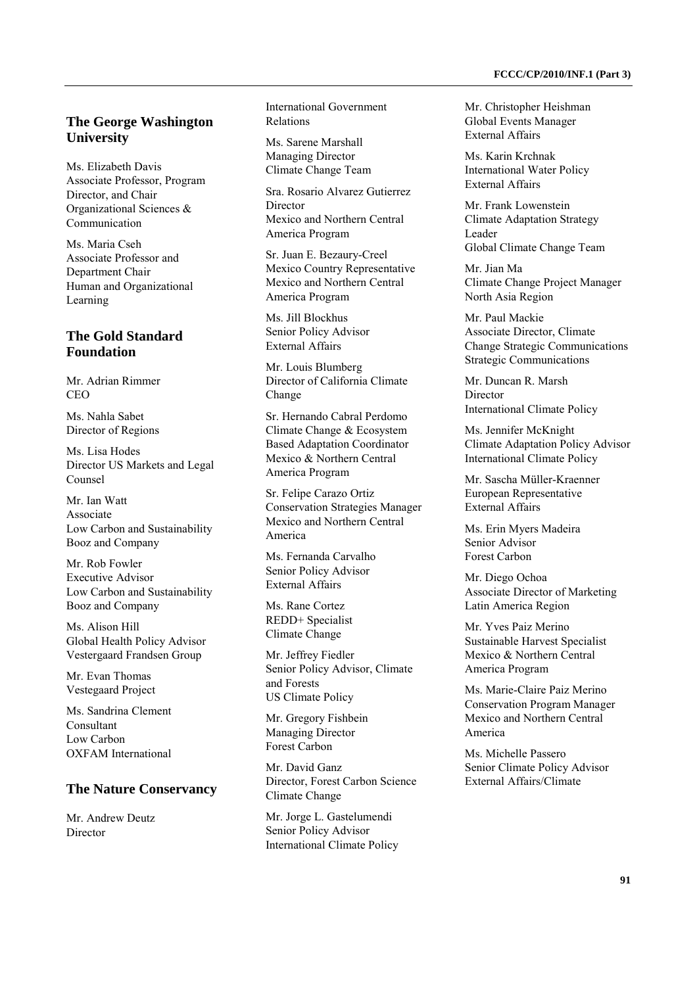#### **The George Washington University**

Ms. Elizabeth Davis Associate Professor, Program Director, and Chair Organizational Sciences & Communication

Ms. Maria Cseh Associate Professor and Department Chair Human and Organizational Learning

### **The Gold Standard Foundation**

Mr. Adrian Rimmer **CEO** 

Ms. Nahla Sabet Director of Regions

Ms. Lisa Hodes Director US Markets and Legal Counsel

Mr. Ian Watt Associate Low Carbon and Sustainability Booz and Company

Mr. Rob Fowler Executive Advisor Low Carbon and Sustainability Booz and Company

Ms. Alison Hill Global Health Policy Advisor Vestergaard Frandsen Group

Mr. Evan Thomas Vestegaard Project

Ms. Sandrina Clement Consultant Low Carbon OXFAM International

#### **The Nature Conservancy**

Mr. Andrew Deutz Director

International Government Relations

Ms. Sarene Marshall Managing Director Climate Change Team

Sra. Rosario Alvarez Gutierrez Director Mexico and Northern Central America Program

Sr. Juan E. Bezaury-Creel Mexico Country Representative Mexico and Northern Central America Program

Ms. Jill Blockhus Senior Policy Advisor External Affairs

Mr. Louis Blumberg Director of California Climate Change

Sr. Hernando Cabral Perdomo Climate Change & Ecosystem Based Adaptation Coordinator Mexico & Northern Central America Program

Sr. Felipe Carazo Ortiz Conservation Strategies Manager Mexico and Northern Central America

Ms. Fernanda Carvalho Senior Policy Advisor External Affairs

Ms. Rane Cortez REDD+ Specialist Climate Change

Mr. Jeffrey Fiedler Senior Policy Advisor, Climate and Forests US Climate Policy

Mr. Gregory Fishbein Managing Director Forest Carbon

Mr. David Ganz Director, Forest Carbon Science Climate Change

Mr. Jorge L. Gastelumendi Senior Policy Advisor International Climate Policy Mr. Christopher Heishman Global Events Manager External Affairs

Ms. Karin Krchnak International Water Policy External Affairs

Mr. Frank Lowenstein Climate Adaptation Strategy Leader Global Climate Change Team

Mr. Jian Ma Climate Change Project Manager North Asia Region

Mr. Paul Mackie Associate Director, Climate Change Strategic Communications Strategic Communications

Mr. Duncan R. Marsh **Director** International Climate Policy

Ms. Jennifer McKnight Climate Adaptation Policy Advisor International Climate Policy

Mr. Sascha Müller-Kraenner European Representative External Affairs

Ms. Erin Myers Madeira Senior Advisor Forest Carbon

Mr. Diego Ochoa Associate Director of Marketing Latin America Region

Mr. Yves Paiz Merino Sustainable Harvest Specialist Mexico & Northern Central America Program

Ms. Marie-Claire Paiz Merino Conservation Program Manager Mexico and Northern Central America

Ms. Michelle Passero Senior Climate Policy Advisor External Affairs/Climate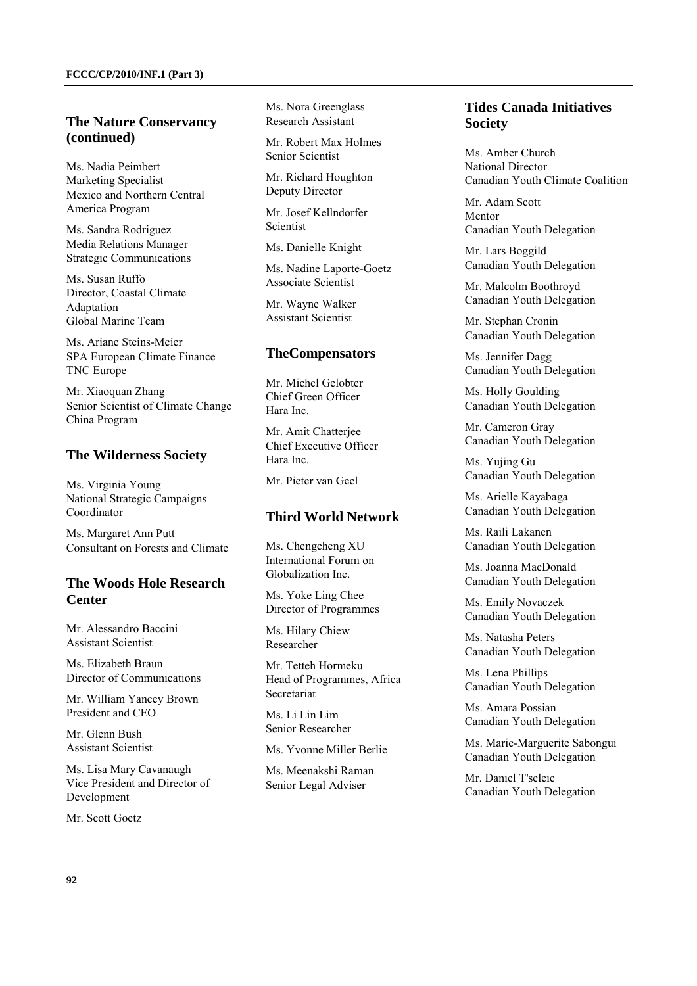#### **The Nature Conservancy (continued)**

Ms. Nadia Peimbert Marketing Specialist Mexico and Northern Central America Program

Ms. Sandra Rodriguez Media Relations Manager Strategic Communications

Ms. Susan Ruffo Director, Coastal Climate Adaptation Global Marine Team

Ms. Ariane Steins-Meier SPA European Climate Finance TNC Europe

Mr. Xiaoquan Zhang Senior Scientist of Climate Change China Program

#### **The Wilderness Society**

Ms. Virginia Young National Strategic Campaigns Coordinator

Ms. Margaret Ann Putt Consultant on Forests and Climate

# **The Woods Hole Research Center**

Mr. Alessandro Baccini Assistant Scientist

Ms. Elizabeth Braun Director of Communications

Mr. William Yancey Brown President and CEO

Mr. Glenn Bush Assistant Scientist

Ms. Lisa Mary Cavanaugh Vice President and Director of Development

Mr. Scott Goetz

Ms. Nora Greenglass Research Assistant

Mr. Robert Max Holmes Senior Scientist

Mr. Richard Houghton Deputy Director

Mr. Josef Kellndorfer **Scientist** 

Ms. Danielle Knight

Ms. Nadine Laporte-Goetz Associate Scientist

Mr. Wayne Walker Assistant Scientist

#### **TheCompensators**

Mr. Michel Gelobter Chief Green Officer Hara Inc.

Mr. Amit Chatterjee Chief Executive Officer Hara Inc.

Mr. Pieter van Geel

#### **Third World Network**

Ms. Chengcheng XU International Forum on Globalization Inc.

Ms. Yoke Ling Chee Director of Programmes

Ms. Hilary Chiew Researcher

Mr. Tetteh Hormeku Head of Programmes, Africa Secretariat

Ms. Li Lin Lim Senior Researcher

Ms. Yvonne Miller Berlie

Ms. Meenakshi Raman Senior Legal Adviser

### **Tides Canada Initiatives Society**

Ms. Amber Church National Director Canadian Youth Climate Coalition

Mr. Adam Scott Montor Canadian Youth Delegation

Mr. Lars Boggild Canadian Youth Delegation

Mr. Malcolm Boothroyd Canadian Youth Delegation

Mr. Stephan Cronin Canadian Youth Delegation

Ms. Jennifer Dagg Canadian Youth Delegation

Ms. Holly Goulding Canadian Youth Delegation

Mr. Cameron Gray Canadian Youth Delegation

Ms. Yujing Gu Canadian Youth Delegation

Ms. Arielle Kayabaga Canadian Youth Delegation

Ms. Raili Lakanen Canadian Youth Delegation

Ms. Joanna MacDonald Canadian Youth Delegation

Ms. Emily Novaczek Canadian Youth Delegation

Ms. Natasha Peters Canadian Youth Delegation

Ms. Lena Phillips Canadian Youth Delegation

Ms. Amara Possian Canadian Youth Delegation

Ms. Marie-Marguerite Sabongui Canadian Youth Delegation

Mr. Daniel T'seleie Canadian Youth Delegation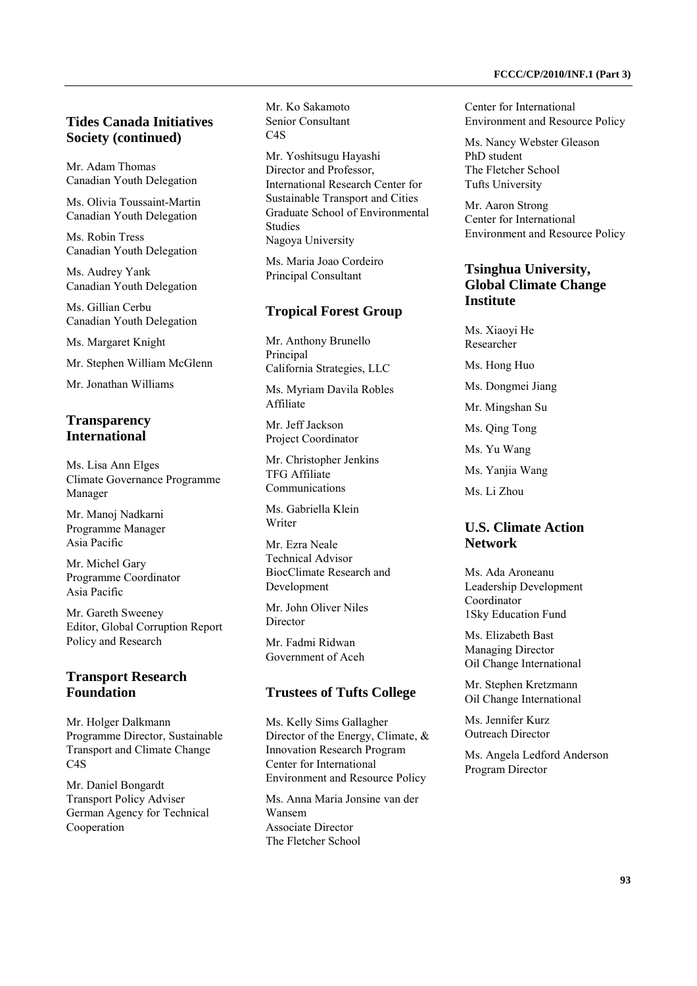Mr. Adam Thomas Canadian Youth Delegation

Ms. Olivia Toussaint-Martin Canadian Youth Delegation

Ms. Robin Tress Canadian Youth Delegation

Ms. Audrey Yank Canadian Youth Delegation

Ms. Gillian Cerbu Canadian Youth Delegation

Ms. Margaret Knight

Mr. Stephen William McGlenn

Mr. Jonathan Williams

# **Transparency International**

Ms. Lisa Ann Elges Climate Governance Programme Manager

Mr. Manoj Nadkarni Programme Manager Asia Pacific

Mr. Michel Gary Programme Coordinator Asia Pacific

Mr. Gareth Sweeney Editor, Global Corruption Report Policy and Research

# **Transport Research Foundation**

Mr. Holger Dalkmann Programme Director, Sustainable Transport and Climate Change C4S

Mr. Daniel Bongardt Transport Policy Adviser German Agency for Technical Cooperation

Mr. Ko Sakamoto Senior Consultant C4S

Mr. Yoshitsugu Hayashi Director and Professor, International Research Center for Sustainable Transport and Cities Graduate School of Environmental Studies Nagoya University

Ms. Maria Joao Cordeiro Principal Consultant

### **Tropical Forest Group**

Mr. Anthony Brunello Principal California Strategies, LLC

Ms. Myriam Davila Robles Affiliate

Mr. Jeff Jackson Project Coordinator

Mr. Christopher Jenkins TFG Affiliate Communications

Ms. Gabriella Klein Writer

Mr. Ezra Neale Technical Advisor BiocClimate Research and Development

Mr. John Oliver Niles Director

Mr. Fadmi Ridwan Government of Aceh

### **Trustees of Tufts College**

Ms. Kelly Sims Gallagher Director of the Energy, Climate, & Innovation Research Program Center for International Environment and Resource Policy

Ms. Anna Maria Jonsine van der Wansem Associate Director The Fletcher School

Center for International Environment and Resource Policy

Ms. Nancy Webster Gleason PhD student The Fletcher School Tufts University

Mr. Aaron Strong Center for International Environment and Resource Policy

## **Tsinghua University, Global Climate Change Institute**

Ms. Xiaoyi He Researcher Ms. Hong Huo Ms. Dongmei Jiang Mr. Mingshan Su Ms. Qing Tong Ms. Yu Wang Ms. Yanjia Wang Ms. Li Zhou

# **U.S. Climate Action Network**

Ms. Ada Aroneanu Leadership Development Coordinator 1Sky Education Fund

Ms. Elizabeth Bast Managing Director Oil Change International

Mr. Stephen Kretzmann Oil Change International

Ms. Jennifer Kurz Outreach Director

Ms. Angela Ledford Anderson Program Director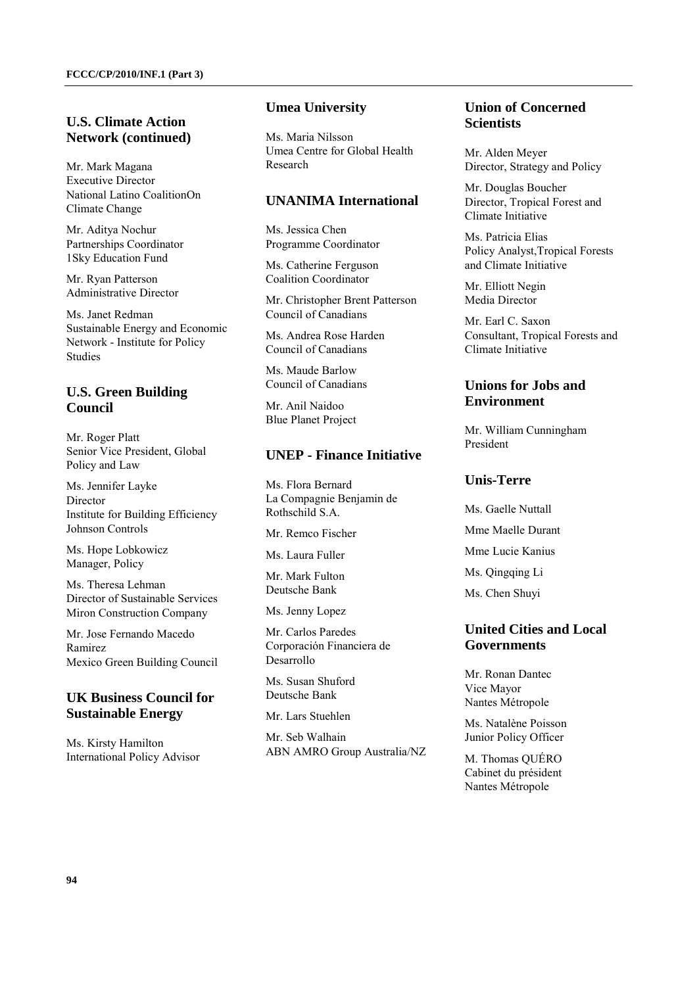## **U.S. Climate Action Network (continued)**

Mr. Mark Magana Executive Director National Latino CoalitionOn Climate Change

Mr. Aditya Nochur Partnerships Coordinator 1Sky Education Fund

Mr. Ryan Patterson Administrative Director

Ms. Janet Redman Sustainable Energy and Economic Network - Institute for Policy Studies

# **U.S. Green Building Council**

Mr. Roger Platt Senior Vice President, Global Policy and Law

Ms. Jennifer Layke Director Institute for Building Efficiency Johnson Controls

Ms. Hope Lobkowicz Manager, Policy

Ms. Theresa Lehman Director of Sustainable Services Miron Construction Company

Mr. Jose Fernando Macedo Ramirez Mexico Green Building Council

## **UK Business Council for Sustainable Energy**

Ms. Kirsty Hamilton International Policy Advisor

#### **Umea University**

Ms. Maria Nilsson Umea Centre for Global Health Research

### **UNANIMA International**

Ms. Jessica Chen Programme Coordinator

Ms. Catherine Ferguson Coalition Coordinator

Mr. Christopher Brent Patterson Council of Canadians

Ms. Andrea Rose Harden Council of Canadians

Ms. Maude Barlow Council of Canadians

Mr. Anil Naidoo Blue Planet Project

#### **UNEP - Finance Initiative**

Ms. Flora Bernard La Compagnie Benjamin de Rothschild S.A.

Mr. Remco Fischer

Ms. Laura Fuller

Mr. Mark Fulton Deutsche Bank

Ms. Jenny Lopez

Mr. Carlos Paredes Corporación Financiera de Desarrollo

Ms. Susan Shuford Deutsche Bank

Mr. Lars Stuehlen

Mr. Seb Walhain ABN AMRO Group Australia/NZ

# **Union of Concerned Scientists**

Mr. Alden Meyer Director, Strategy and Policy

Mr. Douglas Boucher Director, Tropical Forest and Climate Initiative

Ms. Patricia Elias Policy Analyst,Tropical Forests and Climate Initiative

Mr. Elliott Negin Media Director

Mr. Earl C. Saxon Consultant, Tropical Forests and Climate Initiative

### **Unions for Jobs and Environment**

Mr. William Cunningham President

## **Unis-Terre**

Ms. Gaelle Nuttall

Mme Maelle Durant

Mme Lucie Kanius

Ms. Oingging Li

Ms. Chen Shuyi

## **United Cities and Local Governments**

Mr. Ronan Dantec Vice Mayor Nantes Métropole

Ms. Natalène Poisson Junior Policy Officer

M. Thomas QUÉRO Cabinet du président Nantes Métropole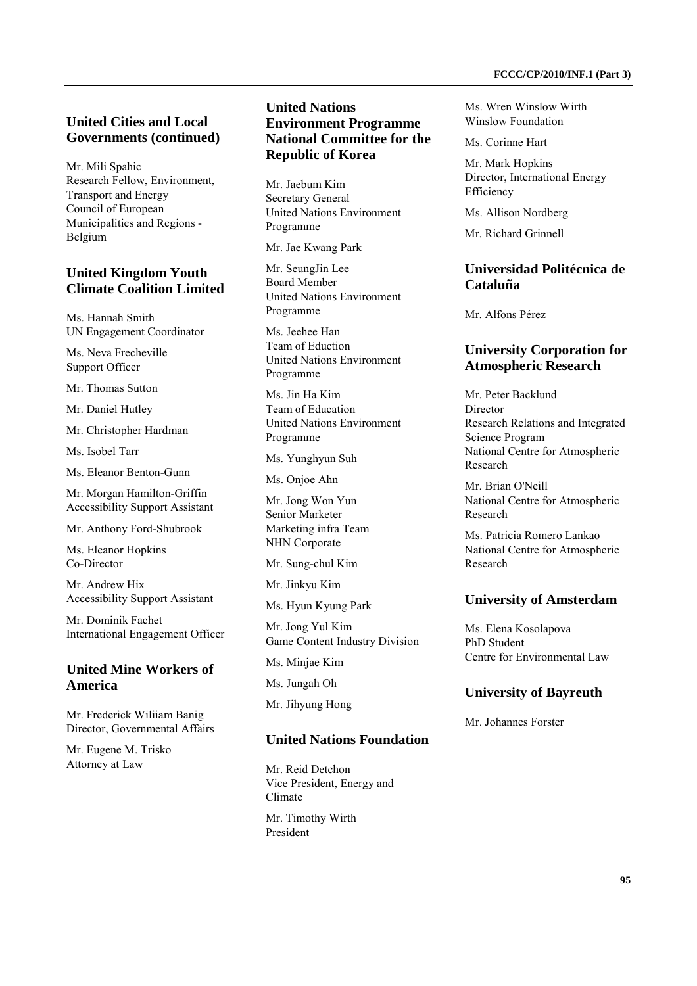#### **United Cities and Local Governments (continued)**

Mr. Mili Spahic Research Fellow, Environment, Transport and Energy Council of European Municipalities and Regions - Belgium

#### **United Kingdom Youth Climate Coalition Limited**

Ms. Hannah Smith UN Engagement Coordinator

Ms. Neva Frecheville Support Officer

Mr. Thomas Sutton

Mr. Daniel Hutley

Mr. Christopher Hardman

Ms. Isobel Tarr

Ms. Eleanor Benton-Gunn

Mr. Morgan Hamilton-Griffin Accessibility Support Assistant

Mr. Anthony Ford-Shubrook

Ms. Eleanor Hopkins Co-Director

Mr. Andrew Hix Accessibility Support Assistant

Mr. Dominik Fachet International Engagement Officer

### **United Mine Workers of America**

Mr. Frederick Wiliiam Banig Director, Governmental Affairs

Mr. Eugene M. Trisko Attorney at Law

### **United Nations Environment Programme National Committee for the Republic of Korea**

Mr. Jaebum Kim Secretary General United Nations Environment Programme

Mr. Jae Kwang Park

Mr. SeungJin Lee Board Member United Nations Environment Programme

Ms. Jeehee Han Team of Eduction United Nations Environment Programme

Ms. Jin Ha Kim Team of Education United Nations Environment Programme

Ms. Yunghyun Suh

Ms. Onjoe Ahn

Mr. Jong Won Yun Senior Marketer Marketing infra Team NHN Corporate

Mr. Sung-chul Kim

Mr. Jinkyu Kim

Ms. Hyun Kyung Park

Mr. Jong Yul Kim Game Content Industry Division

Ms. Minjae Kim

Ms. Jungah Oh

Mr. Jihyung Hong

#### **United Nations Foundation**

Mr. Reid Detchon Vice President, Energy and Climate

Mr. Timothy Wirth President

Ms. Wren Winslow Wirth Winslow Foundation

Ms. Corinne Hart

Mr. Mark Hopkins Director, International Energy Efficiency

Ms. Allison Nordberg

Mr. Richard Grinnell

# **Universidad Politécnica de Cataluña**

Mr. Alfons Pérez

### **University Corporation for Atmospheric Research**

Mr. Peter Backlund Director Research Relations and Integrated Science Program National Centre for Atmospheric Research

Mr. Brian O'Neill National Centre for Atmospheric Research

Ms. Patricia Romero Lankao National Centre for Atmospheric Research

#### **University of Amsterdam**

Ms. Elena Kosolapova PhD Student Centre for Environmental Law

#### **University of Bayreuth**

Mr. Johannes Forster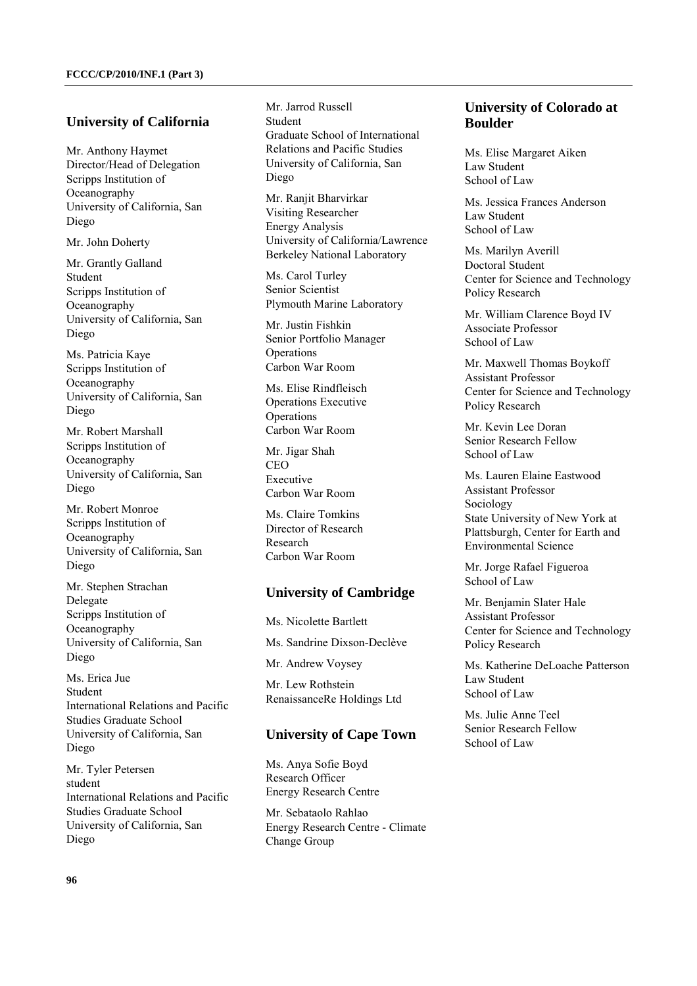#### **University of California**

Mr. Anthony Haymet Director/Head of Delegation Scripps Institution of Oceanography University of California, San Diego

Mr. John Doherty

Mr. Grantly Galland Student Scripps Institution of Oceanography University of California, San Diego

Ms. Patricia Kaye Scripps Institution of Oceanography University of California, San Diego

Mr. Robert Marshall Scripps Institution of Oceanography University of California, San Diego

Mr. Robert Monroe Scripps Institution of Oceanography University of California, San Diego

Mr. Stephen Strachan Delegate Scripps Institution of Oceanography University of California, San Diego

Ms. Erica Jue Student International Relations and Pacific Studies Graduate School University of California, San Diego

Mr. Tyler Petersen student International Relations and Pacific Studies Graduate School University of California, San Diego

Mr. Jarrod Russell Student Graduate School of International Relations and Pacific Studies University of California, San Diego

Mr. Ranjit Bharvirkar Visiting Researcher Energy Analysis University of California/Lawrence Berkeley National Laboratory

Ms. Carol Turley Senior Scientist Plymouth Marine Laboratory

Mr. Justin Fishkin Senior Portfolio Manager Operations Carbon War Room

Ms. Elise Rindfleisch Operations Executive Operations Carbon War Room

Mr. Jigar Shah CEO Executive Carbon War Room

Ms. Claire Tomkins Director of Research Research Carbon War Room

#### **University of Cambridge**

Ms. Nicolette Bartlett Ms. Sandrine Dixson-Declève Mr. Andrew Voysey Mr. Lew Rothstein RenaissanceRe Holdings Ltd

#### **University of Cape Town**

Ms. Anya Sofie Boyd Research Officer Energy Research Centre

Mr. Sebataolo Rahlao Energy Research Centre - Climate Change Group

# **University of Colorado at Boulder**

Ms. Elise Margaret Aiken Law Student School of Law

Ms. Jessica Frances Anderson Law Student School of Law

Ms. Marilyn Averill Doctoral Student Center for Science and Technology Policy Research

Mr. William Clarence Boyd IV Associate Professor School of Law

Mr. Maxwell Thomas Boykoff Assistant Professor Center for Science and Technology Policy Research

Mr. Kevin Lee Doran Senior Research Fellow School of Law

Ms. Lauren Elaine Eastwood Assistant Professor Sociology State University of New York at Plattsburgh, Center for Earth and Environmental Science

Mr. Jorge Rafael Figueroa School of Law

Mr. Benjamin Slater Hale Assistant Professor Center for Science and Technology Policy Research

Ms. Katherine DeLoache Patterson Law Student School of Law

Ms. Julie Anne Teel Senior Research Fellow School of Law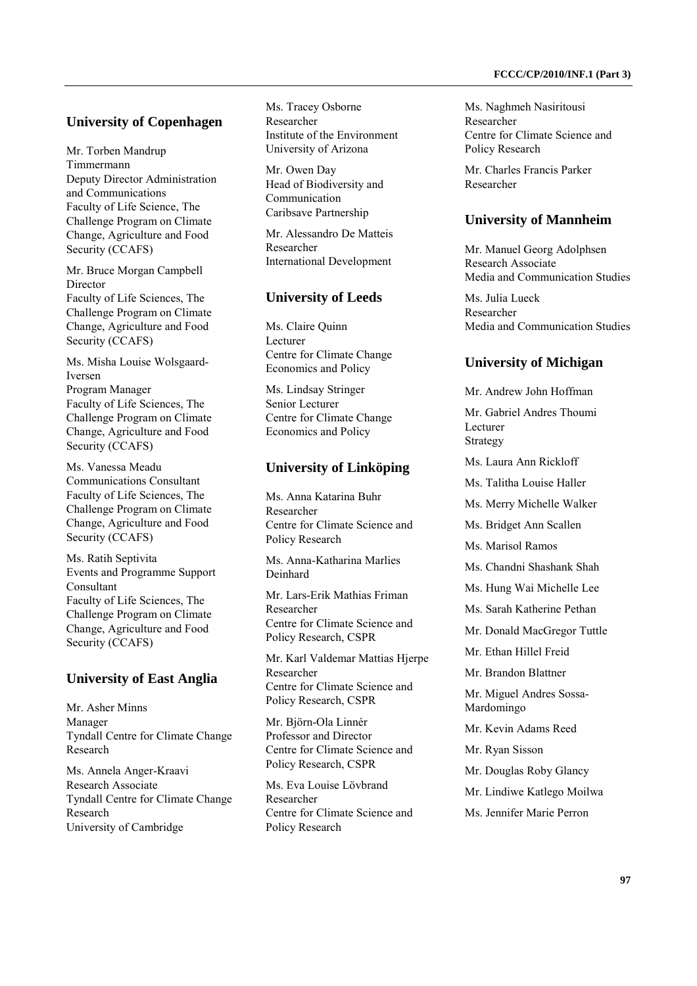#### **University of Copenhagen**

Mr. Torben Mandrup Timmermann Deputy Director Administration and Communications Faculty of Life Science, The Challenge Program on Climate Change, Agriculture and Food Security (CCAFS)

Mr. Bruce Morgan Campbell Director Faculty of Life Sciences, The Challenge Program on Climate Change, Agriculture and Food Security (CCAFS)

Ms. Misha Louise Wolsgaard-Iversen Program Manager Faculty of Life Sciences, The Challenge Program on Climate Change, Agriculture and Food Security (CCAFS)

Ms. Vanessa Meadu Communications Consultant Faculty of Life Sciences, The Challenge Program on Climate Change, Agriculture and Food Security (CCAFS)

Ms. Ratih Septivita Events and Programme Support Consultant Faculty of Life Sciences, The Challenge Program on Climate Change, Agriculture and Food Security (CCAFS)

### **University of East Anglia**

Mr. Asher Minns Manager Tyndall Centre for Climate Change Research

Ms. Annela Anger-Kraavi Research Associate Tyndall Centre for Climate Change Research University of Cambridge

Ms. Tracey Osborne Researcher Institute of the Environment University of Arizona

Mr. Owen Day Head of Biodiversity and Communication Caribsave Partnership

Mr. Alessandro De Matteis Researcher International Development

### **University of Leeds**

Ms. Claire Quinn Lecturer Centre for Climate Change Economics and Policy

Ms. Lindsay Stringer Senior Lecturer Centre for Climate Change Economics and Policy

# **University of Linköping**

Ms. Anna Katarina Buhr Researcher Centre for Climate Science and Policy Research

Ms. Anna-Katharina Marlies Deinhard

Mr. Lars-Erik Mathias Friman Researcher Centre for Climate Science and Policy Research, CSPR

Mr. Karl Valdemar Mattias Hjerpe Researcher Centre for Climate Science and Policy Research, CSPR

Mr. Björn-Ola Linnér Professor and Director Centre for Climate Science and Policy Research, CSPR

Ms. Eva Louise Lövbrand Researcher Centre for Climate Science and Policy Research

Ms. Naghmeh Nasiritousi Researcher Centre for Climate Science and Policy Research

Mr. Charles Francis Parker Researcher

# **University of Mannheim**

Mr. Manuel Georg Adolphsen Research Associate Media and Communication Studies

Ms. Julia Lueck Researcher Media and Communication Studies

# **University of Michigan**

Mr. Andrew John Hoffman

Mr. Gabriel Andres Thoumi Lecturer Strategy

Ms. Laura Ann Rickloff

Ms. Talitha Louise Haller

Ms. Merry Michelle Walker

Ms. Bridget Ann Scallen

Ms. Marisol Ramos

Ms. Chandni Shashank Shah

Ms. Hung Wai Michelle Lee

Ms. Sarah Katherine Pethan

Mr. Donald MacGregor Tuttle

Mr. Ethan Hillel Freid

Mr. Brandon Blattner

Mr. Miguel Andres Sossa-Mardomingo

Mr. Kevin Adams Reed

Mr. Ryan Sisson

Mr. Douglas Roby Glancy

Mr. Lindiwe Katlego Moilwa

Ms. Jennifer Marie Perron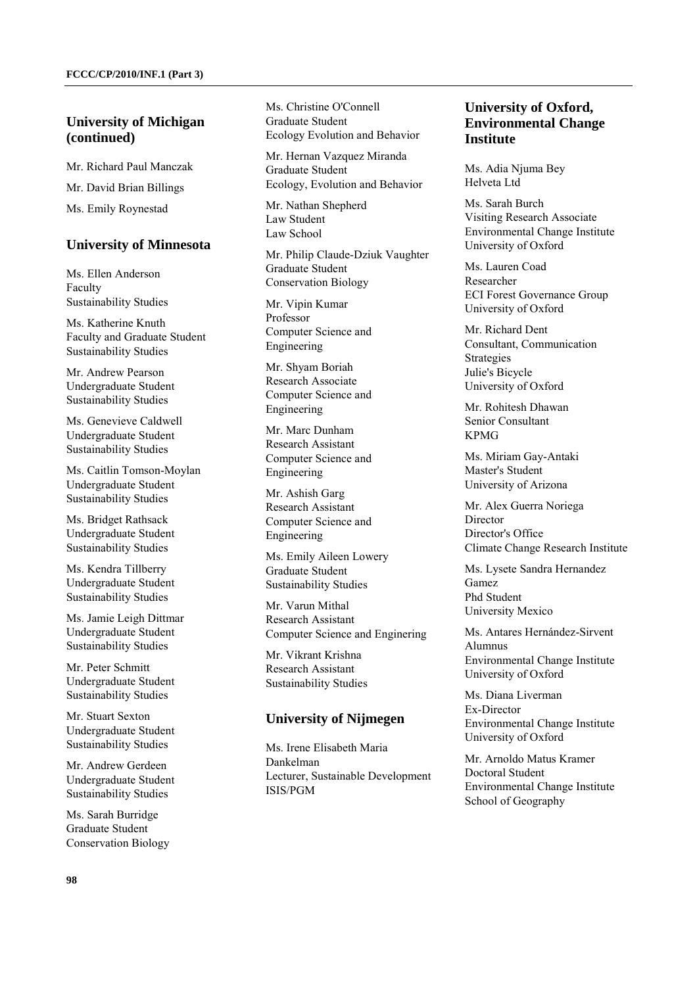### **University of Michigan (continued)**

Mr. Richard Paul Manczak Mr. David Brian Billings Ms. Emily Roynestad

#### **University of Minnesota**

Ms. Ellen Anderson Faculty Sustainability Studies

Ms. Katherine Knuth Faculty and Graduate Student Sustainability Studies

Mr. Andrew Pearson Undergraduate Student Sustainability Studies

Ms. Genevieve Caldwell Undergraduate Student Sustainability Studies

Ms. Caitlin Tomson-Moylan Undergraduate Student Sustainability Studies

Ms. Bridget Rathsack Undergraduate Student Sustainability Studies

Ms. Kendra Tillberry Undergraduate Student Sustainability Studies

Ms. Jamie Leigh Dittmar Undergraduate Student Sustainability Studies

Mr. Peter Schmitt Undergraduate Student Sustainability Studies

Mr. Stuart Sexton Undergraduate Student Sustainability Studies

Mr. Andrew Gerdeen Undergraduate Student Sustainability Studies

Ms. Sarah Burridge Graduate Student Conservation Biology Ms. Christine O'Connell Graduate Student Ecology Evolution and Behavior

Mr. Hernan Vazquez Miranda Graduate Student Ecology, Evolution and Behavior

Mr. Nathan Shepherd Law Student Law School

Mr. Philip Claude-Dziuk Vaughter Graduate Student Conservation Biology

Mr. Vipin Kumar Professor Computer Science and Engineering

Mr. Shyam Boriah Research Associate Computer Science and Engineering

Mr. Marc Dunham Research Assistant Computer Science and Engineering

Mr. Ashish Garg Research Assistant Computer Science and Engineering

Ms. Emily Aileen Lowery Graduate Student Sustainability Studies

Mr. Varun Mithal Research Assistant Computer Science and Enginering

Mr. Vikrant Krishna Research Assistant Sustainability Studies

#### **University of Nijmegen**

Ms. Irene Elisabeth Maria Dankelman Lecturer, Sustainable Development ISIS/PGM

## **University of Oxford, Environmental Change Institute**

Ms. Adia Njuma Bey Helveta Ltd

Ms. Sarah Burch Visiting Research Associate Environmental Change Institute University of Oxford

Ms. Lauren Coad Researcher ECI Forest Governance Group University of Oxford

Mr. Richard Dent Consultant, Communication Strategies Julie's Bicycle University of Oxford

Mr. Rohitesh Dhawan Senior Consultant KPMG

Ms. Miriam Gay-Antaki Master's Student University of Arizona

Mr. Alex Guerra Noriega Director Director's Office Climate Change Research Institute

Ms. Lysete Sandra Hernandez Gamez Phd Student University Mexico

Ms. Antares Hernández-Sirvent Alumnus Environmental Change Institute University of Oxford

Ms. Diana Liverman Ex-Director Environmental Change Institute University of Oxford

Mr. Arnoldo Matus Kramer Doctoral Student Environmental Change Institute School of Geography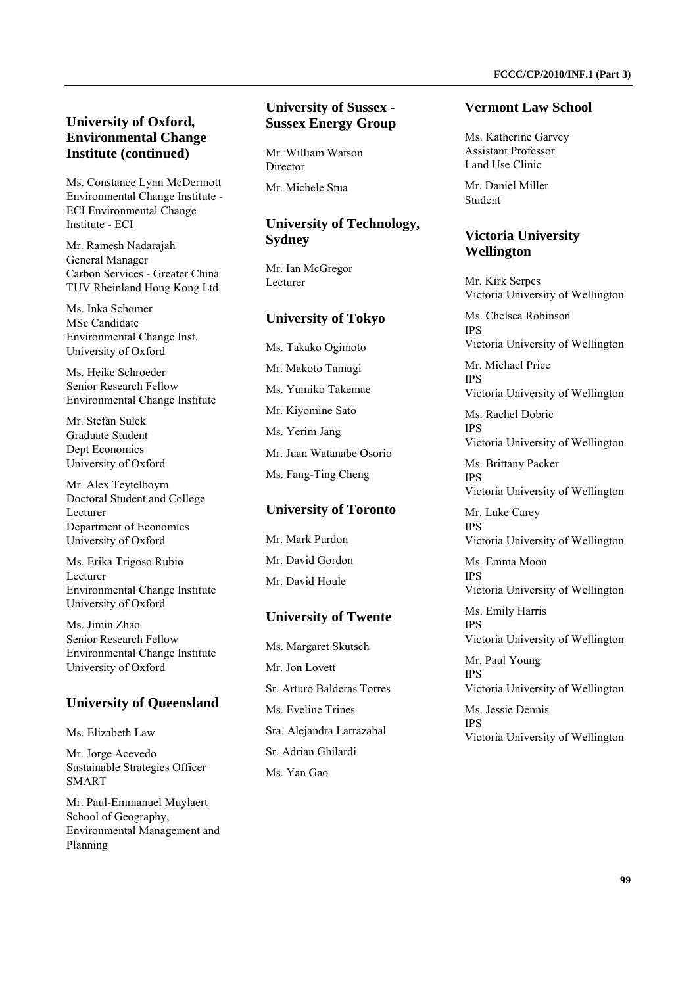Ms. Constance Lynn McDermott Environmental Change Institute - ECI Environmental Change Institute - ECI

Mr. Ramesh Nadarajah General Manager Carbon Services - Greater China TUV Rheinland Hong Kong Ltd.

Ms. Inka Schomer MSc Candidate Environmental Change Inst. University of Oxford

Ms. Heike Schroeder Senior Research Fellow Environmental Change Institute

Mr. Stefan Sulek Graduate Student Dept Economics University of Oxford

Mr. Alex Teytelboym Doctoral Student and College Lecturer Department of Economics University of Oxford

Ms. Erika Trigoso Rubio Lecturer Environmental Change Institute University of Oxford

Ms. Jimin Zhao Senior Research Fellow Environmental Change Institute University of Oxford

#### **University of Queensland**

Ms. Elizabeth Law

Mr. Jorge Acevedo Sustainable Strategies Officer SMART

Mr. Paul-Emmanuel Muylaert School of Geography, Environmental Management and Planning

# **University of Sussex - Sussex Energy Group**

Mr. William Watson Director

Mr. Michele Stua

# **University of Technology, Sydney**

Mr. Ian McGregor Lecturer

### **University of Tokyo**

Ms. Takako Ogimoto Mr. Makoto Tamugi Ms. Yumiko Takemae Mr. Kiyomine Sato Ms. Yerim Jang Mr. Juan Watanabe Osorio Ms. Fang-Ting Cheng

### **University of Toronto**

Mr. Mark Purdon Mr. David Gordon Mr. David Houle

#### **University of Twente**

Ms. Margaret Skutsch Mr. Jon Lovett Sr. Arturo Balderas Torres Ms. Eveline Trines Sra. Alejandra Larrazabal Sr. Adrian Ghilardi Ms. Yan Gao

#### **Vermont Law School**

Ms. Katherine Garvey Assistant Professor Land Use Clinic

Mr. Daniel Miller Student

### **Victoria University Wellington**

Mr. Kirk Serpes Victoria University of Wellington

Ms. Chelsea Robinson IPS Victoria University of Wellington

Mr. Michael Price IPS Victoria University of Wellington

Ms. Rachel Dobric **IDS** 

Victoria University of Wellington

Ms. Brittany Packer IPS Victoria University of Wellington

Mr. Luke Carey IPS Victoria University of Wellington

Ms. Emma Moon

IPS Victoria University of Wellington

Ms. Emily Harris IPS Victoria University of Wellington

Mr. Paul Young IPS

Victoria University of Wellington

Ms. Jessie Dennis IPS Victoria University of Wellington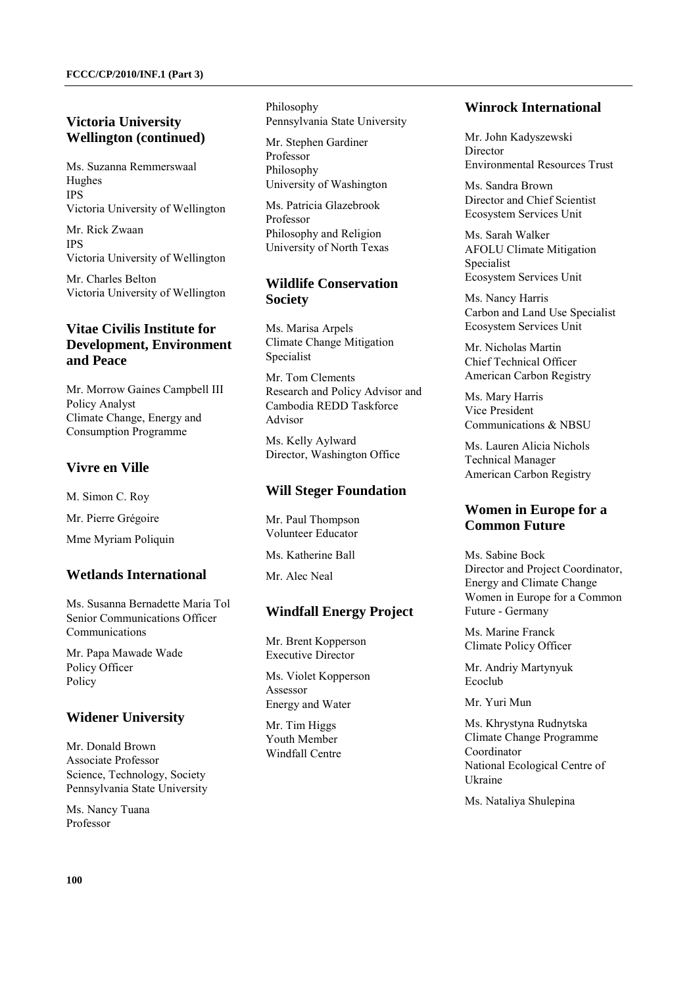# **Victoria University Wellington (continued)**

Ms. Suzanna Remmerswaal Hughes IPS Victoria University of Wellington

Mr. Rick Zwaan IPS Victoria University of Wellington

Mr. Charles Belton Victoria University of Wellington

# **Vitae Civilis Institute for Development, Environment and Peace**

Mr. Morrow Gaines Campbell III Policy Analyst Climate Change, Energy and Consumption Programme

# **Vivre en Ville**

M. Simon C. Roy

Mr. Pierre Grégoire

Mme Myriam Poliquin

# **Wetlands International**

Ms. Susanna Bernadette Maria Tol Senior Communications Officer Communications

Mr. Papa Mawade Wade Policy Officer Policy

# **Widener University**

Mr. Donald Brown Associate Professor Science, Technology, Society Pennsylvania State University

Ms. Nancy Tuana Professor

Philosophy Pennsylvania State University

Mr. Stephen Gardiner Professor Philosophy University of Washington

Ms. Patricia Glazebrook Professor Philosophy and Religion University of North Texas

# **Wildlife Conservation Society**

Ms. Marisa Arpels Climate Change Mitigation Specialist

Mr. Tom Clements Research and Policy Advisor and Cambodia REDD Taskforce Advisor

Ms. Kelly Aylward Director, Washington Office

# **Will Steger Foundation**

Mr. Paul Thompson Volunteer Educator

Ms. Katherine Ball

Mr. Alec Neal

# **Windfall Energy Project**

Mr. Brent Kopperson Executive Director

Ms. Violet Kopperson Assessor Energy and Water

Mr. Tim Higgs Youth Member Windfall Centre

### **Winrock International**

Mr. John Kadyszewski Director Environmental Resources Trust

Ms. Sandra Brown Director and Chief Scientist Ecosystem Services Unit

Ms. Sarah Walker AFOLU Climate Mitigation Specialist Ecosystem Services Unit

Ms. Nancy Harris Carbon and Land Use Specialist Ecosystem Services Unit

Mr. Nicholas Martin Chief Technical Officer American Carbon Registry

Ms. Mary Harris Vice President Communications & NBSU

Ms. Lauren Alicia Nichols Technical Manager American Carbon Registry

# **Women in Europe for a Common Future**

Ms. Sabine Bock Director and Project Coordinator, Energy and Climate Change Women in Europe for a Common Future - Germany

Ms. Marine Franck Climate Policy Officer

Mr. Andriy Martynyuk Ecoclub

Mr. Yuri Mun

Ms. Khrystyna Rudnytska Climate Change Programme Coordinator National Ecological Centre of Ukraine

Ms. Nataliya Shulepina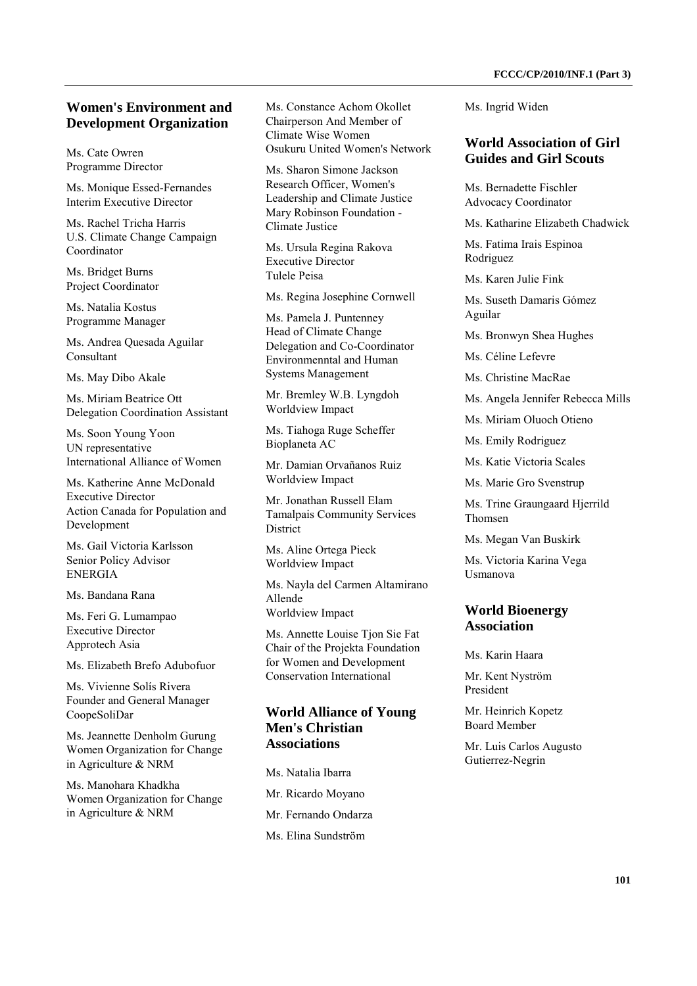### **Women's Environment and Development Organization**

Ms. Cate Owren Programme Director

Ms. Monique Essed-Fernandes Interim Executive Director

Ms. Rachel Tricha Harris U.S. Climate Change Campaign Coordinator

Ms. Bridget Burns Project Coordinator

Ms. Natalia Kostus Programme Manager

Ms. Andrea Quesada Aguilar Consultant

Ms. May Dibo Akale

Ms. Miriam Beatrice Ott Delegation Coordination Assistant

Ms. Soon Young Yoon UN representative International Alliance of Women

Ms. Katherine Anne McDonald Executive Director Action Canada for Population and Development

Ms. Gail Victoria Karlsson Senior Policy Advisor ENERGIA

Ms. Bandana Rana

Ms. Feri G. Lumampao Executive Director Approtech Asia

Ms. Elizabeth Brefo Adubofuor

Ms. Vivienne Solís Rivera Founder and General Manager CoopeSoliDar

Ms. Jeannette Denholm Gurung Women Organization for Change in Agriculture & NRM

Ms. Manohara Khadkha Women Organization for Change in Agriculture & NRM

Ms. Constance Achom Okollet Chairperson And Member of Climate Wise Women Osukuru United Women's Network

Ms. Sharon Simone Jackson Research Officer, Women's Leadership and Climate Justice Mary Robinson Foundation - Climate Justice

Ms. Ursula Regina Rakova Executive Director Tulele Peisa

Ms. Regina Josephine Cornwell

Ms. Pamela J. Puntenney Head of Climate Change Delegation and Co-Coordinator Environmenntal and Human Systems Management

Mr. Bremley W.B. Lyngdoh Worldview Impact

Ms. Tiahoga Ruge Scheffer Bioplaneta AC

Mr. Damian Orvañanos Ruiz Worldview Impact

Mr. Jonathan Russell Elam Tamalpais Community Services District

Ms. Aline Ortega Pieck Worldview Impact

Ms. Nayla del Carmen Altamirano Allende Worldview Impact

Ms. Annette Louise Tjon Sie Fat Chair of the Projekta Foundation for Women and Development Conservation International

# **World Alliance of Young Men's Christian Associations**

Ms. Natalia Ibarra

- Mr. Ricardo Moyano Mr. Fernando Ondarza
- Ms. Elina Sundström

Ms. Ingrid Widen

#### **World Association of Girl Guides and Girl Scouts**

Ms. Bernadette Fischler Advocacy Coordinator

Ms. Katharine Elizabeth Chadwick

Ms. Fatima Irais Espinoa Rodriguez

Ms. Karen Julie Fink

Ms. Suseth Damaris Gómez Aguilar

Ms. Bronwyn Shea Hughes

Ms. Céline Lefevre

Ms. Christine MacRae

Ms. Angela Jennifer Rebecca Mills

Ms. Miriam Oluoch Otieno

Ms. Emily Rodriguez

Ms. Katie Victoria Scales

Ms. Marie Gro Svenstrup

Ms. Trine Graungaard Hjerrild Thomsen

Ms. Megan Van Buskirk

Ms. Victoria Karina Vega Usmanova

# **World Bioenergy Association**

Ms. Karin Haara

Mr. Kent Nyström President

Mr. Heinrich Kopetz Board Member

Mr. Luis Carlos Augusto Gutierrez-Negrin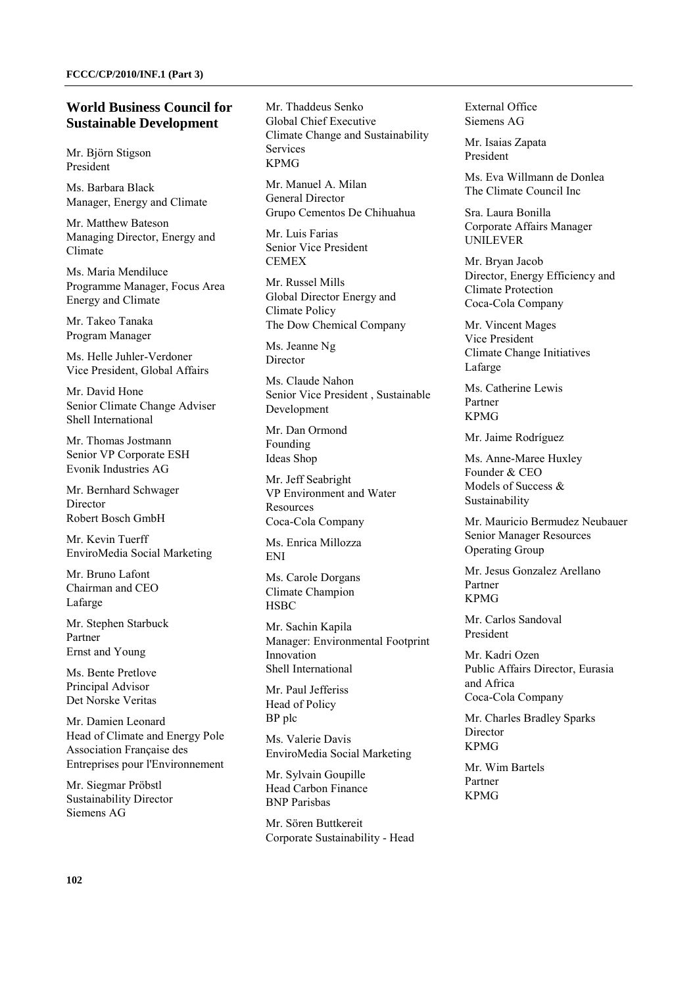#### **World Business Council for Sustainable Development**

Mr. Björn Stigson President

Ms. Barbara Black Manager, Energy and Climate

Mr. Matthew Bateson Managing Director, Energy and Climate

Ms. Maria Mendiluce Programme Manager, Focus Area Energy and Climate

Mr. Takeo Tanaka Program Manager

Ms. Helle Juhler-Verdoner Vice President, Global Affairs

Mr. David Hone Senior Climate Change Adviser Shell International

Mr. Thomas Jostmann Senior VP Corporate ESH Evonik Industries AG

Mr. Bernhard Schwager Director Robert Bosch GmbH

Mr. Kevin Tuerff EnviroMedia Social Marketing

Mr. Bruno Lafont Chairman and CEO Lafarge

Mr. Stephen Starbuck Partner Ernst and Young

Ms. Bente Pretlove Principal Advisor Det Norske Veritas

Mr. Damien Leonard Head of Climate and Energy Pole Association Française des Entreprises pour l'Environnement

Mr. Siegmar Pröbstl Sustainability Director Siemens AG

Mr. Thaddeus Senko Global Chief Executive Climate Change and Sustainability **Services** KPMG

Mr. Manuel A. Milan General Director Grupo Cementos De Chihuahua

Mr. Luis Farias Senior Vice President **CEMEX** 

Mr. Russel Mills Global Director Energy and Climate Policy The Dow Chemical Company

Ms. Jeanne Ng Director

Ms. Claude Nahon Senior Vice President , Sustainable **Development** 

Mr. Dan Ormond Founding Ideas Shop

Mr. Jeff Seabright VP Environment and Water Resources Coca-Cola Company

Ms. Enrica Millozza ENI

Ms. Carole Dorgans Climate Champion **HSBC** 

Mr. Sachin Kapila Manager: Environmental Footprint Innovation Shell International

Mr. Paul Jefferiss Head of Policy BP plc

Ms. Valerie Davis EnviroMedia Social Marketing

Mr. Sylvain Goupille Head Carbon Finance BNP Parisbas

Mr. Sören Buttkereit Corporate Sustainability - Head External Office Siemens AG

Mr. Isaias Zapata President

Ms. Eva Willmann de Donlea The Climate Council Inc

Sra. Laura Bonilla Corporate Affairs Manager UNILEVER

Mr. Bryan Jacob Director, Energy Efficiency and Climate Protection Coca-Cola Company

Mr. Vincent Mages Vice President Climate Change Initiatives Lafarge

Ms. Catherine Lewis Partner KPMG

Mr. Jaime Rodríguez

Ms. Anne-Maree Huxley Founder & CEO Models of Success & Sustainability

Mr. Mauricio Bermudez Neubauer Senior Manager Resources Operating Group

Mr. Jesus Gonzalez Arellano Partner KPMG

Mr. Carlos Sandoval President

Mr. Kadri Ozen Public Affairs Director, Eurasia and Africa Coca-Cola Company

Mr. Charles Bradley Sparks Director KPMG

Mr. Wim Bartels Partner KPMG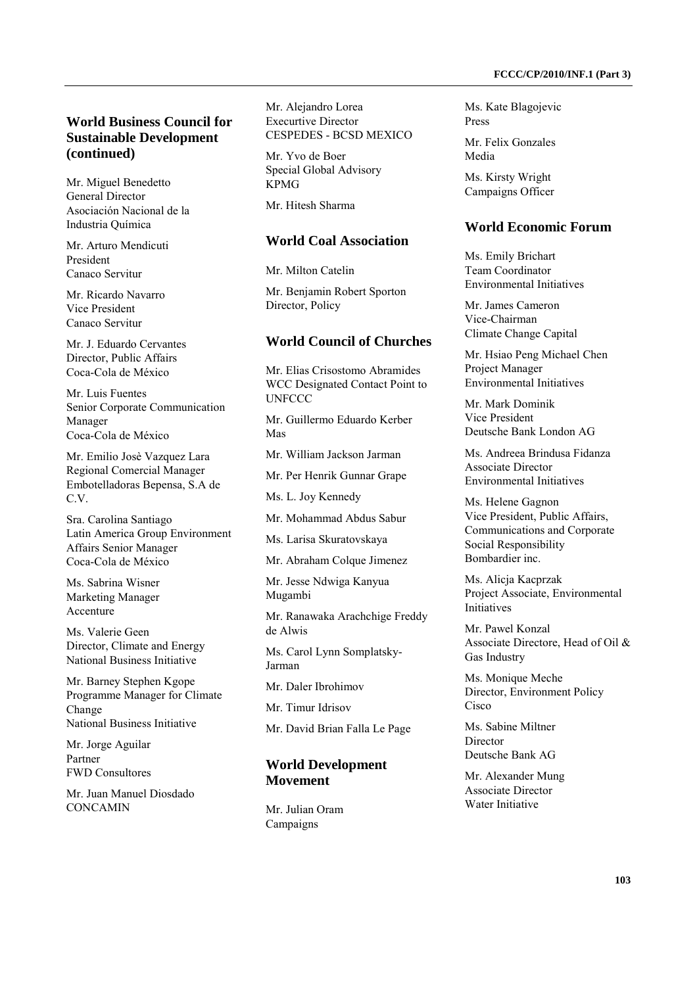# **World Business Council for Sustainable Development (continued)**

Mr. Miguel Benedetto General Director Asociación Nacional de la Industria Química

Mr. Arturo Mendicuti President Canaco Servitur

Mr. Ricardo Navarro Vice President Canaco Servitur

Mr. J. Eduardo Cervantes Director, Public Affairs Coca-Cola de México

Mr. Luis Fuentes Senior Corporate Communication Manager Coca-Cola de México

Mr. Emilio Josè Vazquez Lara Regional Comercial Manager Embotelladoras Bepensa, S.A de C.V.

Sra. Carolina Santiago Latin America Group Environment Affairs Senior Manager Coca-Cola de México

Ms. Sabrina Wisner Marketing Manager Accenture

Ms. Valerie Geen Director, Climate and Energy National Business Initiative

Mr. Barney Stephen Kgope Programme Manager for Climate Change National Business Initiative

Mr. Jorge Aguilar Partner FWD Consultores

Mr. Juan Manuel Diosdado **CONCAMIN** 

Mr. Alejandro Lorea Execurtive Director CESPEDES - BCSD MEXICO

Mr. Yvo de Boer Special Global Advisory KPMG

Mr. Hitesh Sharma

#### **World Coal Association**

Mr. Milton Catelin

Mr. Benjamin Robert Sporton Director, Policy

#### **World Council of Churches**

Mr. Elias Crisostomo Abramides WCC Designated Contact Point to UNFCCC

Mr. Guillermo Eduardo Kerber Mas

Mr. William Jackson Jarman

Mr. Per Henrik Gunnar Grape

Ms. L. Joy Kennedy

Mr. Mohammad Abdus Sabur

Ms. Larisa Skuratovskaya

Mr. Abraham Colque Jimenez

Mr. Jesse Ndwiga Kanyua Mugambi

Mr. Ranawaka Arachchige Freddy de Alwis

Ms. Carol Lynn Somplatsky-Jarman

Mr. Daler Ibrohimov

Mr. Timur Idrisov

Mr. David Brian Falla Le Page

#### **World Development Movement**

Mr. Julian Oram Campaigns

Ms. Kate Blagojevic Press

Mr. Felix Gonzales Media

Ms. Kirsty Wright Campaigns Officer

#### **World Economic Forum**

Ms. Emily Brichart Team Coordinator Environmental Initiatives

Mr. James Cameron Vice-Chairman Climate Change Capital

Mr. Hsiao Peng Michael Chen Project Manager Environmental Initiatives

Mr. Mark Dominik Vice President Deutsche Bank London AG

Ms. Andreea Brindusa Fidanza Associate Director Environmental Initiatives

Ms. Helene Gagnon Vice President, Public Affairs, Communications and Corporate Social Responsibility Bombardier inc.

Ms. Alicja Kacprzak Project Associate, Environmental Initiatives

Mr. Pawel Konzal Associate Directore, Head of Oil & Gas Industry

Ms. Monique Meche Director, Environment Policy **Cisco** 

Ms. Sabine Miltner Director Deutsche Bank AG

Mr. Alexander Mung Associate Director Water Initiative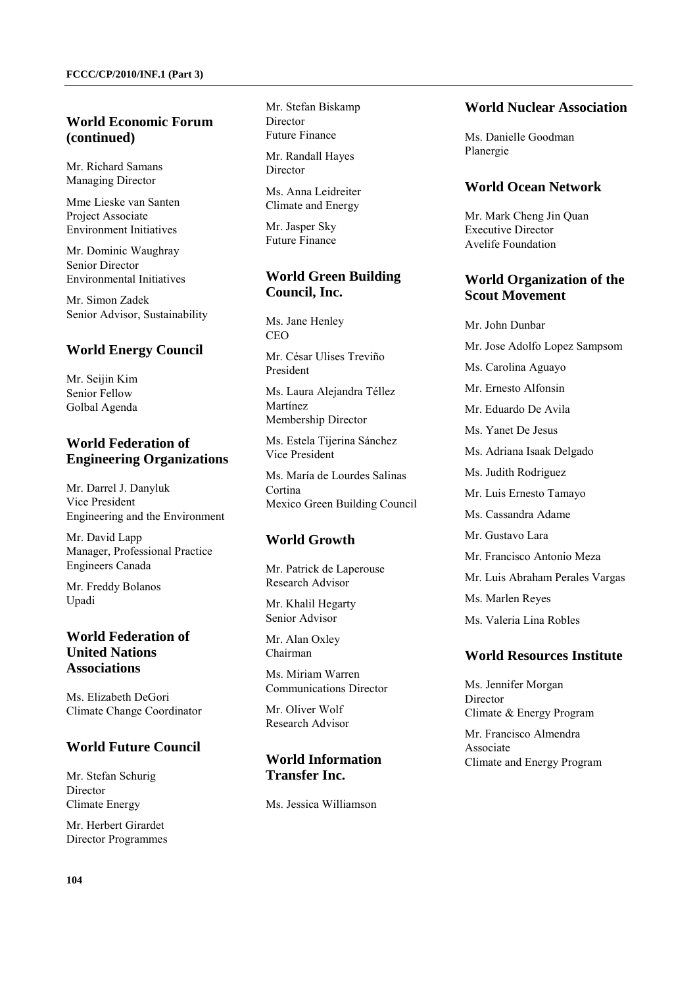## **World Economic Forum (continued)**

Mr. Richard Samans Managing Director

Mme Lieske van Santen Project Associate Environment Initiatives

Mr. Dominic Waughray Senior Director Environmental Initiatives

Mr. Simon Zadek Senior Advisor, Sustainability

#### **World Energy Council**

Mr. Seijin Kim Senior Fellow Golbal Agenda

# **World Federation of Engineering Organizations**

Mr. Darrel J. Danyluk Vice President Engineering and the Environment

Mr. David Lapp Manager, Professional Practice Engineers Canada

Mr. Freddy Bolanos Upadi

# **World Federation of United Nations Associations**

Ms. Elizabeth DeGori Climate Change Coordinator

### **World Future Council**

Mr. Stefan Schurig Director Climate Energy

Mr. Herbert Girardet Director Programmes Mr. Stefan Biskamp Director Future Finance

Mr. Randall Hayes Director

Ms. Anna Leidreiter Climate and Energy

Mr. Jasper Sky Future Finance

# **World Green Building Council, Inc.**

Ms. Jane Henley CEO

Mr. César Ulises Treviño President

Ms. Laura Alejandra Téllez Martínez Membership Director

Ms. Estela Tijerina Sánchez Vice President

Ms. María de Lourdes Salinas Cortina Mexico Green Building Council

# **World Growth**

Mr. Patrick de Laperouse Research Advisor

Mr. Khalil Hegarty Senior Advisor

Mr. Alan Oxley Chairman

Ms. Miriam Warren Communications Director

Mr. Oliver Wolf Research Advisor

### **World Information Transfer Inc.**

Ms. Jessica Williamson

#### **World Nuclear Association**

Ms. Danielle Goodman Planergie

#### **World Ocean Network**

Mr. Mark Cheng Jin Quan Executive Director Avelife Foundation

### **World Organization of the Scout Movement**

Mr. John Dunbar Mr. Jose Adolfo Lopez Sampsom Ms. Carolina Aguayo Mr. Ernesto Alfonsin Mr. Eduardo De Avila Ms. Yanet De Jesus Ms. Adriana Isaak Delgado Ms. Judith Rodriguez Mr. Luis Ernesto Tamayo Ms. Cassandra Adame Mr. Gustavo Lara Mr. Francisco Antonio Meza Mr. Luis Abraham Perales Vargas Ms. Marlen Reyes Ms. Valeria Lina Robles

#### **World Resources Institute**

Ms. Jennifer Morgan Director Climate & Energy Program

Mr. Francisco Almendra Associate Climate and Energy Program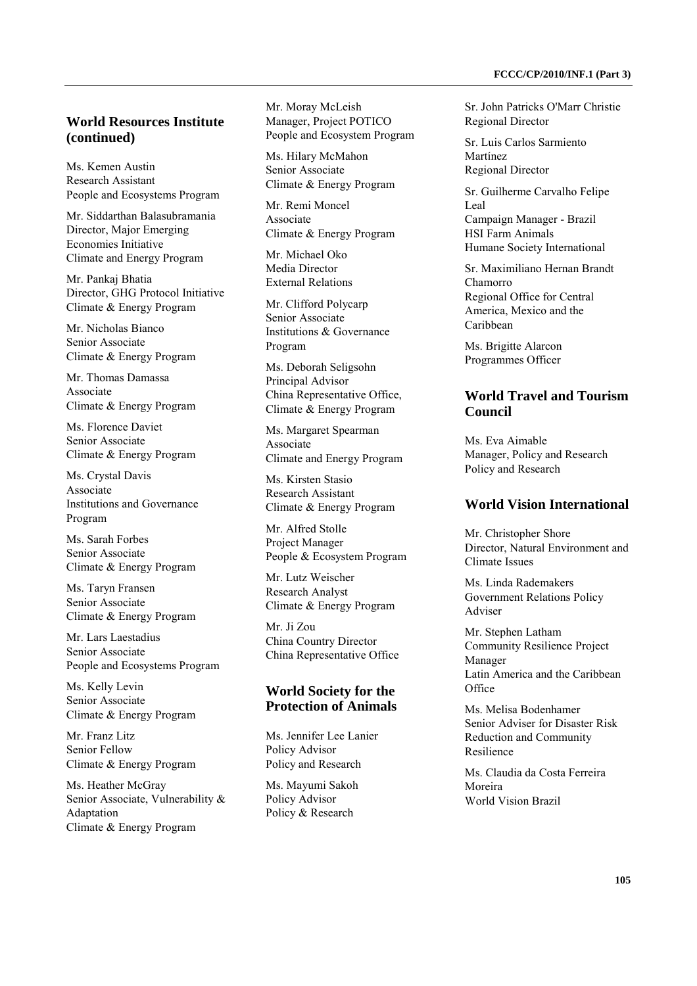# **World Resources Institute (continued)**

Ms. Kemen Austin Research Assistant People and Ecosystems Program

Mr. Siddarthan Balasubramania Director, Major Emerging Economies Initiative Climate and Energy Program

Mr. Pankaj Bhatia Director, GHG Protocol Initiative Climate & Energy Program

Mr. Nicholas Bianco Senior Associate Climate & Energy Program

Mr. Thomas Damassa Associate Climate & Energy Program

Ms. Florence Daviet Senior Associate Climate & Energy Program

Ms. Crystal Davis Associate Institutions and Governance Program

Ms. Sarah Forbes Senior Associate Climate & Energy Program

Ms. Taryn Fransen Senior Associate Climate & Energy Program

Mr. Lars Laestadius Senior Associate People and Ecosystems Program

Ms. Kelly Levin Senior Associate Climate & Energy Program

Mr. Franz Litz Senior Fellow Climate & Energy Program

Ms. Heather McGray Senior Associate, Vulnerability & Adaptation Climate & Energy Program

Mr. Moray McLeish Manager, Project POTICO People and Ecosystem Program

Ms. Hilary McMahon Senior Associate Climate & Energy Program

Mr. Remi Moncel Associate Climate & Energy Program

Mr. Michael Oko Media Director External Relations

Mr. Clifford Polycarp Senior Associate Institutions & Governance Program

Ms. Deborah Seligsohn Principal Advisor China Representative Office, Climate & Energy Program

Ms. Margaret Spearman Associate Climate and Energy Program

Ms. Kirsten Stasio Research Assistant Climate & Energy Program

Mr. Alfred Stolle Project Manager People & Ecosystem Program

Mr. Lutz Weischer Research Analyst Climate & Energy Program

Mr. Ji Zou China Country Director China Representative Office

# **World Society for the Protection of Animals**

Ms. Jennifer Lee Lanier Policy Advisor Policy and Research

Ms. Mayumi Sakoh Policy Advisor Policy & Research

Sr. John Patricks O'Marr Christie Regional Director

Sr. Luis Carlos Sarmiento Martínez Regional Director

Sr. Guilherme Carvalho Felipe Leal Campaign Manager - Brazil HSI Farm Animals Humane Society International

Sr. Maximiliano Hernan Brandt Chamorro Regional Office for Central America, Mexico and the Caribbean

Ms. Brigitte Alarcon Programmes Officer

### **World Travel and Tourism Council**

Ms. Eva Aimable Manager, Policy and Research Policy and Research

#### **World Vision International**

Mr. Christopher Shore Director, Natural Environment and Climate Issues

Ms. Linda Rademakers Government Relations Policy Adviser

Mr. Stephen Latham Community Resilience Project Manager Latin America and the Caribbean  $Office$ 

Ms. Melisa Bodenhamer Senior Adviser for Disaster Risk Reduction and Community Resilience

Ms. Claudia da Costa Ferreira Moreira World Vision Brazil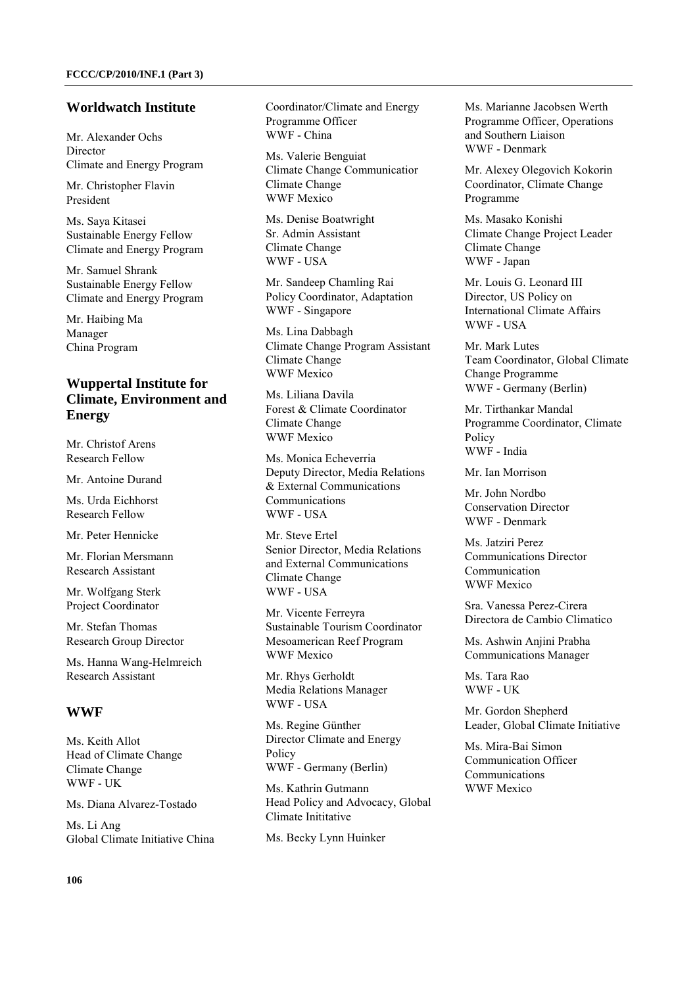#### **Worldwatch Institute**

Mr. Alexander Ochs Director Climate and Energy Program

Mr. Christopher Flavin President

Ms. Saya Kitasei Sustainable Energy Fellow Climate and Energy Program

Mr. Samuel Shrank Sustainable Energy Fellow Climate and Energy Program

Mr. Haibing Ma Manager China Program

# **Wuppertal Institute for Climate, Environment and Energy**

Mr. Christof Arens Research Fellow

Mr. Antoine Durand

Ms. Urda Eichhorst Research Fellow

Mr. Peter Hennicke

Mr. Florian Mersmann Research Assistant

Mr. Wolfgang Sterk Project Coordinator

Mr. Stefan Thomas Research Group Director

Ms. Hanna Wang-Helmreich Research Assistant

#### **WWF**

Ms. Keith Allot Head of Climate Change Climate Change WWF - UK

Ms. Diana Alvarez-Tostado

Ms. Li Ang Global Climate Initiative China Coordinator/Climate and Energy Programme Officer WWF - China

Ms. Valerie Benguiat Climate Change Communicatior Climate Change WWF Mexico

Ms. Denise Boatwright Sr. Admin Assistant Climate Change WWF - USA

Mr. Sandeep Chamling Rai Policy Coordinator, Adaptation WWF - Singapore

Ms. Lina Dabbagh Climate Change Program Assistant Climate Change WWF Mexico

Ms. Liliana Davila Forest & Climate Coordinator Climate Change WWF Mexico

Ms. Monica Echeverria Deputy Director, Media Relations & External Communications Communications WWF - USA

Mr. Steve Ertel Senior Director, Media Relations and External Communications Climate Change WWF - USA

Mr. Vicente Ferreyra Sustainable Tourism Coordinator Mesoamerican Reef Program WWF Mexico

Mr. Rhys Gerholdt Media Relations Manager WWF - USA

Ms. Regine Günther Director Climate and Energy Policy WWF - Germany (Berlin)

Ms. Kathrin Gutmann Head Policy and Advocacy, Global Climate Inititative

Ms. Becky Lynn Huinker

Ms. Marianne Jacobsen Werth Programme Officer, Operations and Southern Liaison WWF - Denmark

Mr. Alexey Olegovich Kokorin Coordinator, Climate Change Programme

Ms. Masako Konishi Climate Change Project Leader Climate Change WWF - Japan

Mr. Louis G. Leonard III Director, US Policy on International Climate Affairs WWF - USA

Mr. Mark Lutes Team Coordinator, Global Climate Change Programme WWF - Germany (Berlin)

Mr. Tirthankar Mandal Programme Coordinator, Climate Policy WWF - India

Mr. Ian Morrison

Mr. John Nordbo Conservation Director WWF - Denmark

Ms. Jatziri Perez Communications Director Communication WWF Mexico

Sra. Vanessa Perez-Cirera Directora de Cambio Climatico

Ms. Ashwin Anjini Prabha Communications Manager

Ms. Tara Rao WWF - UK

Mr. Gordon Shepherd Leader, Global Climate Initiative

Ms. Mira-Bai Simon Communication Officer Communications WWF Mexico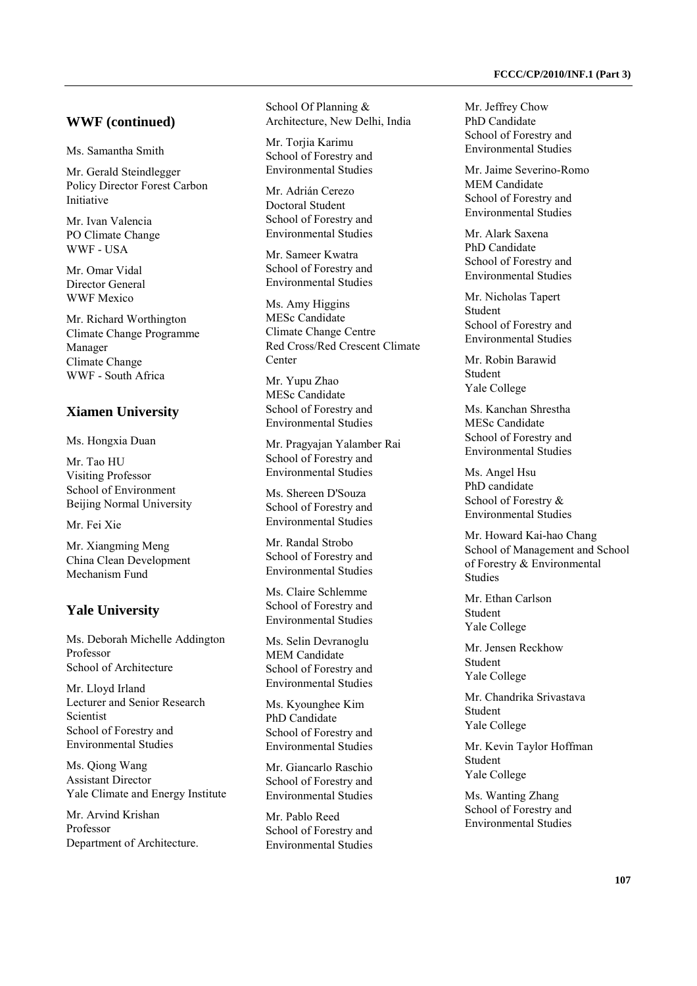#### **WWF (continued)**

Ms. Samantha Smith

Mr. Gerald Steindlegger Policy Director Forest Carbon Initiative

Mr. Ivan Valencia PO Climate Change WWF - USA

Mr. Omar Vidal Director General WWF Mexico

Mr. Richard Worthington Climate Change Programme Manager Climate Change WWF - South Africa

#### **Xiamen University**

Ms. Hongxia Duan

Mr. Tao HU Visiting Professor School of Environment Beijing Normal University

Mr. Fei Xie

Mr. Xiangming Meng China Clean Development Mechanism Fund

### **Yale University**

Ms. Deborah Michelle Addington Professor School of Architecture

Mr. Lloyd Irland Lecturer and Senior Research **Scientist** School of Forestry and Environmental Studies

Ms. Qiong Wang Assistant Director Yale Climate and Energy Institute

Mr. Arvind Krishan Professor Department of Architecture. School Of Planning & Architecture, New Delhi, India

Mr. Torjia Karimu School of Forestry and Environmental Studies

Mr. Adrián Cerezo Doctoral Student School of Forestry and Environmental Studies

Mr. Sameer Kwatra School of Forestry and Environmental Studies

Ms. Amy Higgins MESc Candidate Climate Change Centre Red Cross/Red Crescent Climate Center

Mr. Yupu Zhao MESc Candidate School of Forestry and Environmental Studies

Mr. Pragyajan Yalamber Rai School of Forestry and Environmental Studies

Ms. Shereen D'Souza School of Forestry and Environmental Studies

Mr. Randal Strobo School of Forestry and Environmental Studies

Ms. Claire Schlemme School of Forestry and Environmental Studies

Ms. Selin Devranoglu MEM Candidate School of Forestry and Environmental Studies

Ms. Kyounghee Kim PhD Candidate School of Forestry and Environmental Studies

Mr. Giancarlo Raschio School of Forestry and Environmental Studies

Mr. Pablo Reed School of Forestry and Environmental Studies Mr. Jeffrey Chow PhD Candidate School of Forestry and Environmental Studies

Mr. Jaime Severino-Romo MEM Candidate School of Forestry and Environmental Studies

Mr. Alark Saxena PhD Candidate School of Forestry and Environmental Studies

Mr. Nicholas Tapert Student School of Forestry and Environmental Studies

Mr. Robin Barawid Student Yale College

Ms. Kanchan Shrestha MESc Candidate School of Forestry and Environmental Studies

Ms. Angel Hsu PhD candidate School of Forestry & Environmental Studies

Mr. Howard Kai-hao Chang School of Management and School of Forestry & Environmental Studies

Mr. Ethan Carlson Student Yale College

Mr. Jensen Reckhow Student Yale College

Mr. Chandrika Srivastava Student Yale College

Mr. Kevin Taylor Hoffman Student Yale College

Ms. Wanting Zhang School of Forestry and Environmental Studies